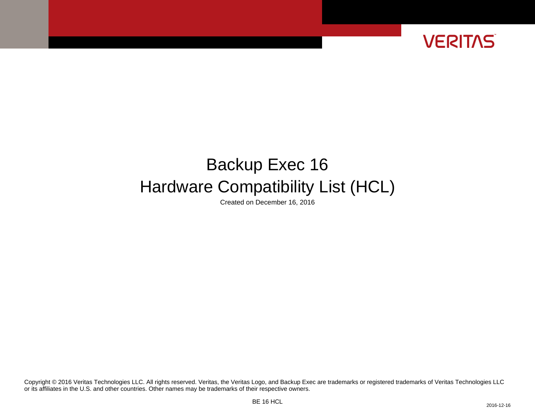

# Backup Exec 16 Hardware Compatibility List (HCL)

Created on December 16, 2016

or its affiliates in the U.S. and other countries. Other names may be trademarks of their respective owners. Copyright © 2016 Veritas Technologies LLC. All rights reserved. Veritas, the Veritas Logo, and Backup Exec are trademarks or registered trademarks of Veritas Technologies LLC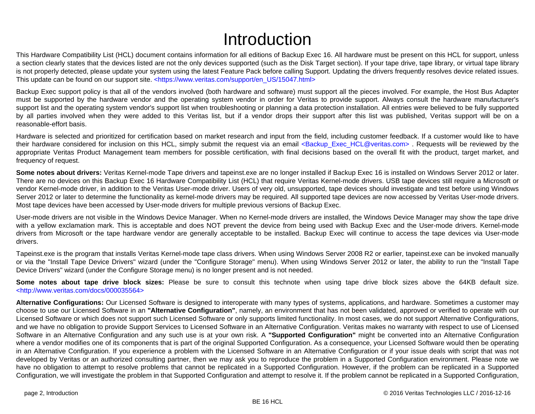# Introduction

This Hardware Compatibility List (HCL) document contains information for all editions of Backup Exec 16. All hardware must be present on this HCL for support, unless a section clearly states that the devices listed are not the only devices supported (such as the Disk Target section). If your tape drive, tape library, or virtual tape library is not properly detected, please update your system using the latest Feature Pack before calling Support. Updating the drivers frequently resolves device related issues. This update can be found on our support site. [<https://www.veritas.com/support/en\\_US/15047.html>](https://www.veritas.com/support/en_US/15047.html)

Backup Exec support policy is that all of the vendors involved (both hardware and software) must support all the pieces involved. For example, the Host Bus Adapter must be supported by the hardware vendor and the operating system vendor in order for Veritas to provide support. Always consult the hardware manufacturer's support list and the operating system vendor's support list when troubleshooting or planning a data protection installation. All entries were believed to be fully supported by all parties involved when they were added to this Veritas list, but if a vendor drops their support after this list was published, Veritas support will be on a reasonable-effort basis.

Hardware is selected and prioritized for certification based on market research and input from the field, including customer feedback. If a customer would like to have their hardware considered for inclusion on this HCL, simply submit the request via an email <Backup Exec HCL@veritas.com> . Requests will be reviewed by the appropriate Veritas Product Management team members for possible certification, with final decisions based on the overall fit with the product, target market, and frequency of request.

**Some notes about drivers:** Veritas Kernel-mode Tape drivers and tapeinst.exe are no longer installed if Backup Exec 16 is installed on Windows Server 2012 or later. There are no devices on this Backup Exec 16 Hardware Compatibility List (HCL) that require Veritas Kernel-mode drivers. USB tape devices still require a Microsoft or vendor Kernel-mode driver, in addition to the Veritas User-mode driver. Users of very old, unsupported, tape devices should investigate and test before using Windows Server 2012 or later to determine the functionality as kernel-mode drivers may be required. All supported tape devices are now accessed by Veritas User-mode drivers. Most tape devices have been accessed by User-mode drivers for multiple previous versions of Backup Exec.

User-mode drivers are not visible in the Windows Device Manager. When no Kernel-mode drivers are installed, the Windows Device Manager may show the tape drive with a yellow exclamation mark. This is acceptable and does NOT prevent the device from being used with Backup Exec and the User-mode drivers. Kernel-mode drivers from Microsoft or the tape hardware vendor are generally acceptable to be installed. Backup Exec will continue to access the tape devices via User-mode drivers.

Tapeinst.exe is the program that installs Veritas Kernel-mode tape class drivers. When using Windows Server 2008 R2 or earlier, tapeinst.exe can be invoked manually or via the "Install Tape Device Drivers" wizard (under the "Configure Storage" menu). When using Windows Server 2012 or later, the ability to run the "Install Tape Device Drivers" wizard (under the Configure Storage menu) is no longer present and is not needed.

**Some notes about tape drive block sizes:** Please be sure to consult this technote when using tape drive block sizes above the 64KB default size. [<http://www.veritas.com/docs/000035564>](http://www.veritas.com/docs/000035564)

**Alternative Configurations:** Our Licensed Software is designed to interoperate with many types of systems, applications, and hardware. Sometimes a customer may choose to use our Licensed Software in an **"Alternative Configuration"**, namely, an environment that has not been validated, approved or verified to operate with our Licensed Software or which does not support such Licensed Software or only supports limited functionality. In most cases, we do not support Alternative Configurations, and we have no obligation to provide Support Services to Licensed Software in an Alternative Configuration. Veritas makes no warranty with respect to use of Licensed Software in an Alternative Configuration and any such use is at your own risk. A **"Supported Configuration"** might be converted into an Alternative Configuration where a vendor modifies one of its components that is part of the original Supported Configuration. As a consequence, your Licensed Software would then be operating in an Alternative Configuration. If you experience a problem with the Licensed Software in an Alternative Configuration or if your issue deals with script that was not developed by Veritas or an authorized consulting partner, then we may ask you to reproduce the problem in a Supported Configuration environment. Please note we have no obligation to attempt to resolve problems that cannot be replicated in a Supported Configuration. However, if the problem can be replicated in a Supported Configuration, we will investigate the problem in that Supported Configuration and attempt to resolve it. If the problem cannot be replicated in a Supported Configuration,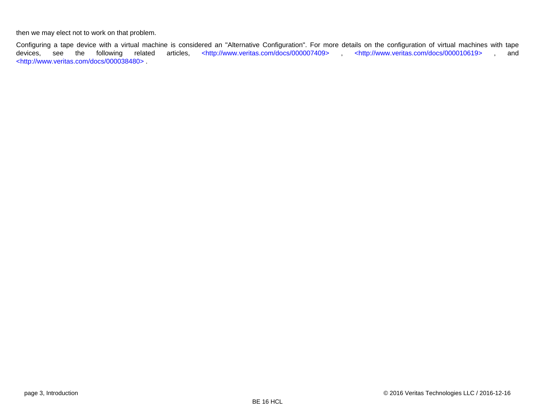then we may elect not to work on that problem.

Configuring a tape device with a virtual machine is considered an "Alternative Configuration". For more details on the configuration of virtual machines with tape<br>devices, see the following related articles, <http://www.ve devices, see the following related articles, [<http://www.veritas.com/docs/000007409> ,](http://www.veritas.com/docs/000007409) [<http://www.veritas.com/docs/000010619>](http://www.veritas.com/docs/000010619) , and [<http://www.veritas.com/docs/000038480> .](http://www.veritas.com/docs/000038480)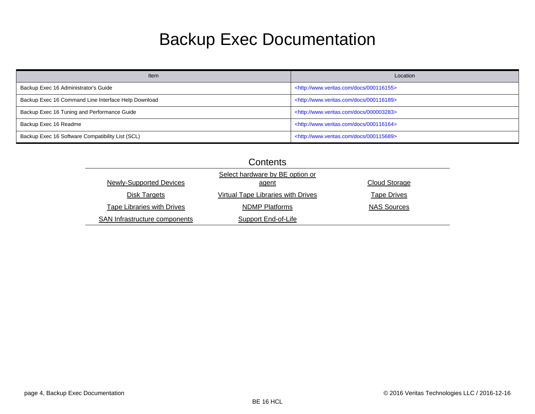# Backup Exec Documentation

| Item                                                | Location                                                |
|-----------------------------------------------------|---------------------------------------------------------|
| Backup Exec 16 Administrator's Guide                | <http: 000116155="" docs="" www.veritas.com=""></http:> |
| Backup Exec 16 Command Line Interface Help Download | <http: 000116189="" docs="" www.veritas.com=""></http:> |
| Backup Exec 16 Tuning and Performance Guide         | <http: 000003283="" docs="" www.veritas.com=""></http:> |
| Backup Exec 16 Readme                               | <http: 000116164="" docs="" www.veritas.com=""></http:> |
| Backup Exec 16 Software Compatibility List (SCL)    | <http: 000115689="" docs="" www.veritas.com=""></http:> |

| Contents                             |                                           |                      |  |  |  |
|--------------------------------------|-------------------------------------------|----------------------|--|--|--|
|                                      |                                           |                      |  |  |  |
| <b>Newly-Supported Devices</b>       | agent                                     | <b>Cloud Storage</b> |  |  |  |
| Disk Targets                         | <b>Virtual Tape Libraries with Drives</b> | <b>Tape Drives</b>   |  |  |  |
| <b>Tape Libraries with Drives</b>    | <b>NDMP Platforms</b>                     | <b>NAS Sources</b>   |  |  |  |
| <b>SAN Infrastructure components</b> | <b>Support End-of-Life</b>                |                      |  |  |  |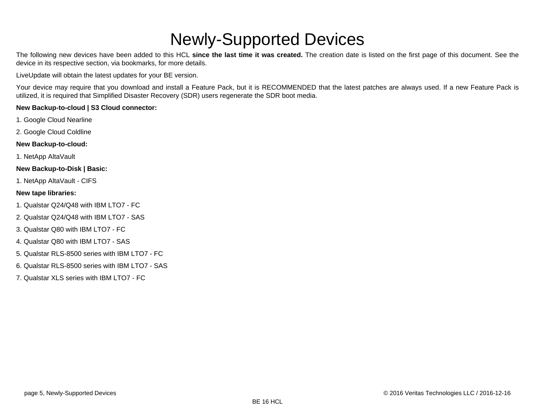# Newly-Supported Devices

<span id="page-4-0"></span>The following new devices have been added to this HCL **since the last time it was created.** The creation date is listed on the first page of this document. See the device in its respective section, via bookmarks, for more details.

LiveUpdate will obtain the latest updates for your BE version.

Your device may require that you download and install a Feature Pack, but it is RECOMMENDED that the latest patches are always used. If a new Feature Pack is utilized, it is required that Simplified Disaster Recovery (SDR) users regenerate the SDR boot media.

#### **New Backup-to-cloud | S3 Cloud connector:**

- 1. Google Cloud Nearline
- 2. Google Cloud Coldline

#### **New Backup-to-cloud:**

1. NetApp AltaVault

#### **New Backup-to-Disk | Basic:**

1. NetApp AltaVault - CIFS

#### **New tape libraries:**

- 1. Qualstar Q24/Q48 with IBM LTO7 FC
- 2. Qualstar Q24/Q48 with IBM LTO7 SAS
- 3. Qualstar Q80 with IBM LTO7 FC
- 4. Qualstar Q80 with IBM LTO7 SAS
- 5. Qualstar RLS-8500 series with IBM LTO7 FC
- 6. Qualstar RLS-8500 series with IBM LTO7 SAS
- 7. Qualstar XLS series with IBM LTO7 FC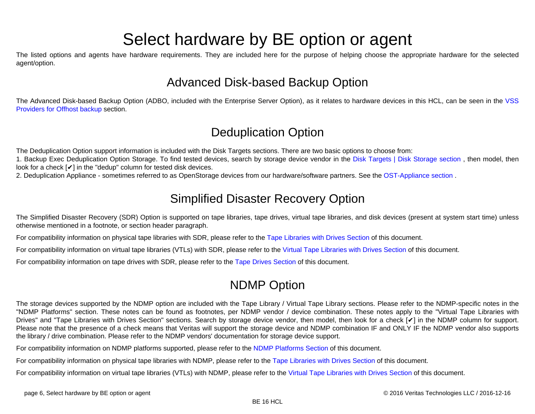# Select hardware by BE option or agent

<span id="page-5-0"></span>The listed options and agents have hardware requirements. They are included here for the purpose of helping choose the appropriate hardware for the selected agent/option.

# Advanced Disk-based Backup Option

The Advanced Disk-based Backup Option (ADBO, included with the Enterprise Server Option), as it relates to hardware devices in this HCL, can be seen in the [VSS](#page-39-0) [Providers for Offhost backup s](#page-39-0)ection.

# Deduplication Option

The Deduplication Option support information is included with the Disk Targets sections. There are two basic options to choose from:

1. Backup Exec Deduplication Option Storage. To find tested devices, search by storage device vendor in the [Disk Targets | Disk Storage section ,](#page-15-0) then model, then look for a check  $\lceil \nu \rceil$  in the "dedup" column for tested disk devices.

2. Deduplication Appliance - sometimes referred to as OpenStorage devices from our hardware/software partners. See the [OST-Appliance section](#page-34-0) .

# Simplified Disaster Recovery Option

The Simplified Disaster Recovery (SDR) Option is supported on tape libraries, tape drives, virtual tape libraries, and disk devices (present at system start time) unless otherwise mentioned in a footnote, or section header paragraph.

For compatibility information on physical tape libraries with SDR, please refer to the [Tape Libraries with Drives Section o](#page-74-0)f this document.

For compatibility information on virtual tape libraries (VTLs) with SDR, please refer to the [Virtual Tape Libraries with Drives Section](#page-49-0) of this document.

For compatibility information on tape drives with SDR, please refer to the [Tape Drives Section o](#page-62-0)f this document.

# NDMP Option

The storage devices supported by the NDMP option are included with the Tape Library / Virtual Tape Library sections. Please refer to the NDMP-specific notes in the "NDMP Platforms" section. These notes can be found as footnotes, per NDMP vendor / device combination. These notes apply to the "Virtual Tape Libraries with Drives" and "Tape Libraries with Drives Section" sections. Search by storage device vendor, then model, then look for a check [V] in the NDMP column for support. Please note that the presence of a check means that Veritas will support the storage device and NDMP combination IF and ONLY IF the NDMP vendor also supports the library / drive combination. Please refer to the NDMP vendors' documentation for storage device support.

For compatibility information on NDMP platforms supported, please refer to the [NDMP Platforms Section o](#page-127-0)f this document.

For compatibility information on physical tape libraries with NDMP, please refer to the [Tape Libraries with Drives Section](#page-74-0) of this document.

For compatibility information on virtual tape libraries (VTLs) with NDMP, please refer to the [Virtual Tape Libraries with Drives Section o](#page-49-0)f this document.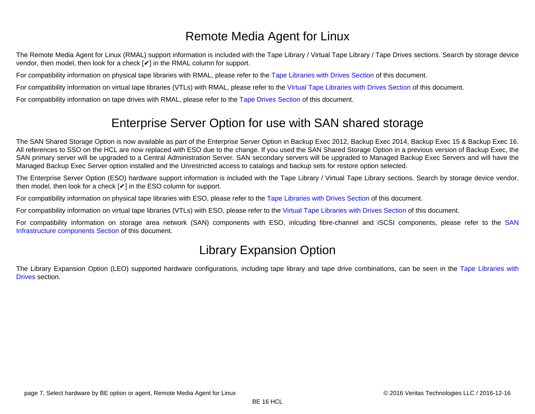# Remote Media Agent for Linux

The Remote Media Agent for Linux (RMAL) support information is included with the Tape Library / Virtual Tape Library / Tape Drives sections. Search by storage device vendor, then model, then look for a check [✔] in the RMAL column for support.

For compatibility information on physical tape libraries with RMAL, please refer to the [Tape Libraries with Drives Section](#page-74-0) of this document.

For compatibility information on virtual tape libraries (VTLs) with RMAL, please refer to the [Virtual Tape Libraries with Drives Section o](#page-49-0)f this document.

For compatibility information on tape drives with RMAL, please refer to the [Tape Drives Section](#page-62-0) of this document.

# Enterprise Server Option for use with SAN shared storage

The SAN Shared Storage Option is now available as part of the Enterprise Server Option in Backup Exec 2012, Backup Exec 2014, Backup Exec 15 & Backup Exec 16. All references to SSO on the HCL are now replaced with ESO due to the change. If you used the SAN Shared Storage Option in a previous version of Backup Exec, the SAN primary server will be upgraded to a Central Administration Server. SAN secondary servers will be upgraded to Managed Backup Exec Servers and will have the Managed Backup Exec Server option installed and the Unrestricted access to catalogs and backup sets for restore option selected.

The Enterprise Server Option (ESO) hardware support information is included with the Tape Library / Virtual Tape Library sections. Search by storage device vendor, then model, then look for a check  $[**V**]$  in the ESO column for support.

For compatibility information on physical tape libraries with ESO, please refer to the [Tape Libraries with Drives Section o](#page-74-0)f this document.

For compatibility information on virtual tape libraries (VTLs) with ESO, please refer to the [Virtual Tape Libraries with Drives Section](#page-49-0) of this document.

For compatibility information on storage area network (SAN) components with ESO, inlcuding fibre-channel and iSCSI components, please refer to the [SAN](#page-139-0) [Infrastructure components Section](#page-139-0) of this document.

# Library Expansion Option

The Library Expansion Option (LEO) supported hardware configurations, including tape library and tape drive combinations, can be seen in the [Tape Libraries with](#page-74-0) [Drives](#page-74-0) section.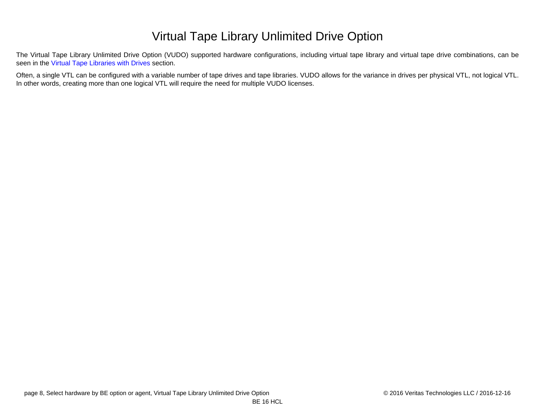# Virtual Tape Library Unlimited Drive Option

The Virtual Tape Library Unlimited Drive Option (VUDO) supported hardware configurations, including virtual tape library and virtual tape drive combinations, can be seen in the [Virtual Tape Libraries with Drives](#page-49-0) section.

Often, a single VTL can be configured with a variable number of tape drives and tape libraries. VUDO allows for the variance in drives per physical VTL, not logical VTL. In other words, creating more than one logical VTL will require the need for multiple VUDO licenses.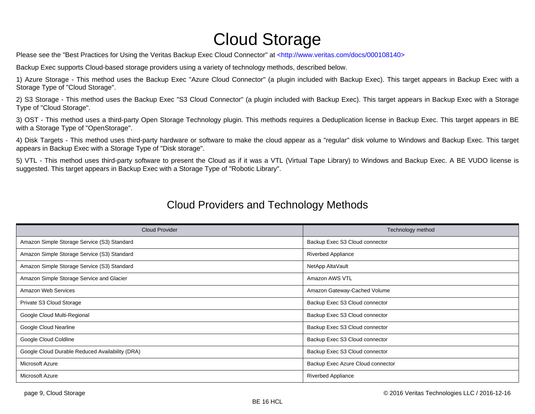# Cloud Storage

<span id="page-8-0"></span>Please see the "Best Practices for Using the Veritas Backup Exec Cloud Connector" at [<http://www.veritas.com/docs/000108140>](http://www.veritas.com/docs/000108140)

Backup Exec supports Cloud-based storage providers using a variety of technology methods, described below.

1) Azure Storage - This method uses the Backup Exec "Azure Cloud Connector" (a plugin included with Backup Exec). This target appears in Backup Exec with a Storage Type of "Cloud Storage".

2) S3 Storage - This method uses the Backup Exec "S3 Cloud Connector" (a plugin included with Backup Exec). This target appears in Backup Exec with a Storage Type of "Cloud Storage".

3) OST - This method uses a third-party Open Storage Technology plugin. This methods requires a Deduplication license in Backup Exec. This target appears in BE with a Storage Type of "OpenStorage".

4) Disk Targets - This method uses third-party hardware or software to make the cloud appear as a "regular" disk volume to Windows and Backup Exec. This target appears in Backup Exec with a Storage Type of "Disk storage".

5) VTL - This method uses third-party software to present the Cloud as if it was a VTL (Virtual Tape Library) to Windows and Backup Exec. A BE VUDO license is suggested. This target appears in Backup Exec with a Storage Type of "Robotic Library".

| <b>Cloud Provider</b>                           | Technology method                 |
|-------------------------------------------------|-----------------------------------|
| Amazon Simple Storage Service (S3) Standard     | Backup Exec S3 Cloud connector    |
| Amazon Simple Storage Service (S3) Standard     | Riverbed Appliance                |
| Amazon Simple Storage Service (S3) Standard     | NetApp AltaVault                  |
| Amazon Simple Storage Service and Glacier       | Amazon AWS VTL                    |
| Amazon Web Services                             | Amazon Gateway-Cached Volume      |
| Private S3 Cloud Storage                        | Backup Exec S3 Cloud connector    |
| Google Cloud Multi-Regional                     | Backup Exec S3 Cloud connector    |
| Google Cloud Nearline                           | Backup Exec S3 Cloud connector    |
| Google Cloud Coldline                           | Backup Exec S3 Cloud connector    |
| Google Cloud Durable Reduced Availability (DRA) | Backup Exec S3 Cloud connector    |
| Microsoft Azure                                 | Backup Exec Azure Cloud connector |
| Microsoft Azure                                 | <b>Riverbed Appliance</b>         |

#### Cloud Providers and Technology Methods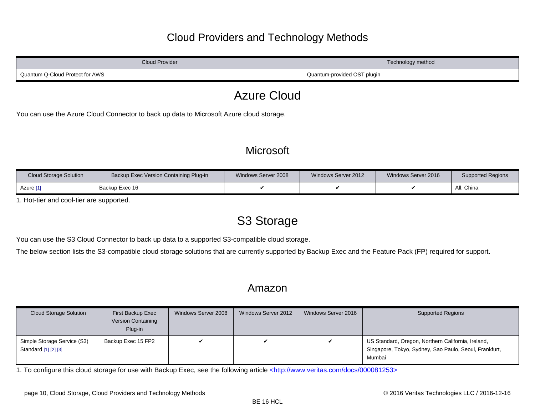### Cloud Providers and Technology Methods

| Cloud Provider                  | Technology method           |
|---------------------------------|-----------------------------|
| Quantum Q-Cloud Protect for AWS | Quantum-provided OST plugin |

# Azure Cloud

You can use the Azure Cloud Connector to back up data to Microsoft Azure cloud storage.

## **Microsoft**

| <b>Cloud Storage Solution</b> | Backup Exec Version Containing Plug-in | Windows Server 2008 | Windows Server 2012 | Windows Server 2016 | <b>Supported Regions</b> |
|-------------------------------|----------------------------------------|---------------------|---------------------|---------------------|--------------------------|
| Azure [1]                     | Backup Exec 16                         |                     |                     |                     | All, China               |

<span id="page-9-0"></span>1. Hot-tier and cool-tier are supported.

# S3 Storage

You can use the S3 Cloud Connector to back up data to a supported S3-compatible cloud storage.

The below section lists the S3-compatible cloud storage solutions that are currently supported by Backup Exec and the Feature Pack (FP) required for support.

#### Amazon

| Cloud Storage Solution                              | First Backup Exec<br><b>Version Containing</b><br>Plug-in | Windows Server 2008 | Windows Server 2012 | Windows Server 2016 | <b>Supported Regions</b>                                                                                               |
|-----------------------------------------------------|-----------------------------------------------------------|---------------------|---------------------|---------------------|------------------------------------------------------------------------------------------------------------------------|
| Simple Storage Service (S3)<br>Standard [1] [2] [3] | Backup Exec 15 FP2                                        |                     |                     | V                   | US Standard, Oregon, Northern California, Ireland,<br>Singapore, Tokyo, Sydney, Sao Paulo, Seoul, Frankfurt,<br>Mumbai |

<span id="page-9-1"></span>1. To configure this cloud storage for use with Backup Exec, see the following article [<http://www.veritas.com/docs/000081253>](http://www.veritas.com/docs/000081253)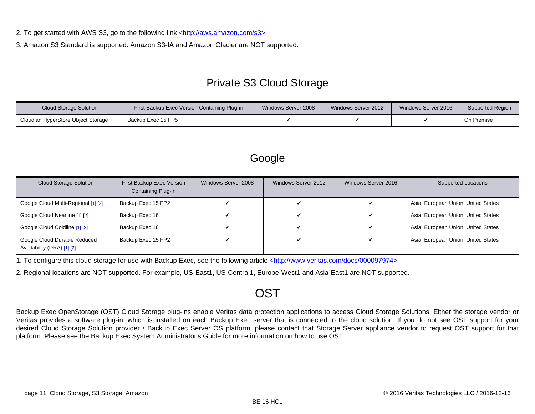<span id="page-10-0"></span>2. To get started with AWS S3, go to the following link [<http://aws.amazon.com/s3>](http://aws.amazon.com/s3)

<span id="page-10-1"></span>3. Amazon S3 Standard is supported. Amazon S3-IA and Amazon Glacier are NOT supported.

# Private S3 Cloud Storage

| <b>Cloud Storage Solution</b>      | First Backup Exec Version Containing Plug-in | Windows Server 2008 | Windows Server 2012 | Windows Server 2016 | Supported Region |
|------------------------------------|----------------------------------------------|---------------------|---------------------|---------------------|------------------|
| Cloudian HyperStore Object Storage | Backup Exec 15 FP5                           |                     |                     |                     | On Premise       |

### Google

| <b>Cloud Storage Solution</b>                              | First Backup Exec Version<br>Containing Plug-in | Windows Server 2008 | Windows Server 2012 | Windows Server 2016 | <b>Supported Locations</b>          |
|------------------------------------------------------------|-------------------------------------------------|---------------------|---------------------|---------------------|-------------------------------------|
| Google Cloud Multi-Regional [1] [2]                        | Backup Exec 15 FP2                              |                     |                     |                     | Asia, European Union, United States |
| Google Cloud Nearline [1] [2]                              | Backup Exec 16                                  |                     |                     |                     | Asia, European Union, United States |
| Google Cloud Coldline [1] [2]                              | Backup Exec 16                                  |                     |                     |                     | Asia, European Union, United States |
| Google Cloud Durable Reduced<br>Availability (DRA) [1] [2] | Backup Exec 15 FP2                              |                     |                     |                     | Asia, European Union, United States |

<span id="page-10-2"></span>1. To configure this cloud storage for use with Backup Exec, see the following article [<http://www.veritas.com/docs/000097974>](http://www.veritas.com/docs/000097974)

<span id="page-10-3"></span>2. Regional locations are NOT supported. For example, US-East1, US-Central1, Europe-West1 and Asia-East1 are NOT supported.

# **OST**

Backup Exec OpenStorage (OST) Cloud Storage plug-ins enable Veritas data protection applications to access Cloud Storage Solutions. Either the storage vendor or Veritas provides a software plug-in, which is installed on each Backup Exec server that is connected to the cloud solution. If you do not see OST support for your desired Cloud Storage Solution provider / Backup Exec Server OS platform, please contact that Storage Server appliance vendor to request OST support for that platform. Please see the Backup Exec System Administrator's Guide for more information on how to use OST.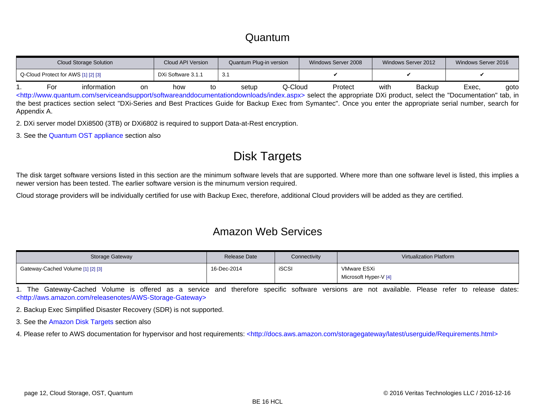#### Quantum

<span id="page-11-7"></span><span id="page-11-0"></span>

|             | <b>Cloud Storage Solution</b> |                                     |           | Cloud API Version<br>Quantum Plug-in version |    | Windows Server 2008<br>Windows Server 2012 |         |                                                                                                                                                                                   |      |        |       | Windows Server 2016 |  |
|-------------|-------------------------------|-------------------------------------|-----------|----------------------------------------------|----|--------------------------------------------|---------|-----------------------------------------------------------------------------------------------------------------------------------------------------------------------------------|------|--------|-------|---------------------|--|
|             |                               | Q-Cloud Protect for AWS [1] [2] [3] |           | DXi Software 3.1.1                           |    | 3.1                                        |         |                                                                                                                                                                                   |      |        |       |                     |  |
|             | For                           | information                         | <b>on</b> | how                                          | to | setup                                      | Q-Cloud | Protect                                                                                                                                                                           | with | Backup | Exec. | aoto                |  |
|             |                               |                                     |           |                                              |    |                                            |         | <http: index.aspx="" serviceandsupport="" softwareanddocumentationdownloads="" www.quantum.com=""> select the appropriate DXi product, select the "Documentation" tab, in</http:> |      |        |       |                     |  |
|             |                               |                                     |           |                                              |    |                                            |         | the best practices section select "DXi-Series and Best Practices Guide for Backup Exec from Symantec". Once you enter the appropriate serial number, search for                   |      |        |       |                     |  |
| Appendix A. |                               |                                     |           |                                              |    |                                            |         |                                                                                                                                                                                   |      |        |       |                     |  |

<span id="page-11-1"></span>2. DXi server model DXi8500 (3TB) or DXi6802 is required to support Data-at-Rest encryption.

<span id="page-11-2"></span>3. See the [Quantum OST appliance](#page-38-0) section also

# Disk Targets

The disk target software versions listed in this section are the minimum software levels that are supported. Where more than one software level is listed, this implies a newer version has been tested. The earlier software version is the minumum version required.

Cloud storage providers will be individually certified for use with Backup Exec, therefore, additional Cloud providers will be added as they are certified.

#### Amazon Web Services

| Storage Gateway                   | Release Date | Connectivity | Virtualization Platform              |
|-----------------------------------|--------------|--------------|--------------------------------------|
| Gateway-Cached Volume [1] [2] [3] | 16-Dec-2014  | <b>iSCS</b>  | VMware ESXi<br>Microsoft Hyper-V [4] |

<span id="page-11-3"></span>1. The Gateway-Cached Volume is offered as a service and therefore specific software versions are not available. Please refer to release dates: [<http://aws.amazon.com/releasenotes/AWS-Storage-Gateway>](http://aws.amazon.com/releasenotes/AWS-Storage-Gateway)

<span id="page-11-4"></span>2. Backup Exec Simplified Disaster Recovery (SDR) is not supported.

<span id="page-11-5"></span>3. See the [Amazon Disk Targets s](#page-16-0)ection also

<span id="page-11-6"></span>4. Please refer to AWS documentation for hypervisor and host requirements: [<http://docs.aws.amazon.com/storagegateway/latest/userguide/Requirements.html>](http://docs.aws.amazon.com/storagegateway/latest/userguide/Requirements.html)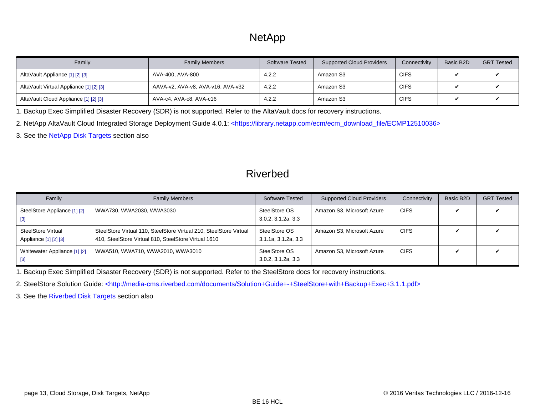# **NetApp**

<span id="page-12-6"></span>

| Family                                  | <b>Family Members</b>             | Software Tested | <b>Supported Cloud Providers</b> | Connectivity | Basic B2D | <b>GRT Tested</b> |
|-----------------------------------------|-----------------------------------|-----------------|----------------------------------|--------------|-----------|-------------------|
| AltaVault Appliance [1] [2] [3]         | AVA-400, AVA-800                  | 4.2.2           | Amazon S3                        | <b>CIFS</b>  |           |                   |
| AltaVault Virtual Appliance [1] [2] [3] | AAVA-v2, AVA-v8, AVA-v16, AVA-v32 | 4.2.2           | Amazon S3                        | <b>CIFS</b>  |           |                   |
| AltaVault Cloud Appliance [1] [2] [3]   | AVA-c4, AVA-c8, AVA-c16           | 4.2.2           | Amazon S3                        | <b>CIFS</b>  |           |                   |

<span id="page-12-0"></span>1. Backup Exec Simplified Disaster Recovery (SDR) is not supported. Refer to the AltaVault docs for recovery instructions.

<span id="page-12-1"></span>2. NetApp AltaVault Cloud Integrated Storage Deployment Guide 4.0.1: [<https://library.netapp.com/ecm/ecm\\_download\\_file/ECMP12510036>](https://library.netapp.com/ecm/ecm_download_file/ECMP12510036)

<span id="page-12-2"></span>3. See the [NetApp Disk Targets](#page-26-0) section also

#### Riverbed

| Family                                             | <b>Family Members</b>                                                                                                      | <b>Software Tested</b>               | <b>Supported Cloud Providers</b> | Connectivity | Basic B2D | <b>GRT Tested</b> |
|----------------------------------------------------|----------------------------------------------------------------------------------------------------------------------------|--------------------------------------|----------------------------------|--------------|-----------|-------------------|
| SteelStore Appliance [1] [2]<br>$[3]$              | WWA730, WWA2030, WWA3030                                                                                                   | SteelStore OS<br>3.0.2, 3.1.2a, 3.3  | Amazon S3, Microsoft Azure       | <b>CIFS</b>  | ັ         |                   |
| <b>SteelStore Virtual</b><br>Appliance [1] [2] [3] | SteelStore Virtual 110, SteelStore Virtual 210, SteelStore Virtual<br>410, SteelStore Virtual 810, SteelStore Virtual 1610 | SteelStore OS<br>3.1.1a, 3.1.2a, 3.3 | Amazon S3, Microsoft Azure       | <b>CIFS</b>  |           |                   |
| Whitewater Appliance [1] [2]<br>$[3]$              | WWA510, WWA710, WWA2010, WWA3010                                                                                           | SteelStore OS<br>3.0.2, 3.1.2a, 3.3  | Amazon S3, Microsoft Azure       | <b>CIFS</b>  |           |                   |

<span id="page-12-3"></span>1. Backup Exec Simplified Disaster Recovery (SDR) is not supported. Refer to the SteelStore docs for recovery instructions.

<span id="page-12-4"></span>2. SteelStore Solution Guide: [<http://media-cms.riverbed.com/documents/Solution+Guide+-+SteelStore+with+Backup+Exec+3.1.1.pdf>](http://media-cms.riverbed.com/documents/Solution+Guide+-+SteelStore+with+Backup+Exec+3.1.1.pdf)

<span id="page-12-5"></span>3. See the [Riverbed Disk Targets](#page-29-0) section also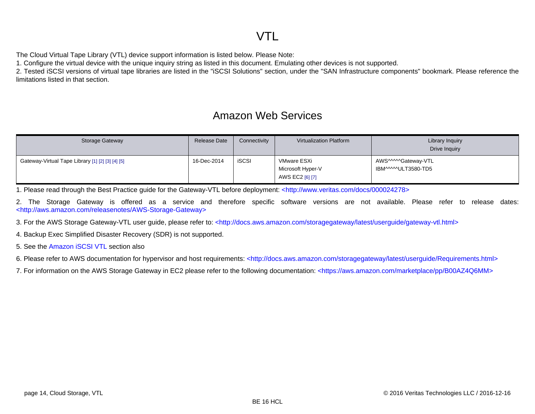# VTL

The Cloud Virtual Tape Library (VTL) device support information is listed below. Please Note:

1. Configure the virtual device with the unique inquiry string as listed in this document. Emulating other devices is not supported.

2. Tested iSCSI versions of virtual tape libraries are listed in the "iSCSI Solutions" section, under the "SAN Infrastructure components" bookmark. Please reference the limitations listed in that section.

#### Amazon Web Services

| Storage Gateway                                  | Release Date | Connectivity | Virtualization Platform                             | Library Inquiry<br>Drive Inquiry           |
|--------------------------------------------------|--------------|--------------|-----------------------------------------------------|--------------------------------------------|
| Gateway-Virtual Tape Library [1] [2] [3] [4] [5] | 16-Dec-2014  | <b>iSCSI</b> | VMware ESXi<br>Microsoft Hyper-V<br>AWS EC2 [6] [7] | AWS^^^^^Gateway-VTL<br>IBM^^^^^ULT3580-TD5 |

<span id="page-13-0"></span>1. Please read through the Best Practice guide for the Gateway-VTL before deployment: [<http://www.veritas.com/docs/000024278>](http://www.veritas.com/docs/000024278)

<span id="page-13-1"></span>2. The Storage Gateway is offered as a service and therefore specific software versions are not available. Please refer to release dates: [<http://aws.amazon.com/releasenotes/AWS-Storage-Gateway>](http://aws.amazon.com/releasenotes/AWS-Storage-Gateway)

<span id="page-13-2"></span>3. For the AWS Storage Gateway-VTL user guide, please refer to: [<http://docs.aws.amazon.com/storagegateway/latest/userguide/gateway-vtl.html>](http://docs.aws.amazon.com/storagegateway/latest/userguide/gateway-vtl.html)

<span id="page-13-3"></span>4. Backup Exec Simplified Disaster Recovery (SDR) is not supported.

<span id="page-13-4"></span>5. See the [Amazon iSCSI VTL](#page-152-0) section also

<span id="page-13-5"></span>6. Please refer to AWS documentation for hypervisor and host requirements: [<http://docs.aws.amazon.com/storagegateway/latest/userguide/Requirements.html>](http://docs.aws.amazon.com/storagegateway/latest/userguide/Requirements.html)

<span id="page-13-6"></span>7. For information on the AWS Storage Gateway in EC2 please refer to the following documentation: [<https://aws.amazon.com/marketplace/pp/B00AZ4Q6MM>](https://aws.amazon.com/marketplace/pp/B00AZ4Q6MM)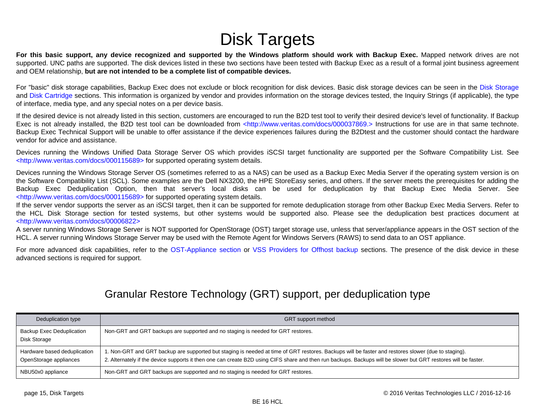# Disk Targets

<span id="page-14-0"></span>**For this basic support, any device recognized and supported by the Windows platform should work with Backup Exec.** Mapped network drives are not supported. UNC paths are supported. The disk devices listed in these two sections have been tested with Backup Exec as a result of a formal joint business agreement and OEM relationship, **but are not intended to be a complete list of compatible devices.**

For "basic" disk storage capabilities, Backup Exec does not exclude or block recognition for disk devices. Basic disk storage devices can be seen in the [Disk Storage](#page-15-0) and [Disk Cartridge](#page-31-0) sections. This information is organized by vendor and provides information on the storage devices tested, the Inquiry Strings (if applicable), the type of interface, media type, and any special notes on a per device basis.

If the desired device is not already listed in this section, customers are encouraged to run the B2D test tool to verify their desired device's level of functionality. If Backup Exec is not already installed, the B2D test tool can be downloaded from [<http://www.veritas.com/docs/000037869.> I](http://www.veritas.com/docs/000037869.)nstructions for use are in that same technote. Backup Exec Technical Support will be unable to offer assistance if the device experiences failures during the B2Dtest and the customer should contact the hardware vendor for advice and assistance.

Devices running the Windows Unified Data Storage Server OS which provides iSCSI target functionality are supported per the Software Compatibility List. See [<http://www.veritas.com/docs/000115689> f](http://www.veritas.com/docs/000115689)or supported operating system details.

Devices running the Windows Storage Server OS (sometimes referred to as a NAS) can be used as a Backup Exec Media Server if the operating system version is on the Software Compatibility List (SCL). Some examples are the Dell NX3200, the HPE StoreEasy series, and others. If the server meets the prerequisites for adding the Backup Exec Deduplication Option, then that server's local disks can be used for deduplication by that Backup Exec Media Server. See [<http://www.veritas.com/docs/000115689> f](http://www.veritas.com/docs/000115689)or supported operating system details.

If the server vendor supports the server as an iSCSI target, then it can be supported for remote deduplication storage from other Backup Exec Media Servers. Refer to the HCL Disk Storage section for tested systems, but other systems would be supported also. Please see the deduplication best practices document at [<http://www.veritas.com/docs/00006822>](http://www.veritas.com/docs/00006822)

A server running Windows Storage Server is NOT supported for OpenStorage (OST) target storage use, unless that server/appliance appears in the OST section of the HCL. A server running Windows Storage Server may be used with the Remote Agent for Windows Servers (RAWS) to send data to an OST appliance.

For more advanced disk capabilities, refer to the [OST-Appliance section o](#page-34-0)r [VSS Providers for Offhost backup](#page-39-0) sections. The presence of the disk device in these advanced sections is required for support.

#### Granular Restore Technology (GRT) support, per deduplication type

| Deduplication type                                     | <b>GRT</b> support method                                                                                                                                                                                                                                                                                              |
|--------------------------------------------------------|------------------------------------------------------------------------------------------------------------------------------------------------------------------------------------------------------------------------------------------------------------------------------------------------------------------------|
| <b>Backup Exec Deduplication</b><br>Disk Storage       | Non-GRT and GRT backups are supported and no staging is needed for GRT restores.                                                                                                                                                                                                                                       |
| Hardware based deduplication<br>OpenStorage appliances | 1. Non-GRT and GRT backup are supported but staging is needed at time of GRT restores. Backups will be faster and restores slower (due to staging).<br>2. Alternately if the device supports it then one can create B2D using CIFS share and then run backups. Backups will be slower but GRT restores will be faster. |
| NBU50x0 appliance                                      | Non-GRT and GRT backups are supported and no staging is needed for GRT restores.                                                                                                                                                                                                                                       |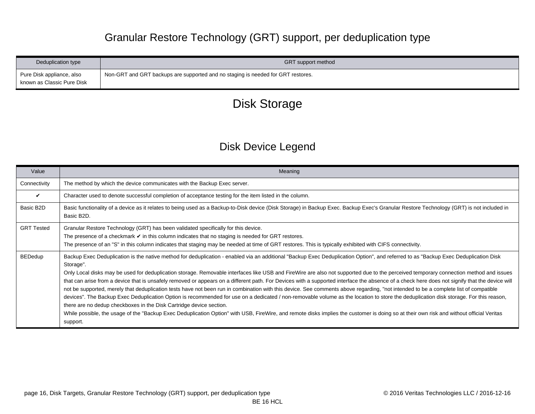# Granular Restore Technology (GRT) support, per deduplication type

<span id="page-15-0"></span>

| Deduplication type                                      | <b>GRT</b> support method                                                        |
|---------------------------------------------------------|----------------------------------------------------------------------------------|
| Pure Disk appliance, also<br>known as Classic Pure Disk | Non-GRT and GRT backups are supported and no staging is needed for GRT restores. |

# Disk Storage

# Disk Device Legend

| Value             | Meaning                                                                                                                                                                                                                                                                                                                                                                                                                                                                                                                                                                                                                                                                                                                                                                                                                                                                                                                                                                                                                                                                                                                                                                                                                                                     |
|-------------------|-------------------------------------------------------------------------------------------------------------------------------------------------------------------------------------------------------------------------------------------------------------------------------------------------------------------------------------------------------------------------------------------------------------------------------------------------------------------------------------------------------------------------------------------------------------------------------------------------------------------------------------------------------------------------------------------------------------------------------------------------------------------------------------------------------------------------------------------------------------------------------------------------------------------------------------------------------------------------------------------------------------------------------------------------------------------------------------------------------------------------------------------------------------------------------------------------------------------------------------------------------------|
| Connectivity      | The method by which the device communicates with the Backup Exec server.                                                                                                                                                                                                                                                                                                                                                                                                                                                                                                                                                                                                                                                                                                                                                                                                                                                                                                                                                                                                                                                                                                                                                                                    |
| ✓                 | Character used to denote successful completion of acceptance testing for the item listed in the column.                                                                                                                                                                                                                                                                                                                                                                                                                                                                                                                                                                                                                                                                                                                                                                                                                                                                                                                                                                                                                                                                                                                                                     |
| Basic B2D         | Basic functionality of a device as it relates to being used as a Backup-to-Disk device (Disk Storage) in Backup Exec. Backup Exec's Granular Restore Technology (GRT) is not included in<br>Basic B2D.                                                                                                                                                                                                                                                                                                                                                                                                                                                                                                                                                                                                                                                                                                                                                                                                                                                                                                                                                                                                                                                      |
| <b>GRT Tested</b> | Granular Restore Technology (GRT) has been validated specifically for this device.<br>The presence of a checkmark $\triangleright$ in this column indicates that no staging is needed for GRT restores.<br>The presence of an "S" in this column indicates that staging may be needed at time of GRT restores. This is typically exhibited with CIFS connectivity.                                                                                                                                                                                                                                                                                                                                                                                                                                                                                                                                                                                                                                                                                                                                                                                                                                                                                          |
| <b>BEDedup</b>    | Backup Exec Deduplication is the native method for deduplication - enabled via an additional "Backup Exec Deduplication Option", and referred to as "Backup Exec Deduplication Disk<br>Storage".<br>Only Local disks may be used for deduplication storage. Removable interfaces like USB and FireWire are also not supported due to the perceived temporary connection method and issues<br>that can arise from a device that is unsafely removed or appears on a different path. For Devices with a supported interface the absence of a check here does not signify that the device will<br>not be supported, merely that deduplication tests have not been run in combination with this device. See comments above regarding, "not intended to be a complete list of compatible<br>devices". The Backup Exec Deduplication Option is recommended for use on a dedicated / non-removable volume as the location to store the deduplication disk storage. For this reason,<br>there are no dedup checkboxes in the Disk Cartridge device section.<br>While possible, the usage of the "Backup Exec Deduplication Option" with USB, FireWire, and remote disks implies the customer is doing so at their own risk and without official Veritas<br>support. |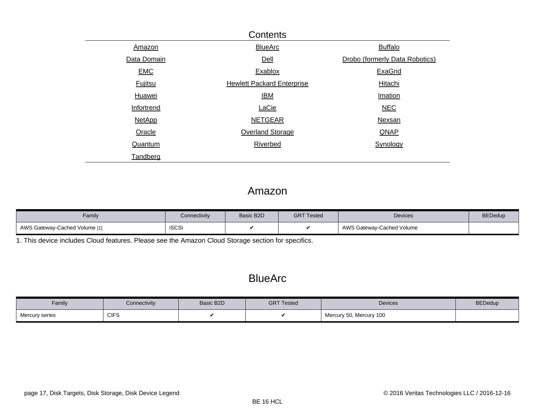<span id="page-16-0"></span>

|                | Contents                          |                                |  |  |  |  |  |  |  |
|----------------|-----------------------------------|--------------------------------|--|--|--|--|--|--|--|
| Amazon         | <b>BlueArc</b>                    | <b>Buffalo</b>                 |  |  |  |  |  |  |  |
| Data Domain    | Dell                              | Drobo (formerly Data Robotics) |  |  |  |  |  |  |  |
| <b>EMC</b>     | Exablox                           | <b>ExaGrid</b>                 |  |  |  |  |  |  |  |
| <b>Fujitsu</b> | <b>Hewlett Packard Enterprise</b> | Hitachi                        |  |  |  |  |  |  |  |
| Huawei         | <b>IBM</b>                        | Imation                        |  |  |  |  |  |  |  |
| Infortrend     | LaCie                             | <b>NEC</b>                     |  |  |  |  |  |  |  |
| <b>NetApp</b>  | <b>NETGEAR</b>                    | Nexsan                         |  |  |  |  |  |  |  |
| Oracle         | Overland Storage                  | QNAP                           |  |  |  |  |  |  |  |
| Quantum        | <b>Riverbed</b>                   | Synology                       |  |  |  |  |  |  |  |
| Tandberg       |                                   |                                |  |  |  |  |  |  |  |

#### Amazon

| Family                        | <b>Connectivity</b> | Basic B2D | <b>GRT Tested</b> | <b>Devices</b>            | <b>BEDedup</b> |
|-------------------------------|---------------------|-----------|-------------------|---------------------------|----------------|
| AWS Gateway-Cached Volume [1] | <b>iSCSI</b>        |           |                   | AWS Gateway-Cached Volume |                |

<span id="page-16-1"></span>1. This device includes Cloud features. Please see the [Amazon Cloud Storage s](#page-11-7)ection for specifics.

### **BlueArc**

| Family         | Connectivity | Basic B2D | <b>GRT Tested</b> | <b>Devices</b>          | <b>BEDedup</b> |
|----------------|--------------|-----------|-------------------|-------------------------|----------------|
| Mercury series | <b>CIFS</b>  |           |                   | Mercury 50, Mercury 100 |                |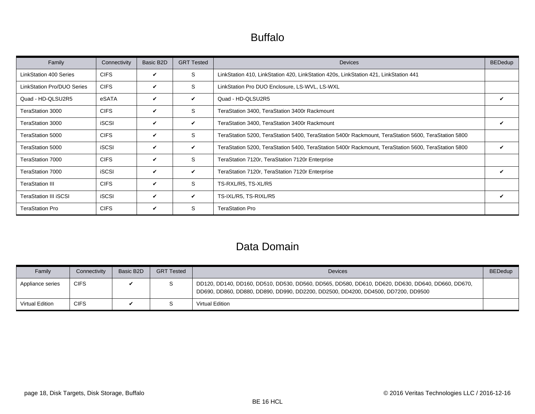# Buffalo

<span id="page-17-0"></span>

| Family                            | Connectivity | Basic B2D | <b>GRT Tested</b> | <b>Devices</b>                                                                                      | <b>BEDedup</b> |
|-----------------------------------|--------------|-----------|-------------------|-----------------------------------------------------------------------------------------------------|----------------|
| <b>LinkStation 400 Series</b>     | <b>CIFS</b>  | V         | S                 | LinkStation 410, LinkStation 420, LinkStation 420s, LinkStation 421, LinkStation 441                |                |
| <b>LinkStation Pro/DUO Series</b> | <b>CIFS</b>  | V         | S                 | LinkStation Pro DUO Enclosure, LS-WVL, LS-WXL                                                       |                |
| Quad - HD-QLSU2R5                 | eSATA        | ✓         | V                 | Quad - HD-QLSU2R5                                                                                   |                |
| TeraStation 3000                  | <b>CIFS</b>  | V         | S                 | TeraStation 3400, TeraStation 3400r Rackmount                                                       |                |
| TeraStation 3000                  | <b>iSCSI</b> | ✓         | $\checkmark$      | TeraStation 3400, TeraStation 3400r Rackmount                                                       | V              |
| TeraStation 5000                  | <b>CIFS</b>  | V         | S                 | TeraStation 5200, TeraStation 5400, TeraStation 5400r Rackmount, TeraStation 5600, TeraStation 5800 |                |
| TeraStation 5000                  | <b>iSCSI</b> | V         | V                 | TeraStation 5200, TeraStation 5400, TeraStation 5400r Rackmount, TeraStation 5600, TeraStation 5800 |                |
| TeraStation 7000                  | <b>CIFS</b>  | V         | S                 | TeraStation 7120r, TeraStation 7120r Enterprise                                                     |                |
| TeraStation 7000                  | <b>iSCSI</b> | V         | V                 | TeraStation 7120r, TeraStation 7120r Enterprise                                                     | ✓              |
| <b>TeraStation III</b>            | <b>CIFS</b>  | V         | S                 | TS-RXL/R5, TS-XL/R5                                                                                 |                |
| <b>TeraStation III ISCSI</b>      | <b>iSCSI</b> | V         | V                 | TS-IXL/R5, TS-RIXL/R5                                                                               | V              |
| <b>TeraStation Pro</b>            | <b>CIFS</b>  | V         | S                 | <b>TeraStation Pro</b>                                                                              |                |

### Data Domain

| Family           | Connectivity | Basic B2D | <b>GRT Tested</b> | <b>Devices</b>                                                                                                                                                                         | <b>BEDedup</b> |
|------------------|--------------|-----------|-------------------|----------------------------------------------------------------------------------------------------------------------------------------------------------------------------------------|----------------|
| Appliance series | <b>CIFS</b>  |           |                   | DD120, DD140, DD160, DD510, DD530, DD560, DD565, DD580, DD610, DD620, DD630, DD640, DD660, DD670,<br>DD690, DD860, DD880, DD890, DD990, DD2200, DD2500, DD4200, DD4500, DD7200, DD9500 |                |
| Virtual Edition  | <b>CIFS</b>  |           |                   | Virtual Edition                                                                                                                                                                        |                |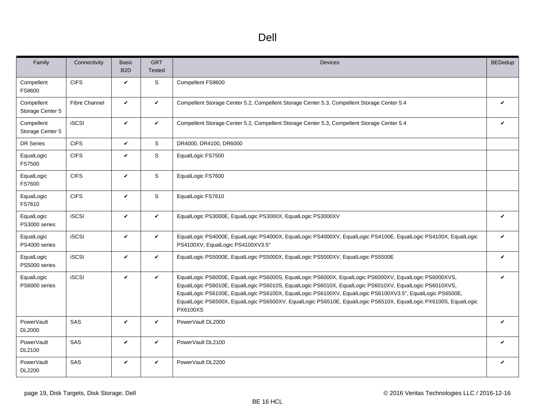<span id="page-18-0"></span>

| Family                             | Connectivity         | Basic<br>B <sub>2</sub> D | <b>GRT</b><br><b>Tested</b> | <b>Devices</b>                                                                                                                                                                                                                                                                                                                                                                                                                                                      | <b>BEDedup</b>     |
|------------------------------------|----------------------|---------------------------|-----------------------------|---------------------------------------------------------------------------------------------------------------------------------------------------------------------------------------------------------------------------------------------------------------------------------------------------------------------------------------------------------------------------------------------------------------------------------------------------------------------|--------------------|
| Compellent<br>FS8600               | <b>CIFS</b>          | V                         | S                           | Compellent FS8600                                                                                                                                                                                                                                                                                                                                                                                                                                                   |                    |
| Compellent<br>Storage Center 5     | <b>Fibre Channel</b> | $\checkmark$              | $\checkmark$                | Compellent Storage Center 5.2, Compellent Storage Center 5.3, Compellent Storage Center 5.4                                                                                                                                                                                                                                                                                                                                                                         | ✓                  |
| Compellent<br>Storage Center 5     | <b>iSCSI</b>         | $\checkmark$              | $\checkmark$                | Compellent Storage Center 5.2, Compellent Storage Center 5.3, Compellent Storage Center 5.4                                                                                                                                                                                                                                                                                                                                                                         | $\boldsymbol{\nu}$ |
| DR Series                          | <b>CIFS</b>          | $\checkmark$              | S                           | DR4000, DR4100, DR6000                                                                                                                                                                                                                                                                                                                                                                                                                                              |                    |
| EqualLogic<br>FS7500               | <b>CIFS</b>          | V                         | S                           | EqualLogic FS7500                                                                                                                                                                                                                                                                                                                                                                                                                                                   |                    |
| EqualLogic<br><b>FS7600</b>        | <b>CIFS</b>          | V                         | S                           | EqualLogic FS7600                                                                                                                                                                                                                                                                                                                                                                                                                                                   |                    |
| EqualLogic<br>FS7610               | <b>CIFS</b>          | V                         | S                           | EqualLogic FS7610                                                                                                                                                                                                                                                                                                                                                                                                                                                   |                    |
| EqualLogic<br>PS3000 series        | <b>iSCSI</b>         | V                         | $\checkmark$                | EqualLogic PS3000E, EqualLogic PS3000X, EqualLogic PS3000XV                                                                                                                                                                                                                                                                                                                                                                                                         | $\checkmark$       |
| EqualLogic<br>PS4000 series        | <b>iSCSI</b>         | V                         | $\checkmark$                | EqualLogic PS4000E, EqualLogic PS4000X, EqualLogic PS4000XV, EqualLogic PS4100E, EqualLogic PS4100X, EqualLogic<br>PS4100XV, EqualLogic PS4100XV3.5"                                                                                                                                                                                                                                                                                                                | V                  |
| EqualLogic<br>PS5000 series        | <b>iSCSI</b>         | V                         | $\checkmark$                | EqualLogic PS5000E, EqualLogic PS5000X, EqualLogic PS5000XV, EqualLogic PS5500E                                                                                                                                                                                                                                                                                                                                                                                     | $\checkmark$       |
| EqualLogic<br>PS6000 series        | <b>iSCSI</b>         | $\checkmark$              | $\checkmark$                | EqualLogic PS6000E, EqualLogic PS6000S, EqualLogic PS6000X, EqualLogic PS6000XV, EqualLogic PS6000XVS,<br>EqualLogic PS6010E, EqualLogic PS6010S, EqualLogic PS6010X, EqualLogic PS6010XV, EqualLogic PS6010XVS,<br>EqualLogic PS6100E, EqualLogic PS6100X, EqualLogic PS6100XV, EqualLogic PS6100XV3.5", EqualLogic PS6500E,<br>EqualLogic PS6500X, EqualLogic PS6500XV, EqualLogic PS6510E, EqualLogic PS6510X, EqualLogic PX6100S, EqualLogic<br><b>PX6100XS</b> | V                  |
| PowerVault<br>DL2000               | SAS                  | V                         | $\checkmark$                | PowerVault DL2000                                                                                                                                                                                                                                                                                                                                                                                                                                                   | $\mathbf{v}$       |
| <b>PowerVault</b><br>DL2100        | SAS                  | V                         | $\checkmark$                | PowerVault DL2100                                                                                                                                                                                                                                                                                                                                                                                                                                                   | $\boldsymbol{\nu}$ |
| <b>PowerVault</b><br><b>DL2200</b> | SAS                  | V                         | $\checkmark$                | PowerVault DL2200                                                                                                                                                                                                                                                                                                                                                                                                                                                   | V                  |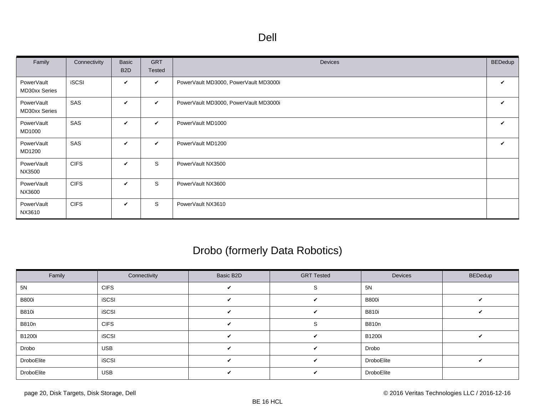<span id="page-19-0"></span>

| Family                      | Connectivity | Basic<br>B <sub>2</sub> D | <b>GRT</b><br>Tested | Devices                               | <b>BEDedup</b> |
|-----------------------------|--------------|---------------------------|----------------------|---------------------------------------|----------------|
| PowerVault<br>MD30xx Series | <b>iSCSI</b> | V                         | $\checkmark$         | PowerVault MD3000, PowerVault MD3000i | V              |
| PowerVault<br>MD30xx Series | SAS          | V                         | $\checkmark$         | PowerVault MD3000, PowerVault MD3000i | V              |
| PowerVault<br>MD1000        | SAS          | V                         | $\checkmark$         | PowerVault MD1000                     | ✓              |
| PowerVault<br>MD1200        | SAS          | V                         | $\checkmark$         | PowerVault MD1200                     | V              |
| PowerVault<br>NX3500        | <b>CIFS</b>  | V                         | S                    | PowerVault NX3500                     |                |
| PowerVault<br>NX3600        | <b>CIFS</b>  | V                         | S                    | PowerVault NX3600                     |                |
| PowerVault<br>NX3610        | <b>CIFS</b>  | V                         | S                    | PowerVault NX3610                     |                |

# Drobo (formerly Data Robotics)

| Family        | Connectivity | Basic B2D          | <b>GRT Tested</b> | Devices       | <b>BEDedup</b> |
|---------------|--------------|--------------------|-------------------|---------------|----------------|
| 5N            | <b>CIFS</b>  | ✓                  |                   | 5N            |                |
| <b>B800i</b>  | <b>iSCSI</b> | ✓                  | ✓                 | <b>B800i</b>  |                |
| <b>B810i</b>  | <b>iSCSI</b> | ✓                  | ✓                 | <b>B810i</b>  |                |
| <b>B810n</b>  | <b>CIFS</b>  | V                  | 5                 | <b>B810n</b>  |                |
| <b>B1200i</b> | <b>iSCSI</b> | $\checkmark$       | V                 | <b>B1200i</b> | ັ              |
| Drobo         | <b>USB</b>   | $\mathbf{v}$       | $\checkmark$      | Drobo         |                |
| DroboElite    | <b>iSCSI</b> | $\boldsymbol{\nu}$ | $\checkmark$      | DroboElite    | ັ              |
| DroboElite    | <b>USB</b>   | ✓                  | ✓                 | DroboElite    |                |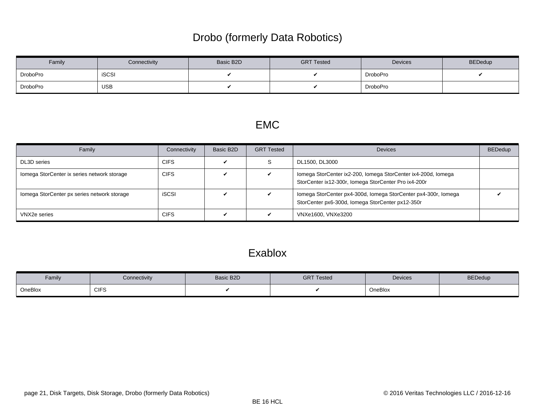# Drobo (formerly Data Robotics)

<span id="page-20-0"></span>

| Family   | Connectivity | Basic B2D | <b>GRT Tested</b> | Devices  | <b>BEDedup</b> |
|----------|--------------|-----------|-------------------|----------|----------------|
| DroboPro | <b>iSCSI</b> |           |                   | DroboPro |                |
| DroboPro | <b>USB</b>   |           |                   | DroboPro |                |

#### EMC

| Family                                      | Connectivity | Basic B2D | <b>GRT Tested</b> | <b>Devices</b>                                                                                                        | <b>BEDedup</b> |
|---------------------------------------------|--------------|-----------|-------------------|-----------------------------------------------------------------------------------------------------------------------|----------------|
| DL3D series                                 | <b>CIFS</b>  |           | S                 | DL1500, DL3000                                                                                                        |                |
| Iomega StorCenter ix series network storage | <b>CIFS</b>  |           |                   | Iomega StorCenter ix2-200, Iomega StorCenter ix4-200d, Iomega<br>StorCenter ix12-300r, Iomega StorCenter Pro ix4-200r |                |
| Iomega StorCenter px series network storage | <b>iSCSI</b> |           |                   | Iomega StorCenter px4-300d, Iomega StorCenter px4-300r, Iomega<br>StorCenter px6-300d, Iomega StorCenter px12-350r    |                |
| VNX2e series                                | <b>CIFS</b>  |           |                   | VNXe1600, VNXe3200                                                                                                    |                |

### Exablox

| Family  | Connectivity | Basic B2D | <b>GRT Tested</b> | Devices | <b>BEDedup</b> |
|---------|--------------|-----------|-------------------|---------|----------------|
| OneBlox | <b>CIFS</b>  |           |                   | OneBlox |                |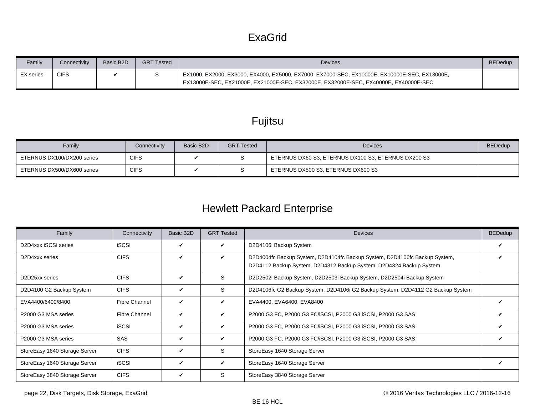### **ExaGrid**

<span id="page-21-0"></span>

| Family           | <b>Connectivity</b> | Basic B2D | <b>GRT Tested</b> | <b>Devices</b>                                                                                                                                                                        | <b>BEDedup</b> |
|------------------|---------------------|-----------|-------------------|---------------------------------------------------------------------------------------------------------------------------------------------------------------------------------------|----------------|
| <b>EX</b> series | <b>CIFS</b>         |           |                   | EX1000, EX2000, EX3000, EX4000, EX5000, EX7000, EX7000-SEC, EX10000E, EX10000E-SEC, EX13000E,<br>EX13000E-SEC, EX21000E, EX21000E-SEC, EX32000E, EX32000E-SEC, EX40000E, EX40000E-SEC |                |

# Fujitsu

| Family                     | Connectivity | Basic B <sub>2</sub> D | <b>GRT Tested</b> | <b>Devices</b>                                      | <b>BEDedup</b> |
|----------------------------|--------------|------------------------|-------------------|-----------------------------------------------------|----------------|
| ETERNUS DX100/DX200 series | <b>CIFS</b>  |                        |                   | ETERNUS DX60 S3, ETERNUS DX100 S3, ETERNUS DX200 S3 |                |
| ETERNUS DX500/DX600 series | <b>CIFS</b>  |                        |                   | ETERNUS DX500 S3, ETERNUS DX600 S3                  |                |

# Hewlett Packard Enterprise

| Family                                               | Connectivity         | Basic B2D    | <b>GRT Tested</b> | <b>Devices</b>                                                                                                                                    | <b>BEDedup</b> |
|------------------------------------------------------|----------------------|--------------|-------------------|---------------------------------------------------------------------------------------------------------------------------------------------------|----------------|
| D2D4xxx iSCSI series                                 | <b>iSCSI</b>         | ✓            | V                 | D2D4106i Backup System                                                                                                                            |                |
| D <sub>2</sub> D <sub>4</sub> xx <sub>series</sub>   | <b>CIFS</b>          | ✓            | ✓                 | D2D4004fc Backup System, D2D4104fc Backup System, D2D4106fc Backup System,<br>D2D4112 Backup System, D2D4312 Backup System, D2D4324 Backup System |                |
| D <sub>2</sub> D <sub>25</sub> x <sub>x</sub> series | <b>CIFS</b>          | V            | S                 | D2D2502i Backup System, D2D2503i Backup System, D2D2504i Backup System                                                                            |                |
| D2D4100 G2 Backup System                             | <b>CIFS</b>          | ✓            | S.                | D2D4106fc G2 Backup System, D2D4106i G2 Backup System, D2D4112 G2 Backup System                                                                   |                |
| EVA4400/6400/8400                                    | <b>Fibre Channel</b> | $\checkmark$ | V                 | EVA4400, EVA6400, EVA8400                                                                                                                         |                |
| P2000 G3 MSA series                                  | <b>Fibre Channel</b> | $\checkmark$ | V                 | P2000 G3 FC, P2000 G3 FC/iSCSI, P2000 G3 iSCSI, P2000 G3 SAS                                                                                      | v              |
| P2000 G3 MSA series                                  | <b>iSCSI</b>         | V            | V                 | P2000 G3 FC, P2000 G3 FC/iSCSI, P2000 G3 iSCSI, P2000 G3 SAS                                                                                      |                |
| P2000 G3 MSA series                                  | <b>SAS</b>           | $\checkmark$ | V                 | P2000 G3 FC, P2000 G3 FC/iSCSI, P2000 G3 iSCSI, P2000 G3 SAS                                                                                      |                |
| StoreEasy 1640 Storage Server                        | <b>CIFS</b>          | ✓            | S.                | StoreEasy 1640 Storage Server                                                                                                                     |                |
| StoreEasy 1640 Storage Server                        | <b>iSCSI</b>         | $\checkmark$ | V                 | StoreEasy 1640 Storage Server                                                                                                                     | ✓              |
| StoreEasy 3840 Storage Server                        | <b>CIFS</b>          | V            | S                 | StoreEasy 3840 Storage Server                                                                                                                     |                |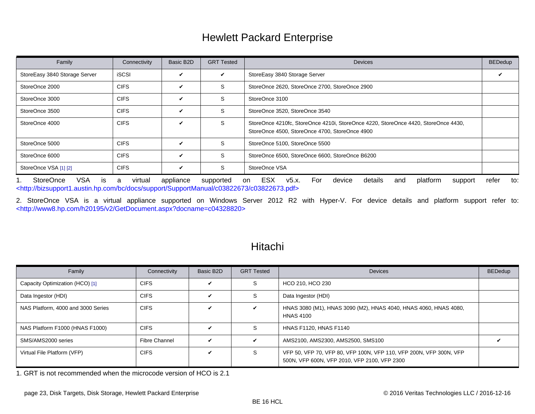### Hewlett Packard Enterprise

<span id="page-22-0"></span>

| Family                        | Connectivity | Basic B2D    | <b>GRT Tested</b> | <b>Devices</b>                                                                                                                       | <b>BEDedup</b> |
|-------------------------------|--------------|--------------|-------------------|--------------------------------------------------------------------------------------------------------------------------------------|----------------|
| StoreEasy 3840 Storage Server | <b>iSCSI</b> | V            | V                 | StoreEasy 3840 Storage Server                                                                                                        |                |
| StoreOnce 2000                | <b>CIFS</b>  | ✓            | S                 | StoreOnce 2620, StoreOnce 2700, StoreOnce 2900                                                                                       |                |
| StoreOnce 3000                | <b>CIFS</b>  | $\checkmark$ | S                 | StoreOnce 3100                                                                                                                       |                |
| StoreOnce 3500                | <b>CIFS</b>  | $\checkmark$ | <sub>S</sub>      | StoreOnce 3520, StoreOnce 3540                                                                                                       |                |
| StoreOnce 4000                | <b>CIFS</b>  | $\checkmark$ | S                 | StoreOnce 4210fc, StoreOnce 4210i, StoreOnce 4220, StoreOnce 4420, StoreOnce 4430,<br>StoreOnce 4500, StoreOnce 4700, StoreOnce 4900 |                |
| StoreOnce 5000                | <b>CIFS</b>  | $\checkmark$ | S.                | StoreOnce 5100, StoreOnce 5500                                                                                                       |                |
| StoreOnce 6000                | <b>CIFS</b>  | ✓            | S                 | StoreOnce 6500, StoreOnce 6600, StoreOnce B6200                                                                                      |                |
| StoreOnce VSA [1] [2]         | <b>CIFS</b>  | V            | S                 | StoreOnce VSA                                                                                                                        |                |

<span id="page-22-1"></span>1. StoreOnce VSA is a virtual appliance supported on ESX v5.x. For device details and platform support refer to: [<http://bizsupport1.austin.hp.com/bc/docs/support/SupportManual/c03822673/c03822673.pdf>](http://bizsupport1.austin.hp.com/bc/docs/support/SupportManual/c03822673/c03822673.pdf)

<span id="page-22-2"></span>2. StoreOnce VSA is a virtual appliance supported on Windows Server 2012 R2 with Hyper-V. For device details and platform support refer to: [<http://www8.hp.com/h20195/v2/GetDocument.aspx?docname=c04328820>](http://www8.hp.com/h20195/v2/GetDocument.aspx?docname=c04328820)

| Hitachi |  |
|---------|--|
|         |  |

| Family                             | Connectivity         | Basic B2D | <b>GRT Tested</b> | <b>Devices</b>                                                                                                     | <b>BEDedup</b> |
|------------------------------------|----------------------|-----------|-------------------|--------------------------------------------------------------------------------------------------------------------|----------------|
| Capacity Optimization (HCO) [1]    | <b>CIFS</b>          | V         | S                 | HCO 210, HCO 230                                                                                                   |                |
| Data Ingestor (HDI)                | <b>CIFS</b>          | V         | S                 | Data Ingestor (HDI)                                                                                                |                |
| NAS Platform, 4000 and 3000 Series | <b>CIFS</b>          | ✓         | V                 | HNAS 3080 (M1), HNAS 3090 (M2), HNAS 4040, HNAS 4060, HNAS 4080,<br><b>HNAS 4100</b>                               |                |
| NAS Platform F1000 (HNAS F1000)    | <b>CIFS</b>          | V         | S                 | <b>HNAS F1120, HNAS F1140</b>                                                                                      |                |
| SMS/AMS2000 series                 | <b>Fibre Channel</b> | ✓         | V                 | AMS2100, AMS2300, AMS2500, SMS100                                                                                  |                |
| Virtual File Platform (VFP)        | <b>CIFS</b>          | V         | S                 | VFP 50, VFP 70, VFP 80, VFP 100N, VFP 110, VFP 200N, VFP 300N, VFP<br>500N, VFP 600N, VFP 2010, VFP 2100, VFP 2300 |                |

<span id="page-22-3"></span>1. GRT is not recommended when the microcode version of HCO is 2.1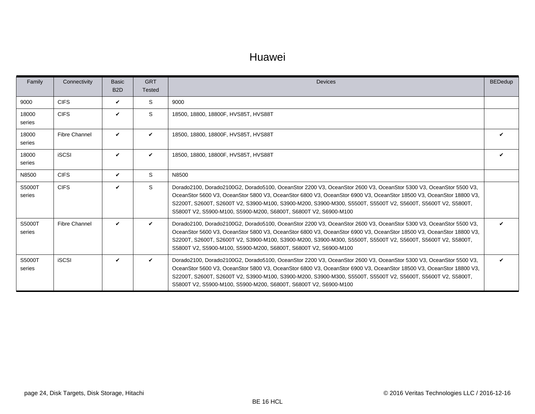#### Huawei

<span id="page-23-0"></span>

| Family           | Connectivity         | Basic<br>B <sub>2</sub> D | <b>GRT</b><br><b>Tested</b> | <b>Devices</b>                                                                                                                                                                                                                                                                                                                                                                                                               | <b>BEDedup</b> |
|------------------|----------------------|---------------------------|-----------------------------|------------------------------------------------------------------------------------------------------------------------------------------------------------------------------------------------------------------------------------------------------------------------------------------------------------------------------------------------------------------------------------------------------------------------------|----------------|
| 9000             | <b>CIFS</b>          | V                         | S                           | 9000                                                                                                                                                                                                                                                                                                                                                                                                                         |                |
| 18000<br>series  | <b>CIFS</b>          | ✓                         | S                           | 18500, 18800, 18800F, HVS85T, HVS88T                                                                                                                                                                                                                                                                                                                                                                                         |                |
| 18000<br>series  | <b>Fibre Channel</b> | V                         | ✓                           | 18500, 18800, 18800F, HVS85T, HVS88T                                                                                                                                                                                                                                                                                                                                                                                         |                |
| 18000<br>series  | <b>iSCSI</b>         | ✓                         | V                           | 18500, 18800, 18800F, HVS85T, HVS88T                                                                                                                                                                                                                                                                                                                                                                                         |                |
| N8500            | <b>CIFS</b>          | V                         | S                           | N8500                                                                                                                                                                                                                                                                                                                                                                                                                        |                |
| S5000T<br>series | <b>CIFS</b>          | ✓                         | S                           | Dorado2100, Dorado2100G2, Dorado5100, OceanStor 2200 V3, OceanStor 2600 V3, OceanStor 5300 V3, OceanStor 5500 V3,<br>OceanStor 5600 V3, OceanStor 5800 V3, OceanStor 6800 V3, OceanStor 6900 V3, OceanStor 18500 V3, OceanStor 18800 V3,<br>S2200T, S2600T, S2600T V2, S3900-M100, S3900-M200, S3900-M300, S5500T, S5500T V2, S5600T, S5600T V2, S5800T,<br>S5800T V2, S5900-M100, S5900-M200, S6800T, S6800T V2, S6900-M100 |                |
| S5000T<br>series | <b>Fibre Channel</b> | ✓                         | V                           | Dorado2100, Dorado2100G2, Dorado5100, OceanStor 2200 V3, OceanStor 2600 V3, OceanStor 5300 V3, OceanStor 5500 V3,<br>OceanStor 5600 V3, OceanStor 5800 V3, OceanStor 6800 V3, OceanStor 6900 V3, OceanStor 18500 V3, OceanStor 18800 V3,<br>S2200T, S2600T, S2600T V2, S3900-M100, S3900-M200, S3900-M300, S5500T, S5500T V2, S5600T, S5600T V2, S5800T,<br>S5800T V2, S5900-M100, S5900-M200, S6800T, S6800T V2, S6900-M100 |                |
| S5000T<br>series | <b>iSCSI</b>         | V                         | $\checkmark$                | Dorado2100, Dorado2100G2, Dorado5100, OceanStor 2200 V3, OceanStor 2600 V3, OceanStor 5300 V3, OceanStor 5500 V3,<br>OceanStor 5600 V3, OceanStor 5800 V3, OceanStor 6800 V3, OceanStor 6900 V3, OceanStor 18500 V3, OceanStor 18800 V3,<br>S2200T, S2600T, S2600T V2, S3900-M100, S3900-M200, S3900-M300, S5500T, S5500T V2, S5600T, S5600T V2, S5800T,<br>S5800T V2, S5900-M100, S5900-M200, S6800T, S6800T V2, S6900-M100 | ✓              |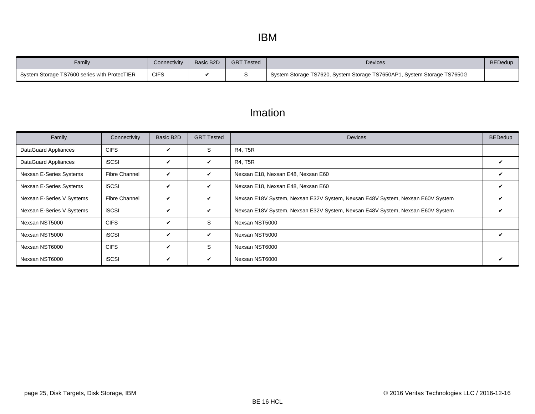<span id="page-24-0"></span>

| Family                                       | Connectivity | Basic B2D | <b>GRT Tested</b> | Devices                                                                 | <b>BEDedup</b> |
|----------------------------------------------|--------------|-----------|-------------------|-------------------------------------------------------------------------|----------------|
| System Storage TS7600 series with ProtecTIER | <b>CIFS</b>  |           |                   | System Storage TS7620, System Storage TS7650AP1, System Storage TS7650G |                |

## Imation

| Family                    | Connectivity         | Basic B2D    | <b>GRT Tested</b> | <b>Devices</b>                                                                 | <b>BEDedup</b> |
|---------------------------|----------------------|--------------|-------------------|--------------------------------------------------------------------------------|----------------|
| DataGuard Appliances      | <b>CIFS</b>          | V            | S                 | <b>R4, T5R</b>                                                                 |                |
| DataGuard Appliances      | <b>iSCSI</b>         | $\checkmark$ | $\checkmark$      | <b>R4, T5R</b>                                                                 |                |
| Nexsan E-Series Systems   | <b>Fibre Channel</b> | $\checkmark$ | $\checkmark$      | Nexsan E18, Nexsan E48, Nexsan E60                                             | V              |
| Nexsan E-Series Systems   | <b>iSCSI</b>         | $\checkmark$ | $\checkmark$      | Nexsan E18, Nexsan E48, Nexsan E60                                             | ✓              |
| Nexsan E-Series V Systems | <b>Fibre Channel</b> | $\checkmark$ | V                 | Nexsan E18V System, Nexsan E32V System, Nexsan E48V System, Nexsan E60V System |                |
| Nexsan E-Series V Systems | <b>iSCSI</b>         | $\checkmark$ | $\checkmark$      | Nexsan E18V System, Nexsan E32V System, Nexsan E48V System, Nexsan E60V System | V              |
| Nexsan NST5000            | <b>CIFS</b>          | $\checkmark$ | S                 | Nexsan NST5000                                                                 |                |
| Nexsan NST5000            | <b>iSCSI</b>         | $\checkmark$ | $\checkmark$      | Nexsan NST5000                                                                 | ✓              |
| Nexsan NST6000            | <b>CIFS</b>          | $\checkmark$ | S                 | Nexsan NST6000                                                                 |                |
| Nexsan NST6000            | <b>iSCSI</b>         | V            | V                 | Nexsan NST6000                                                                 |                |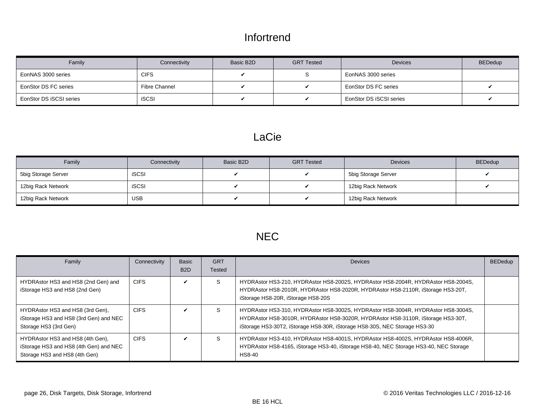### Infortrend

<span id="page-25-0"></span>

| Family                  | Connectivity  | Basic B2D | <b>GRT Tested</b> | <b>Devices</b>          | <b>BEDedup</b> |
|-------------------------|---------------|-----------|-------------------|-------------------------|----------------|
| EonNAS 3000 series      | CIFS.         |           |                   | EonNAS 3000 series      |                |
| EonStor DS FC series    | Fibre Channel |           |                   | EonStor DS FC series    |                |
| EonStor DS iSCSI series | <b>iSCSI</b>  |           |                   | EonStor DS iSCSI series |                |

#### LaCie

| Family              | Connectivity | Basic B2D | <b>GRT Tested</b> | <b>Devices</b>      | <b>BEDedup</b> |
|---------------------|--------------|-----------|-------------------|---------------------|----------------|
| 5big Storage Server | <b>iSCSI</b> |           |                   | 5big Storage Server |                |
| 12big Rack Network  | <b>iSCSI</b> |           |                   | 12big Rack Network  |                |
| 12big Rack Network  | <b>USB</b>   |           |                   | 12big Rack Network  |                |

# NEC

| Family                                                                                                      | Connectivity | <b>Basic</b><br>B <sub>2</sub> D | <b>GRT</b><br>Tested | <b>Devices</b>                                                                                                                                                                                                                                     | <b>BEDedup</b> |
|-------------------------------------------------------------------------------------------------------------|--------------|----------------------------------|----------------------|----------------------------------------------------------------------------------------------------------------------------------------------------------------------------------------------------------------------------------------------------|----------------|
| HYDRAstor HS3 and HS8 (2nd Gen) and<br>iStorage HS3 and HS8 (2nd Gen)                                       | <b>CIFS</b>  |                                  | S                    | HYDRAstor HS3-210, HYDRAstor HS8-2002S, HYDRAstor HS8-2004R, HYDRAstor HS8-2004S,<br>HYDRAstor HS8-2010R, HYDRAstor HS8-2020R, HYDRAstor HS8-2110R, iStorage HS3-20T,<br>iStorage HS8-20R, iStorage HS8-20S                                        |                |
| HYDRAstor HS3 and HS8 (3rd Gen),<br>iStorage HS3 and HS8 (3rd Gen) and NEC<br>Storage HS3 (3rd Gen)         | <b>CIFS</b>  | ✓                                | S                    | HYDRAstor HS3-310, HYDRAstor HS8-3002S, HYDRAstor HS8-3004R, HYDRAstor HS8-3004S,<br>HYDRAstor HS8-3010R, HYDRAstor HS8-3020R, HYDRAstor HS8-3110R, iStorage HS3-30T,<br>iStorage HS3-30T2, iStorage HS8-30R, iStorage HS8-30S, NEC Storage HS3-30 |                |
| HYDRAstor HS3 and HS8 (4th Gen),<br>iStorage HS3 and HS8 (4th Gen) and NEC<br>Storage HS3 and HS8 (4th Gen) | <b>CIFS</b>  | ✔                                | S                    | HYDRAstor HS3-410, HYDRAstor HS8-4001S, HYDRAstor HS8-4002S, HYDRAstor HS8-4006R,<br>HYDRAstor HS8-4165, iStorage HS3-40, iStorage HS8-40, NEC Storage HS3-40, NEC Storage<br><b>HS8-40</b>                                                        |                |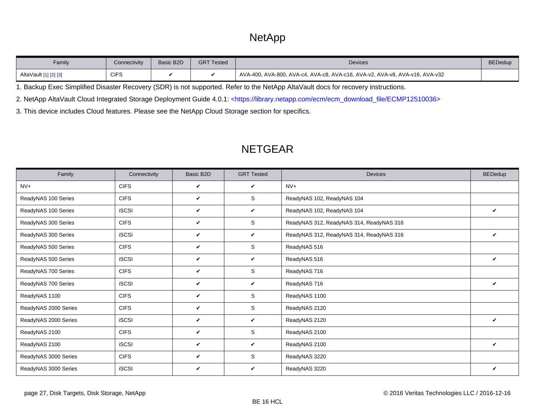# **NetApp**

<span id="page-26-0"></span>

| Family                | Connectivity | Basic B <sub>2</sub> D | <b>GRT Tested</b> | <b>Devices</b>                                                              | <b>BEDedup</b> |
|-----------------------|--------------|------------------------|-------------------|-----------------------------------------------------------------------------|----------------|
| AltaVault [1] [2] [3] | <b>CIFS</b>  |                        |                   | AVA-400, AVA-800, AVA-c4, AVA-c8, AVA-c16, AVA-v2, AVA-v8, AVA-v16, AVA-v32 |                |

<span id="page-26-1"></span>1. Backup Exec Simplified Disaster Recovery (SDR) is not supported. Refer to the NetApp AltaVault docs for recovery instructions.

<span id="page-26-2"></span>2. NetApp AltaVault Cloud Integrated Storage Deployment Guide 4.0.1: [<https://library.netapp.com/ecm/ecm\\_download\\_file/ECMP12510036>](https://library.netapp.com/ecm/ecm_download_file/ECMP12510036)

<span id="page-26-3"></span>3. This device includes Cloud features. Please see the [NetApp Cloud Storage](#page-12-6) section for specifics.

| Family               | Connectivity | Basic B2D | <b>GRT Tested</b> | <b>Devices</b>                           | <b>BEDedup</b> |
|----------------------|--------------|-----------|-------------------|------------------------------------------|----------------|
| $N V +$              | <b>CIFS</b>  | V         | V                 | $NV+$                                    |                |
| ReadyNAS 100 Series  | <b>CIFS</b>  | V         | S                 | ReadyNAS 102, ReadyNAS 104               |                |
| ReadyNAS 100 Series  | <b>iSCSI</b> | V         | $\checkmark$      | ReadyNAS 102, ReadyNAS 104               | ✓              |
| ReadyNAS 300 Series  | <b>CIFS</b>  | V         | S                 | ReadyNAS 312, ReadyNAS 314, ReadyNAS 316 |                |
| ReadyNAS 300 Series  | <b>iSCSI</b> | V         | $\checkmark$      | ReadyNAS 312, ReadyNAS 314, ReadyNAS 316 | ✓              |
| ReadyNAS 500 Series  | <b>CIFS</b>  | V         | S                 | ReadyNAS 516                             |                |
| ReadyNAS 500 Series  | <b>iSCSI</b> | V         | V                 | ReadyNAS 516                             | ✓              |
| ReadyNAS 700 Series  | <b>CIFS</b>  | V         | S                 | ReadyNAS 716                             |                |
| ReadyNAS 700 Series  | <b>iSCSI</b> | V         | V                 | ReadyNAS 716                             | ✓              |
| ReadyNAS 1100        | <b>CIFS</b>  | V         | S                 | ReadyNAS 1100                            |                |
| ReadyNAS 2000 Series | <b>CIFS</b>  | V         | S                 | ReadyNAS 2120                            |                |
| ReadyNAS 2000 Series | <b>iSCSI</b> | V         | V                 | ReadyNAS 2120                            | ✓              |
| ReadyNAS 2100        | <b>CIFS</b>  | V         | S                 | ReadyNAS 2100                            |                |
| ReadyNAS 2100        | <b>iSCSI</b> | V         | V                 | ReadyNAS 2100                            | ✓              |
| ReadyNAS 3000 Series | <b>CIFS</b>  | V         | S                 | ReadyNAS 3220                            |                |
| ReadyNAS 3000 Series | <b>iSCSI</b> | V         | V                 | ReadyNAS 3220                            | V              |

#### NETGEAR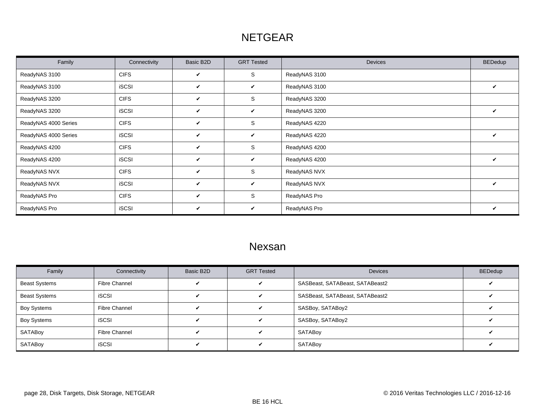# NETGEAR

<span id="page-27-0"></span>

| Family               | Connectivity | Basic B2D    | <b>GRT Tested</b> | <b>Devices</b> | <b>BEDedup</b> |
|----------------------|--------------|--------------|-------------------|----------------|----------------|
| ReadyNAS 3100        | <b>CIFS</b>  | V            | S                 | ReadyNAS 3100  |                |
| ReadyNAS 3100        | <b>iSCSI</b> | V            | V                 | ReadyNAS 3100  | V              |
| ReadyNAS 3200        | <b>CIFS</b>  | V            | S                 | ReadyNAS 3200  |                |
| ReadyNAS 3200        | <b>iSCSI</b> | V            | V                 | ReadyNAS 3200  | V              |
| ReadyNAS 4000 Series | <b>CIFS</b>  | V            | S                 | ReadyNAS 4220  |                |
| ReadyNAS 4000 Series | <b>iSCSI</b> | V            | V                 | ReadyNAS 4220  | V              |
| ReadyNAS 4200        | <b>CIFS</b>  | V            | S                 | ReadyNAS 4200  |                |
| ReadyNAS 4200        | <b>iSCSI</b> | V            | V                 | ReadyNAS 4200  | V              |
| ReadyNAS NVX         | <b>CIFS</b>  | V            | S                 | ReadyNAS NVX   |                |
| ReadyNAS NVX         | <b>iSCSI</b> | $\checkmark$ | V                 | ReadyNAS NVX   | V              |
| ReadyNAS Pro         | <b>CIFS</b>  | V            | S                 | ReadyNAS Pro   |                |
| ReadyNAS Pro         | <b>iSCSI</b> | V            | V                 | ReadyNAS Pro   | ✓              |

#### Nexsan

| Family               | Connectivity  | Basic B2D | <b>GRT Tested</b> | <b>Devices</b>                  | <b>BEDedup</b> |
|----------------------|---------------|-----------|-------------------|---------------------------------|----------------|
| <b>Beast Systems</b> | Fibre Channel | ✓         |                   | SASBeast, SATABeast, SATABeast2 |                |
| <b>Beast Systems</b> | iSCSI         | ✔         |                   | SASBeast, SATABeast, SATABeast2 |                |
| <b>Boy Systems</b>   | Fibre Channel | ✔         |                   | SASBoy, SATABoy2                |                |
| <b>Boy Systems</b>   | iSCSI         |           |                   | SASBoy, SATABoy2                |                |
| SATABoy              | Fibre Channel | ✓         |                   | SATABoy                         |                |
| SATABoy              | <b>iSCSI</b>  | "         |                   | SATABoy                         |                |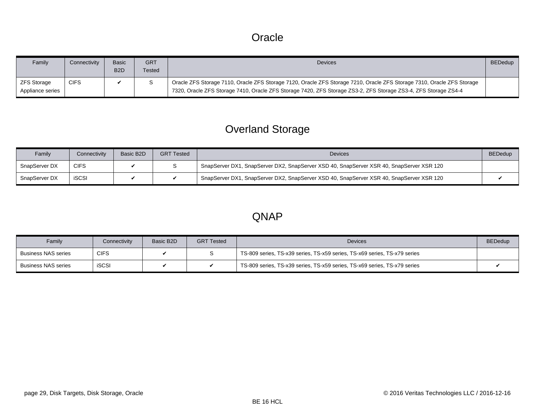#### **Oracle**

<span id="page-28-0"></span>

| Family                                 | Connectivity | <b>Basic</b><br>B <sub>2</sub> D | <b>GRT</b><br>Tested | <b>Devices</b>                                                                                                                                                                                                                            | <b>BEDedup</b> |
|----------------------------------------|--------------|----------------------------------|----------------------|-------------------------------------------------------------------------------------------------------------------------------------------------------------------------------------------------------------------------------------------|----------------|
| <b>ZFS Storage</b><br>Appliance series | <b>CIFS</b>  |                                  |                      | Oracle ZFS Storage 7110, Oracle ZFS Storage 7120, Oracle ZFS Storage 7210, Oracle ZFS Storage 7310, Oracle ZFS Storage<br>7320, Oracle ZFS Storage 7410, Oracle ZFS Storage 7420, ZFS Storage ZS3-2, ZFS Storage ZS3-4, ZFS Storage ZS4-4 |                |

# Overland Storage

| Family        | Connectivity | Basic B2D | <b>GRT Tested</b> | <b>Devices</b>                                                                           | <b>BEDedup</b> |
|---------------|--------------|-----------|-------------------|------------------------------------------------------------------------------------------|----------------|
| SnapServer DX | <b>CIFS</b>  |           |                   | SnapServer DX1, SnapServer DX2, SnapServer XSD 40, SnapServer XSR 40, SnapServer XSR 120 |                |
| SnapServer DX | <b>iSCSI</b> |           |                   | SnapServer DX1, SnapServer DX2, SnapServer XSD 40, SnapServer XSR 40, SnapServer XSR 120 |                |

#### QNAP

| Family              | Connectivity | Basic B2D | <b>GRT Tested</b> | <b>Devices</b>                                                            | <b>BEDedup</b> |
|---------------------|--------------|-----------|-------------------|---------------------------------------------------------------------------|----------------|
| Business NAS series | <b>CIFS</b>  |           |                   | TS-809 series, TS-x39 series, TS-x59 series, TS-x69 series, TS-x79 series |                |
| Business NAS series | <b>iSCSI</b> |           |                   | TS-809 series, TS-x39 series, TS-x59 series, TS-x69 series, TS-x79 series |                |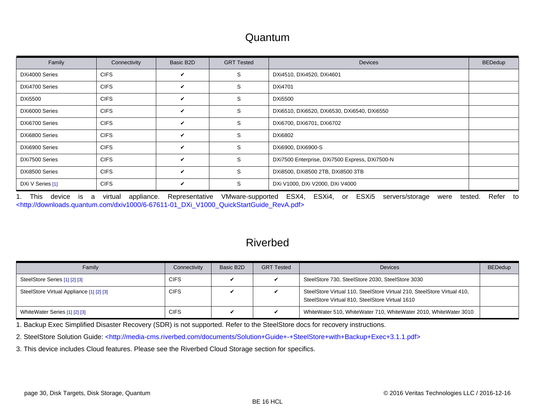#### Quantum

<span id="page-29-0"></span>

| Family           | Connectivity | Basic B2D    | <b>GRT Tested</b> | <b>Devices</b>                                 | <b>BEDedup</b> |
|------------------|--------------|--------------|-------------------|------------------------------------------------|----------------|
| DXi4000 Series   | <b>CIFS</b>  | V            | S                 | DXi4510, DXi4520, DXi4601                      |                |
| DXi4700 Series   | <b>CIFS</b>  | V            | S                 | DXi4701                                        |                |
| <b>DXi5500</b>   | <b>CIFS</b>  | $\checkmark$ | S                 | <b>DXi5500</b>                                 |                |
| DXi6000 Series   | <b>CIFS</b>  | V            | S                 | DXi6510, DXi6520, DXi6530, DXi6540, DXi6550    |                |
| DXi6700 Series   | <b>CIFS</b>  | V            | S                 | DXi6700, DXi6701, DXi6702                      |                |
| DXi6800 Series   | <b>CIFS</b>  | $\checkmark$ | S                 | DXi6802                                        |                |
| DXi6900 Series   | <b>CIFS</b>  | V            | S                 | DXi6900, DXi6900-S                             |                |
| DXi7500 Series   | <b>CIFS</b>  | V            | S                 | DXi7500 Enterprise, DXi7500 Express, DXi7500-N |                |
| DXi8500 Series   | <b>CIFS</b>  | V            | S                 | DXi8500, DXi8500 2TB, DXi8500 3TB              |                |
| DXi V Series [1] | <b>CIFS</b>  | V            | S                 | DXi V1000, DXi V2000, DXi V4000                |                |

<span id="page-29-1"></span>1. This device is a virtual appliance. Representative VMware-supported ESX4, ESXi4, or ESXi5 servers/storage were tested. Refer to [<http://downloads.quantum.com/dxiv1000/6-67611-01\\_DXi\\_V1000\\_QuickStartGuide\\_RevA.pdf>](http://downloads.quantum.com/dxiv1000/6-67611-01_DXi_V1000_QuickStartGuide_RevA.pdf)

## Riverbed

| Family                                   | Connectivity | Basic B <sub>2</sub> D | <b>GRT Tested</b>       | <b>Devices</b>                                                                                                             | <b>BEDedup</b> |
|------------------------------------------|--------------|------------------------|-------------------------|----------------------------------------------------------------------------------------------------------------------------|----------------|
| SteelStore Series [1] [2] [3]            | <b>CIFS</b>  |                        |                         | SteelStore 730, SteelStore 2030, SteelStore 3030                                                                           |                |
| SteelStore Virtual Appliance [1] [2] [3] | CIFS         |                        | v                       | SteelStore Virtual 110, SteelStore Virtual 210, SteelStore Virtual 410,<br>SteelStore Virtual 810, SteelStore Virtual 1610 |                |
| WhiteWater Series [1] [2] [3]            | <b>CIFS</b>  |                        | $\overline{\mathbf{v}}$ | WhiteWater 510, WhiteWater 710, WhiteWater 2010, WhiteWater 3010                                                           |                |

<span id="page-29-2"></span>1. Backup Exec Simplified Disaster Recovery (SDR) is not supported. Refer to the SteelStore docs for recovery instructions.

<span id="page-29-3"></span>2. SteelStore Solution Guide: [<http://media-cms.riverbed.com/documents/Solution+Guide+-+SteelStore+with+Backup+Exec+3.1.1.pdf>](http://media-cms.riverbed.com/documents/Solution+Guide+-+SteelStore+with+Backup+Exec+3.1.1.pdf)

<span id="page-29-4"></span>3. This device includes Cloud features. Please see the [Riverbed Cloud Storage s](#page-12-6)ection for specifics.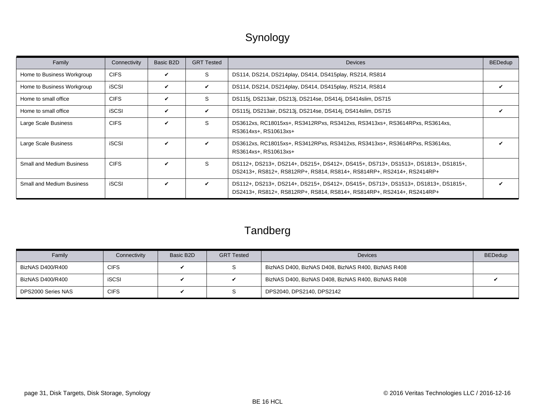# Synology

<span id="page-30-0"></span>

| Family                           | Connectivity | Basic B2D    | <b>GRT Tested</b> | <b>Devices</b>                                                                                                                                               | <b>BEDedup</b> |
|----------------------------------|--------------|--------------|-------------------|--------------------------------------------------------------------------------------------------------------------------------------------------------------|----------------|
| Home to Business Workgroup       | <b>CIFS</b>  | $\checkmark$ | S.                | DS114, DS214, DS214play, DS414, DS415play, RS214, RS814                                                                                                      |                |
| Home to Business Workgroup       | <b>iSCSI</b> | V            | V                 | DS114, DS214, DS214play, DS414, DS415play, RS214, RS814                                                                                                      |                |
| Home to small office             | <b>CIFS</b>  | V            | S                 | DS115j, DS213air, DS213j, DS214se, DS414j, DS414slim, DS715                                                                                                  |                |
| Home to small office             | <b>iSCSI</b> | $\checkmark$ | $\checkmark$      | DS115j, DS213air, DS213j, DS214se, DS414j, DS414slim, DS715                                                                                                  |                |
| Large Scale Business             | <b>CIFS</b>  | V            | S                 | DS3612xs, RC18015xs+, RS3412RPxs, RS3412xs, RS3413xs+, RS3614RPxs, RS3614xs,<br>RS3614xs+, RS10613xs+                                                        |                |
| Large Scale Business             | <b>iSCSI</b> | $\checkmark$ | $\checkmark$      | DS3612xs, RC18015xs+, RS3412RPxs, RS3412xs, RS3413xs+, RS3614RPxs, RS3614xs,<br>RS3614xs+, RS10613xs+                                                        |                |
| <b>Small and Medium Business</b> | <b>CIFS</b>  | $\checkmark$ | S.                | DS112+, DS213+, DS214+, DS215+, DS412+, DS415+, DS713+, DS1513+, DS1813+, DS1815+,<br>DS2413+, RS812+, RS812RP+, RS814, RS814+, RS814RP+, RS2414+, RS2414RP+ |                |
| <b>Small and Medium Business</b> | <b>iSCSI</b> | $\checkmark$ | $\checkmark$      | DS112+, DS213+, DS214+, DS215+, DS412+, DS415+, DS713+, DS1513+, DS1813+, DS1815+,<br>DS2413+, RS812+, RS812RP+, RS814, RS814+, RS814RP+, RS2414+, RS2414RP+ |                |

# Tandberg

| Family             | Connectivity | Basic B2D | <b>GRT Tested</b> | <b>Devices</b>                                     | <b>BEDedup</b> |
|--------------------|--------------|-----------|-------------------|----------------------------------------------------|----------------|
| BizNAS D400/R400   | CIFS         |           |                   | BizNAS D400, BizNAS D408, BizNAS R400, BizNAS R408 |                |
| BizNAS D400/R400   | <b>iSCSI</b> |           |                   | BizNAS D400, BizNAS D408, BizNAS R400, BizNAS R408 |                |
| DPS2000 Series NAS | <b>CIFS</b>  |           |                   | DPS2040, DPS2140, DPS2142                          |                |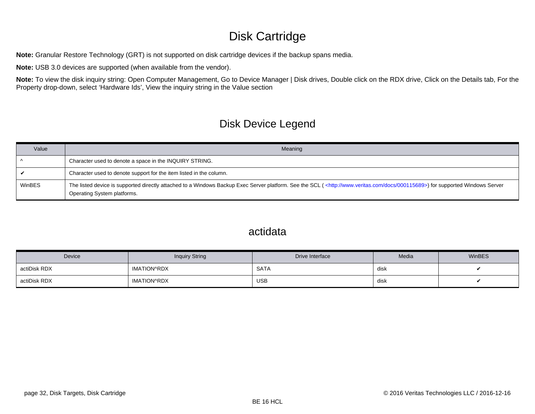# Disk Cartridge

<span id="page-31-0"></span>**Note:** Granular Restore Technology (GRT) is not supported on disk cartridge devices if the backup spans media.

**Note:** USB 3.0 devices are supported (when available from the vendor).

Note: To view the disk inquiry string: Open Computer Management, Go to Device Manager | Disk drives, Double click on the RDX drive, Click on the Details tab, For the Property drop-down, select 'Hardware Ids', View the inquiry string in the Value section

# Disk Device Legend

| Value  | Meaning                                                                                                                                                                                                                        |
|--------|--------------------------------------------------------------------------------------------------------------------------------------------------------------------------------------------------------------------------------|
|        | Character used to denote a space in the INQUIRY STRING.                                                                                                                                                                        |
|        | Character used to denote support for the item listed in the column.                                                                                                                                                            |
| WinBES | The listed device is supported directly attached to a Windows Backup Exec Server platform. See the SCL ( <http: 000115689="" docs="" www.veritas.com="">) for supported Windows Server<br/>Operating System platforms.</http:> |

#### actidata

| <b>Device</b> | <b>Inquiry String</b> | Drive Interface | Media | WinBES |
|---------------|-----------------------|-----------------|-------|--------|
| actiDisk RDX  | IMATION^RDX           | <b>SATA</b>     | disk  |        |
| actiDisk RDX  | <b>IMATION^RDX</b>    | <b>USB</b>      | disk  |        |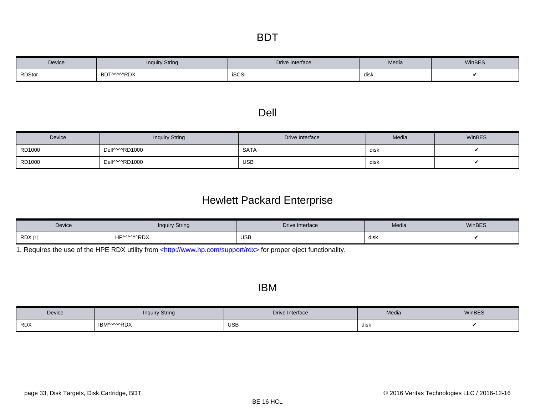| Device        | inquiry String | Drive Interface | Media | WinBES |
|---------------|----------------|-----------------|-------|--------|
| <b>RDStor</b> | BDT^^^^^RDX    | iSCSI           | disk  |        |

#### Dell

| Device | <b>Inquiry String</b> | Drive Interface | Media | WinBES |
|--------|-----------------------|-----------------|-------|--------|
| RD1000 | DellWMRD1000          | <b>SATA</b>     | disk  |        |
| RD1000 | DellWMRD1000          | <b>USB</b>      | disk  |        |

# Hewlett Packard Enterprise

| Device     | <b>Inquiry String</b> | Drive Interface | Media | WinBES |
|------------|-----------------------|-----------------|-------|--------|
| <b>RDX</b> | wwRDX<br><b>HDW</b>   | <b>USB</b>      | disk  |        |

<span id="page-32-0"></span>1. Requires the use of the HPE RDX utility from [<http://www.hp.com/support/rdx>](http://www.hp.com/support/rdx) for proper eject functionality.

#### IBM

| Device     | <b>Inquiry String</b> | Drive Interface | Media | WinBES |
|------------|-----------------------|-----------------|-------|--------|
| <b>RDX</b> | IBM^^^^RDX            | <b>USB</b>      | disk  |        |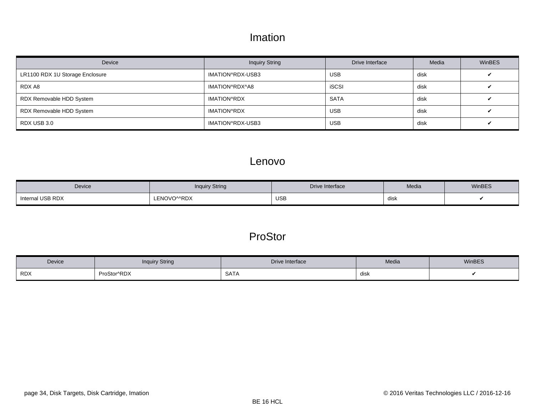### Imation

| Device                          | <b>Inquiry String</b> | Drive Interface | Media | <b>WinBES</b> |
|---------------------------------|-----------------------|-----------------|-------|---------------|
| LR1100 RDX 1U Storage Enclosure | IMATION^RDX-USB3      | <b>USB</b>      | disk  |               |
| RDX A8                          | IMATION^RDX^A8        | <b>iSCSI</b>    | disk  |               |
| RDX Removable HDD System        | <b>IMATION^RDX</b>    | <b>SATA</b>     | disk  |               |
| RDX Removable HDD System        | IMATION^RDX           | <b>USB</b>      | disk  |               |
| RDX USB 3.0                     | IMATION^RDX-USB3      | <b>USB</b>      | disk  |               |

#### Lenovo

| Device           | <b>Inquiry String</b> | Drive Interface | Media | WinBES |
|------------------|-----------------------|-----------------|-------|--------|
| Internal USB RDX | ENOVOMRDX             | <b>USB</b>      | dısk  |        |

# ProStor

| Device     | inquiry String | Drive Interface | Media | WinBES |
|------------|----------------|-----------------|-------|--------|
| <b>RDX</b> | ProStor^RDX    | <b>SATA</b>     | disk  |        |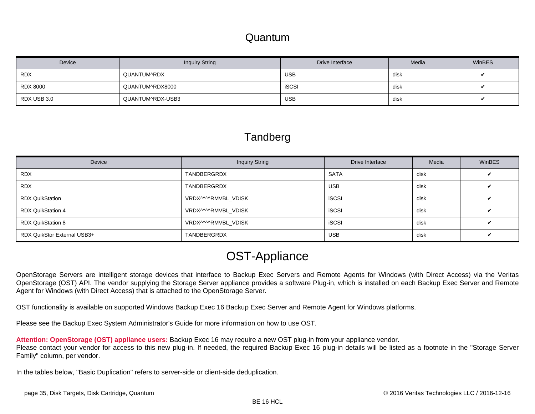#### Quantum

<span id="page-34-0"></span>

| Device          | <b>Inquiry String</b> | Drive Interface | Media | <b>WinBES</b> |
|-----------------|-----------------------|-----------------|-------|---------------|
| <b>RDX</b>      | QUANTUM^RDX           | <b>USB</b>      | disk  |               |
| <b>RDX 8000</b> | QUANTUM^RDX8000       | <b>iSCSI</b>    | disk  |               |
| RDX USB 3.0     | QUANTUM^RDX-USB3      | <b>USB</b>      | disk  |               |

#### **Tandberg**

| Device                      | <b>Inquiry String</b> | Drive Interface | Media | <b>WinBES</b> |
|-----------------------------|-----------------------|-----------------|-------|---------------|
| <b>RDX</b>                  | TANDBERGRDX           | <b>SATA</b>     | disk  |               |
| <b>RDX</b>                  | TANDBERGRDX           | USB             | disk  |               |
| <b>RDX QuikStation</b>      | VRDX^^^^RMVBL_VDISK   | <b>iSCSI</b>    | disk  |               |
| <b>RDX QuikStation 4</b>    | VRDX^^^^RMVBL VDISK   | <b>iSCSI</b>    | disk  |               |
| <b>RDX QuikStation 8</b>    | VRDX^^^^RMVBL VDISK   | <b>iSCSI</b>    | disk  |               |
| RDX QuikStor External USB3+ | TANDBERGRDX           | <b>USB</b>      | disk  |               |

# OST-Appliance

OpenStorage Servers are intelligent storage devices that interface to Backup Exec Servers and Remote Agents for Windows (with Direct Access) via the Veritas OpenStorage (OST) API. The vendor supplying the Storage Server appliance provides a software Plug-in, which is installed on each Backup Exec Server and Remote Agent for Windows (with Direct Access) that is attached to the OpenStorage Server.

OST functionality is available on supported Windows Backup Exec 16 Backup Exec Server and Remote Agent for Windows platforms.

Please see the Backup Exec System Administrator's Guide for more information on how to use OST.

**Attention: OpenStorage (OST) appliance users:** Backup Exec 16 may require a new OST plug-in from your appliance vendor. Please contact your vendor for access to this new plug-in. If needed, the required Backup Exec 16 plug-in details will be listed as a footnote in the "Storage Server Family" column, per vendor.

In the tables below, "Basic Duplication" refers to server-side or client-side deduplication.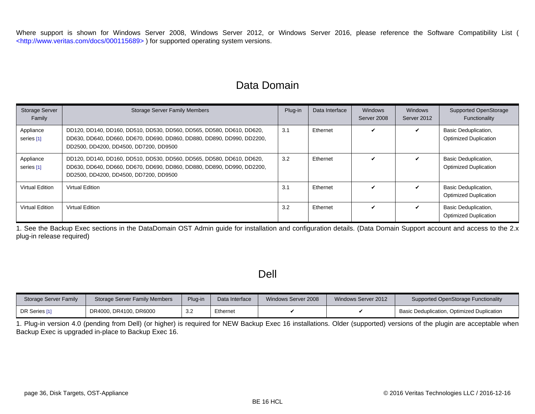Where support is shown for Windows Server 2008, Windows Server 2012, or Windows Server 2016, please reference the Software Compatibility List ( [<http://www.veritas.com/docs/000115689> \)](http://www.veritas.com/docs/000115689) for supported operating system versions.

#### Data Domain

| <b>Storage Server</b><br>Family | <b>Storage Server Family Members</b>                                                                                                                                                      | Plug-in | Data Interface | <b>Windows</b><br>Server 2008 | <b>Windows</b><br>Server 2012 | <b>Supported OpenStorage</b><br>Functionality               |
|---------------------------------|-------------------------------------------------------------------------------------------------------------------------------------------------------------------------------------------|---------|----------------|-------------------------------|-------------------------------|-------------------------------------------------------------|
| Appliance<br>series [1]         | DD120, DD140, DD160, DD510, DD530, DD560, DD565, DD580, DD610, DD620,<br>DD630, DD640, DD660, DD670, DD690, DD860, DD880, DD890, DD990, DD2200,<br>DD2500, DD4200, DD4500, DD7200, DD9500 | 3.1     | Ethernet       |                               | ✓                             | Basic Deduplication,<br><b>Optimized Duplication</b>        |
| Appliance<br>series [1]         | DD120, DD140, DD160, DD510, DD530, DD560, DD565, DD580, DD610, DD620,<br>DD630, DD640, DD660, DD670, DD690, DD860, DD880, DD890, DD990, DD2200,<br>DD2500, DD4200, DD4500, DD7200, DD9500 | 3.2     | Ethernet       |                               | ✓                             | Basic Deduplication,<br><b>Optimized Duplication</b>        |
| Virtual Edition                 | Virtual Edition                                                                                                                                                                           | 3.1     | Ethernet       |                               | V                             | Basic Deduplication,<br><b>Optimized Duplication</b>        |
| Virtual Edition                 | Virtual Edition                                                                                                                                                                           | 3.2     | Ethernet       | $\checkmark$                  | V                             | <b>Basic Deduplication,</b><br><b>Optimized Duplication</b> |

<span id="page-35-0"></span>1. See the Backup Exec sections in the DataDomain OST Admin guide for installation and configuration details. (Data Domain Support account and access to the 2.x plug-in release required)

#### Dell

| Storage Server Family | Storage Server Family Members | Plug-in     | Data Interface | Windows Server 2008 | Windows Server 2012 | Supported OpenStorage Functionality        |
|-----------------------|-------------------------------|-------------|----------------|---------------------|---------------------|--------------------------------------------|
| DR Series [1          | DR4000, DR4100, DR6000        | ົດ ຕ<br>ے.ت | Ethernet       |                     |                     | Basic Deduplication, Optimized Duplication |

<span id="page-35-1"></span>1. Plug-in version 4.0 (pending from Dell) (or higher) is required for NEW Backup Exec 16 installations. Older (supported) versions of the plugin are acceptable when Backup Exec is upgraded in-place to Backup Exec 16.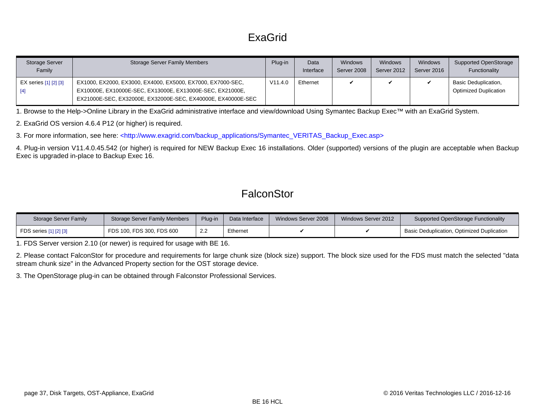# ExaGrid

| Storage Server<br>Family | <b>Storage Server Family Members</b>                                                                                                                                                     | Plug-in | Data<br>Interface | <b>Windows</b><br>Server 2008 | Windows<br>Server 2012 | Windows<br>Server 2016 | Supported OpenStorage<br>Functionality               |
|--------------------------|------------------------------------------------------------------------------------------------------------------------------------------------------------------------------------------|---------|-------------------|-------------------------------|------------------------|------------------------|------------------------------------------------------|
| EX series [1] [2] [3]    | EX1000, EX2000, EX3000, EX4000, EX5000, EX7000, EX7000-SEC,<br>EX10000E, EX10000E-SEC, EX13000E, EX13000E-SEC, EX21000E,<br>EX21000E-SEC, EX32000E, EX32000E-SEC, EX40000E, EX40000E-SEC | V11.4.0 | Ethernet          |                               |                        |                        | Basic Deduplication,<br><b>Optimized Duplication</b> |

<span id="page-36-0"></span>1. Browse to the Help->Online Library in the ExaGrid administrative interface and view/download Using Symantec Backup Exec™ with an ExaGrid System.

<span id="page-36-1"></span>2. ExaGrid OS version 4.6.4 P12 (or higher) is required.

<span id="page-36-2"></span>3. For more information, see here: [<http://www.exagrid.com/backup\\_applications/Symantec\\_VERITAS\\_Backup\\_Exec.asp>](http://www.exagrid.com/backup_applications/Symantec_VERITAS_Backup_Exec.asp)

<span id="page-36-3"></span>4. Plug-in version V11.4.0.45.542 (or higher) is required for NEW Backup Exec 16 installations. Older (supported) versions of the plugin are acceptable when Backup Exec is upgraded in-place to Backup Exec 16.

### **FalconStor**

| Storage Server Family  | <b>Storage Server Family Members</b> | Plug-in            | Data Interface | Windows Server 2008 | Windows Server 2012 | Supported OpenStorage Functionality               |
|------------------------|--------------------------------------|--------------------|----------------|---------------------|---------------------|---------------------------------------------------|
| FDS series [1] [2] [3] | FDS 100, FDS 300, FDS 600            | $\Omega$<br>$\sim$ | Ethernet       |                     |                     | <b>Basic Deduplication, Optimized Duplication</b> |

<span id="page-36-4"></span>1. FDS Server version 2.10 (or newer) is required for usage with BE 16.

<span id="page-36-5"></span>2. Please contact FalconStor for procedure and requirements for large chunk size (block size) support. The block size used for the FDS must match the selected "data stream chunk size" in the Advanced Property section for the OST storage device.

<span id="page-36-6"></span>3. The OpenStorage plug-in can be obtained through Falconstor Professional Services.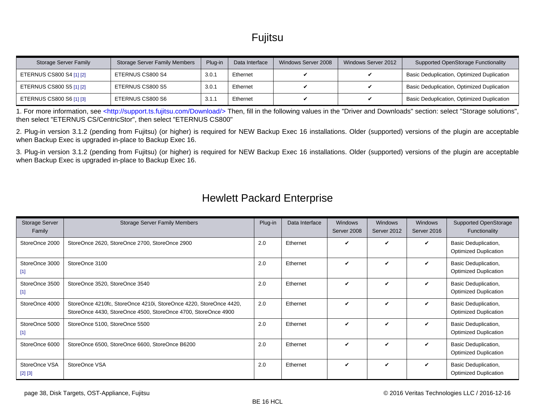# Fujitsu

| Storage Server Family    | <b>Storage Server Family Members</b> | Plug-in | Data Interface | Windows Server 2008 | Windows Server 2012 | <b>Supported OpenStorage Functionality</b> |
|--------------------------|--------------------------------------|---------|----------------|---------------------|---------------------|--------------------------------------------|
| ETERNUS CS800 S4 [1] [2] | ETERNUS CS800 S4                     | 3.0.1   | Ethernet       |                     |                     | Basic Deduplication, Optimized Duplication |
| ETERNUS CS800 S5 [1] [2] | ETERNUS CS800 S5                     | 3.0.1   | Ethernet       |                     |                     | Basic Deduplication, Optimized Duplication |
| ETERNUS CS800 S6 [1] [3] | ETERNUS CS800 S6                     | 3.1.    | Ethernet       |                     |                     | Basic Deduplication, Optimized Duplication |

<span id="page-37-0"></span>1. For more information, see [<http://support.ts.fujitsu.com/Download/> T](http://support.ts.fujitsu.com/Download/)hen, fill in the following values in the "Driver and Downloads" section: select "Storage solutions", then select "ETERNUS CS/CentricStor", then select "ETERNUS CS800"

<span id="page-37-1"></span>2. Plug-in version 3.1.2 (pending from Fujitsu) (or higher) is required for NEW Backup Exec 16 installations. Older (supported) versions of the plugin are acceptable when Backup Exec is upgraded in-place to Backup Exec 16.

<span id="page-37-2"></span>3. Plug-in version 3.1.2 (pending from Fujitsu) (or higher) is required for NEW Backup Exec 16 installations. Older (supported) versions of the plugin are acceptable when Backup Exec is upgraded in-place to Backup Exec 16.

| Storage Server<br>Family   | <b>Storage Server Family Members</b>                                                                                                 | Plug-in | Data Interface | Windows<br>Server 2008 | Windows<br>Server 2012 | Windows<br>Server 2016 | Supported OpenStorage<br>Functionality               |
|----------------------------|--------------------------------------------------------------------------------------------------------------------------------------|---------|----------------|------------------------|------------------------|------------------------|------------------------------------------------------|
| StoreOnce 2000             | StoreOnce 2620, StoreOnce 2700, StoreOnce 2900                                                                                       | 2.0     | Ethernet       | ✓                      | ✓                      |                        | Basic Deduplication,<br><b>Optimized Duplication</b> |
| StoreOnce 3000<br>$[1]$    | StoreOnce 3100                                                                                                                       | 2.0     | Ethernet       | ✓                      | ✓                      | ✓                      | Basic Deduplication,<br><b>Optimized Duplication</b> |
| StoreOnce 3500<br>$[1]$    | StoreOnce 3520, StoreOnce 3540                                                                                                       | 2.0     | Ethernet       | ✓                      | ✓                      | ✓                      | Basic Deduplication,<br><b>Optimized Duplication</b> |
| StoreOnce 4000             | StoreOnce 4210fc, StoreOnce 4210i, StoreOnce 4220, StoreOnce 4420,<br>StoreOnce 4430, StoreOnce 4500, StoreOnce 4700, StoreOnce 4900 | 2.0     | Ethernet       | ✓                      | ✓                      | ✓                      | Basic Deduplication,<br><b>Optimized Duplication</b> |
| StoreOnce 5000<br>$[1]$    | StoreOnce 5100, StoreOnce 5500                                                                                                       | 2.0     | Ethernet       | ✓                      | ✓                      | v                      | Basic Deduplication,<br><b>Optimized Duplication</b> |
| StoreOnce 6000             | StoreOnce 6500, StoreOnce 6600, StoreOnce B6200                                                                                      | 2.0     | Ethernet       | $\checkmark$           | ✓                      | ✓                      | Basic Deduplication,<br><b>Optimized Duplication</b> |
| StoreOnce VSA<br>$[2] [3]$ | StoreOnce VSA                                                                                                                        | 2.0     | Ethernet       | V                      | ✓                      | ✓                      | Basic Deduplication,<br><b>Optimized Duplication</b> |

#### Hewlett Packard Enterprise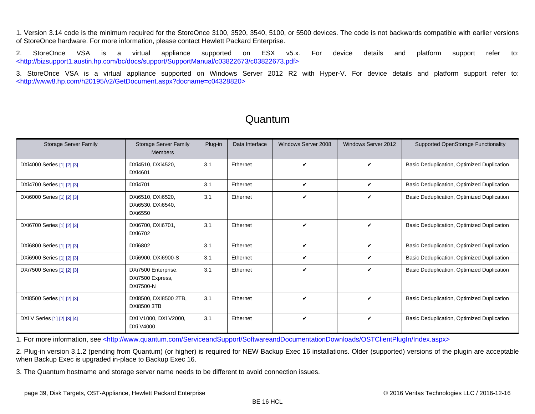<span id="page-38-0"></span>1. Version 3.14 code is the minimum required for the StoreOnce 3100, 3520, 3540, 5100, or 5500 devices. The code is not backwards compatible with earlier versions of StoreOnce hardware. For more information, please contact Hewlett Packard Enterprise.

<span id="page-38-1"></span>2. StoreOnce VSA is a virtual appliance supported on ESX v5.x. For device details and platform support refer to: [<http://bizsupport1.austin.hp.com/bc/docs/support/SupportManual/c03822673/c03822673.pdf>](http://bizsupport1.austin.hp.com/bc/docs/support/SupportManual/c03822673/c03822673.pdf)

<span id="page-38-2"></span>3. StoreOnce VSA is a virtual appliance supported on Windows Server 2012 R2 with Hyper-V. For device details and platform support refer to: [<http://www8.hp.com/h20195/v2/GetDocument.aspx?docname=c04328820>](http://www8.hp.com/h20195/v2/GetDocument.aspx?docname=c04328820)

| <b>Storage Server Family</b> | <b>Storage Server Family</b><br><b>Members</b>           | Plug-in | Data Interface | Windows Server 2008 | Windows Server 2012 | Supported OpenStorage Functionality        |
|------------------------------|----------------------------------------------------------|---------|----------------|---------------------|---------------------|--------------------------------------------|
| DXi4000 Series [1] [2] [3]   | DXi4510, DXi4520,<br>DXi4601                             | 3.1     | Ethernet       | ✓                   | ✓                   | Basic Deduplication, Optimized Duplication |
| DXi4700 Series [1] [2] [3]   | DXi4701                                                  | 3.1     | Ethernet       | V                   | ✓                   | Basic Deduplication, Optimized Duplication |
| DXi6000 Series [1] [2] [3]   | DXi6510, DXi6520,<br>DXi6530, DXi6540,<br><b>DXi6550</b> | 3.1     | Ethernet       | ✓                   | V                   | Basic Deduplication, Optimized Duplication |
| DXi6700 Series [1] [2] [3]   | DXi6700, DXi6701,<br>DXi6702                             | 3.1     | Ethernet       | ✓                   | ✓                   | Basic Deduplication, Optimized Duplication |
| DXi6800 Series [1] [2] [3]   | DXi6802                                                  | 3.1     | Ethernet       | ✓                   | ✓                   | Basic Deduplication, Optimized Duplication |
| DXi6900 Series [1] [2] [3]   | DXi6900, DXi6900-S                                       | 3.1     | Ethernet       | V                   | V                   | Basic Deduplication, Optimized Duplication |
| DXi7500 Series [1] [2] [3]   | DXi7500 Enterprise,<br>DXi7500 Express,<br>DXi7500-N     | 3.1     | Ethernet       | ✓                   | ✓                   | Basic Deduplication, Optimized Duplication |
| DXi8500 Series [1] [2] [3]   | DXi8500, DXi8500 2TB,<br><b>DXi8500 3TB</b>              | 3.1     | Ethernet       | V                   | ✓                   | Basic Deduplication, Optimized Duplication |
| DXi V Series [1] [2] [3] [4] | DXi V1000, DXi V2000,<br><b>DXi V4000</b>                | 3.1     | Ethernet       | ✓                   | V                   | Basic Deduplication, Optimized Duplication |

#### Quantum

<span id="page-38-3"></span>1. For more information, see [<http://www.quantum.com/ServiceandSupport/SoftwareandDocumentationDownloads/OSTClientPlugIn/Index.aspx>](http://www.quantum.com/ServiceandSupport/SoftwareandDocumentationDownloads/OSTClientPlugIn/Index.aspx)

<span id="page-38-4"></span>2. Plug-in version 3.1.2 (pending from Quantum) (or higher) is required for NEW Backup Exec 16 installations. Older (supported) versions of the plugin are acceptable when Backup Exec is upgraded in-place to Backup Exec 16.

<span id="page-38-5"></span>3. The Quantum hostname and storage server name needs to be different to avoid connection issues.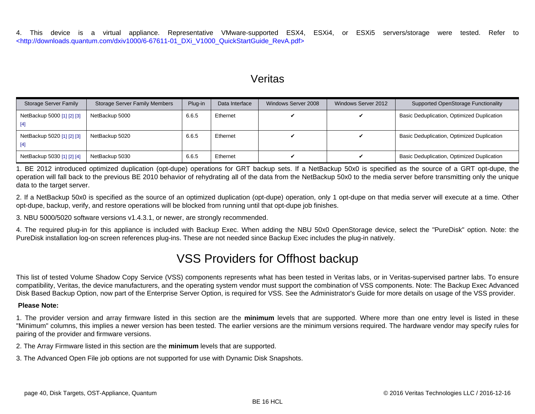<span id="page-39-0"></span>4. This device is a virtual appliance. Representative VMware-supported ESX4, ESXi4, or ESXi5 servers/storage were tested. Refer to [<http://downloads.quantum.com/dxiv1000/6-67611-01\\_DXi\\_V1000\\_QuickStartGuide\\_RevA.pdf>](http://downloads.quantum.com/dxiv1000/6-67611-01_DXi_V1000_QuickStartGuide_RevA.pdf)

#### Veritas

| Storage Server Family               | <b>Storage Server Family Members</b> | Plug-in | Data Interface | Windows Server 2008 | Windows Server 2012 | Supported OpenStorage Functionality        |
|-------------------------------------|--------------------------------------|---------|----------------|---------------------|---------------------|--------------------------------------------|
| NetBackup 5000 [1] [2] [3]<br>$[4]$ | NetBackup 5000                       | 6.6.5   | Ethernet       |                     |                     | Basic Deduplication, Optimized Duplication |
| NetBackup 5020 [1] [2] [3]<br>$[4]$ | NetBackup 5020                       | 6.6.5   | Ethernet       |                     |                     | Basic Deduplication, Optimized Duplication |
| NetBackup 5030 [1] [2] [4]          | NetBackup 5030                       | 6.6.5   | Ethernet       |                     |                     | Basic Deduplication, Optimized Duplication |

<span id="page-39-1"></span>1. BE 2012 introduced optimized duplication (opt-dupe) operations for GRT backup sets. If a NetBackup 50x0 is specified as the source of a GRT opt-dupe, the operation will fall back to the previous BE 2010 behavior of rehydrating all of the data from the NetBackup 50x0 to the media server before transmitting only the unique data to the target server.

<span id="page-39-2"></span>2. If a NetBackup 50x0 is specified as the source of an optimized duplication (opt-dupe) operation, only 1 opt-dupe on that media server will execute at a time. Other opt-dupe, backup, verify, and restore operations will be blocked from running until that opt-dupe job finishes.

<span id="page-39-3"></span>3. NBU 5000/5020 software versions v1.4.3.1, or newer, are strongly recommended.

<span id="page-39-4"></span>4. The required plug-in for this appliance is included with Backup Exec. When adding the NBU 50x0 OpenStorage device, select the "PureDisk" option. Note: the PureDisk installation log-on screen references plug-ins. These are not needed since Backup Exec includes the plug-in natively.

# VSS Providers for Offhost backup

This list of tested Volume Shadow Copy Service (VSS) components represents what has been tested in Veritas labs, or in Veritas-supervised partner labs. To ensure compatibility, Veritas, the device manufacturers, and the operating system vendor must support the combination of VSS components. Note: The Backup Exec Advanced Disk Based Backup Option, now part of the Enterprise Server Option, is required for VSS. See the Administrator's Guide for more details on usage of the VSS provider.

#### **Please Note:**

1. The provider version and array firmware listed in this section are the **minimum** levels that are supported. Where more than one entry level is listed in these "Minimum" columns, this implies a newer version has been tested. The earlier versions are the minimum versions required. The hardware vendor may specify rules for pairing of the provider and firmware versions.

2. The Array Firmware listed in this section are the **minimum** levels that are supported.

3. The Advanced Open File job options are not supported for use with Dynamic Disk Snapshots.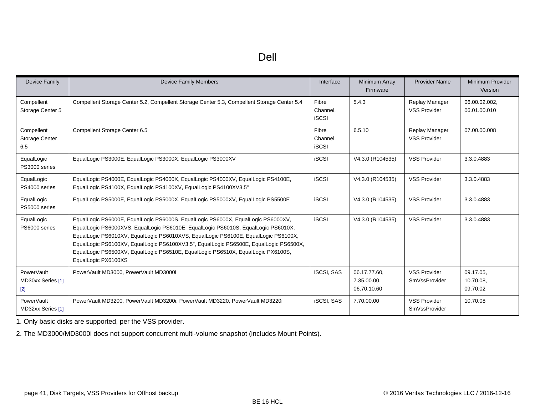| ۰.<br>۰, |
|----------|
|----------|

| Device Family                            | <b>Device Family Members</b>                                                                                                                                                                                                                                                                                                                                                                                                                                    | Interface                         | Minimum Array<br>Firmware                  | <b>Provider Name</b>                        | Minimum Provider<br>Version        |
|------------------------------------------|-----------------------------------------------------------------------------------------------------------------------------------------------------------------------------------------------------------------------------------------------------------------------------------------------------------------------------------------------------------------------------------------------------------------------------------------------------------------|-----------------------------------|--------------------------------------------|---------------------------------------------|------------------------------------|
| Compellent<br>Storage Center 5           | Compellent Storage Center 5.2, Compellent Storage Center 5.3, Compellent Storage Center 5.4                                                                                                                                                                                                                                                                                                                                                                     | Fibre<br>Channel,<br><b>iSCSI</b> | 5.4.3                                      | Replay Manager<br><b>VSS Provider</b>       | 06.00.02.002.<br>06.01.00.010      |
| Compellent<br>Storage Center<br>6.5      | Compellent Storage Center 6.5                                                                                                                                                                                                                                                                                                                                                                                                                                   | Fibre<br>Channel,<br><b>iSCSI</b> | 6.5.10                                     | Replay Manager<br><b>VSS Provider</b>       | 07.00.00.008                       |
| EqualLogic<br>PS3000 series              | EqualLogic PS3000E, EqualLogic PS3000X, EqualLogic PS3000XV                                                                                                                                                                                                                                                                                                                                                                                                     | <b>iSCSI</b>                      | V4.3.0 (R104535)                           | <b>VSS Provider</b>                         | 3.3.0.4883                         |
| EqualLogic<br>PS4000 series              | EqualLogic PS4000E, EqualLogic PS4000X, EqualLogic PS4000XV, EqualLogic PS4100E,<br>EqualLogic PS4100X, EqualLogic PS4100XV, EqualLogic PS4100XV3.5"                                                                                                                                                                                                                                                                                                            | <b>iSCSI</b>                      | V4.3.0 (R104535)                           | <b>VSS Provider</b>                         | 3.3.0.4883                         |
| EqualLogic<br>PS5000 series              | EqualLogic PS5000E, EqualLogic PS5000X, EqualLogic PS5000XV, EqualLogic PS5500E                                                                                                                                                                                                                                                                                                                                                                                 | <b>iSCSI</b>                      | V4.3.0 (R104535)                           | <b>VSS Provider</b>                         | 3.3.0.4883                         |
| EqualLogic<br>PS6000 series              | EqualLogic PS6000E, EqualLogic PS6000S, EqualLogic PS6000X, EqualLogic PS6000XV,<br>EqualLogic PS6000XVS, EqualLogic PS6010E, EqualLogic PS6010S, EqualLogic PS6010X,<br>EqualLogic PS6010XV, EqualLogic PS6010XVS, EqualLogic PS6100E, EqualLogic PS6100X,<br>EqualLogic PS6100XV, EqualLogic PS6100XV3.5", EqualLogic PS6500E, EqualLogic PS6500X,<br>EqualLogic PS6500XV, EqualLogic PS6510E, EqualLogic PS6510X, EqualLogic PX6100S,<br>EqualLogic PX6100XS | <b>iSCSI</b>                      | V4.3.0 (R104535)                           | <b>VSS Provider</b>                         | 3.3.0.4883                         |
| PowerVault<br>MD30xx Series [1]<br>$[2]$ | PowerVault MD3000, PowerVault MD3000i                                                                                                                                                                                                                                                                                                                                                                                                                           | <b>iSCSI, SAS</b>                 | 06.17.77.60,<br>7.35.00.00,<br>06.70.10.60 | <b>VSS Provider</b><br><b>SmVssProvider</b> | 09.17.05,<br>10.70.08,<br>09.70.02 |
| <b>PowerVault</b><br>MD32xx Series [1]   | PowerVault MD3200, PowerVault MD3200i, PowerVault MD3220, PowerVault MD3220i                                                                                                                                                                                                                                                                                                                                                                                    | <b>iSCSI, SAS</b>                 | 7.70.00.00                                 | <b>VSS Provider</b><br>SmVssProvider        | 10.70.08                           |

<span id="page-40-0"></span>1. Only basic disks are supported, per the VSS provider.

<span id="page-40-1"></span>2. The MD3000/MD3000i does not support concurrent multi-volume snapshot (includes Mount Points).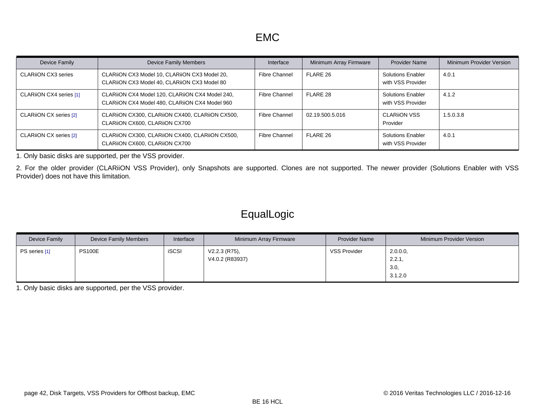| Device Family             | <b>Device Family Members</b>                                                                      | Interface            | Minimum Array Firmware | <b>Provider Name</b>                          | Minimum Provider Version |
|---------------------------|---------------------------------------------------------------------------------------------------|----------------------|------------------------|-----------------------------------------------|--------------------------|
| <b>CLARION CX3 series</b> | CLARIION CX3 Model 10, CLARIION CX3 Model 20,<br>CLARIION CX3 Model 40, CLARIION CX3 Model 80     | <b>Fibre Channel</b> | FLARE 26               | <b>Solutions Enabler</b><br>with VSS Provider | 4.0.1                    |
| CLARION CX4 series [1]    | CLARIION CX4 Model 120, CLARIION CX4 Model 240,<br>CLARIION CX4 Model 480, CLARIION CX4 Model 960 | <b>Fibre Channel</b> | FLARE 28               | <b>Solutions Enabler</b><br>with VSS Provider | 4.1.2                    |
| CLARION CX series [2]     | CLARIION CX300, CLARIION CX400, CLARIION CX500,<br>CLARIION CX600, CLARIION CX700                 | <b>Fibre Channel</b> | 02.19.500.5.016        | <b>CLARIION VSS</b><br>Provider               | 1.5.0.3.8                |
| CLARION CX series [2]     | CLARIION CX300, CLARIION CX400, CLARIION CX500,<br>CLARIION CX600, CLARIION CX700                 | Fibre Channel        | FLARE 26               | <b>Solutions Enabler</b><br>with VSS Provider | 4.0.1                    |

<span id="page-41-0"></span>1. Only basic disks are supported, per the VSS provider.

<span id="page-41-1"></span>2. For the older provider (CLARiiON VSS Provider), only Snapshots are supported. Clones are not supported. The newer provider (Solutions Enabler with VSS Provider) does not have this limitation.

# EqualLogic

| Device Family | <b>Device Family Members</b> | Interface    | Minimum Array Firmware             | <b>Provider Name</b> | Minimum Provider Version             |
|---------------|------------------------------|--------------|------------------------------------|----------------------|--------------------------------------|
| PS series [1] | <b>PS100E</b>                | <b>iSCSI</b> | $V2.2.3$ (R75),<br>V4.0.2 (R83937) | <b>VSS Provider</b>  | 2.0.0.0<br>2.2.1,<br>3.0,<br>3.1.2.0 |

<span id="page-41-2"></span>1. Only basic disks are supported, per the VSS provider.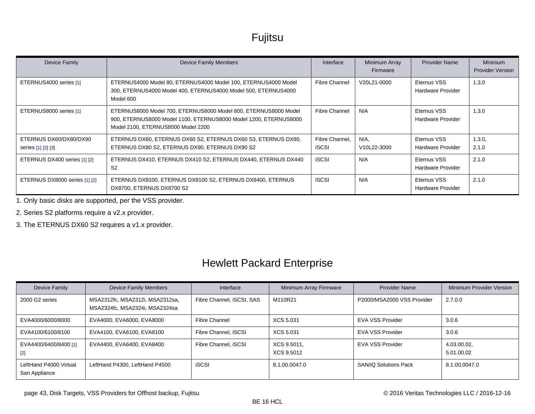# Fujitsu

| Device Family                                | <b>Device Family Members</b>                                                                                                                                              | Interface               | Minimum Array<br>Firmware | <b>Provider Name</b>                    | <b>Minimum</b><br><b>Provider Version</b> |
|----------------------------------------------|---------------------------------------------------------------------------------------------------------------------------------------------------------------------------|-------------------------|---------------------------|-----------------------------------------|-------------------------------------------|
| ETERNUS4000 series [1]                       | ETERNUS4000 Model 80, ETERNUS4000 Model 100, ETERNUS4000 Model<br>300, ETERNUS4000 Model 400, ETERNUS4000 Model 500, ETERNUS4000<br>Model 600                             | Fibre Channel           | V20L21-0000               | Eternus VSS<br>Hardware Provider        | 1.3.0                                     |
| ETERNUS8000 series [1]                       | ETERNUS8000 Model 700, ETERNUS8000 Model 800, ETERNUS8000 Model<br>900, ETERNUS8000 Model 1100, ETERNUS8000 Model 1200, ETERNUS8000<br>Model 2100, ETERNUS8000 Model 2200 | Fibre Channel           | N/A                       | Eternus VSS<br>Hardware Provider        | 1.3.0                                     |
| ETERNUS DX60/DX80/DX90<br>series [1] [2] [3] | ETERNUS DX60, ETERNUS DX60 S2, ETERNUS DX60 S3, ETERNUS DX80,<br>ETERNUS DX80 S2, ETERNUS DX90, ETERNUS DX90 S2                                                           | Fibre Channel.<br>iSCSI | N/A.<br>V10L22-3000       | Eternus VSS<br><b>Hardware Provider</b> | 1.3.0<br>2.1.0                            |
| ETERNUS DX400 series [1] [2]                 | ETERNUS DX410, ETERNUS DX410 S2, ETERNUS DX440, ETERNUS DX440<br>S <sub>2</sub>                                                                                           | <b>iSCSI</b>            | N/A                       | Eternus VSS<br>Hardware Provider        | 2.1.0                                     |
| ETERNUS DX8000 series [1] [2]                | ETERNUS DX8100, ETERNUS DX8100 S2, ETERNUS DX8400, ETERNUS<br>DX8700, ETERNUS DX8700 S2                                                                                   | <b>iSCSI</b>            | N/A                       | Eternus VSS<br>Hardware Provider        | 2.1.0                                     |

<span id="page-42-0"></span>1. Only basic disks are supported, per the VSS provider.

<span id="page-42-1"></span>2. Series S2 platforms require a v2.x provider.

<span id="page-42-2"></span>3. The ETERNUS DX60 S2 requires a v1.x provider.

# Hewlett Packard Enterprise

| Device Family                           | <b>Device Family Members</b>                                      | Interface                 | Minimum Array Firmware    | <b>Provider Name</b>         | Minimum Provider Version  |
|-----------------------------------------|-------------------------------------------------------------------|---------------------------|---------------------------|------------------------------|---------------------------|
| 2000 G2 series                          | MSA2312fc, MSA2312i, MSA2312sa,<br>MSA2324fc, MSA2324i, MSA2324sa | Fibre Channel, iSCSI, SAS | M110R21                   | P2000/MSA2000 VSS Provider   | 2.7.0.0                   |
| EVA4000/6000/8000                       | EVA4000, EVA6000, EVA8000                                         | <b>Fibre Channel</b>      | XCS 5.031                 | <b>EVA VSS Provider</b>      | 3.0.6                     |
| EVA4100/6100/8100                       | EVA4100, EVA6100, EVA8100                                         | Fibre Channel, iSCSI      | XCS 5.031                 | <b>EVA VSS Provider</b>      | 3.0.6                     |
| EVA4400/6400/8400 [1]<br>$[2]$          | EVA4400, EVA6400, EVA8400                                         | Fibre Channel, iSCSI      | XCS 9.5011,<br>XCS 9.5012 | <b>EVA VSS Provider</b>      | 4.03.00.02,<br>5.01.00.02 |
| LeftHand P4000 Virtual<br>San Appliance | LeftHand P4300, LeftHand P4500                                    | <b>iSCSI</b>              | 8.1.00.0047.0             | <b>SAN/iO Solutions Pack</b> | 8.1.00.0047.0             |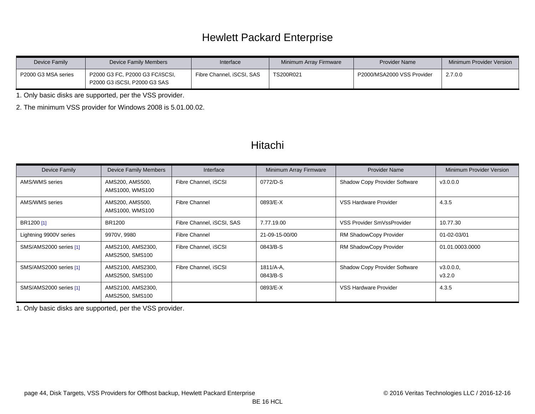# Hewlett Packard Enterprise

| Device Family       | Device Family Members                                           | Interface                 | Minimum Array Firmware | <b>Provider Name</b>       | Minimum Provider Version |
|---------------------|-----------------------------------------------------------------|---------------------------|------------------------|----------------------------|--------------------------|
| P2000 G3 MSA series | P2000 G3 FC, P2000 G3 FC/iSCSI,<br>P2000 G3 iSCSI, P2000 G3 SAS | Fibre Channel, iSCSI, SAS | TS200R021              | P2000/MSA2000 VSS Provider | 2.7.0.0                  |

<span id="page-43-0"></span>1. Only basic disks are supported, per the VSS provider.

<span id="page-43-1"></span>2. The minimum VSS provider for Windows 2008 is 5.01.00.02.

#### Hitachi

| Device Family          | <b>Device Family Members</b>         | Interface                 | Minimum Array Firmware   | <b>Provider Name</b>          | Minimum Provider Version |
|------------------------|--------------------------------------|---------------------------|--------------------------|-------------------------------|--------------------------|
| AMS/WMS series         | AMS200, AMS500,<br>AMS1000, WMS100   | Fibre Channel, iSCSI      | 0772/D-S                 | Shadow Copy Provider Software | v3.0.0.0                 |
| AMS/WMS series         | AMS200, AMS500,<br>AMS1000, WMS100   | <b>Fibre Channel</b>      | 0893/E-X                 | VSS Hardware Provider         | 4.3.5                    |
| BR1200 [1]             | BR1200                               | Fibre Channel, iSCSI, SAS | 7.77.19.00               | VSS Provider SmVssProvider    | 10.77.30                 |
| Lightning 9900V series | 9970V, 9980                          | Fibre Channel             | 21-09-15-00/00           | RM ShadowCopy Provider        | 01-02-03/01              |
| SMS/AMS2000 series [1] | AMS2100, AMS2300,<br>AMS2500, SMS100 | Fibre Channel, iSCSI      | 0843/B-S                 | RM ShadowCopy Provider        | 01.01.0003.0000          |
| SMS/AMS2000 series [1] | AMS2100, AMS2300,<br>AMS2500, SMS100 | Fibre Channel, iSCSI      | $1811/A - A$<br>0843/B-S | Shadow Copy Provider Software | v3.0.0.0,<br>V3.2.0      |
| SMS/AMS2000 series [1] | AMS2100, AMS2300,<br>AMS2500, SMS100 |                           | 0893/E-X                 | VSS Hardware Provider         | 4.3.5                    |

<span id="page-43-2"></span>1. Only basic disks are supported, per the VSS provider.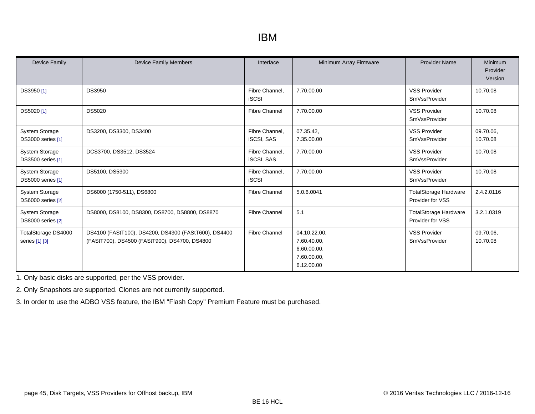### IBM

| <b>Device Family</b>                       | <b>Device Family Members</b>                                                                          | Interface                           | Minimum Array Firmware                                                  | <b>Provider Name</b>                             | Minimum<br>Provider<br>Version |
|--------------------------------------------|-------------------------------------------------------------------------------------------------------|-------------------------------------|-------------------------------------------------------------------------|--------------------------------------------------|--------------------------------|
| DS3950 [1]                                 | <b>DS3950</b>                                                                                         | Fibre Channel.<br><b>iSCSI</b>      | 7.70.00.00                                                              | <b>VSS Provider</b><br>SmVssProvider             | 10.70.08                       |
| DS5020 [1]                                 | <b>DS5020</b>                                                                                         | <b>Fibre Channel</b>                | 7.70.00.00                                                              | <b>VSS Provider</b><br><b>SmVssProvider</b>      | 10.70.08                       |
| <b>System Storage</b><br>DS3000 series [1] | DS3200, DS3300, DS3400                                                                                | Fibre Channel,<br><b>iSCSI, SAS</b> | 07.35.42,<br>7.35.00.00                                                 | <b>VSS Provider</b><br><b>SmVssProvider</b>      | 09.70.06,<br>10.70.08          |
| <b>System Storage</b><br>DS3500 series [1] | DCS3700, DS3512, DS3524                                                                               | Fibre Channel,<br><b>iSCSI, SAS</b> | 7.70.00.00                                                              | <b>VSS Provider</b><br><b>SmVssProvider</b>      | 10.70.08                       |
| <b>System Storage</b><br>DS5000 series [1] | DS5100, DS5300                                                                                        | Fibre Channel,<br><b>iSCSI</b>      | 7.70.00.00                                                              | <b>VSS Provider</b><br><b>SmVssProvider</b>      | 10.70.08                       |
| <b>System Storage</b><br>DS6000 series [2] | DS6000 (1750-511), DS6800                                                                             | <b>Fibre Channel</b>                | 5.0.6.0041                                                              | <b>TotalStorage Hardware</b><br>Provider for VSS | 2.4.2.0116                     |
| <b>System Storage</b><br>DS8000 series [2] | DS8000, DS8100, DS8300, DS8700, DS8800, DS8870                                                        | <b>Fibre Channel</b>                | 5.1                                                                     | <b>TotalStorage Hardware</b><br>Provider for VSS | 3.2.1.0319                     |
| TotalStorage DS4000<br>series [1] [3]      | DS4100 (FAStT100), DS4200, DS4300 (FAStT600), DS4400<br>(FAStT700), DS4500 (FAStT900), DS4700, DS4800 | <b>Fibre Channel</b>                | 04.10.22.00,<br>7.60.40.00,<br>6.60.00.00,<br>7.60.00.00,<br>6.12.00.00 | <b>VSS Provider</b><br><b>SmVssProvider</b>      | 09.70.06,<br>10.70.08          |

<span id="page-44-0"></span>1. Only basic disks are supported, per the VSS provider.

<span id="page-44-1"></span>2. Only Snapshots are supported. Clones are not currently supported.

<span id="page-44-2"></span>3. In order to use the ADBO VSS feature, the IBM "Flash Copy" Premium Feature must be purchased.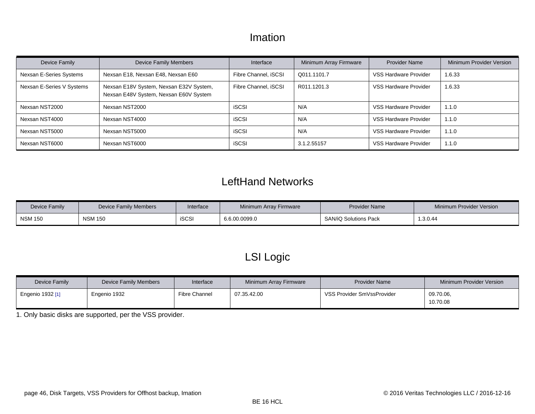#### Imation

| Device Family             | <b>Device Family Members</b>                                                      | Interface            | Minimum Array Firmware | <b>Provider Name</b>  | Minimum Provider Version |
|---------------------------|-----------------------------------------------------------------------------------|----------------------|------------------------|-----------------------|--------------------------|
| Nexsan E-Series Systems   | Nexsan E18, Nexsan E48, Nexsan E60                                                | Fibre Channel, iSCSI | Q011.1101.7            | VSS Hardware Provider | 1.6.33                   |
| Nexsan E-Series V Systems | Nexsan E18V System, Nexsan E32V System,<br>Nexsan E48V System, Nexsan E60V System | Fibre Channel, iSCSI | R011.1201.3            | VSS Hardware Provider | 1.6.33                   |
| Nexsan NST2000            | Nexsan NST2000                                                                    | <b>iSCSI</b>         | N/A                    | VSS Hardware Provider | 1.1.0                    |
| Nexsan NST4000            | Nexsan NST4000                                                                    | <b>iSCSI</b>         | N/A                    | VSS Hardware Provider | 1.1.0                    |
| Nexsan NST5000            | Nexsan NST5000                                                                    | <b>iSCSI</b>         | N/A                    | VSS Hardware Provider | 1.1.0                    |
| Nexsan NST6000            | Nexsan NST6000                                                                    | <b>iSCSI</b>         | 3.1.2.55157            | VSS Hardware Provider | 1.1.0                    |

### LeftHand Networks

| Device Family  | Device Family Members | Interface    | Minimum Array Firmware | <b>Provider Name</b>  | Minimum Provider Version |
|----------------|-----------------------|--------------|------------------------|-----------------------|--------------------------|
| <b>NSM 150</b> | <b>NSM 150</b>        | <b>iSCSI</b> | 6.6.00.0099.0          | SAN/iQ Solutions Pack | 1.3.0.44                 |

# LSI Logic

| Device Family    | Device Family Members | Interface            | Minimum Array Firmware | <b>Provider Name</b>       | Minimum Provider Version |
|------------------|-----------------------|----------------------|------------------------|----------------------------|--------------------------|
| Engenio 1932 [1] | Engenio 1932          | <b>Fibre Channel</b> | 07.35.42.00            | VSS Provider SmVssProvider | 09.70.06,<br>10.70.08    |

<span id="page-45-0"></span>1. Only basic disks are supported, per the VSS provider.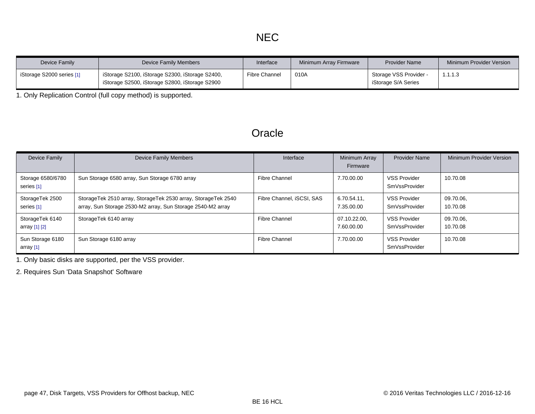| Device Family             | Device Family Members                                                                             | Interface     | Minimum Array Firmware | <b>Provider Name</b>                          | Minimum Provider Version |
|---------------------------|---------------------------------------------------------------------------------------------------|---------------|------------------------|-----------------------------------------------|--------------------------|
| iStorage S2000 series [1] | iStorage S2100, iStorage S2300, iStorage S2400,<br>iStorage S2500, iStorage S2800, iStorage S2900 | Fibre Channel | 010A                   | Storage VSS Provider -<br>iStorage S/A Series | 1.1.1.3                  |

<span id="page-46-0"></span>1. Only Replication Control (full copy method) is supported.

#### **Oracle**

| Device Family                    | <b>Device Family Members</b>                                                                                                 | Interface                 | Minimum Array<br>Firmware  | <b>Provider Name</b>                 | Minimum Provider Version |
|----------------------------------|------------------------------------------------------------------------------------------------------------------------------|---------------------------|----------------------------|--------------------------------------|--------------------------|
| Storage 6580/6780<br>series [1]  | Sun Storage 6580 array, Sun Storage 6780 array                                                                               | <b>Fibre Channel</b>      | 7.70.00.00                 | <b>VSS Provider</b><br>SmVssProvider | 10.70.08                 |
| StorageTek 2500<br>series [1]    | StorageTek 2510 array, StorageTek 2530 array, StorageTek 2540<br>array, Sun Storage 2530-M2 array, Sun Storage 2540-M2 array | Fibre Channel, iSCSI, SAS | 6.70.54.11,<br>7.35.00.00  | VSS Provider<br>SmVssProvider        | 09.70.06,<br>10.70.08    |
| StorageTek 6140<br>array [1] [2] | StorageTek 6140 array                                                                                                        | Fibre Channel             | 07.10.22.00,<br>7.60.00.00 | <b>VSS Provider</b><br>SmVssProvider | 09.70.06.<br>10.70.08    |
| Sun Storage 6180<br>array [1]    | Sun Storage 6180 array                                                                                                       | <b>Fibre Channel</b>      | 7.70.00.00                 | <b>VSS Provider</b><br>SmVssProvider | 10.70.08                 |

<span id="page-46-1"></span>1. Only basic disks are supported, per the VSS provider.

<span id="page-46-2"></span>2. Requires Sun 'Data Snapshot' Software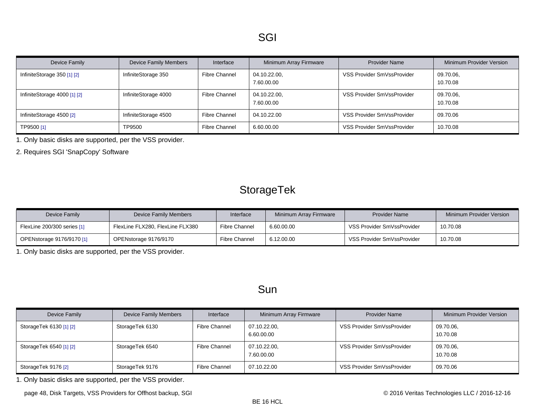| Device Family                 | <b>Device Family Members</b> | Interface            | Minimum Array Firmware     | <b>Provider Name</b>       | Minimum Provider Version |
|-------------------------------|------------------------------|----------------------|----------------------------|----------------------------|--------------------------|
| InfiniteStorage $350$ [1] [2] | InfiniteStorage 350          | <b>Fibre Channel</b> | 04.10.22.00,<br>7.60.00.00 | VSS Provider SmVssProvider | 09.70.06,<br>10.70.08    |
| InfiniteStorage 4000 [1] [2]  | InfiniteStorage 4000         | <b>Fibre Channel</b> | 04.10.22.00,<br>7.60.00.00 | VSS Provider SmVssProvider | 09.70.06,<br>10.70.08    |
| InfiniteStorage 4500 [2]      | InfiniteStorage 4500         | <b>Fibre Channel</b> | 04.10.22.00                | VSS Provider SmVssProvider | 09.70.06                 |
| TP9500 [1]                    | TP9500                       | <b>Fibre Channel</b> | 6.60.00.00                 | VSS Provider SmVssProvider | 10.70.08                 |

<span id="page-47-0"></span>1. Only basic disks are supported, per the VSS provider.

<span id="page-47-1"></span>2. Requires SGI 'SnapCopy' Software

# StorageTek

| Device Family               | Device Family Members            | Interface            | Minimum Array Firmware | <b>Provider Name</b>       | Minimum Provider Version |
|-----------------------------|----------------------------------|----------------------|------------------------|----------------------------|--------------------------|
| FlexLine 200/300 series [1] | FlexLine FLX280, FlexLine FLX380 | <b>Fibre Channel</b> | 6.60.00.00             | VSS Provider SmVssProvider | 10.70.08                 |
| OPENstorage 9176/9170 [1]   | OPENstorage 9176/9170            | <b>Fibre Channel</b> | 6.12.00.00             | VSS Provider SmVssProvider | 10.70.08                 |

<span id="page-47-2"></span>1. Only basic disks are supported, per the VSS provider.

#### Sun

| Device Family            | <b>Device Family Members</b> | Interface     | Minimum Array Firmware     | <b>Provider Name</b>       | Minimum Provider Version |
|--------------------------|------------------------------|---------------|----------------------------|----------------------------|--------------------------|
| Storage Tek 6130 [1] [2] | StorageTek 6130              | Fibre Channel | 07.10.22.00,<br>6.60.00.00 | VSS Provider SmVssProvider | 09.70.06,<br>10.70.08    |
| StorageTek 6540 [1] [2]  | StorageTek 6540              | Fibre Channel | 07.10.22.00,<br>7.60.00.00 | VSS Provider SmVssProvider | 09.70.06,<br>10.70.08    |
| StorageTek 9176 [2]      | StorageTek 9176              | Fibre Channel | 07.10.22.00                | VSS Provider SmVssProvider | 09.70.06                 |

<span id="page-47-3"></span>1. Only basic disks are supported, per the VSS provider.

page 48, Disk Targets, VSS Providers for Offhost backup, SGI **Disk Controller Controller Controller** CONS Veritas Technologies LLC / 2016-12-16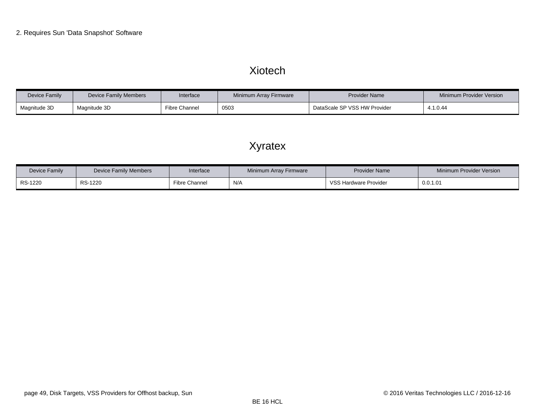#### Xiotech

<span id="page-48-0"></span>

| Device Family | Device Family Members | Interface     | Minimum Array Firmware | <b>Provider Name</b>         | Minimum Provider Version |
|---------------|-----------------------|---------------|------------------------|------------------------------|--------------------------|
| Magnitude 3D  | Magnitude 3D          | Fibre Channel | 0503                   | DataScale SP VSS HW Provider | 4.1.0.44                 |

# Xyratex

| Device Family | Device Family Members | Interface     | Minimum Array Firmware | <b>Provider Name</b>  | Minimum Provider Version |
|---------------|-----------------------|---------------|------------------------|-----------------------|--------------------------|
| RS-1220       | RS-1220               | Fibre Channel | N/A                    | VSS Hardware Provider | 0.0.1.01                 |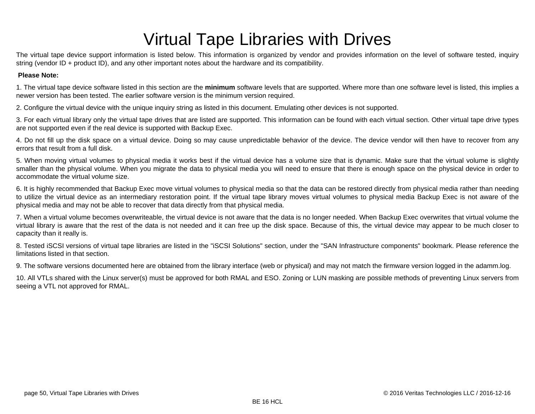# Virtual Tape Libraries with Drives

The virtual tape device support information is listed below. This information is organized by vendor and provides information on the level of software tested, inquiry string (vendor ID + product ID), and any other important notes about the hardware and its compatibility.

#### **Please Note:**

1. The virtual tape device software listed in this section are the **minimum** software levels that are supported. Where more than one software level is listed, this implies a newer version has been tested. The earlier software version is the minimum version required.

2. Configure the virtual device with the unique inquiry string as listed in this document. Emulating other devices is not supported.

3. For each virtual library only the virtual tape drives that are listed are supported. This information can be found with each virtual section. Other virtual tape drive types are not supported even if the real device is supported with Backup Exec.

4. Do not fill up the disk space on a virtual device. Doing so may cause unpredictable behavior of the device. The device vendor will then have to recover from any errors that result from a full disk.

5. When moving virtual volumes to physical media it works best if the virtual device has a volume size that is dynamic. Make sure that the virtual volume is slightly smaller than the physical volume. When you migrate the data to physical media you will need to ensure that there is enough space on the physical device in order to accommodate the virtual volume size.

6. It is highly recommended that Backup Exec move virtual volumes to physical media so that the data can be restored directly from physical media rather than needing to utilize the virtual device as an intermediary restoration point. If the virtual tape library moves virtual volumes to physical media Backup Exec is not aware of the physical media and may not be able to recover that data directly from that physical media.

7. When a virtual volume becomes overwriteable, the virtual device is not aware that the data is no longer needed. When Backup Exec overwrites that virtual volume the virtual library is aware that the rest of the data is not needed and it can free up the disk space. Because of this, the virtual device may appear to be much closer to capacity than it really is.

8. Tested iSCSI versions of virtual tape libraries are listed in the "iSCSI Solutions" section, under the "SAN Infrastructure components" bookmark. Please reference the limitations listed in that section.

9. The software versions documented here are obtained from the library interface (web or physical) and may not match the firmware version logged in the adamm.log.

10. All VTLs shared with the Linux server(s) must be approved for both RMAL and ESO. Zoning or LUN masking are possible methods of preventing Linux servers from seeing a VTL not approved for RMAL.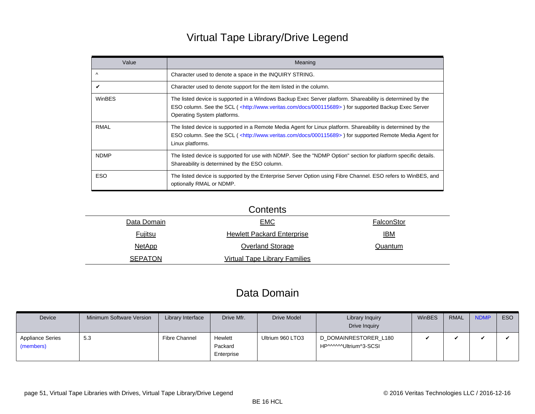# Virtual Tape Library/Drive Legend

| Value       | Meaning                                                                                                                                                                                                                                                           |
|-------------|-------------------------------------------------------------------------------------------------------------------------------------------------------------------------------------------------------------------------------------------------------------------|
| $\wedge$    | Character used to denote a space in the INQUIRY STRING.                                                                                                                                                                                                           |
| V           | Character used to denote support for the item listed in the column.                                                                                                                                                                                               |
| WinBES      | The listed device is supported in a Windows Backup Exec Server platform. Shareability is determined by the<br>ESO column. See the SCL ( <http: 000115689="" docs="" www.veritas.com="">) for supported Backup Exec Server<br/>Operating System platforms.</http:> |
| <b>RMAL</b> | The listed device is supported in a Remote Media Agent for Linux platform. Shareability is determined by the<br>ESO column. See the SCL ( <http: 000115689="" docs="" www.veritas.com="">) for supported Remote Media Agent for<br/>Linux platforms.</http:>      |
| <b>NDMP</b> | The listed device is supported for use with NDMP. See the "NDMP Option" section for platform specific details.<br>Shareability is determined by the ESO column.                                                                                                   |
| <b>ESO</b>  | The listed device is supported by the Enterprise Server Option using Fibre Channel. ESO refers to WinBES, and<br>optionally RMAL or NDMP.                                                                                                                         |

|                | Contents                             |            |
|----------------|--------------------------------------|------------|
| Data Domain    | <b>EMC</b>                           | FalconStor |
| <b>Fujitsu</b> | <b>Hewlett Packard Enterprise</b>    | <u>IBM</u> |
| <b>NetApp</b>  | <b>Overland Storage</b>              | Quantum    |
| <b>SEPATON</b> | <b>Virtual Tape Library Families</b> |            |
|                |                                      |            |

#### Data Domain

<span id="page-50-0"></span>

| Device                               | Minimum Software Version | Library Interface    | Drive Mfr.                       | <b>Drive Model</b> | Library Inquiry<br>Drive Inquiry                | <b>WinBES</b> | <b>RMAL</b> | <b>NDMP</b> | ESO |
|--------------------------------------|--------------------------|----------------------|----------------------------------|--------------------|-------------------------------------------------|---------------|-------------|-------------|-----|
| <b>Appliance Series</b><br>(members) | 5.3                      | <b>Fibre Channel</b> | Hewlett<br>Packard<br>Enterprise | Ultrium 960 LTO3   | D DOMAINRESTORER L180<br>HP^^^^^^Ultrium^3-SCSI |               |             |             |     |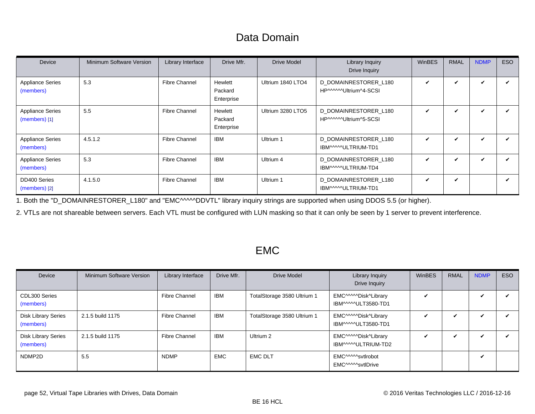# Data Domain

<span id="page-51-0"></span>

| Device                                     | Minimum Software Version | Library Interface    | Drive Mfr.                       | <b>Drive Model</b> | <b>Library Inquiry</b><br>Drive Inquiry         | <b>WinBES</b>              | <b>RMAL</b> | <b>NDMP</b>                | ESO |
|--------------------------------------------|--------------------------|----------------------|----------------------------------|--------------------|-------------------------------------------------|----------------------------|-------------|----------------------------|-----|
| <b>Appliance Series</b><br>(members)       | 5.3                      | <b>Fibre Channel</b> | Hewlett<br>Packard<br>Enterprise | Ultrium 1840 LTO4  | D DOMAINRESTORER L180<br>HP^^^^^Ultrium^4-SCSI  |                            | ✓           | $\boldsymbol{\mathcal{U}}$ |     |
| <b>Appliance Series</b><br>$(members)$ [1] | 5.5                      | <b>Fibre Channel</b> | Hewlett<br>Packard<br>Enterprise | Ultrium 3280 LTO5  | D DOMAINRESTORER L180<br>HP^^^^^^Ultrium^5-SCSI | ✓                          | ✓           |                            |     |
| <b>Appliance Series</b><br>(members)       | 4.5.1.2                  | <b>Fibre Channel</b> | IBM                              | Ultrium 1          | D DOMAINRESTORER L180<br>IBM^^^^ULTRIUM-TD1     | ✓                          | ✓           | ✔                          |     |
| <b>Appliance Series</b><br>(members)       | 5.3                      | <b>Fibre Channel</b> | <b>IBM</b>                       | Ultrium 4          | D DOMAINRESTORER L180<br>IBM^^^^ULTRIUM-TD4     | ✓                          | ✓           | ✓                          |     |
| DD400 Series<br>(members) [2]              | 4.1.5.0                  | <b>Fibre Channel</b> | IBM                              | Ultrium 1          | D DOMAINRESTORER L180<br>IBM^^^^ULTRIUM-TD1     | $\boldsymbol{\mathcal{U}}$ | V           |                            |     |

<span id="page-51-3"></span><span id="page-51-1"></span>1. Both the "D\_DOMAINRESTORER\_L180" and "EMC^^^^^DDVTL" library inquiry strings are supported when using DDOS 5.5 (or higher).

<span id="page-51-2"></span>2. VTLs are not shareable between servers. Each VTL must be configured with LUN masking so that it can only be seen by 1 server to prevent interference.

#### EMC

<span id="page-51-5"></span><span id="page-51-4"></span>

| Device                                  | <b>Minimum Software Version</b> | Library Interface    | Drive Mfr. | <b>Drive Model</b>          | Library Inquiry<br>Drive Inquiry            | WinBES | <b>RMAL</b>  | <b>NDMP</b> | ESO |
|-----------------------------------------|---------------------------------|----------------------|------------|-----------------------------|---------------------------------------------|--------|--------------|-------------|-----|
| CDL300 Series<br>(members)              |                                 | <b>Fibre Channel</b> | <b>IBM</b> | TotalStorage 3580 Ultrium 1 | EMC^^^^^Disk^Library<br>IBM^^^^^ULT3580-TD1 |        |              | ✓           |     |
| <b>Disk Library Series</b><br>(members) | 2.1.5 build 1175                | <b>Fibre Channel</b> | IBM        | TotalStorage 3580 Ultrium 1 | EMC^^^^^Disk^Library<br>IBM^^^^^ULT3580-TD1 |        | $\checkmark$ | ✓           |     |
| <b>Disk Library Series</b><br>(members) | 2.1.5 build 1175                | <b>Fibre Channel</b> | <b>IBM</b> | Ultrium 2                   | EMC^^^^^Disk^Library<br>IBM^^^^ULTRIUM-TD2  |        | ✓            | ✓           |     |
| NDMP2D                                  | 5.5                             | <b>NDMP</b>          | <b>EMC</b> | <b>EMC DLT</b>              | EMC^^^^^svtlrobot<br>EMC^^^^^svtlDrive      |        |              | ✓           |     |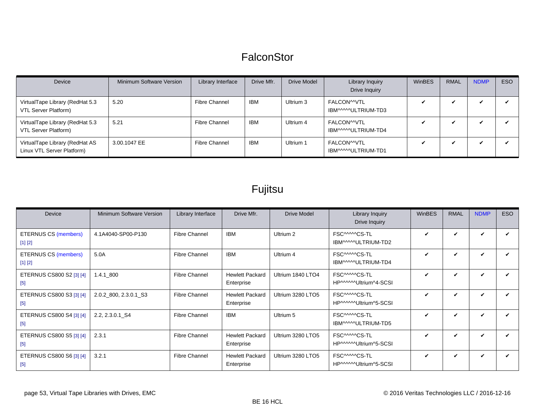### **FalconStor**

<span id="page-52-0"></span>

| Device                                                       | Minimum Software Version | Library Interface    | Drive Mfr. | <b>Drive Model</b> | Library Inquiry<br>Drive Inquiry   | WinBES | <b>RMAL</b> | <b>NDMP</b> | <b>ESO</b> |
|--------------------------------------------------------------|--------------------------|----------------------|------------|--------------------|------------------------------------|--------|-------------|-------------|------------|
| VirtualTape Library (RedHat 5.3<br>VTL Server Platform)      | 5.20                     | <b>Fibre Channel</b> | <b>IBM</b> | Ultrium 3          | FALCON^^VTL<br>IBM^^^^^ULTRIUM-TD3 | ✔      |             |             |            |
| VirtualTape Library (RedHat 5.3<br>VTL Server Platform)      | 5.21                     | <b>Fibre Channel</b> | <b>IBM</b> | Ultrium 4          | FALCON^^VTL<br>IBM^^^^^ULTRIUM-TD4 | ✔      |             |             |            |
| VirtualTape Library (RedHat AS<br>Linux VTL Server Platform) | 3.00.1047 EE             | <b>Fibre Channel</b> | <b>IBM</b> | Ultrium 1          | FALCONMVTL<br>IBM^^^^ULTRIUM-TD1   | ✔      |             |             |            |

# Fujitsu

<span id="page-52-1"></span>

| Device                                 | Minimum Software Version | Library Interface    | Drive Mfr.                           | <b>Drive Model</b> | Library Inquiry<br>Drive Inquiry       | <b>WinBES</b> | <b>RMAL</b>  | <b>NDMP</b> | ESO |
|----------------------------------------|--------------------------|----------------------|--------------------------------------|--------------------|----------------------------------------|---------------|--------------|-------------|-----|
| <b>ETERNUS CS (members)</b><br>[1] [2] | 4.1A4040-SP00-P130       | <b>Fibre Channel</b> | <b>IBM</b>                           | Ultrium 2          | FSC^^^^^CS-TL<br>IBM^^^^ULTRIUM-TD2    | ✓             | ✓            | V           |     |
| <b>ETERNUS CS (members)</b><br>[1] [2] | 5.0A                     | <b>Fibre Channel</b> | <b>IBM</b>                           | Ultrium 4          | FSC^^^^^CS-TL<br>IBM^^^^ULTRIUM-TD4    | ✓             | $\checkmark$ | ✓           |     |
| ETERNUS CS800 S2 [3] [4]<br>$[5]$      | $1.4.1\_800$             | <b>Fibre Channel</b> | <b>Hewlett Packard</b><br>Enterprise | Ultrium 1840 LTO4  | FSC^^^^^CS-TL<br>HP^^^^^Ultrium^4-SCSI | ✓             | V            | ✓           |     |
| ETERNUS CS800 S3 [3] [4]<br>$[5]$      | 2.0.2_800, 2.3.0.1_S3    | <b>Fibre Channel</b> | <b>Hewlett Packard</b><br>Enterprise | Ultrium 3280 LTO5  | FSC^^^^^CS-TL<br>HP^^^^^Ultrium^5-SCSI | ✓             | ✓            | ✓           |     |
| ETERNUS CS800 S4 [3] [4]<br>$[5]$      | 2.2, 2.3.0.1 S4          | <b>Fibre Channel</b> | <b>IBM</b>                           | Ultrium 5          | FSC^^^^^CS-TL<br>IBM^^^^ULTRIUM-TD5    | ✓             | ✓            | V           |     |
| ETERNUS CS800 S5 [3] [4]<br>$[5]$      | 2.3.1                    | <b>Fibre Channel</b> | <b>Hewlett Packard</b><br>Enterprise | Ultrium 3280 LTO5  | FSC^^^^^CS-TL<br>HP^^^^^Ultrium^5-SCSI | ✓             | V            | ✓           |     |
| ETERNUS CS800 S6 [3] [4]<br>$[5]$      | 3.2.1                    | <b>Fibre Channel</b> | <b>Hewlett Packard</b><br>Enterprise | Ultrium 3280 LTO5  | FSC^^^^^CS-TL<br>HP^^^^^Ultrium^5-SCSI | ✓             | V            | ✓           |     |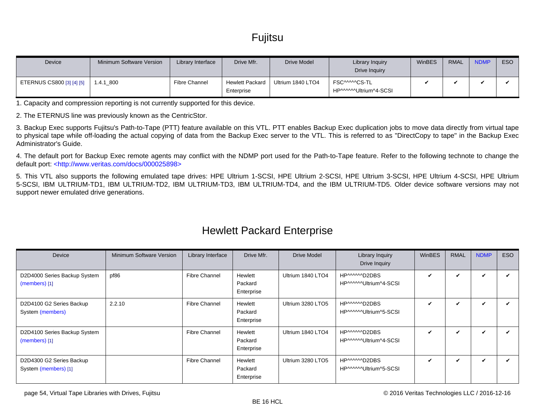# **Fujitsu**

<span id="page-53-0"></span>

| Device                    | Minimum Software Version | Library Interface    | Drive Mfr.                           | Drive Model       | Library Inquiry<br>Drive Inquiry        | WinBES | <b>RMAL</b> | <b>NDMP</b> | ESO |
|---------------------------|--------------------------|----------------------|--------------------------------------|-------------------|-----------------------------------------|--------|-------------|-------------|-----|
| ETERNUS CS800 [3] [4] [5] | 1.4.1 800                | <b>Fibre Channel</b> | <b>Hewlett Packard</b><br>Enterprise | Ultrium 1840 LTO4 | FSC^^^^^CS-TL<br>HP^^^^^^Ultrium^4-SCSI |        |             |             |     |

<span id="page-53-1"></span>1. Capacity and compression reporting is not currently supported for this device.

<span id="page-53-2"></span>2. The ETERNUS line was previously known as the CentricStor.

<span id="page-53-3"></span>3. Backup Exec supports Fujitsu's Path-to-Tape (PTT) feature available on this VTL. PTT enables Backup Exec duplication jobs to move data directly from virtual tape to physical tape while off-loading the actual copying of data from the Backup Exec server to the VTL. This is referred to as "DirectCopy to tape" in the Backup Exec Administrator's Guide.

<span id="page-53-4"></span>4. The default port for Backup Exec remote agents may conflict with the NDMP port used for the Path-to-Tape feature. Refer to the following technote to change the default port: [<http://www.veritas.com/docs/000025898>](http://www.veritas.com/docs/000025898)

<span id="page-53-5"></span>5. This VTL also supports the following emulated tape drives: HPE Ultrium 1-SCSI, HPE Ultrium 2-SCSI, HPE Ultrium 3-SCSI, HPE Ultrium 4-SCSI, HPE Ultrium 5-SCSI, IBM ULTRIUM-TD1, IBM ULTRIUM-TD2, IBM ULTRIUM-TD3, IBM ULTRIUM-TD4, and the IBM ULTRIUM-TD5. Older device software versions may not support newer emulated drive generations.

<span id="page-53-9"></span><span id="page-53-8"></span><span id="page-53-7"></span><span id="page-53-6"></span>

| <b>Device</b>                                    | Minimum Software Version | Library Interface    | Drive Mfr.                       | <b>Drive Model</b> | <b>Library Inquiry</b><br>Drive Inquiry | WinBES       | <b>RMAL</b>  | <b>NDMP</b> | ESO |
|--------------------------------------------------|--------------------------|----------------------|----------------------------------|--------------------|-----------------------------------------|--------------|--------------|-------------|-----|
| D2D4000 Series Backup System<br>$(members)$ [1]  | pf86                     | Fibre Channel        | Hewlett<br>Packard<br>Enterprise | Ultrium 1840 LTO4  | HP^^^^^D2DBS<br>HP^^^^^^Ultrium^4-SCSI  | $\checkmark$ | V            | ✓           |     |
| D2D4100 G2 Series Backup<br>System (members)     | 2.2.10                   | Fibre Channel        | Hewlett<br>Packard<br>Enterprise | Ultrium 3280 LTO5  | HP^^^^^D2DBS<br>HP^^^^^^Ultrium^5-SCSI  | ✓            | $\mathbf{v}$ | ✓           |     |
| D2D4100 Series Backup System<br>$(members)$ [1]  |                          | <b>Fibre Channel</b> | Hewlett<br>Packard<br>Enterprise | Ultrium 1840 LTO4  | HP^^^^^D2DBS<br>HP^^^^^Ultrium^4-SCSI   | V            | ✓            | ✓           |     |
| D2D4300 G2 Series Backup<br>System (members) [1] |                          | <b>Fibre Channel</b> | Hewlett<br>Packard<br>Enterprise | Ultrium 3280 LTO5  | HP^^^^^D2DBS<br>HP^^^^^Ultrium^5-SCSI   | V            | ✓            | V           |     |

#### Hewlett Packard Enterprise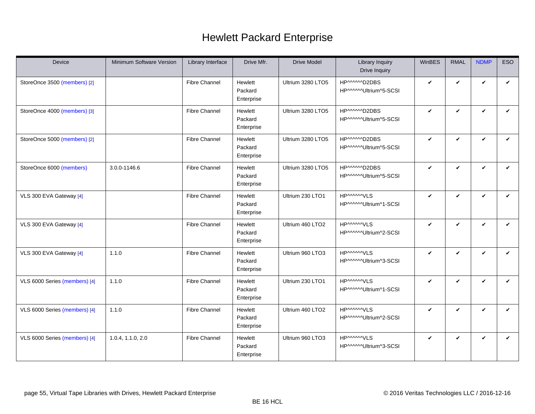# Hewlett Packard Enterprise

<span id="page-54-4"></span><span id="page-54-3"></span><span id="page-54-2"></span><span id="page-54-1"></span><span id="page-54-0"></span>

| Device                        | Minimum Software Version | Library Interface    | Drive Mfr.                       | <b>Drive Model</b> | Library Inquiry<br>Drive Inquiry           | WinBES       | <b>RMAL</b>  | <b>NDMP</b>  | <b>ESO</b>   |
|-------------------------------|--------------------------|----------------------|----------------------------------|--------------------|--------------------------------------------|--------------|--------------|--------------|--------------|
| StoreOnce 3500 (members) [2]  |                          | <b>Fibre Channel</b> | Hewlett<br>Packard<br>Enterprise | Ultrium 3280 LTO5  | HP^^^^^D2DBS<br>HP^^^^^Ultrium^5-SCSI      | $\checkmark$ | V            | $\checkmark$ | $\checkmark$ |
| StoreOnce 4000 (members) [3]  |                          | <b>Fibre Channel</b> | Hewlett<br>Packard<br>Enterprise | Ultrium 3280 LTO5  | HP^^^^^^D2DBS<br>HP^^^^^Ultrium^5-SCSI     | $\checkmark$ | V            | $\checkmark$ | V            |
| StoreOnce 5000 (members) [2]  |                          | <b>Fibre Channel</b> | Hewlett<br>Packard<br>Enterprise | Ultrium 3280 LTO5  | HP^^^^^D2DBS<br>HP^^^^^Ultrium^5-SCSI      | $\checkmark$ | V            | $\checkmark$ | V            |
| StoreOnce 6000 (members)      | 3.0.0-1146.6             | Fibre Channel        | Hewlett<br>Packard<br>Enterprise | Ultrium 3280 LTO5  | HP^^^^^D2DBS<br>HP^^^^^Ultrium^5-SCSI      | $\checkmark$ | V            | $\checkmark$ | $\checkmark$ |
| VLS 300 EVA Gateway [4]       |                          | <b>Fibre Channel</b> | Hewlett<br>Packard<br>Enterprise | Ultrium 230 LTO1   | <b>HPMMMVLS</b><br>HP^^^^^Ultrium^1-SCSI   | $\checkmark$ | $\checkmark$ | $\checkmark$ | $\checkmark$ |
| VLS 300 EVA Gateway [4]       |                          | <b>Fibre Channel</b> | Hewlett<br>Packard<br>Enterprise | Ultrium 460 LTO2   | <b>HPAAAAAVLS</b><br>HP^^^^^Ultrium^2-SCSI | $\checkmark$ | V            | $\checkmark$ | V            |
| VLS 300 EVA Gateway [4]       | 1.1.0                    | <b>Fibre Channel</b> | Hewlett<br>Packard<br>Enterprise | Ultrium 960 LTO3   | <b>HPMMMVLS</b><br>HP^^^^^Ultrium^3-SCSI   | $\checkmark$ | $\checkmark$ | $\checkmark$ | ✓            |
| VLS 6000 Series (members) [4] | 1.1.0                    | <b>Fibre Channel</b> | Hewlett<br>Packard<br>Enterprise | Ultrium 230 LTO1   | <b>HPMMMVLS</b><br>HP^^^^^Ultrium^1-SCSI   | $\checkmark$ | $\checkmark$ | $\checkmark$ | ✓            |
| VLS 6000 Series (members) [4] | 1.1.0                    | <b>Fibre Channel</b> | Hewlett<br>Packard<br>Enterprise | Ultrium 460 LTO2   | <b>HPMMMVLS</b><br>HP^^^^^Ultrium^2-SCSI   | $\checkmark$ | V            | $\checkmark$ | $\checkmark$ |
| VLS 6000 Series (members) [4] | 1.0.4, 1.1.0, 2.0        | <b>Fibre Channel</b> | Hewlett<br>Packard<br>Enterprise | Ultrium 960 LTO3   | <b>HPMMMVLS</b><br>HP^^^^^Ultrium^3-SCSI   | $\checkmark$ | V            | $\checkmark$ | $\checkmark$ |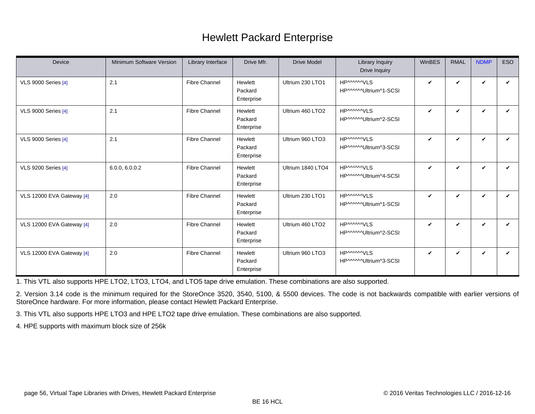# Hewlett Packard Enterprise

| Device                     | <b>Minimum Software Version</b> | Library Interface    | Drive Mfr.                       | <b>Drive Model</b> | Library Inquiry<br>Drive Inquiry            | WinBES       | <b>RMAL</b>  | <b>NDMP</b>  | <b>ESO</b> |
|----------------------------|---------------------------------|----------------------|----------------------------------|--------------------|---------------------------------------------|--------------|--------------|--------------|------------|
| <b>VLS 9000 Series [4]</b> | 2.1                             | <b>Fibre Channel</b> | Hewlett<br>Packard<br>Enterprise | Ultrium 230 LTO1   | <b>HP^^^^^VLS</b><br>HP^^^^^Ultrium^1-SCSI  | $\checkmark$ | ✓            | V            | ✓          |
| <b>VLS 9000 Series [4]</b> | 2.1                             | <b>Fibre Channel</b> | Hewlett<br>Packard<br>Enterprise | Ultrium 460 LTO2   | HPMMMVIS<br>HP^^^^^Ultrium^2-SCSI           | $\checkmark$ | V            | $\checkmark$ | ✓          |
| <b>VLS 9000 Series [4]</b> | 2.1                             | <b>Fibre Channel</b> | Hewlett<br>Packard<br>Enterprise | Ultrium 960 LTO3   | <b>HPMMMVLS</b><br>HP^^^^^Ultrium^3-SCSI    | $\checkmark$ | $\checkmark$ | $\checkmark$ | ✓          |
| <b>VLS 9200 Series [4]</b> | 6.0.0, 6.0.0.2                  | <b>Fibre Channel</b> | Hewlett<br>Packard<br>Enterprise | Ultrium 1840 LTO4  | <b>HP^^^^^VLS</b><br>HP^^^^^Ultrium^4-SCSI  | $\checkmark$ | $\checkmark$ | $\checkmark$ | V          |
| VLS 12000 EVA Gateway [4]  | 2.0                             | <b>Fibre Channel</b> | Hewlett<br>Packard<br>Enterprise | Ultrium 230 LTO1   | <b>HP^^^^^VLS</b><br>HP^^^^^Ultrium^1-SCSI  | $\checkmark$ | V            | V            | ✓          |
| VLS 12000 EVA Gateway [4]  | 2.0                             | <b>Fibre Channel</b> | Hewlett<br>Packard<br>Enterprise | Ultrium 460 LTO2   | <b>HP^^^^^VLS</b><br>HP^^^^^Ultrium^2-SCSI  | $\checkmark$ | V            | V            | ✓          |
| VLS 12000 EVA Gateway [4]  | 2.0                             | <b>Fibre Channel</b> | Hewlett<br>Packard<br>Enterprise | Ultrium 960 LTO3   | <b>HP^^^^^VLS</b><br>HP^^^^^^Ultrium^3-SCSI | $\checkmark$ | V            | $\checkmark$ | V          |

<span id="page-55-0"></span>1. This VTL also supports HPE LTO2, LTO3, LTO4, and LTO5 tape drive emulation. These combinations are also supported.

<span id="page-55-1"></span>2. Version 3.14 code is the minimum required for the StoreOnce 3520, 3540, 5100, & 5500 devices. The code is not backwards compatible with earlier versions of StoreOnce hardware. For more information, please contact Hewlett Packard Enterprise.

<span id="page-55-2"></span>3. This VTL also supports HPE LTO3 and HPE LTO2 tape drive emulation. These combinations are also supported.

<span id="page-55-3"></span>4. HPE supports with maximum block size of 256k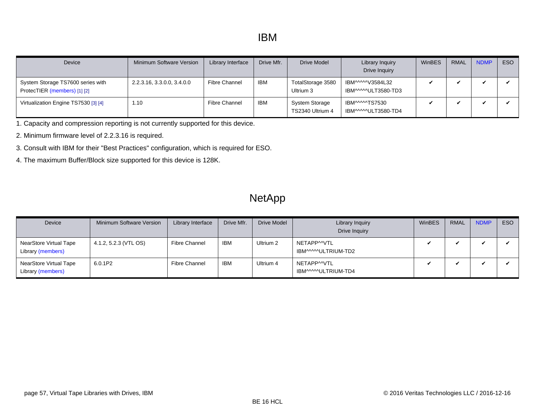<span id="page-56-5"></span><span id="page-56-0"></span>

| Device                                                            | Minimum Software Version   | Library Interface    | Drive Mfr. | Drive Model                               | Library Inquiry<br><b>Drive Inquiry</b> | <b>WinBES</b> | <b>RMAL</b> | <b>NDMP</b> | ESO |
|-------------------------------------------------------------------|----------------------------|----------------------|------------|-------------------------------------------|-----------------------------------------|---------------|-------------|-------------|-----|
| System Storage TS7600 series with<br>ProtecTIER (members) [1] [2] | 2.2.3.16, 3.3.0.0, 3.4.0.0 | <b>Fibre Channel</b> | IBM        | TotalStorage 3580<br>Ultrium 3            | IBM^^^^^V3584L32<br>IBM^^^^^ULT3580-TD3 |               |             |             |     |
| Virtualization Engine TS7530 [3] [4]                              | 1.10                       | <b>Fibre Channel</b> | <b>IBM</b> | <b>System Storage</b><br>TS2340 Ultrium 4 | IBM^^^^^TS7530<br>IBM^^^^^ULT3580-TD4   |               |             |             |     |

<span id="page-56-1"></span>1. Capacity and compression reporting is not currently supported for this device.

- <span id="page-56-2"></span>2. Minimum firmware level of 2.2.3.16 is required.
- <span id="page-56-3"></span>3. Consult with IBM for their "Best Practices" configuration, which is required for ESO.
- <span id="page-56-4"></span>4. The maximum Buffer/Block size supported for this device is 128K.

### **NetApp**

<span id="page-56-6"></span>

| Device                                      | Minimum Software Version | Library Interface | Drive Mfr. | <b>Drive Model</b> | Library Inquiry<br>Drive Inquiry   | WinBES | <b>RMAL</b> | <b>NDMP</b> | ESO |
|---------------------------------------------|--------------------------|-------------------|------------|--------------------|------------------------------------|--------|-------------|-------------|-----|
| NearStore Virtual Tape<br>Library (members) | 4.1.2, 5.2.3 (VTL OS)    | Fibre Channel     | <b>IBM</b> | Ultrium 2          | NETAPP^^VTL<br>IBM^^^^^ULTRIUM-TD2 |        |             |             |     |
| NearStore Virtual Tape<br>Library (members) | 6.0.1P2                  | Fibre Channel     | <b>IBM</b> | Ultrium 4          | NETAPP^^VTL<br>IBM^^^^^ULTRIUM-TD4 |        |             |             |     |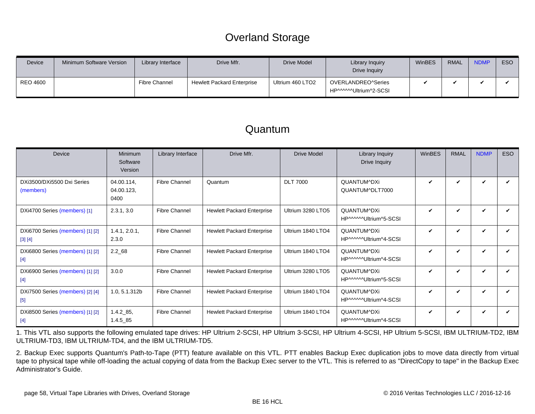# Overland Storage

<span id="page-57-0"></span>

| <b>Device</b>   | <b>Minimum Software Version</b> | Library Interface    | Drive Mfr.                        | Drive Model      | Library Inquiry<br>Drive Inquiry            | WinBES | <b>RMAL</b> | <b>NDMP</b> | ESO |
|-----------------|---------------------------------|----------------------|-----------------------------------|------------------|---------------------------------------------|--------|-------------|-------------|-----|
| <b>REO 4600</b> |                                 | <b>Fibre Channel</b> | <b>Hewlett Packard Enterprise</b> | Ultrium 460 LTO2 | OVERLANDREO^Series<br>HP^^^^^Ultrium^2-SCSI |        |             |             |     |

#### Quantum

<span id="page-57-5"></span><span id="page-57-4"></span><span id="page-57-3"></span>

| Device                                        | Minimum<br>Software<br>Version   | Library Interface    | Drive Mfr.                        | <b>Drive Model</b> | Library Inquiry<br>Drive Inquiry     | WinBES       | <b>RMAL</b> | <b>NDMP</b>        | <b>ESO</b> |
|-----------------------------------------------|----------------------------------|----------------------|-----------------------------------|--------------------|--------------------------------------|--------------|-------------|--------------------|------------|
| DXi3500/DXi5500 Dxi Series<br>(members)       | 04.00.114,<br>04.00.123,<br>0400 | <b>Fibre Channel</b> | Quantum                           | <b>DLT 7000</b>    | QUANTUM^DXi<br>QUANTUM^DLT7000       | $\checkmark$ | ✓           | V                  |            |
| DXi4700 Series (members) [1]                  | 2.3.1, 3.0                       | <b>Fibre Channel</b> | <b>Hewlett Packard Enterprise</b> | Ultrium 3280 LTO5  | QUANTUM^DXi<br>HP^^^^^Ultrium^5-SCSI | $\checkmark$ | V           | V                  |            |
| DXi6700 Series (members) [1] [2]<br>$[3] [4]$ | 1.4.1, 2.0.1,<br>2.3.0           | Fibre Channel        | <b>Hewlett Packard Enterprise</b> | Ultrium 1840 LTO4  | QUANTUM^DXi<br>HP^^^^^Ultrium^4-SCSI | $\checkmark$ | V           | V                  | ✓          |
| DXi6800 Series (members) [1] [2]<br>$[4]$     | $2.2\_68$                        | <b>Fibre Channel</b> | <b>Hewlett Packard Enterprise</b> | Ultrium 1840 LTO4  | QUANTUM^DXi<br>HP^^^^^Ultrium^4-SCSI | $\checkmark$ | ✓           | $\checkmark$       |            |
| DXi6900 Series (members) [1] [2]<br>$[4]$     | 3.0.0                            | <b>Fibre Channel</b> | <b>Hewlett Packard Enterprise</b> | Ultrium 3280 LTO5  | QUANTUM^DXi<br>HP^^^^^Ultrium^5-SCSI | $\checkmark$ | V           | V                  |            |
| DXi7500 Series (members) [2] [4]<br>$[5]$     | 1.0, 5.1.312b                    | <b>Fibre Channel</b> | <b>Hewlett Packard Enterprise</b> | Ultrium 1840 LTO4  | QUANTUM^DXi<br>HP^^^^^Ultrium^4-SCSI | $\checkmark$ | V           | V                  |            |
| DXi8500 Series (members) [1] [2]<br>$[4]$     | $1.4.2\_85$ ,<br>$1.4.5\_85$     | <b>Fibre Channel</b> | <b>Hewlett Packard Enterprise</b> | Ultrium 1840 LTO4  | QUANTUM^DXi<br>HP^^^^^Ultrium^4-SCSI | $\checkmark$ | V           | $\boldsymbol{\nu}$ |            |

<span id="page-57-9"></span><span id="page-57-8"></span><span id="page-57-7"></span><span id="page-57-6"></span><span id="page-57-1"></span>1. This VTL also supports the following emulated tape drives: HP Ultrium 2-SCSI, HP Ultrium 3-SCSI, HP Ultrium 4-SCSI, HP Ultrium 5-SCSI, IBM ULTRIUM-TD2, IBM ULTRIUM-TD3, IBM ULTRIUM-TD4, and the IBM ULTRIUM-TD5.

<span id="page-57-2"></span>2. Backup Exec supports Quantum's Path-to-Tape (PTT) feature available on this VTL. PTT enables Backup Exec duplication jobs to move data directly from virtual tape to physical tape while off-loading the actual copying of data from the Backup Exec server to the VTL. This is referred to as "DirectCopy to tape" in the Backup Exec Administrator's Guide.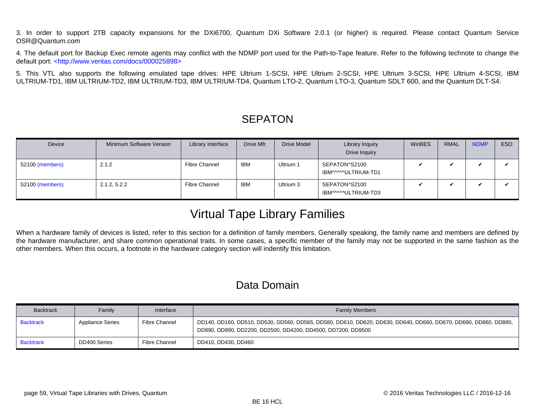<span id="page-58-3"></span><span id="page-58-0"></span>3. In order to support 2TB capacity expansions for the DXi6700, Quantum DXi Software 2.0.1 (or higher) is required. Please contact Quantum Service OSR@Quantum.com

<span id="page-58-4"></span>4. The default port for Backup Exec remote agents may conflict with the NDMP port used for the Path-to-Tape feature. Refer to the following technote to change the default port: [<http://www.veritas.com/docs/000025898>](http://www.veritas.com/docs/000025898)

<span id="page-58-5"></span>5. This VTL also supports the following emulated tape drives: HPE Ultrium 1-SCSI, HPE Ultrium 2-SCSI, HPE Ultrium 3-SCSI, HPE Ultrium 4-SCSI, IBM ULTRIUM-TD1, IBM ULTRIUM-TD2, IBM ULTRIUM-TD3, IBM ULTRIUM-TD4, Quantum LTO-2, Quantum LTO-3, Quantum SDLT 600, and the Quantum DLT-S4.

### **SEPATON**

<span id="page-58-6"></span>

| Device          | Minimum Software Version | Library Interface    | Drive Mfr. | <b>Drive Model</b> | Library Inquiry<br>Drive Inquiry     | WinBES | <b>RMAL</b> | <b>NDMP</b> | ESO |
|-----------------|--------------------------|----------------------|------------|--------------------|--------------------------------------|--------|-------------|-------------|-----|
| S2100 (members) | 2.1.2                    | <b>Fibre Channel</b> | IBM        | Ultrium 1          | SEPATON^S2100<br>IBM^^^^^ULTRIUM-TD1 |        |             |             |     |
| S2100 (members) | 2.1.2, 5.2.2             | <b>Fibre Channel</b> | <b>IBM</b> | Ultrium 3          | SEPATON^S2100<br>IBM^^^^^ULTRIUM-TD3 |        |             |             |     |

# Virtual Tape Library Families

When a hardware family of devices is listed, refer to this section for a definition of family members. Generally speaking, the family name and members are defined by the hardware manufacturer, and share common operational traits. In some cases, a specific member of the family may not be supported in the same fashion as the other members. When this occurs, a footnote in the hardware category section will indentify this limitation.

# Data Domain

<span id="page-58-2"></span><span id="page-58-1"></span>

| <b>Backtrack</b> | Family                  | Interface            | <b>Family Members</b>                                                                                                                                                             |
|------------------|-------------------------|----------------------|-----------------------------------------------------------------------------------------------------------------------------------------------------------------------------------|
| <b>Backtrack</b> | <b>Appliance Series</b> | <b>Fibre Channel</b> | DD140, DD160, DD510, DD530, DD560, DD565, DD580, DD610, DD620, DD630, DD640, DD660, DD670, DD690, DD860, DD880, U<br>DD890, DD990, DD2200, DD2500, DD4200, DD4500, DD7200, DD9500 |
| <b>Backtrack</b> | DD400 Series            | <b>Fibre Channel</b> | DD410, DD430, DD460                                                                                                                                                               |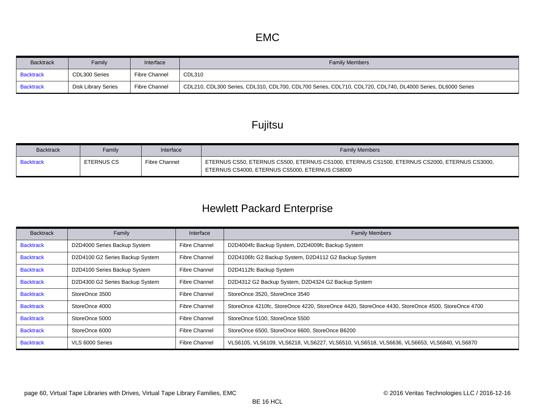<span id="page-59-1"></span><span id="page-59-0"></span>

| <b>Backtrack</b> | Family              | Interface            | <b>Family Members</b>                                                                                      |
|------------------|---------------------|----------------------|------------------------------------------------------------------------------------------------------------|
| <b>Backtrack</b> | CDL300 Series       | <b>Fibre Channel</b> | CDL310                                                                                                     |
| <b>Backtrack</b> | Disk Library Series | Fibre Channel        | CDL210, CDL300 Series, CDL310, CDL700, CDL700 Series, CDL710, CDL720, CDL740, DL4000 Series, DL6000 Series |

# Fujitsu

<span id="page-59-2"></span>

| <b>Backtrack</b> | Family     | Interface            | <b>Family Members</b>                                                                                                                           |
|------------------|------------|----------------------|-------------------------------------------------------------------------------------------------------------------------------------------------|
| <b>Backtrack</b> | ETERNUS CS | <b>Fibre Channel</b> | 「ETERNUS CS50, ETERNUS CS500, ETERNUS CS1000, ETERNUS CS1500, ETERNUS CS2000, ETERNUS CS3000,<br>ETERNUS CS4000, ETERNUS CS5000, ETERNUS CS8000 |

# Hewlett Packard Enterprise

<span id="page-59-11"></span><span id="page-59-10"></span><span id="page-59-9"></span><span id="page-59-8"></span><span id="page-59-7"></span><span id="page-59-6"></span><span id="page-59-5"></span><span id="page-59-4"></span><span id="page-59-3"></span>

| <b>Backtrack</b> | Family                          | Interface            | <b>Family Members</b>                                                                            |
|------------------|---------------------------------|----------------------|--------------------------------------------------------------------------------------------------|
| <b>Backtrack</b> | D2D4000 Series Backup System    | Fibre Channel        | D2D4004fc Backup System, D2D4009fc Backup System                                                 |
| <b>Backtrack</b> | D2D4100 G2 Series Backup System | <b>Fibre Channel</b> | D2D4106fc G2 Backup System, D2D4112 G2 Backup System                                             |
| <b>Backtrack</b> | D2D4100 Series Backup System    | Fibre Channel        | D2D4112fc Backup System                                                                          |
| <b>Backtrack</b> | D2D4300 G2 Series Backup System | <b>Fibre Channel</b> | D2D4312 G2 Backup System, D2D4324 G2 Backup System                                               |
| <b>Backtrack</b> | StoreOnce 3500                  | <b>Fibre Channel</b> | StoreOnce 3520, StoreOnce 3540                                                                   |
| <b>Backtrack</b> | StoreOnce 4000                  | <b>Fibre Channel</b> | StoreOnce 4210fc, StoreOnce 4220, StoreOnce 4420, StoreOnce 4430, StoreOnce 4500, StoreOnce 4700 |
| <b>Backtrack</b> | StoreOnce 5000                  | <b>Fibre Channel</b> | StoreOnce 5100, StoreOnce 5500                                                                   |
| <b>Backtrack</b> | StoreOnce 6000                  | <b>Fibre Channel</b> | StoreOnce 6500, StoreOnce 6600, StoreOnce B6200                                                  |
| <b>Backtrack</b> | VLS 6000 Series                 | Fibre Channel        | VLS6105, VLS6109, VLS6218, VLS6227, VLS6510, VLS6518, VLS6636, VLS6653, VLS6840, VLS6870         |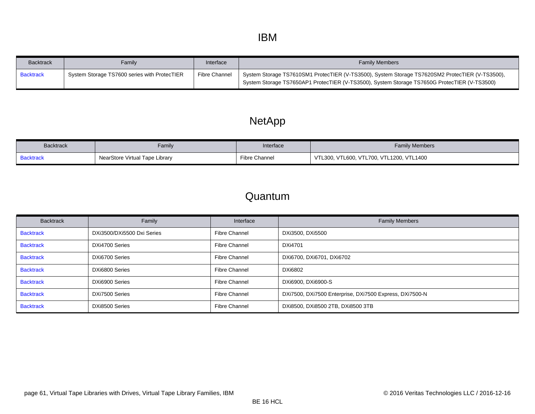### IBM

<span id="page-60-0"></span>

| <b>Backtrack</b> | Family                                       | Interface     | <b>Family Members</b>                                                                                                                                                                           |
|------------------|----------------------------------------------|---------------|-------------------------------------------------------------------------------------------------------------------------------------------------------------------------------------------------|
| <b>Backtrack</b> | System Storage TS7600 series with ProtecTIER | Fibre Channel | System Storage TS7610SM1 ProtecTIER (V-TS3500), System Storage TS7620SM2 ProtecTIER (V-TS3500),<br>System Storage TS7650AP1 ProtecTIER (V-TS3500), System Storage TS7650G ProtecTIER (V-TS3500) |

# NetApp

<span id="page-60-1"></span>

| <b>Backtrack</b> | Family                         | Interface     | <b>Family Members</b>                    |
|------------------|--------------------------------|---------------|------------------------------------------|
| <b>Backtrack</b> | NearStore Virtual Tape Library | Fibre Channel | VTL300, VTL600, VTL700, VTL1200, VTL1400 |

#### Quantum

<span id="page-60-8"></span><span id="page-60-7"></span><span id="page-60-6"></span><span id="page-60-5"></span><span id="page-60-4"></span><span id="page-60-3"></span><span id="page-60-2"></span>

| <b>Backtrack</b> | Family                     | Interface            | <b>Family Members</b>                                   |
|------------------|----------------------------|----------------------|---------------------------------------------------------|
| <b>Backtrack</b> | DXi3500/DXi5500 Dxi Series | <b>Fibre Channel</b> | DXi3500, DXi5500                                        |
| <b>Backtrack</b> | DXi4700 Series             | <b>Fibre Channel</b> | <b>DXi4701</b>                                          |
| <b>Backtrack</b> | DXi6700 Series             | <b>Fibre Channel</b> | DXi6700, DXi6701, DXi6702                               |
| <b>Backtrack</b> | DXi6800 Series             | <b>Fibre Channel</b> | DXi6802                                                 |
| <b>Backtrack</b> | DXi6900 Series             | <b>Fibre Channel</b> | DXi6900, DXi6900-S                                      |
| <b>Backtrack</b> | DXi7500 Series             | <b>Fibre Channel</b> | DXi7500, DXi7500 Enterprise, DXi7500 Express, DXi7500-N |
| <b>Backtrack</b> | DXi8500 Series             | <b>Fibre Channel</b> | DXi8500, DXi8500 2TB, DXi8500 3TB                       |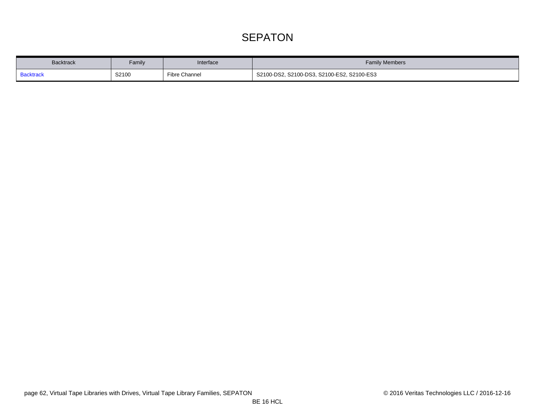# **SEPATON**

<span id="page-61-0"></span>

| <b>Backtrack</b> | Family | Interface     | <b>Family Members</b>                      |
|------------------|--------|---------------|--------------------------------------------|
| <b>Backtrack</b> | S2100  | Fibre Channel | S2100-DS2, S2100-DS3, S2100-ES2, S2100-ES3 |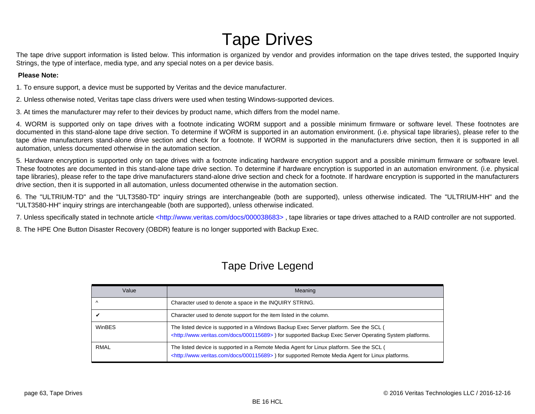# Tape Drives

The tape drive support information is listed below. This information is organized by vendor and provides information on the tape drives tested, the supported Inquiry Strings, the type of interface, media type, and any special notes on a per device basis.

#### **Please Note:**

1. To ensure support, a device must be supported by Veritas and the device manufacturer.

2. Unless otherwise noted, Veritas tape class drivers were used when testing Windows-supported devices.

3. At times the manufacturer may refer to their devices by product name, which differs from the model name.

4. WORM is supported only on tape drives with a footnote indicating WORM support and a possible minimum firmware or software level. These footnotes are documented in this stand-alone tape drive section. To determine if WORM is supported in an automation environment. (i.e. physical tape libraries), please refer to the tape drive manufacturers stand-alone drive section and check for a footnote. If WORM is supported in the manufacturers drive section, then it is supported in all automation, unless documented otherwise in the automation section.

5. Hardware encryption is supported only on tape drives with a footnote indicating hardware encryption support and a possible minimum firmware or software level. These footnotes are documented in this stand-alone tape drive section. To determine if hardware encryption is supported in an automation environment. (i.e. physical tape libraries), please refer to the tape drive manufacturers stand-alone drive section and check for a footnote. If hardware encryption is supported in the manufacturers drive section, then it is supported in all automation, unless documented otherwise in the automation section.

6. The "ULTRIUM-TD" and the "ULT3580-TD" inquiry strings are interchangeable (both are supported), unless otherwise indicated. The "ULTRIUM-HH" and the "ULT3580-HH" inquiry strings are interchangeable (both are supported), unless otherwise indicated.

7. Unless specifically stated in technote article <http://www.veritas.com/docs/000038683>, tape libraries or tape drives attached to a RAID controller are not supported.

8. The HPE One Button Disaster Recovery (OBDR) feature is no longer supported with Backup Exec.

### Tape Drive Legend

| Value         | Meaning                                                                                                                                                                                                         |
|---------------|-----------------------------------------------------------------------------------------------------------------------------------------------------------------------------------------------------------------|
|               | Character used to denote a space in the INQUIRY STRING.                                                                                                                                                         |
|               | Character used to denote support for the item listed in the column.                                                                                                                                             |
| <b>WinBES</b> | The listed device is supported in a Windows Backup Exec Server platform. See the SCL (<br><http: 000115689="" docs="" www.veritas.com="">) for supported Backup Exec Server Operating System platforms.</http:> |
| <b>RMAL</b>   | The listed device is supported in a Remote Media Agent for Linux platform. See the SCL (<br><http: 000115689="" docs="" www.veritas.com="">) for supported Remote Media Agent for Linux platforms.</http:>      |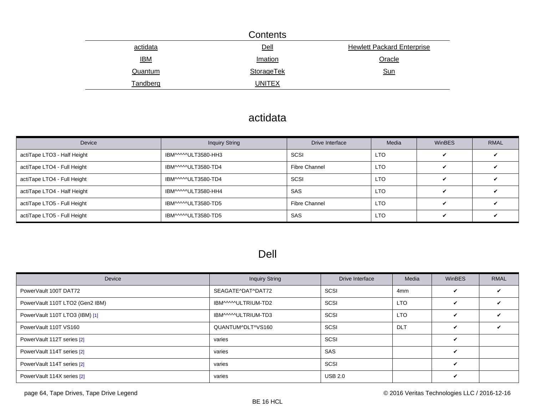|                 | Contents          |                                   |
|-----------------|-------------------|-----------------------------------|
| actidata        | Dell              | <b>Hewlett Packard Enterprise</b> |
| <u>IBM</u>      | Imation           | Oracle                            |
| Quantum         | <b>StorageTek</b> | <b>Sun</b>                        |
| <u>Tandberg</u> | <b>UNITEX</b>     |                                   |

# actidata

| Device                      | <b>Inquiry String</b> | Drive Interface      | Media           | <b>WinBES</b> | <b>RMAL</b> |
|-----------------------------|-----------------------|----------------------|-----------------|---------------|-------------|
| actiTape LTO3 - Half Height | IBM^^^^^ULT3580-HH3   | SCSI                 | LTO <sub></sub> |               |             |
| actiTape LTO4 - Full Height | IBM^^^^^ULT3580-TD4   | <b>Fibre Channel</b> | LTO <sub></sub> |               |             |
| actiTape LTO4 - Full Height | IBM^^^^^ULT3580-TD4   | SCSI                 | <b>LTO</b>      |               |             |
| actiTape LTO4 - Half Height | IBM^^^^^ULT3580-HH4   | <b>SAS</b>           | LTO <sub></sub> |               |             |
| actiTape LTO5 - Full Height | IBM^^^^ULT3580-TD5    | Fibre Channel        | <b>LTO</b>      | ✔             |             |
| actiTape LTO5 - Full Height | IBM^^^^^ULT3580-TD5   | <b>SAS</b>           | LTO <sub></sub> | ✔             |             |

# Dell

| Device                          | <b>Inquiry String</b> | Drive Interface | Media           | <b>WinBES</b>              | <b>RMAL</b>        |
|---------------------------------|-----------------------|-----------------|-----------------|----------------------------|--------------------|
| PowerVault 100T DAT72           | SEAGATE^DAT^DAT72     | SCSI            | 4 <sub>mm</sub> | ✓                          | ✓                  |
| PowerVault 110T LTO2 (Gen2 IBM) | IBM^^^^^ULTRIUM-TD2   | SCSI            | <b>LTO</b>      | ✓                          | $\boldsymbol{\nu}$ |
| PowerVault 110T LTO3 (IBM) [1]  | IBM^^^^^ULTRIUM-TD3   | SCSI            | <b>LTO</b>      | ✓                          | ╯                  |
| PowerVault 110T VS160           | QUANTUM^DLT^VS160     | SCSI            | <b>DLT</b>      | ✔                          | ັ                  |
| PowerVault 112T series [2]      | varies                | SCSI            |                 | $\boldsymbol{\mathcal{U}}$ |                    |
| PowerVault 114T series [2]      | varies                | SAS             |                 | $\boldsymbol{\nu}$         |                    |
| PowerVault 114T series [2]      | varies                | SCSI            |                 | $\boldsymbol{\nu}$         |                    |
| PowerVault 114X series [2]      | varies                | <b>USB 2.0</b>  |                 | ✔                          |                    |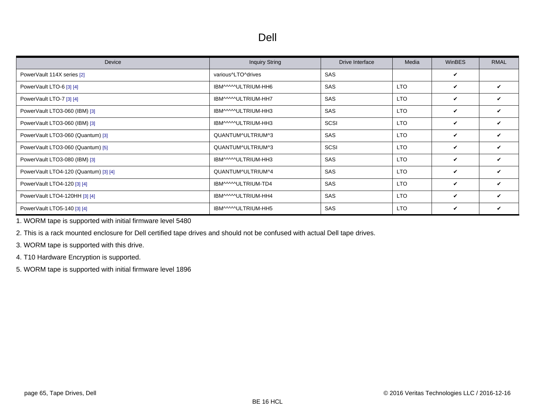### Dell

| Device                                | <b>Inquiry String</b> | Drive Interface | Media      | <b>WinBES</b> | <b>RMAL</b> |
|---------------------------------------|-----------------------|-----------------|------------|---------------|-------------|
| PowerVault 114X series [2]            | various^LTO^drives    | <b>SAS</b>      |            | V             |             |
| PowerVault LTO-6 [3] [4]              | IBM^^^^^ULTRIUM-HH6   | <b>SAS</b>      | <b>LTO</b> | V             | V           |
| PowerVault LTO-7 [3] [4]              | IBM^^^^^ULTRIUM-HH7   | <b>SAS</b>      | <b>LTO</b> | V             | V           |
| PowerVault LTO3-060 (IBM) [3]         | IBM^^^^ULTRIUM-HH3    | SAS             | <b>LTO</b> | V             | V           |
| PowerVault LTO3-060 (IBM) [3]         | IBM^^^^^ULTRIUM-HH3   | <b>SCSI</b>     | <b>LTO</b> | V             | V           |
| PowerVault LTO3-060 (Quantum) [3]     | QUANTUM^ULTRIUM^3     | <b>SAS</b>      | <b>LTO</b> | $\mathbf v$   | V           |
| PowerVault LTO3-060 (Quantum) [5]     | QUANTUM^ULTRIUM^3     | <b>SCSI</b>     | <b>LTO</b> | V             | V           |
| PowerVault LTO3-080 (IBM) [3]         | IBM^^^^ULTRIUM-HH3    | <b>SAS</b>      | <b>LTO</b> | V             | V           |
| PowerVault LTO4-120 (Quantum) [3] [4] | QUANTUM^ULTRIUM^4     | <b>SAS</b>      | <b>LTO</b> | $\mathbf v$   | V           |
| PowerVault LTO4-120 [3] [4]           | IBM^^^^^ULTRIUM-TD4   | <b>SAS</b>      | <b>LTO</b> | V             | ✓           |
| PowerVault LTO4-120HH [3] [4]         | IBM^^^^^ULTRIUM-HH4   | SAS             | <b>LTO</b> | V             | V           |
| PowerVault LTO5-140 [3] [4]           | IBM^^^^^ULTRIUM-HH5   | SAS             | <b>LTO</b> | V             | V           |

<span id="page-64-0"></span>1. WORM tape is supported with initial firmware level 5480

<span id="page-64-1"></span>2. This is a rack mounted enclosure for Dell certified tape drives and should not be confused with actual Dell tape drives.

<span id="page-64-2"></span>3. WORM tape is supported with this drive.

<span id="page-64-3"></span>4. T10 Hardware Encryption is supported.

<span id="page-64-4"></span>5. WORM tape is supported with initial firmware level 1896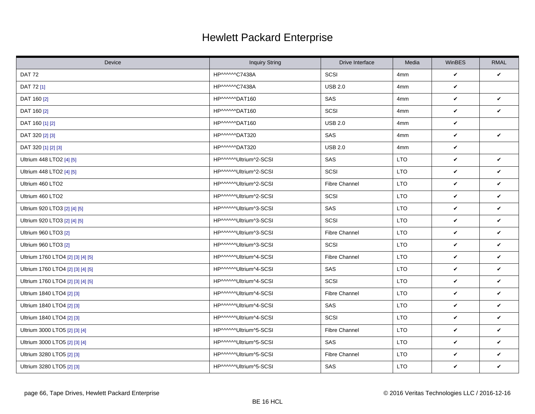# Hewlett Packard Enterprise

<span id="page-65-0"></span>

| Device                            | <b>Inquiry String</b> | Drive Interface      | Media      | WinBES       | <b>RMAL</b> |
|-----------------------------------|-----------------------|----------------------|------------|--------------|-------------|
| <b>DAT 72</b>                     | HP^^^^^^C7438A        | SCSI                 | 4mm        | $\checkmark$ | V           |
| DAT 72 [1]                        | HP^^^^^^C7438A        | <b>USB 2.0</b>       | 4mm        | $\checkmark$ |             |
| DAT 160 [2]                       | HP^^^^^DAT160         | SAS                  | 4mm        | V            | V           |
| DAT 160 [2]                       | HP^^^^^DAT160         | SCSI                 | 4mm        | V            | V           |
| DAT 160 [1] [2]                   | HP^^^^^^DAT160        | <b>USB 2.0</b>       | 4mm        | V            |             |
| DAT 320 [2] [3]                   | HP^^^^^^DAT320        | SAS                  | 4mm        | $\checkmark$ | V           |
| DAT 320 [1] [2] [3]               | HP^^^^^DAT320         | <b>USB 2.0</b>       | 4mm        | V            |             |
| Ultrium 448 LTO2 [4] [5]          | HP^^^^^Ultrium^2-SCSI | SAS                  | <b>LTO</b> | V            | V           |
| Ultrium 448 LTO2 [4] [5]          | HP^^^^^Ultrium^2-SCSI | SCSI                 | <b>LTO</b> | V            | V           |
| Ultrium 460 LTO2                  | HP^^^^^Ultrium^2-SCSI | <b>Fibre Channel</b> | <b>LTO</b> | $\checkmark$ | V           |
| Ultrium 460 LTO2                  | HP^^^^^Ultrium^2-SCSI | SCSI                 | <b>LTO</b> | V            | V           |
| Ultrium 920 LTO3 [2] [4] [5]      | HP^^^^^Ultrium^3-SCSI | SAS                  | <b>LTO</b> | $\checkmark$ | V           |
| Ultrium 920 LTO3 [2] [4] [5]      | HP^^^^^Ultrium^3-SCSI | SCSI                 | <b>LTO</b> | V            | V           |
| Ultrium 960 LTO3 [2]              | HP^^^^^Ultrium^3-SCSI | <b>Fibre Channel</b> | <b>LTO</b> | V            | V           |
| Ultrium 960 LTO3 [2]              | HP^^^^^Ultrium^3-SCSI | SCSI                 | <b>LTO</b> | V            | V           |
| Ultrium 1760 LTO4 [2] [3] [4] [5] | HP^^^^^Ultrium^4-SCSI | <b>Fibre Channel</b> | <b>LTO</b> | V            | V           |
| Ultrium 1760 LTO4 [2] [3] [4] [5] | HP^^^^^Ultrium^4-SCSI | SAS                  | <b>LTO</b> | $\checkmark$ | V           |
| Ultrium 1760 LTO4 [2] [3] [4] [5] | HP^^^^^Ultrium^4-SCSI | SCSI                 | <b>LTO</b> | V            | V           |
| Ultrium 1840 LTO4 [2] [3]         | HP^^^^^Ultrium^4-SCSI | <b>Fibre Channel</b> | <b>LTO</b> | V            | V           |
| Ultrium 1840 LTO4 [2] [3]         | HP^^^^^Ultrium^4-SCSI | SAS                  | <b>LTO</b> | V            | V           |
| Ultrium 1840 LTO4 [2] [3]         | HP^^^^^Ultrium^4-SCSI | SCSI                 | <b>LTO</b> | V            | V           |
| Ultrium 3000 LTO5 [2] [3] [4]     | HP^^^^^Ultrium^5-SCSI | <b>Fibre Channel</b> | <b>LTO</b> | V            | V           |
| Ultrium 3000 LTO5 [2] [3] [4]     | HP^^^^^Ultrium^5-SCSI | SAS                  | <b>LTO</b> | V            | V           |
| Ultrium 3280 LTO5 [2] [3]         | HP^^^^^Ultrium^5-SCSI | <b>Fibre Channel</b> | <b>LTO</b> | $\checkmark$ | V           |
| Ultrium 3280 LTO5 [2] [3]         | HP^^^^^Ultrium^5-SCSI | SAS                  | <b>LTO</b> | V            | V           |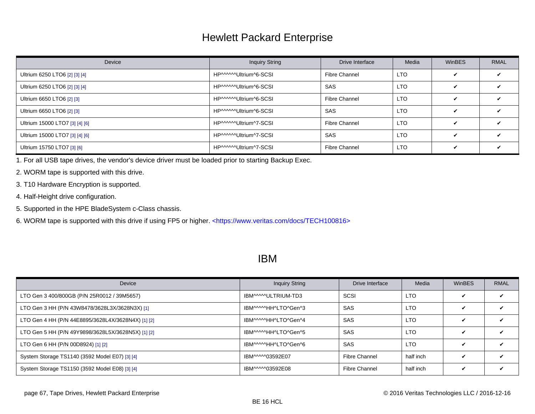### Hewlett Packard Enterprise

<span id="page-66-0"></span>

| Device                         | <b>Inquiry String</b> | Drive Interface      | Media      | WinBES                  | <b>RMAL</b> |
|--------------------------------|-----------------------|----------------------|------------|-------------------------|-------------|
| Ultrium 6250 LTO6 [2] [3] [4]  | HP^^^^^Ultrium^6-SCSI | Fibre Channel        | <b>LTO</b> | ✔                       |             |
| Ultrium 6250 LTO6 [2] [3] [4]  | HP^^^^^Ultrium^6-SCSI | SAS                  | <b>LTO</b> | ✓                       |             |
| Ultrium 6650 LTO6 [2] [3]      | HP^^^^^Ultrium^6-SCSI | Fibre Channel        | <b>LTO</b> | ✔                       |             |
| Ultrium 6650 LTO6 [2] [3]      | HP^^^^^Ultrium^6-SCSI | <b>SAS</b>           | <b>LTO</b> | ✔                       |             |
| Ultrium 15000 LTO7 [3] [4] [6] | HP^^^^^Ultrium^7-SCSI | <b>Fibre Channel</b> | <b>LTO</b> | ✓                       |             |
| Ultrium 15000 LTO7 [3] [4] [6] | HP^^^^^Ultrium^7-SCSI | <b>SAS</b>           | <b>LTO</b> | $\overline{\mathbf{v}}$ |             |
| Ultrium 15750 LTO7 [3] [6]     | HP^^^^^Ultrium^7-SCSI | <b>Fibre Channel</b> | <b>LTO</b> | ✔                       |             |

<span id="page-66-1"></span>1. For all USB tape drives, the vendor's device driver must be loaded prior to starting Backup Exec.

<span id="page-66-2"></span>2. WORM tape is supported with this drive.

- <span id="page-66-3"></span>3. T10 Hardware Encryption is supported.
- <span id="page-66-4"></span>4. Half-Height drive configuration.

<span id="page-66-5"></span>5. Supported in the HPE BladeSystem c-Class chassis.

<span id="page-66-6"></span>6. WORM tape is supported with this drive if using FP5 or higher. [<https://www.veritas.com/docs/TECH100816>](https://www.veritas.com/docs/TECH100816)

#### IBM

| Device                                             | <b>Inquiry String</b> | Drive Interface | Media      | WinBES | <b>RMAL</b> |
|----------------------------------------------------|-----------------------|-----------------|------------|--------|-------------|
| LTO Gen 3 400/800GB (P/N 25R0012 / 39M5657)        | IBM^^^^ULTRIUM-TD3    | SCSI            | <b>LTO</b> |        |             |
| LTO Gen 3 HH (P/N 43W8478/3628L3X/3628N3X) [1]     | IBM^^^^^HH^LTO^Gen^3  | <b>SAS</b>      | <b>LTO</b> | ✔      |             |
| LTO Gen 4 HH (P/N 44E8895/3628L4X/3628N4X) [1] [2] | IBM^^^^^HH^LTO^Gen^4  | <b>SAS</b>      | <b>LTO</b> | ✔      |             |
| LTO Gen 5 HH (P/N 49Y9898/3628L5X/3628N5X) [1] [2] | IBM^^^^^HH^LTO^Gen^5  | <b>SAS</b>      | <b>LTO</b> | ✔      |             |
| LTO Gen 6 HH (P/N 00D8924) [1] [2]                 | IBM^^^^^HH^LTO^Gen^6  | <b>SAS</b>      | <b>LTO</b> | ✔      |             |
| System Storage TS1140 (3592 Model E07) [3] [4]     | IBM^^^^^03592E07      | Fibre Channel   | half inch  | ✓      |             |
| System Storage TS1150 (3592 Model E08) [3] [4]     | IBM^^^^^03592E08      | Fibre Channel   | half inch  | ✓      | ✔           |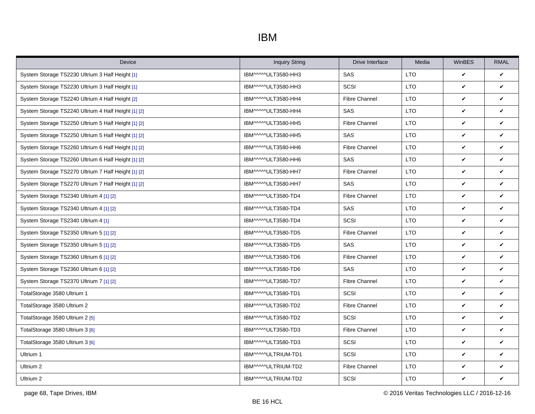# IBM

| Device                                              | <b>Inquiry String</b> | Drive Interface      | Media      | <b>WinBES</b> | <b>RMAL</b>  |
|-----------------------------------------------------|-----------------------|----------------------|------------|---------------|--------------|
| System Storage TS2230 Ultrium 3 Half Height [1]     | IBM^^^^ULT3580-HH3    | <b>SAS</b>           | <b>LTO</b> | $\checkmark$  | $\checkmark$ |
| System Storage TS2230 Ultrium 3 Half Height [1]     | IBM^^^^ULT3580-HH3    | SCSI                 | <b>LTO</b> | $\checkmark$  | ✓            |
| System Storage TS2240 Ultrium 4 Half Height [2]     | IBM^^^^ULT3580-HH4    | <b>Fibre Channel</b> | <b>LTO</b> | $\checkmark$  | ✓            |
| System Storage TS2240 Ultrium 4 Half Height [1] [2] | IBM^^^^ULT3580-HH4    | SAS                  | <b>LTO</b> | $\checkmark$  | ✓            |
| System Storage TS2250 Ultrium 5 Half Height [1] [2] | IBM^^^^ULT3580-HH5    | <b>Fibre Channel</b> | <b>LTO</b> | $\checkmark$  | ✓            |
| System Storage TS2250 Ultrium 5 Half Height [1] [2] | IBM^^^^ULT3580-HH5    | <b>SAS</b>           | <b>LTO</b> | $\checkmark$  | ✓            |
| System Storage TS2260 Ultrium 6 Half Height [1] [2] | IBM^^^^ULT3580-HH6    | <b>Fibre Channel</b> | <b>LTO</b> | $\checkmark$  | ✓            |
| System Storage TS2260 Ultrium 6 Half Height [1] [2] | IBM^^^^ULT3580-HH6    | SAS                  | <b>LTO</b> | $\checkmark$  | V            |
| System Storage TS2270 Ultrium 7 Half Height [1] [2] | IBM^^^^ULT3580-HH7    | <b>Fibre Channel</b> | LTO        | $\checkmark$  | V            |
| System Storage TS2270 Ultrium 7 Half Height [1] [2] | IBM^^^^ULT3580-HH7    | SAS                  | <b>LTO</b> | $\checkmark$  | V            |
| System Storage TS2340 Ultrium 4 [1] [2]             | IBM^^^^^ULT3580-TD4   | <b>Fibre Channel</b> | <b>LTO</b> | $\checkmark$  | V            |
| System Storage TS2340 Ultrium 4 [1] [2]             | IBM^^^^ULT3580-TD4    | SAS                  | <b>LTO</b> | $\checkmark$  | V            |
| System Storage TS2340 Ultrium 4 [1]                 | IBM^^^^^ULT3580-TD4   | SCSI                 | <b>LTO</b> | $\checkmark$  | V            |
| System Storage TS2350 Ultrium 5 [1] [2]             | IBM^^^^ULT3580-TD5    | <b>Fibre Channel</b> | <b>LTO</b> | $\checkmark$  | ✓            |
| System Storage TS2350 Ultrium 5 [1] [2]             | IBM^^^^ULT3580-TD5    | SAS                  | <b>LTO</b> | $\checkmark$  | ✓            |
| System Storage TS2360 Ultrium 6 [1] [2]             | IBM^^^^ULT3580-TD6    | <b>Fibre Channel</b> | <b>LTO</b> | $\checkmark$  | ✓            |
| System Storage TS2360 Ultrium 6 [1] [2]             | IBM^^^^ULT3580-TD6    | SAS                  | <b>LTO</b> | $\checkmark$  | ✓            |
| System Storage TS2370 Ultrium 7 [1] [2]             | IBM^^^^ULT3580-TD7    | <b>Fibre Channel</b> | <b>LTO</b> | $\checkmark$  | ✓            |
| TotalStorage 3580 Ultrium 1                         | IBM^^^^ULT3580-TD1    | SCSI                 | <b>LTO</b> | $\checkmark$  | ✓            |
| TotalStorage 3580 Ultrium 2                         | IBM^^^^ULT3580-TD2    | Fibre Channel        | <b>LTO</b> | $\checkmark$  | ✓            |
| TotalStorage 3580 Ultrium 2 [5]                     | IBM^^^^ULT3580-TD2    | SCSI                 | <b>LTO</b> | $\checkmark$  | V            |
| TotalStorage 3580 Ultrium 3 [6]                     | IBM^^^^ULT3580-TD3    | <b>Fibre Channel</b> | <b>LTO</b> | $\checkmark$  | ✓            |
| TotalStorage 3580 Ultrium 3 [6]                     | IBM^^^^ULT3580-TD3    | SCSI                 | <b>LTO</b> | $\checkmark$  | ✓            |
| Ultrium 1                                           | IBM^^^^ULTRIUM-TD1    | SCSI                 | <b>LTO</b> | $\checkmark$  | V            |
| Ultrium 2                                           | IBM^^^^ULTRIUM-TD2    | <b>Fibre Channel</b> | <b>LTO</b> | $\checkmark$  | V            |
| Ultrium 2                                           | IBM^^^^ULTRIUM-TD2    | SCSI                 | <b>LTO</b> | $\checkmark$  | V            |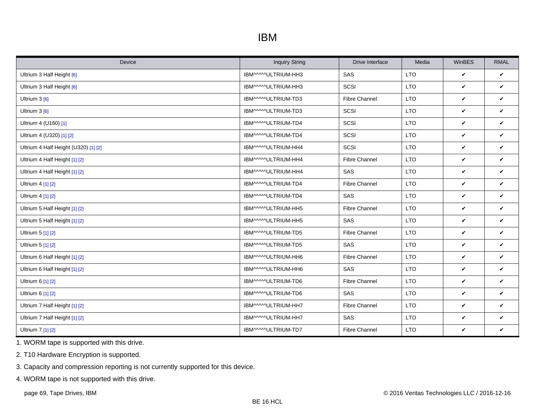### IBM

| Device                               | <b>Inquiry String</b> | Drive Interface      | Media      | WinBES       | <b>RMAL</b>  |
|--------------------------------------|-----------------------|----------------------|------------|--------------|--------------|
| Ultrium 3 Half Height [6]            | IBM^^^^ULTRIUM-HH3    | SAS                  | <b>LTO</b> | $\checkmark$ | $\checkmark$ |
| Ultrium 3 Half Height [6]            | IBM^^^^ULTRIUM-HH3    | SCSI                 | <b>LTO</b> | $\checkmark$ | $\checkmark$ |
| Ultrium 3 [6]                        | IBM^^^^ULTRIUM-TD3    | <b>Fibre Channel</b> | <b>LTO</b> | $\checkmark$ | $\checkmark$ |
| Ultrium 3 [6]                        | IBM^^^^^ULTRIUM-TD3   | SCSI                 | <b>LTO</b> | $\checkmark$ | $\checkmark$ |
| Ultrium 4 (U160) [1]                 | IBM^^^^ULTRIUM-TD4    | SCSI                 | <b>LTO</b> | $\checkmark$ | $\checkmark$ |
| Ultrium 4 (U320) [1] [2]             | IBM^^^^ULTRIUM-TD4    | SCSI                 | <b>LTO</b> | $\checkmark$ | $\checkmark$ |
| Ultrium 4 Half Height (U320) [1] [2] | IBM^^^^^ULTRIUM-HH4   | SCSI                 | <b>LTO</b> | $\checkmark$ | $\checkmark$ |
| Ultrium 4 Half Height [1] [2]        | IBM^^^^^ULTRIUM-HH4   | <b>Fibre Channel</b> | <b>LTO</b> | $\checkmark$ | $\checkmark$ |
| Ultrium 4 Half Height [1] [2]        | IBM^^^^^ULTRIUM-HH4   | SAS                  | <b>LTO</b> | $\checkmark$ | $\checkmark$ |
| Ultrium 4 [1] [2]                    | IBM^^^^^ULTRIUM-TD4   | <b>Fibre Channel</b> | <b>LTO</b> | $\checkmark$ | $\checkmark$ |
| Ultrium 4 [1] [2]                    | IBM^^^^ULTRIUM-TD4    | <b>SAS</b>           | <b>LTO</b> | $\checkmark$ | V            |
| Ultrium 5 Half Height [1] [2]        | IBM^^^^ULTRIUM-HH5    | <b>Fibre Channel</b> | <b>LTO</b> | $\checkmark$ | $\checkmark$ |
| Ultrium 5 Half Height [1] [2]        | IBM^^^^ULTRIUM-HH5    | SAS                  | <b>LTO</b> | $\checkmark$ | $\checkmark$ |
| Ultrium 5 [1] [2]                    | IBM^^^^ULTRIUM-TD5    | Fibre Channel        | <b>LTO</b> | $\checkmark$ | $\checkmark$ |
| Ultrium 5 [1] [2]                    | IBM^^^^ULTRIUM-TD5    | SAS                  | <b>LTO</b> | $\checkmark$ | $\checkmark$ |
| Ultrium 6 Half Height [1] [2]        | IBM^^^^^ULTRIUM-HH6   | <b>Fibre Channel</b> | <b>LTO</b> | V            | $\checkmark$ |
| Ultrium 6 Half Height [1] [2]        | IBM^^^^ULTRIUM-HH6    | SAS                  | <b>LTO</b> | $\checkmark$ | $\checkmark$ |
| Ultrium 6 [1] [2]                    | IBM^^^^ULTRIUM-TD6    | <b>Fibre Channel</b> | <b>LTO</b> | $\checkmark$ | $\checkmark$ |
| Ultrium 6 [1] [2]                    | IBM^^^^ULTRIUM-TD6    | SAS                  | <b>LTO</b> | $\checkmark$ | $\checkmark$ |
| Ultrium 7 Half Height [1] [2]        | IBM^^^^ULTRIUM-HH7    | <b>Fibre Channel</b> | <b>LTO</b> | $\checkmark$ | $\checkmark$ |
| Ultrium 7 Half Height [1] [2]        | IBM^^^^ULTRIUM-HH7    | SAS                  | <b>LTO</b> | V            | $\checkmark$ |
| Ultrium 7 [1] [2]                    | IBM^^^^ULTRIUM-TD7    | <b>Fibre Channel</b> | <b>LTO</b> | V            | V            |

<span id="page-68-0"></span>1. WORM tape is supported with this drive.

<span id="page-68-1"></span>2. T10 Hardware Encryption is supported.

<span id="page-68-2"></span>3. Capacity and compression reporting is not currently supported for this device.

<span id="page-68-3"></span>4. WORM tape is not supported with this drive.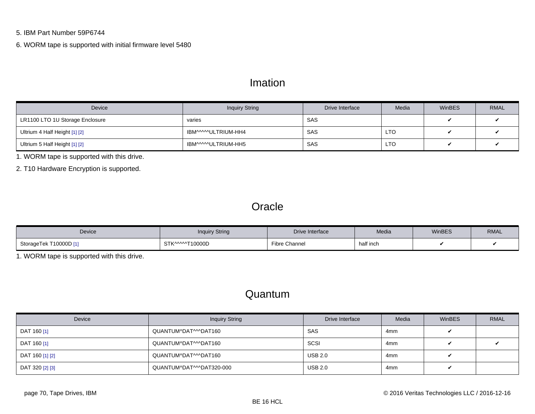#### <span id="page-69-1"></span><span id="page-69-0"></span>5. IBM Part Number 59P6744

<span id="page-69-2"></span>6. WORM tape is supported with initial firmware level 5480

#### Imation

| Device                          | <b>Inquiry String</b> | Drive Interface | Media      | WinBES | <b>RMAL</b> |
|---------------------------------|-----------------------|-----------------|------------|--------|-------------|
| LR1100 LTO 1U Storage Enclosure | varies                | SAS             |            |        |             |
| Ultrium 4 Half Height [1] [2]   | IBM^^^^^ULTRIUM-HH4   | SAS             | <b>LTO</b> |        |             |
| Ultrium 5 Half Height [1] [2]   | IBM^^^^^ULTRIUM-HH5   | SAS             | LTO        |        |             |

<span id="page-69-3"></span>1. WORM tape is supported with this drive.

<span id="page-69-4"></span>2. T10 Hardware Encryption is supported.

#### **Oracle**

| Device                      | <b>Inquiry String</b> | Drive Interface      | Media     | WinBES | <b>RMAL</b> |
|-----------------------------|-----------------------|----------------------|-----------|--------|-------------|
| StorageTek i<br>T10000D [1] | STK^^^^^T10000D       | <b>Fibre Channel</b> | half inch |        |             |

<span id="page-69-5"></span>1. WORM tape is supported with this drive.

#### Quantum

| Device<br><b>Inquiry String</b> |                          | Drive Interface | Media | <b>WinBES</b> | <b>RMAL</b> |
|---------------------------------|--------------------------|-----------------|-------|---------------|-------------|
| DAT 160 [1]                     | QUANTUM^DAT^^^DAT160     | SAS             | 4mm   |               |             |
| DAT 160 [1]                     | QUANTUM^DAT^^^DAT160     | SCSI            | 4mm   |               |             |
| DAT 160 [1] [2]                 | QUANTUM^DAT^^^DAT160     | <b>USB 2.0</b>  | 4mm   |               |             |
| DAT 320 [2] [3]                 | QUANTUM^DAT^^^DAT320-000 | <b>USB 2.0</b>  | 4mm   |               |             |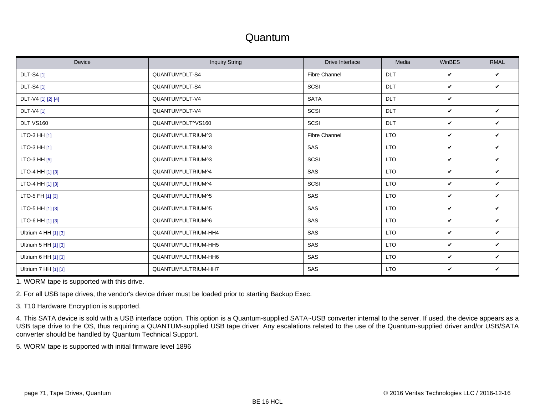#### Quantum

| Device               | <b>Inquiry String</b> | Drive Interface      | Media      | WinBES | <b>RMAL</b>  |
|----------------------|-----------------------|----------------------|------------|--------|--------------|
| <b>DLT-S4</b> [1]    | QUANTUM^DLT-S4        | <b>Fibre Channel</b> | <b>DLT</b> | V      | V            |
| <b>DLT-S4</b> [1]    | QUANTUM^DLT-S4        | SCSI                 | DLT        | V      | V            |
| DLT-V4 [1] [2] [4]   | QUANTUM^DLT-V4        | <b>SATA</b>          | <b>DLT</b> | V      |              |
| DLT-V4 [1]           | QUANTUM^DLT-V4        | SCSI                 | <b>DLT</b> | V      | V            |
| DLT VS160            | QUANTUM^DLT^VS160     | SCSI                 | <b>DLT</b> | V      | V            |
| LTO-3 HH [1]         | QUANTUM^ULTRIUM^3     | <b>Fibre Channel</b> | <b>LTO</b> | V      | V            |
| LTO-3 HH $[1]$       | QUANTUM^ULTRIUM^3     | SAS                  | <b>LTO</b> | V      | V            |
| LTO-3 HH $[5]$       | QUANTUM^ULTRIUM^3     | SCSI                 | <b>LTO</b> | V      | V            |
| LTO-4 HH [1] [3]     | QUANTUM^ULTRIUM^4     | SAS                  | <b>LTO</b> | V      | V            |
| LTO-4 HH [1] [3]     | QUANTUM^ULTRIUM^4     | SCSI                 | <b>LTO</b> | V      | V            |
| LTO-5 FH [1] [3]     | QUANTUM^ULTRIUM^5     | SAS                  | <b>LTO</b> | V      | V            |
| LTO-5 HH [1] [3]     | QUANTUM^ULTRIUM^5     | <b>SAS</b>           | <b>LTO</b> | V      | $\checkmark$ |
| LTO-6 HH [1] [3]     | QUANTUM^ULTRIUM^6     | SAS                  | <b>LTO</b> | V      | V            |
| Ultrium 4 HH [1] [3] | QUANTUM^ULTRIUM-HH4   | SAS                  | <b>LTO</b> | V      | V            |
| Ultrium 5 HH [1] [3] | QUANTUM^ULTRIUM-HH5   | SAS                  | <b>LTO</b> | V      | V            |
| Ultrium 6 HH [1] [3] | QUANTUM^ULTRIUM-HH6   | SAS                  | <b>LTO</b> | V      | $\checkmark$ |
| Ultrium 7 HH [1] [3] | QUANTUM^ULTRIUM-HH7   | SAS                  | <b>LTO</b> | V      | V            |

<span id="page-70-0"></span>1. WORM tape is supported with this drive.

<span id="page-70-1"></span>2. For all USB tape drives, the vendor's device driver must be loaded prior to starting Backup Exec.

<span id="page-70-2"></span>3. T10 Hardware Encryption is supported.

<span id="page-70-3"></span>4. This SATA device is sold with a USB interface option. This option is a Quantum-supplied SATA~USB converter internal to the server. If used, the device appears as a USB tape drive to the OS, thus requiring a QUANTUM-supplied USB tape driver. Any escalations related to the use of the Quantum-supplied driver and/or USB/SATA converter should be handled by Quantum Technical Support.

<span id="page-70-4"></span>5. WORM tape is supported with initial firmware level 1896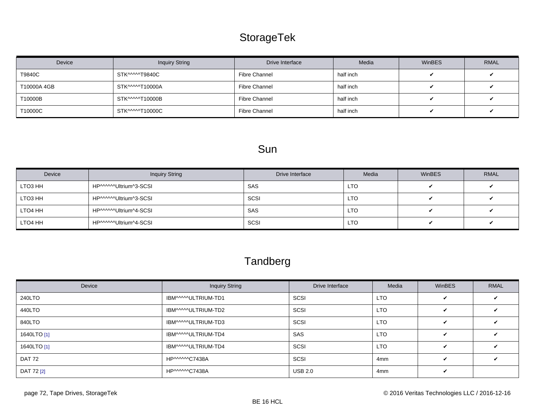# StorageTek

<span id="page-71-0"></span>

| Device     | <b>Inquiry String</b> | Drive Interface | Media     | <b>WinBES</b> | <b>RMAL</b> |
|------------|-----------------------|-----------------|-----------|---------------|-------------|
| T9840C     | STK^^^^^T9840C        | Fibre Channel   | half inch |               |             |
| T10000A4GB | STK^^^^^T10000A       | Fibre Channel   | half inch |               |             |
| T10000B    | STK^^^^^T10000B       | Fibre Channel   | half inch |               |             |
| T10000C    | STK^^^^^T10000C       | Fibre Channel   | half inch |               |             |

# Sun

| Device  | <b>Inquiry String</b>  | Drive Interface | Media      | <b>WinBES</b> | <b>RMAL</b> |
|---------|------------------------|-----------------|------------|---------------|-------------|
| LTO3 HH | HP^^^^^^Ultrium^3-SCSI | SAS             | <b>LTO</b> |               |             |
| LTO3 HH | HP^^^^^Ultrium^3-SCSI  | SCSI            | <b>LTO</b> |               |             |
| LTO4 HH | HP^^^^^^Ultrium^4-SCSI | SAS             | <b>LTO</b> |               |             |
| LTO4 HH | HP^^^^^Ultrium^4-SCSI  | SCSI            | <b>LTO</b> |               |             |

# **Tandberg**

| Device        | <b>Inquiry String</b> | Drive Interface | Media      | <b>WinBES</b> | <b>RMAL</b> |
|---------------|-----------------------|-----------------|------------|---------------|-------------|
| 240LTO        | IBM^^^^ULTRIUM-TD1    | SCSI            | <b>LTO</b> | $\checkmark$  |             |
| 440LTO        | IBM^^^^^ULTRIUM-TD2   | SCSI            | <b>LTO</b> | V             |             |
| 840LTO        | IBM^^^^^ULTRIUM-TD3   | SCSI            | <b>LTO</b> | V             |             |
| 1640LTO [1]   | IBM^^^^ULTRIUM-TD4    | <b>SAS</b>      | <b>LTO</b> | V             |             |
| 1640LTO [1]   | IBM^^^^^ULTRIUM-TD4   | SCSI            | LTO.       | V             |             |
| <b>DAT 72</b> | HP^^^^^^C7438A        | SCSI            | 4mm        | V             |             |
| DAT 72 [2]    | HP^^^^^^C7438A        | <b>USB 2.0</b>  | 4mm        | V             |             |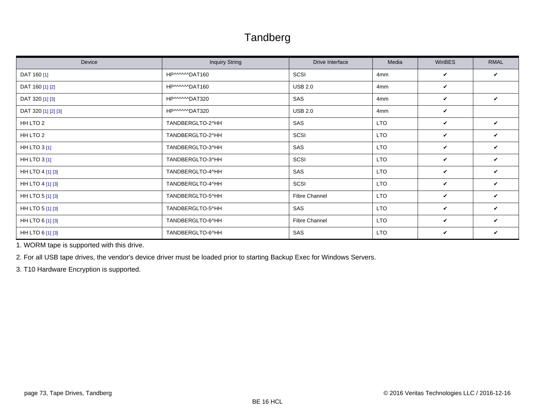#### Tandberg

| Device              | <b>Inquiry String</b> | Drive Interface      | Media      | WinBES | <b>RMAL</b>  |
|---------------------|-----------------------|----------------------|------------|--------|--------------|
| DAT 160 [1]         | HP^^^^^^DAT160        | SCSI                 | 4mm        | V      | V            |
| DAT 160 [1] [2]     | HP^^^^^^DAT160        | <b>USB 2.0</b>       | 4mm        | V      |              |
| DAT 320 [1] [3]     | HP^^^^^DAT320         | SAS                  | 4mm        | V      | V            |
| DAT 320 [1] [2] [3] | HP^^^^^DAT320         | <b>USB 2.0</b>       | 4mm        | V      |              |
| HH LTO 2            | TANDBERGLTO-2^HH      | SAS                  | <b>LTO</b> | V      | V            |
| HH LTO 2            | TANDBERGLTO-2^HH      | SCSI                 | <b>LTO</b> | V      | V            |
| <b>HH LTO 3 [1]</b> | TANDBERGLTO-3^HH      | SAS                  | <b>LTO</b> | V      | $\checkmark$ |
| <b>HH LTO 3 [1]</b> | TANDBERGLTO-3^HH      | SCSI                 | <b>LTO</b> | V      | V            |
| HH LTO 4 [1] [3]    | TANDBERGLTO-4^HH      | SAS                  | <b>LTO</b> | V      | ✓            |
| HH LTO 4 [1] [3]    | TANDBERGLTO-4^HH      | SCSI                 | <b>LTO</b> | V      | V            |
| HH LTO 5 [1] [3]    | TANDBERGLTO-5^HH      | <b>Fibre Channel</b> | <b>LTO</b> | V      | V            |
| HH LTO 5 [1] [3]    | TANDBERGLTO-5^HH      | SAS                  | <b>LTO</b> | V      | V            |
| HH LTO 6 [1] [3]    | TANDBERGLTO-6^HH      | Fibre Channel        | <b>LTO</b> | V      | V            |
| HH LTO 6 [1] [3]    | TANDBERGLTO-6^HH      | SAS                  | <b>LTO</b> | V      | V            |

<span id="page-72-0"></span>1. WORM tape is supported with this drive.

<span id="page-72-1"></span>2. For all USB tape drives, the vendor's device driver must be loaded prior to starting Backup Exec for Windows Servers.

<span id="page-72-2"></span>3. T10 Hardware Encryption is supported.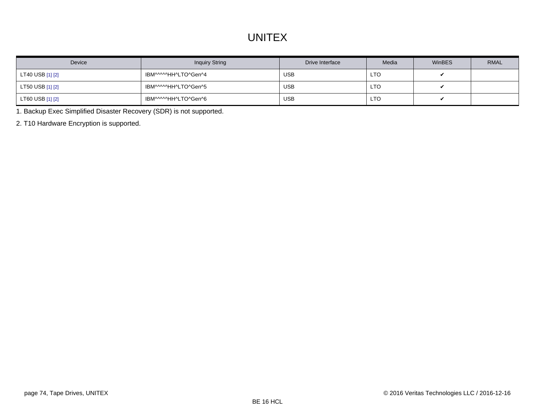#### **UNITEX**

| Device           | <b>Inquiry String</b> | Drive Interface | Media      | WinBES | <b>RMAL</b> |
|------------------|-----------------------|-----------------|------------|--------|-------------|
| LT40 USB [1] [2] | IBM^^^^^HH^LTO^Gen^4  | <b>USB</b>      | <b>LTO</b> |        |             |
| LT50 USB [1] [2] | IBM^^^^^HH^LTO^Gen^5  | <b>USB</b>      | <b>LTO</b> |        |             |
| LT60 USB [1] [2] | IBM^^^^^HH^LTO^Gen^6  | <b>USB</b>      | <b>LTO</b> |        |             |

<span id="page-73-0"></span>1. Backup Exec Simplified Disaster Recovery (SDR) is not supported.

<span id="page-73-1"></span>2. T10 Hardware Encryption is supported.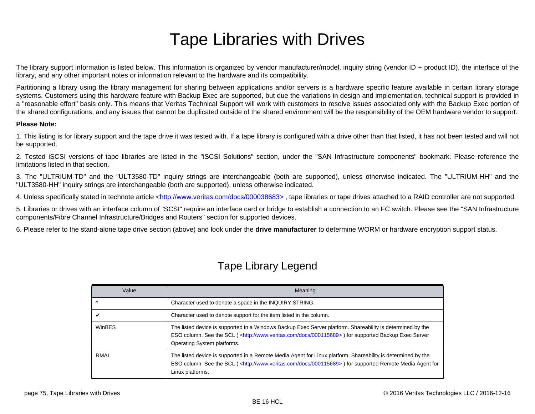# Tape Libraries with Drives

The library support information is listed below. This information is organized by vendor manufacturer/model, inquiry string (vendor ID + product ID), the interface of the library, and any other important notes or information relevant to the hardware and its compatibility.

Partitioning a library using the library management for sharing between applications and/or servers is a hardware specific feature available in certain library storage systems. Customers using this hardware feature with Backup Exec are supported, but due the variations in design and implementation, technical support is provided in a "reasonable effort" basis only. This means that Veritas Technical Support will work with customers to resolve issues associated only with the Backup Exec portion of the shared configurations, and any issues that cannot be duplicated outside of the shared environment will be the responsibility of the OEM hardware vendor to support.

#### **Please Note:**

1. This listing is for library support and the tape drive it was tested with. If a tape library is configured with a drive other than that listed, it has not been tested and will not be supported.

2. Tested iSCSI versions of tape libraries are listed in the "iSCSI Solutions" section, under the "SAN Infrastructure components" bookmark. Please reference the limitations listed in that section.

3. The "ULTRIUM-TD" and the "ULT3580-TD" inquiry strings are interchangeable (both are supported), unless otherwise indicated. The "ULTRIUM-HH" and the "ULT3580-HH" inquiry strings are interchangeable (both are supported), unless otherwise indicated.

4. Unless specifically stated in technote article <http://www.veritas.com/docs/000038683>, tape libraries or tape drives attached to a RAID controller are not supported.

5. Libraries or drives with an interface column of "SCSI" require an interface card or bridge to establish a connection to an FC switch. Please see the "SAN Infrastructure components/Fibre Channel Infrastructure/Bridges and Routers" section for supported devices.

6. Please refer to the stand-alone tape drive section (above) and look under the **drive manufacturer** to determine WORM or hardware encryption support status.

|  | <b>Tape Library Legend</b> |
|--|----------------------------|
|  |                            |

| Value     | Meaning                                                                                                                                                                                                                                                           |
|-----------|-------------------------------------------------------------------------------------------------------------------------------------------------------------------------------------------------------------------------------------------------------------------|
| $\lambda$ | Character used to denote a space in the INQUIRY STRING.                                                                                                                                                                                                           |
|           | Character used to denote support for the item listed in the column.                                                                                                                                                                                               |
| WinBES    | The listed device is supported in a Windows Backup Exec Server platform. Shareability is determined by the<br>ESO column. See the SCL ( <http: 000115689="" docs="" www.veritas.com="">) for supported Backup Exec Server<br/>Operating System platforms.</http:> |
| RMAL      | The listed device is supported in a Remote Media Agent for Linux platform. Shareability is determined by the<br>ESO column. See the SCL ( <http: 000115689="" docs="" www.veritas.com="">) for supported Remote Media Agent for<br/>Linux platforms.</http:>      |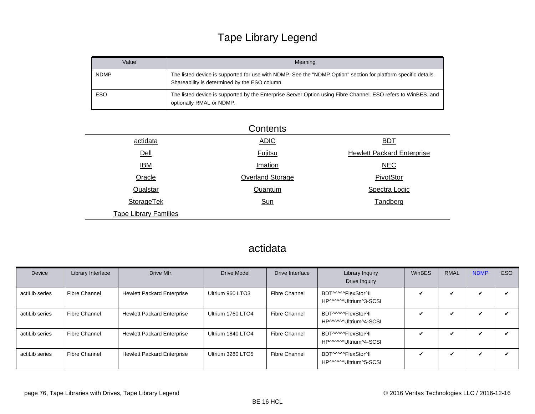# Tape Library Legend

| Value       | Meaning                                                                                                                                                         |
|-------------|-----------------------------------------------------------------------------------------------------------------------------------------------------------------|
| <b>NDMP</b> | The listed device is supported for use with NDMP. See the "NDMP Option" section for platform specific details.<br>Shareability is determined by the ESO column. |
| ESO         | The listed device is supported by the Enterprise Server Option using Fibre Channel. ESO refers to WinBES, and<br>optionally RMAL or NDMP.                       |

|                              | Contents         |                                   |
|------------------------------|------------------|-----------------------------------|
| actidata                     | <b>ADIC</b>      | <b>BDT</b>                        |
| Dell                         | <b>Fujitsu</b>   | <b>Hewlett Packard Enterprise</b> |
| <u>IBM</u>                   | Imation          | <b>NEC</b>                        |
| Oracle                       | Overland Storage | PivotStor                         |
| Qualstar                     | Quantum          | Spectra Logic                     |
| <b>StorageTek</b>            | <b>Sun</b>       | Tandberg                          |
| <b>Tape Library Families</b> |                  |                                   |

#### actidata

| Device         | Library Interface | Drive Mfr.                        | <b>Drive Model</b> | Drive Interface      | Library Inquiry<br>Drive Inquiry              | <b>WinBES</b> | <b>RMAL</b> | <b>NDMP</b> | ESO |
|----------------|-------------------|-----------------------------------|--------------------|----------------------|-----------------------------------------------|---------------|-------------|-------------|-----|
| actiLib series | Fibre Channel     | <b>Hewlett Packard Enterprise</b> | Ultrium 960 LTO3   | Fibre Channel        | BDT^^^^^FlexStor^II<br>HP^^^^^Ultrium^3-SCSI  | ✓             | $\mathbf v$ |             |     |
| actiLib series | Fibre Channel     | <b>Hewlett Packard Enterprise</b> | Ultrium 1760 LTO4  | Fibre Channel        | BDT^^^^^FlexStor^II<br>HP^^^^^Ultrium^4-SCSI  |               | ✔           | ✓           |     |
| actiLib series | Fibre Channel     | <b>Hewlett Packard Enterprise</b> | Ultrium 1840 LTO4  | <b>Fibre Channel</b> | BDT^^^^^FlexStor^II<br>HP^^^^^^Ultrium^4-SCSI | $\checkmark$  | ✓           |             |     |
| actiLib series | Fibre Channel     | <b>Hewlett Packard Enterprise</b> | Ultrium 3280 LTO5  | Fibre Channel        | BDT^^^^^FlexStor^II<br>HP^^^^^\Ultrium^5-SCSI | ✓             | ✔           |             |     |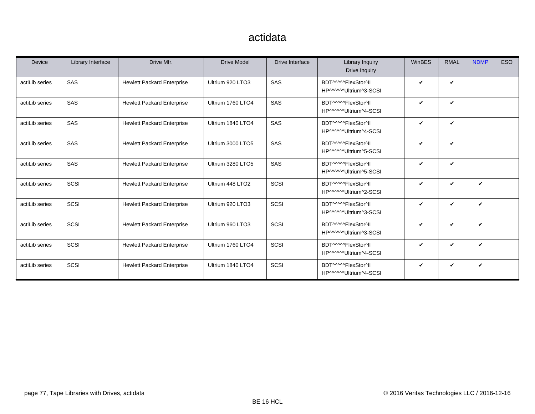#### actidata

| <b>Device</b>  | Library Interface | Drive Mfr.                        | <b>Drive Model</b> | Drive Interface | Library Inquiry<br>Drive Inquiry             | <b>WinBES</b> | <b>RMAL</b>  | <b>NDMP</b> | <b>ESO</b> |
|----------------|-------------------|-----------------------------------|--------------------|-----------------|----------------------------------------------|---------------|--------------|-------------|------------|
| actiLib series | SAS               | <b>Hewlett Packard Enterprise</b> | Ultrium 920 LTO3   | SAS             | BDT^^^^^FlexStor^II<br>HP^^^^^Ultrium^3-SCSI | ✓             | V            |             |            |
| actiLib series | SAS               | <b>Hewlett Packard Enterprise</b> | Ultrium 1760 LTO4  | SAS             | BDT^^^^^FlexStor^II<br>HP^^^^^Ultrium^4-SCSI | ✓             | $\checkmark$ |             |            |
| actiLib series | SAS               | <b>Hewlett Packard Enterprise</b> | Ultrium 1840 LTO4  | SAS             | BDT^^^^^FlexStor^II<br>HP^^^^^Ultrium^4-SCSI | ✓             | V            |             |            |
| actiLib series | SAS               | <b>Hewlett Packard Enterprise</b> | Ultrium 3000 LTO5  | SAS             | BDT^^^^^FlexStor^II<br>HP^^^^^Ultrium^5-SCSI | ✓             | $\checkmark$ |             |            |
| actiLib series | SAS               | <b>Hewlett Packard Enterprise</b> | Ultrium 3280 LTO5  | SAS             | BDT^^^^^FlexStor^II<br>HP^^^^^Ultrium^5-SCSI | ✓             | $\checkmark$ |             |            |
| actiLib series | SCSI              | <b>Hewlett Packard Enterprise</b> | Ultrium 448 LTO2   | SCSI            | BDT^^^^^FlexStor^II<br>HP^^^^^Ultrium^2-SCSI | ✓             | V            | V           |            |
| actiLib series | SCSI              | <b>Hewlett Packard Enterprise</b> | Ultrium 920 LTO3   | SCSI            | BDT^^^^^FlexStor^II<br>HP^^^^^Ultrium^3-SCSI | V             | V            | V           |            |
| actiLib series | SCSI              | <b>Hewlett Packard Enterprise</b> | Ultrium 960 LTO3   | SCSI            | BDT^^^^^FlexStor^II<br>HP^^^^^Ultrium^3-SCSI | ✓             | V            | V           |            |
| actiLib series | SCSI              | <b>Hewlett Packard Enterprise</b> | Ultrium 1760 LTO4  | SCSI            | BDT^^^^^FlexStor^II<br>HP^^^^^Ultrium^4-SCSI | ✓             | V            | ✓           |            |
| actiLib series | SCSI              | <b>Hewlett Packard Enterprise</b> | Ultrium 1840 LTO4  | SCSI            | BDT^^^^^FlexStor^II<br>HP^^^^^Ultrium^4-SCSI | V             | V            | V           |            |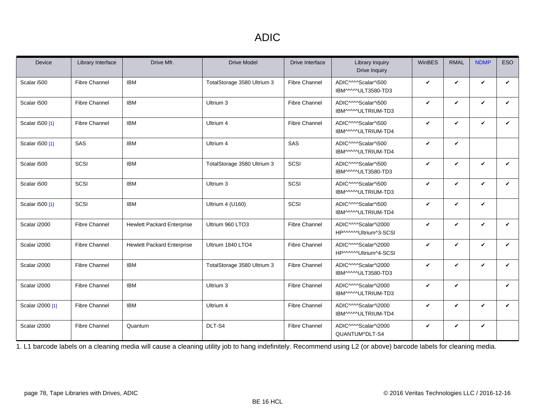#### ADIC

<span id="page-77-0"></span>

| <b>Device</b>    | Library Interface    | Drive Mfr.                        | <b>Drive Model</b>          | Drive Interface      | <b>Library Inquiry</b><br>Drive Inquiry                           | WinBES       | <b>RMAL</b> | <b>NDMP</b>  | <b>ESO</b>   |
|------------------|----------------------|-----------------------------------|-----------------------------|----------------------|-------------------------------------------------------------------|--------------|-------------|--------------|--------------|
| Scalar i500      | <b>Fibre Channel</b> | <b>IBM</b>                        | TotalStorage 3580 Ultrium 3 | <b>Fibre Channel</b> | ADIC^^^^Scalar^i500<br>IBM^^^^ULT3580-TD3                         | V            | V           | V            | V            |
| Scalar i500      | <b>Fibre Channel</b> | <b>IBM</b>                        | Ultrium 3                   | <b>Fibre Channel</b> | ADIC^^^^Scalar^i500<br>IBM^^^^^ULTRIUM-TD3                        | V            | V           | V            | V            |
| Scalar i500 [1]  | <b>Fibre Channel</b> | <b>IBM</b>                        | Ultrium 4                   | Fibre Channel        | ADIC^^^^Scalar^i500<br>IBM^^^^ULTRIUM-TD4                         | V            | ✓           | $\checkmark$ | V            |
| Scalar i500 [1]  | SAS                  | <b>IBM</b>                        | Ultrium 4                   | SAS                  | ADIC^^^^Scalar^i500<br>IBM^^^^^ULTRIUM-TD4                        | ✓            | V           |              |              |
| Scalar i500      | SCSI                 | <b>IBM</b>                        | TotalStorage 3580 Ultrium 3 | SCSI                 | ADIC <sup>^</sup> ^^Scalar^i500<br>IBM^^^^ULT3580-TD3             | $\checkmark$ | V           | $\checkmark$ | $\checkmark$ |
| Scalar i500      | SCSI                 | <b>IBM</b>                        | Ultrium 3                   | SCSI                 | ADIC <sup>MM</sup> Scalar <sup>4</sup> i500<br>IBM^^^^ULTRIUM-TD3 | V            | V           | $\checkmark$ | $\checkmark$ |
| Scalar i500 [1]  | SCSI                 | <b>IBM</b>                        | Ultrium 4 (U160)            | SCSI                 | ADIC^^^^Scalar^i500<br>IBM^^^^^ULTRIUM-TD4                        | V            | V           | $\checkmark$ |              |
| Scalar i2000     | <b>Fibre Channel</b> | <b>Hewlett Packard Enterprise</b> | Ultrium 960 LTO3            | <b>Fibre Channel</b> | ADIC^^^^Scalar^i2000<br>HP^^^^^Ultrium^3-SCSI                     | V            | V           | V            | V            |
| Scalar i2000     | <b>Fibre Channel</b> | <b>Hewlett Packard Enterprise</b> | Ultrium 1840 LTO4           | Fibre Channel        | ADIC^^^^Scalar^i2000<br>HP^^^^^Ultrium^4-SCSI                     | V            | V           | $\checkmark$ | V            |
| Scalar i2000     | <b>Fibre Channel</b> | <b>IBM</b>                        | TotalStorage 3580 Ultrium 3 | <b>Fibre Channel</b> | ADIC^^^^Scalar^i2000<br>IBM^^^^^ULT3580-TD3                       | V            | ✓           | $\checkmark$ | V            |
| Scalar i2000     | <b>Fibre Channel</b> | <b>IBM</b>                        | Ultrium 3                   | <b>Fibre Channel</b> | ADIC^^^^Scalar^i2000<br>IBM^^^^*ULTRIUM-TD3                       | V            | ✓           |              | $\checkmark$ |
| Scalar i2000 [1] | <b>Fibre Channel</b> | <b>IBM</b>                        | Ultrium 4                   | <b>Fibre Channel</b> | ADIC^^^^Scalar^i2000<br>IBM^^^^^ULTRIUM-TD4                       | V            | V           | $\checkmark$ | V            |
| Scalar i2000     | <b>Fibre Channel</b> | Quantum                           | DLT-S4                      | <b>Fibre Channel</b> | ADIC^^^^Scalar^i2000<br>QUANTUM^DLT-S4                            | V            | V           | V            |              |

<span id="page-77-1"></span>1. L1 barcode labels on a cleaning media will cause a cleaning utility job to hang indefinitely. Recommend using L2 (or above) barcode labels for cleaning media.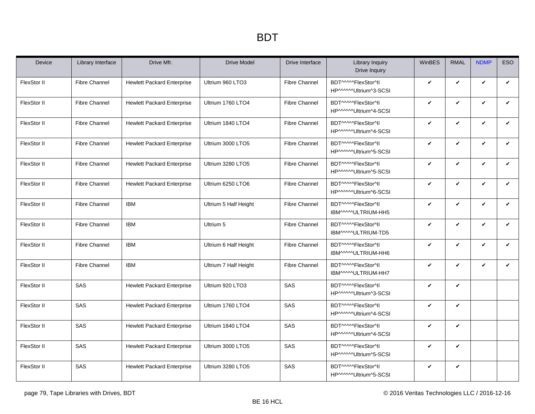<span id="page-78-0"></span>

| Device      | Library Interface    | Drive Mfr.                        | <b>Drive Model</b>    | Drive Interface      | <b>Library Inquiry</b><br>Drive Inquiry       | WinBES       | <b>RMAL</b> | <b>NDMP</b>  | <b>ESO</b> |
|-------------|----------------------|-----------------------------------|-----------------------|----------------------|-----------------------------------------------|--------------|-------------|--------------|------------|
| FlexStor II | <b>Fibre Channel</b> | <b>Hewlett Packard Enterprise</b> | Ultrium 960 LTO3      | <b>Fibre Channel</b> | BDT^^^^^FlexStor^II<br>HP^^^^^Ultrium^3-SCSI  | $\checkmark$ | V           | V            | V          |
| FlexStor II | <b>Fibre Channel</b> | <b>Hewlett Packard Enterprise</b> | Ultrium 1760 LTO4     | <b>Fibre Channel</b> | BDT^^^^^FlexStor^II<br>HP^^^^^Ultrium^4-SCSI  | $\checkmark$ | V           | $\checkmark$ | V          |
| FlexStor II | <b>Fibre Channel</b> | <b>Hewlett Packard Enterprise</b> | Ultrium 1840 LTO4     | <b>Fibre Channel</b> | BDT^^^^^FlexStor^II<br>HP^^^^^^Ultrium^4-SCSI | $\checkmark$ | V           | $\checkmark$ | V          |
| FlexStor II | <b>Fibre Channel</b> | <b>Hewlett Packard Enterprise</b> | Ultrium 3000 LTO5     | <b>Fibre Channel</b> | BDT^^^^^FlexStor^II<br>HP^^^^^^Ultrium^5-SCSI | $\checkmark$ | V           | V            | V          |
| FlexStor II | <b>Fibre Channel</b> | <b>Hewlett Packard Enterprise</b> | Ultrium 3280 LTO5     | <b>Fibre Channel</b> | BDT^^^^^FlexStor^II<br>HP^^^^^Ultrium^5-SCSI  | $\checkmark$ | V           | $\checkmark$ | V          |
| FlexStor II | <b>Fibre Channel</b> | <b>Hewlett Packard Enterprise</b> | Ultrium 6250 LTO6     | <b>Fibre Channel</b> | BDT^^^^^FlexStor^II<br>HP^^^^^Ultrium^6-SCSI  | $\checkmark$ | V           | $\checkmark$ | V          |
| FlexStor II | <b>Fibre Channel</b> | <b>IBM</b>                        | Ultrium 5 Half Height | <b>Fibre Channel</b> | BDT^^^^^FlexStor^II<br>IBM^^^^ULTRIUM-HH5     | $\checkmark$ | V           | $\checkmark$ | V          |
| FlexStor II | <b>Fibre Channel</b> | <b>IBM</b>                        | Ultrium 5             | <b>Fibre Channel</b> | BDT^^^^^FlexStor^II<br>IBM^^^^ULTRIUM-TD5     | $\checkmark$ | V           | $\checkmark$ | V          |
| FlexStor II | <b>Fibre Channel</b> | <b>IBM</b>                        | Ultrium 6 Half Height | <b>Fibre Channel</b> | BDT^^^^^FlexStor^II<br>IBM^^^^^ULTRIUM-HH6    | $\checkmark$ | V           | V            | V          |
| FlexStor II | <b>Fibre Channel</b> | <b>IBM</b>                        | Ultrium 7 Half Height | <b>Fibre Channel</b> | BDT^^^^^FlexStor^II<br>IBM^^^^^ULTRIUM-HH7    | $\checkmark$ | V           | V            | V          |
| FlexStor II | SAS                  | <b>Hewlett Packard Enterprise</b> | Ultrium 920 LTO3      | SAS                  | BDT^^^^^FlexStor^II<br>HP^^^^^Ultrium^3-SCSI  | $\checkmark$ | V           |              |            |
| FlexStor II | SAS                  | <b>Hewlett Packard Enterprise</b> | Ultrium 1760 LTO4     | SAS                  | BDT^^^^^FlexStor^II<br>HP^^^^^Ultrium^4-SCSI  | $\checkmark$ | V           |              |            |
| FlexStor II | SAS                  | <b>Hewlett Packard Enterprise</b> | Ultrium 1840 LTO4     | SAS                  | BDT^^^^^FlexStor^ll<br>HP^^^^^^Ultrium^4-SCSI | $\checkmark$ | V           |              |            |
| FlexStor II | SAS                  | <b>Hewlett Packard Enterprise</b> | Ultrium 3000 LTO5     | SAS                  | BDT^^^^^FlexStor^II<br>HP^^^^^Ultrium^5-SCSI  | $\checkmark$ | V           |              |            |
| FlexStor II | SAS                  | <b>Hewlett Packard Enterprise</b> | Ultrium 3280 LTO5     | SAS                  | BDT^^^^^FlexStor^II<br>HP^^^^^Ultrium^5-SCSI  | $\checkmark$ | V           |              |            |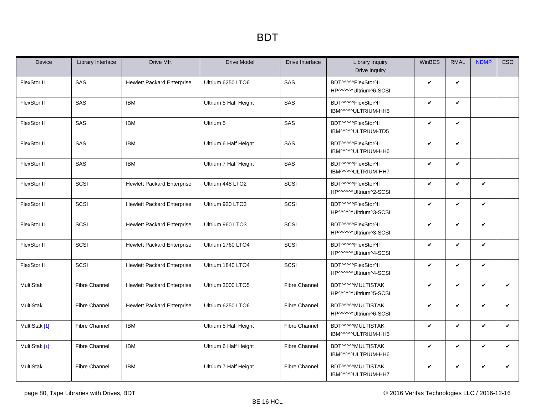| Device           | Library Interface    | Drive Mfr.                        | <b>Drive Model</b>    | Drive Interface      | <b>Library Inquiry</b><br>Drive Inquiry      | WinBES       | <b>RMAL</b>  | <b>NDMP</b>  | ESO          |
|------------------|----------------------|-----------------------------------|-----------------------|----------------------|----------------------------------------------|--------------|--------------|--------------|--------------|
| FlexStor II      | SAS                  | <b>Hewlett Packard Enterprise</b> | Ultrium 6250 LTO6     | SAS                  | BDT^^^^^FlexStor^II<br>HP^^^^^Ultrium^6-SCSI | V            | $\checkmark$ |              |              |
| FlexStor II      | SAS                  | <b>IBM</b>                        | Ultrium 5 Half Height | SAS                  | BDT^^^^^FlexStor^II<br>IBM^^^^*ULTRIUM-HH5   | V            | $\checkmark$ |              |              |
| FlexStor II      | <b>SAS</b>           | <b>IBM</b>                        | Ultrium 5             | SAS                  | BDT^^^^^FlexStor^II<br>IBM^^^^ULTRIUM-TD5    | $\checkmark$ | $\checkmark$ |              |              |
| FlexStor II      | <b>SAS</b>           | <b>IBM</b>                        | Ultrium 6 Half Height | SAS                  | BDT^^^^^FlexStor^II<br>IBM^^^^^ULTRIUM-HH6   | V            | $\checkmark$ |              |              |
| FlexStor II      | SAS                  | <b>IBM</b>                        | Ultrium 7 Half Height | SAS                  | BDT^^^^^FlexStor^II<br>IBM^^^^^ULTRIUM-HH7   | $\checkmark$ | $\checkmark$ |              |              |
| FlexStor II      | SCSI                 | <b>Hewlett Packard Enterprise</b> | Ultrium 448 LTO2      | SCSI                 | BDT^^^^^FlexStor^II<br>HP^^^^^Ultrium^2-SCSI | $\checkmark$ | $\checkmark$ | V            |              |
| FlexStor II      | SCSI                 | <b>Hewlett Packard Enterprise</b> | Ultrium 920 LTO3      | SCSI                 | BDT^^^^^FlexStor^II<br>HP^^^^^Ultrium^3-SCSI | V            | $\checkmark$ | V            |              |
| FlexStor II      | SCSI                 | <b>Hewlett Packard Enterprise</b> | Ultrium 960 LTO3      | SCSI                 | BDT^^^^^FlexStor^II<br>HP^^^^^Ultrium^3-SCSI | $\checkmark$ | $\checkmark$ | V            |              |
| FlexStor II      | SCSI                 | <b>Hewlett Packard Enterprise</b> | Ultrium 1760 LTO4     | SCSI                 | BDT^^^^^FlexStor^II<br>HP^^^^^Ultrium^4-SCSI | $\checkmark$ | $\checkmark$ | V            |              |
| FlexStor II      | SCSI                 | <b>Hewlett Packard Enterprise</b> | Ultrium 1840 LTO4     | SCSI                 | BDT^^^^^FlexStor^II<br>HP^^^^^Ultrium^4-SCSI | $\checkmark$ | $\checkmark$ | V            |              |
| MultiStak        | <b>Fibre Channel</b> | <b>Hewlett Packard Enterprise</b> | Ultrium 3000 LTO5     | <b>Fibre Channel</b> | BDT^^^^MULTISTAK<br>HP^^^^^Ultrium^5-SCSI    | $\checkmark$ | $\checkmark$ | $\checkmark$ | $\checkmark$ |
| MultiStak        | <b>Fibre Channel</b> | <b>Hewlett Packard Enterprise</b> | Ultrium 6250 LTO6     | <b>Fibre Channel</b> | BDT^^^^^MULTISTAK<br>HP^^^^^Ultrium^6-SCSI   | $\checkmark$ | $\checkmark$ | V            | V            |
| MultiStak [1]    | <b>Fibre Channel</b> | <b>IBM</b>                        | Ultrium 5 Half Height | <b>Fibre Channel</b> | BDT^^^^MULTISTAK<br>IBM^^^^*ULTRIUM-HH5      | $\checkmark$ | $\checkmark$ | V            | $\checkmark$ |
| MultiStak [1]    | <b>Fibre Channel</b> | <b>IBM</b>                        | Ultrium 6 Half Height | <b>Fibre Channel</b> | BDT^^^^MULTISTAK<br>IBM^^^^ULTRIUM-HH6       | $\checkmark$ | $\checkmark$ | V            | $\checkmark$ |
| <b>MultiStak</b> | <b>Fibre Channel</b> | <b>IBM</b>                        | Ultrium 7 Half Height | <b>Fibre Channel</b> | BDT^^^^^MULTISTAK<br>IBM^^^^ULTRIUM-HH7      | $\checkmark$ | $\checkmark$ | V            | V            |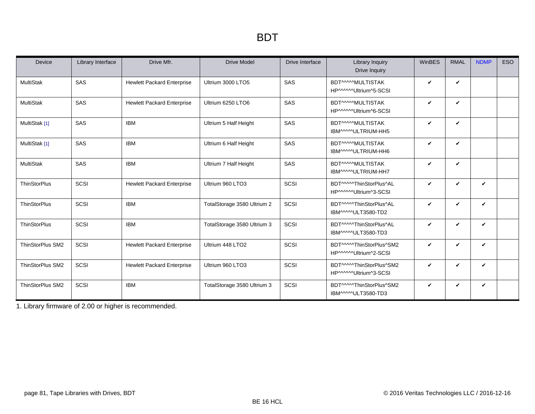| Device                  | Library Interface | Drive Mfr.                        | <b>Drive Model</b>          | Drive Interface | <b>Library Inquiry</b><br>Drive Inquiry           | WinBES | <b>RMAL</b>  | <b>NDMP</b>  | <b>ESO</b> |
|-------------------------|-------------------|-----------------------------------|-----------------------------|-----------------|---------------------------------------------------|--------|--------------|--------------|------------|
| <b>MultiStak</b>        | SAS               | <b>Hewlett Packard Enterprise</b> | Ultrium 3000 LTO5           | SAS             | BDT^^^^MULTISTAK<br>HP^^^^^^Ultrium^5-SCSI        | V      | $\checkmark$ |              |            |
| <b>MultiStak</b>        | SAS               | <b>Hewlett Packard Enterprise</b> | Ultrium 6250 LTO6           | SAS             | BDT^^^^MULTISTAK<br>HP^^^^^^Ultrium^6-SCSI        | V      | V            |              |            |
| MultiStak [1]           | SAS               | <b>IBM</b>                        | Ultrium 5 Half Height       | SAS             | BDT^^^^MULTISTAK<br>IBM^^^^ULTRIUM-HH5            | V      | ✓            |              |            |
| MultiStak [1]           | SAS               | <b>IBM</b>                        | Ultrium 6 Half Height       | SAS             | BDT^^^^MULTISTAK<br>IBM^^^^ULTRIUM-HH6            | V      | $\checkmark$ |              |            |
| <b>MultiStak</b>        | SAS               | <b>IBM</b>                        | Ultrium 7 Half Height       | SAS             | BDT^^^^MULTISTAK<br>IBM^^^^ULTRIUM-HH7            | V      | $\checkmark$ |              |            |
| <b>ThinStorPlus</b>     | SCSI              | <b>Hewlett Packard Enterprise</b> | Ultrium 960 LTO3            | SCSI            | BDT^^^^^ThinStorPlus^AL<br>HP^^^^^Ultrium^3-SCSI  | V      | V            | $\checkmark$ |            |
| <b>ThinStorPlus</b>     | SCSI              | <b>IBM</b>                        | TotalStorage 3580 Ultrium 2 | SCSI            | BDT^^^^^ThinStorPlus^AL<br>IBM^^^^^ULT3580-TD2    | V      | V            | $\checkmark$ |            |
| <b>ThinStorPlus</b>     | SCSI              | <b>IBM</b>                        | TotalStorage 3580 Ultrium 3 | SCSI            | BDT^^^^^ThinStorPlus^AL<br>IBM^^^^ULT3580-TD3     | V      | V            | $\checkmark$ |            |
| <b>ThinStorPlus SM2</b> | SCSI              | <b>Hewlett Packard Enterprise</b> | Ultrium 448 LTO2            | SCSI            | BDT^^^^^ThinStorPlus^SM2<br>HP^^^^^Ultrium^2-SCSI | V      | ✓            | $\checkmark$ |            |
| <b>ThinStorPlus SM2</b> | SCSI              | <b>Hewlett Packard Enterprise</b> | Ultrium 960 LTO3            | SCSI            | BDT^^^^^ThinStorPlus^SM2<br>HP^^^^^Ultrium^3-SCSI | V      | V            | V            |            |
| <b>ThinStorPlus SM2</b> | SCSI              | <b>IBM</b>                        | TotalStorage 3580 Ultrium 3 | SCSI            | BDT^^^^^ThinStorPlus^SM2<br>IBM^^^^ULT3580-TD3    | V      | V            | $\checkmark$ |            |

<span id="page-80-0"></span>1. Library firmware of 2.00 or higher is recommended.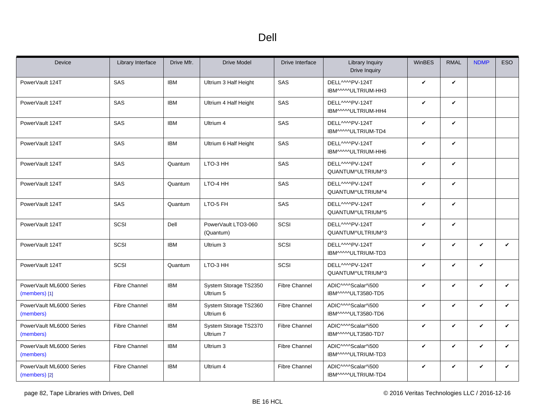<span id="page-81-0"></span>

| Device                                      | Library Interface    | Drive Mfr. | <b>Drive Model</b>                 | Drive Interface      | Library Inquiry<br>Drive Inquiry                                   | WinBES       | <b>RMAL</b>  | <b>NDMP</b>  | <b>ESO</b>   |
|---------------------------------------------|----------------------|------------|------------------------------------|----------------------|--------------------------------------------------------------------|--------------|--------------|--------------|--------------|
| PowerVault 124T                             | <b>SAS</b>           | <b>IBM</b> | Ultrium 3 Half Height              | <b>SAS</b>           | DELL <sub>MMPV-124T</sub><br>IBM^^^^^ULTRIUM-HH3                   | $\checkmark$ | V            |              |              |
| PowerVault 124T                             | SAS                  | <b>IBM</b> | Ultrium 4 Half Height              | SAS                  | DELL <sub>MMPV-124T</sub><br>IBM^^^^^ULTRIUM-HH4                   | $\checkmark$ | $\checkmark$ |              |              |
| PowerVault 124T                             | SAS                  | <b>IBM</b> | Ultrium 4                          | SAS                  | DELL <sub>MMPV-124T</sub><br>IBM^^^^ULTRIUM-TD4                    | $\checkmark$ | V            |              |              |
| PowerVault 124T                             | SAS                  | <b>IBM</b> | Ultrium 6 Half Height              | SAS                  | DELL <sup>MM</sup> PV-124T<br>IBM^^^^^ULTRIUM-HH6                  | $\checkmark$ | V            |              |              |
| PowerVault 124T                             | SAS                  | Quantum    | LTO-3 HH                           | SAS                  | DELL <sup>MM</sup> PV-124T<br>QUANTUM^ULTRIUM^3                    | $\checkmark$ | $\checkmark$ |              |              |
| PowerVault 124T                             | SAS                  | Quantum    | LTO-4 HH                           | SAS                  | DELL <sup>MM</sup> PV-124T<br>QUANTUM^ULTRIUM^4                    | $\checkmark$ | $\checkmark$ |              |              |
| PowerVault 124T                             | SAS                  | Quantum    | LTO-5 FH                           | SAS                  | DELL <sub>MMPV-124T</sub><br>QUANTUM^ULTRIUM^5                     | $\checkmark$ | $\checkmark$ |              |              |
| PowerVault 124T                             | SCSI                 | Dell       | PowerVault LTO3-060<br>(Quantum)   | SCSI                 | DELL <sub>MMPV-124T</sub><br>QUANTUM^ULTRIUM^3                     | $\checkmark$ | $\checkmark$ |              |              |
| PowerVault 124T                             | SCSI                 | <b>IBM</b> | Ultrium 3                          | SCSI                 | DELLAMPV-124T<br>IBM^^^^*ULTRIUM-TD3                               | $\checkmark$ | $\checkmark$ | $\checkmark$ | $\checkmark$ |
| PowerVault 124T                             | SCSI                 | Quantum    | LTO-3 HH                           | SCSI                 | DELL <sub>MMPV-124T</sub><br>QUANTUM^ULTRIUM^3                     | $\checkmark$ | V            | $\checkmark$ |              |
| PowerVault ML6000 Series<br>$(members)$ [1] | <b>Fibre Channel</b> | <b>IBM</b> | System Storage TS2350<br>Ultrium 5 | <b>Fibre Channel</b> | ADIC^^^^Scalar^i500<br>IBM^^^^ULT3580-TD5                          | $\checkmark$ | $\checkmark$ | $\checkmark$ | $\checkmark$ |
| PowerVault ML6000 Series<br>(members)       | <b>Fibre Channel</b> | <b>IBM</b> | System Storage TS2360<br>Ultrium 6 | Fibre Channel        | ADIC <sup>MM</sup> Scalar <sup>4</sup> 500<br>IBM^^^^ULT3580-TD6   | $\checkmark$ | V            | $\checkmark$ | V            |
| PowerVault ML6000 Series<br>(members)       | <b>Fibre Channel</b> | <b>IBM</b> | System Storage TS2370<br>Ultrium 7 | <b>Fibre Channel</b> | ADIC <sup>^</sup> ^^Scalar^i500<br>IBM^^^^ULT3580-TD7              | $\checkmark$ | V            | V            | V            |
| PowerVault ML6000 Series<br>(members)       | <b>Fibre Channel</b> | <b>IBM</b> | Ultrium 3                          | <b>Fibre Channel</b> | ADIC <sup>MM</sup> Scalar <sup>4</sup> i500<br>IBM^^^^*ULTRIUM-TD3 | $\checkmark$ | $\checkmark$ | $\checkmark$ | $\mathbf{v}$ |
| PowerVault ML6000 Series<br>(members) [2]   | <b>Fibre Channel</b> | <b>IBM</b> | Ultrium 4                          | <b>Fibre Channel</b> | ADIC <sup>^</sup> ^^Scalar^i500<br>IBM^^^^ULTRIUM-TD4              | $\checkmark$ | V            | V            | V            |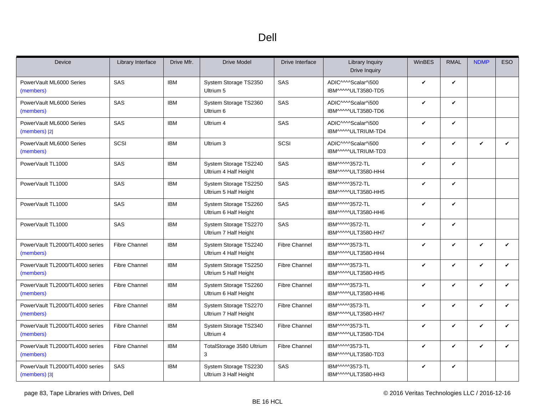| <b>Device</b>                                    | Library Interface    | Drive Mfr. | <b>Drive Model</b>                             | Drive Interface      | <b>Library Inquiry</b><br>Drive Inquiry                            | WinBES       | <b>RMAL</b> | <b>NDMP</b> | ESO          |
|--------------------------------------------------|----------------------|------------|------------------------------------------------|----------------------|--------------------------------------------------------------------|--------------|-------------|-------------|--------------|
| PowerVault ML6000 Series<br>(members)            | SAS                  | <b>IBM</b> | System Storage TS2350<br>Ultrium 5             | SAS                  | ADIC^^^^Scalar^i500<br>IBM^^^^ULT3580-TD5                          | V            | V           |             |              |
| PowerVault ML6000 Series<br>(members)            | SAS                  | <b>IBM</b> | System Storage TS2360<br>Ultrium 6             | SAS                  | ADIC <sup>MM</sup> Scalar <sup>4</sup> i500<br>IBM^^^^^ULT3580-TD6 | V            | ✓           |             |              |
| PowerVault ML6000 Series<br>(members) [2]        | SAS                  | <b>IBM</b> | Ultrium 4                                      | SAS                  | ADIC <sup>MM</sup> Scalar <sup>4</sup> i500<br>IBM^^^^^ULTRIUM-TD4 | V            | V           |             |              |
| PowerVault ML6000 Series<br>(members)            | SCSI                 | <b>IBM</b> | Ultrium 3                                      | SCSI                 | ADIC <sup>MM</sup> Scalar <sup>4</sup> 500<br>IBM^^^^ULTRIUM-TD3   | V            | ✓           | ✓           | $\checkmark$ |
| PowerVault TL1000                                | SAS                  | <b>IBM</b> | System Storage TS2240<br>Ultrium 4 Half Height | SAS                  | IBM^^^^3572-TL<br>IBM^^^^^ULT3580-HH4                              | V            | ✓           |             |              |
| PowerVault TL1000                                | SAS                  | <b>IBM</b> | System Storage TS2250<br>Ultrium 5 Half Height | SAS                  | IBM^^^^3572-TL<br>IBM^^^^^ULT3580-HH5                              | V            | V           |             |              |
| PowerVault TL1000                                | SAS                  | <b>IBM</b> | System Storage TS2260<br>Ultrium 6 Half Height | SAS                  | IBM^^^^3572-TL<br>IBM^^^^^ULT3580-HH6                              | V            | V           |             |              |
| PowerVault TL1000                                | SAS                  | <b>IBM</b> | System Storage TS2270<br>Ultrium 7 Half Height | SAS                  | IBM^^^^3572-TL<br>IBM^^^^^ULT3580-HH7                              | V            | V           |             |              |
| PowerVault TL2000/TL4000 series<br>(members)     | <b>Fibre Channel</b> | <b>IBM</b> | System Storage TS2240<br>Ultrium 4 Half Height | <b>Fibre Channel</b> | IBM^^^^3573-TL<br>IBM^^^^^ULT3580-HH4                              | $\checkmark$ | V           | V           | $\checkmark$ |
| PowerVault TL2000/TL4000 series<br>(members)     | <b>Fibre Channel</b> | <b>IBM</b> | System Storage TS2250<br>Ultrium 5 Half Height | <b>Fibre Channel</b> | IBM^^^^3573-TL<br>IBM^^^^^ULT3580-HH5                              | V            | V           | ✓           | V            |
| PowerVault TL2000/TL4000 series<br>(members)     | <b>Fibre Channel</b> | <b>IBM</b> | System Storage TS2260<br>Ultrium 6 Half Height | <b>Fibre Channel</b> | IBM^^^^3573-TL<br>IBM^^^^^ULT3580-HH6                              | $\mathbf v$  | V           | V           | $\checkmark$ |
| PowerVault TL2000/TL4000 series<br>(members)     | <b>Fibre Channel</b> | <b>IBM</b> | System Storage TS2270<br>Ultrium 7 Half Height | <b>Fibre Channel</b> | IBM^^^^3573-TL<br>IBM^^^^ULT3580-HH7                               | V            | V           | V           | V            |
| PowerVault TL2000/TL4000 series<br>(members)     | <b>Fibre Channel</b> | <b>IBM</b> | System Storage TS2340<br>Ultrium 4             | <b>Fibre Channel</b> | IBM^^^^3573-TL<br>IBM^^^^ULT3580-TD4                               | V            | V           | V           | V            |
| PowerVault TL2000/TL4000 series<br>(members)     | <b>Fibre Channel</b> | <b>IBM</b> | TotalStorage 3580 Ultrium<br>3                 | <b>Fibre Channel</b> | IBM^^^^3573-TL<br>IBM^^^^^ULT3580-TD3                              | $\checkmark$ | V           | V           | $\checkmark$ |
| PowerVault TL2000/TL4000 series<br>(members) [3] | SAS                  | <b>IBM</b> | System Storage TS2230<br>Ultrium 3 Half Height | SAS                  | IBM^^^^3573-TL<br>IBM^^^^^ULT3580-HH3                              | V            | V           |             |              |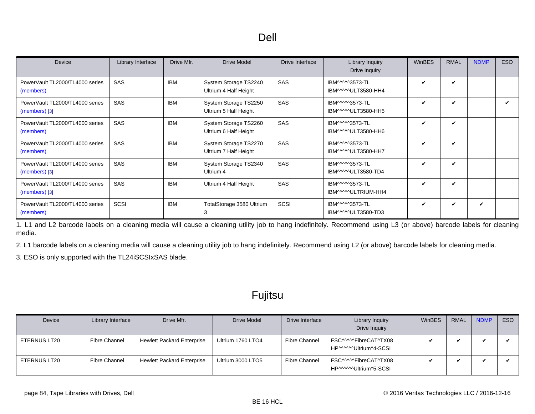<span id="page-83-0"></span>

| Device                                             | Library Interface | Drive Mfr. | Drive Model                                    | Drive Interface | Library Inquiry<br>Drive Inquiry      | <b>WinBES</b> | <b>RMAL</b> | <b>NDMP</b> | ESO |
|----------------------------------------------------|-------------------|------------|------------------------------------------------|-----------------|---------------------------------------|---------------|-------------|-------------|-----|
| PowerVault TL2000/TL4000 series<br>(members)       | <b>SAS</b>        | <b>IBM</b> | System Storage TS2240<br>Ultrium 4 Half Height | SAS             | IBM^^^^3573-TL<br>IBM^^^^ULT3580-HH4  | ✓             | ✓           |             |     |
| PowerVault TL2000/TL4000 series<br>$(members)$ [3] | <b>SAS</b>        | <b>IBM</b> | System Storage TS2250<br>Ultrium 5 Half Height | SAS             | IBM^^^^3573-TL<br>IBM^^^^^ULT3580-HH5 | V             | V           |             | ✓   |
| PowerVault TL2000/TL4000 series<br>(members)       | <b>SAS</b>        | <b>IBM</b> | System Storage TS2260<br>Ultrium 6 Half Height | <b>SAS</b>      | IBM^^^^3573-TL<br>IBM^^^^^ULT3580-HH6 | ✓             | V           |             |     |
| PowerVault TL2000/TL4000 series<br>(members)       | <b>SAS</b>        | <b>IBM</b> | System Storage TS2270<br>Ultrium 7 Half Height | <b>SAS</b>      | IBM^^^^3573-TL<br>IBM^^^^^ULT3580-HH7 | ✓             | V           |             |     |
| PowerVault TL2000/TL4000 series<br>$(members)$ [3] | <b>SAS</b>        | IBM        | System Storage TS2340<br>Ultrium 4             | SAS             | IBM^^^^3573-TL<br>IBM^^^^^ULT3580-TD4 | $\checkmark$  | V           |             |     |
| PowerVault TL2000/TL4000 series<br>$(members)$ [3] | <b>SAS</b>        | <b>IBM</b> | Ultrium 4 Half Height                          | SAS             | IBM^^^^3573-TL<br>IBM^^^^ULTRIUM-HH4  | V             | ✓           |             |     |
| PowerVault TL2000/TL4000 series<br>(members)       | SCSI              | <b>IBM</b> | TotalStorage 3580 Ultrium<br>3                 | SCSI            | IBM^^^^3573-TL<br>IBM^^^^^ULT3580-TD3 | ✓             | ✓           | ✓           |     |

<span id="page-83-1"></span>1. L1 and L2 barcode labels on a cleaning media will cause a cleaning utility job to hang indefinitely. Recommend using L3 (or above) barcode labels for cleaning media.

<span id="page-83-2"></span>2. L1 barcode labels on a cleaning media will cause a cleaning utility job to hang indefinitely. Recommend using L2 (or above) barcode labels for cleaning media.

<span id="page-83-3"></span>3. ESO is only supported with the TL24iSCSIxSAS blade.

| Device       | Library Interface | Drive Mfr.                        | Drive Model       | Drive Interface      | Library Inquiry<br>Drive Inquiry                | <b>WinBES</b> | <b>RMAL</b> | <b>NDMP</b> | ESO |
|--------------|-------------------|-----------------------------------|-------------------|----------------------|-------------------------------------------------|---------------|-------------|-------------|-----|
| ETERNUS LT20 | Fibre Channel     | <b>Hewlett Packard Enterprise</b> | Ultrium 1760 LTO4 | <b>Fibre Channel</b> | FSC^^^^^FibreCAT^TX08<br>HP^^^^^^Ultrium^4-SCSI |               |             |             |     |
| ETERNUS LT20 | Fibre Channel     | <b>Hewlett Packard Enterprise</b> | Ultrium 3000 LTO5 | Fibre Channel        | FSC^^^^^FibreCAT^TX08<br>HP^^^^^Ultrium^5-SCSI  |               |             |             |     |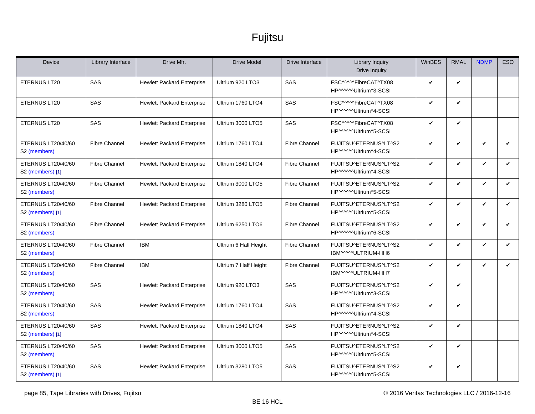| <b>Device</b>                                  | Library Interface    | Drive Mfr.                        | <b>Drive Model</b>    | Drive Interface      | Library Inquiry<br>Drive Inquiry                | WinBES       | <b>RMAL</b>  | <b>NDMP</b>  | <b>ESO</b>   |
|------------------------------------------------|----------------------|-----------------------------------|-----------------------|----------------------|-------------------------------------------------|--------------|--------------|--------------|--------------|
| ETERNUS LT20                                   | SAS                  | <b>Hewlett Packard Enterprise</b> | Ultrium 920 LTO3      | SAS                  | FSC^^^^^FibreCAT^TX08<br>HP^^^^^Ultrium^3-SCSI  | V            | V            |              |              |
| ETERNUS LT20                                   | SAS                  | <b>Hewlett Packard Enterprise</b> | Ultrium 1760 LTO4     | SAS                  | FSC^^^^^FibreCAT^TX08<br>HP^^^^^^Ultrium^4-SCSI | $\checkmark$ | $\checkmark$ |              |              |
| ETERNUS LT20                                   | SAS                  | <b>Hewlett Packard Enterprise</b> | Ultrium 3000 LTO5     | SAS                  | FSC^^^^^FibreCAT^TX08<br>HP^^^^^^Ultrium^5-SCSI | $\checkmark$ | V            |              |              |
| ETERNUS LT20/40/60<br>S <sub>2</sub> (members) | <b>Fibre Channel</b> | <b>Hewlett Packard Enterprise</b> | Ultrium 1760 LTO4     | <b>Fibre Channel</b> | FUJITSU^ETERNUS^LT^S2<br>HP^^^^^Ultrium^4-SCSI  | V            | ✓            | $\checkmark$ | $\checkmark$ |
| ETERNUS LT20/40/60<br>S2 (members) [1]         | <b>Fibre Channel</b> | <b>Hewlett Packard Enterprise</b> | Ultrium 1840 LTO4     | <b>Fibre Channel</b> | FUJITSU^ETERNUS^LT^S2<br>HP^^^^^Ultrium^4-SCSI  | $\checkmark$ | $\checkmark$ | $\checkmark$ | V            |
| ETERNUS LT20/40/60<br>S <sub>2</sub> (members) | <b>Fibre Channel</b> | <b>Hewlett Packard Enterprise</b> | Ultrium 3000 LTO5     | <b>Fibre Channel</b> | FUJITSU^ETERNUS^LT^S2<br>HP^^^^^Ultrium^5-SCSI  | $\checkmark$ | V            | V            | ✓            |
| ETERNUS LT20/40/60<br>S2 (members) [1]         | <b>Fibre Channel</b> | <b>Hewlett Packard Enterprise</b> | Ultrium 3280 LTO5     | <b>Fibre Channel</b> | FUJITSU^ETERNUS^LT^S2<br>HP^^^^^Ultrium^5-SCSI  | V            | V            | V            | $\checkmark$ |
| ETERNUS LT20/40/60<br>S <sub>2</sub> (members) | <b>Fibre Channel</b> | <b>Hewlett Packard Enterprise</b> | Ultrium 6250 LTO6     | <b>Fibre Channel</b> | FUJITSU^ETERNUS^LT^S2<br>HP^^^^^Ultrium^6-SCSI  | $\checkmark$ | $\checkmark$ | $\mathbf{v}$ | V            |
| ETERNUS LT20/40/60<br>S <sub>2</sub> (members) | <b>Fibre Channel</b> | <b>IBM</b>                        | Ultrium 6 Half Height | <b>Fibre Channel</b> | FUJITSU^ETERNUS^LT^S2<br>IBM^^^^^ULTRIUM-HH6    | $\checkmark$ | $\checkmark$ | $\checkmark$ | V            |
| ETERNUS LT20/40/60<br>S <sub>2</sub> (members) | <b>Fibre Channel</b> | <b>IBM</b>                        | Ultrium 7 Half Height | <b>Fibre Channel</b> | FUJITSU^ETERNUS^LT^S2<br>IBM^^^^^ULTRIUM-HH7    | V            | V            | $\checkmark$ | V            |
| ETERNUS LT20/40/60<br>S <sub>2</sub> (members) | SAS                  | <b>Hewlett Packard Enterprise</b> | Ultrium 920 LTO3      | SAS                  | FUJITSU^ETERNUS^LT^S2<br>HP^^^^^Ultrium^3-SCSI  | $\checkmark$ | $\checkmark$ |              |              |
| ETERNUS LT20/40/60<br>S2 (members)             | SAS                  | <b>Hewlett Packard Enterprise</b> | Ultrium 1760 LTO4     | SAS                  | FUJITSU^ETERNUS^LT^S2<br>HP^^^^^Ultrium^4-SCSI  | $\checkmark$ | V            |              |              |
| ETERNUS LT20/40/60<br>S2 (members) [1]         | SAS                  | <b>Hewlett Packard Enterprise</b> | Ultrium 1840 LTO4     | SAS                  | FUJITSU^ETERNUS^LT^S2<br>HP^^^^^Ultrium^4-SCSI  | V            | V            |              |              |
| ETERNUS LT20/40/60<br>S <sub>2</sub> (members) | SAS                  | <b>Hewlett Packard Enterprise</b> | Ultrium 3000 LTO5     | SAS                  | FUJITSU^ETERNUS^LT^S2<br>HP^^^^^Ultrium^5-SCSI  | $\checkmark$ | V            |              |              |
| ETERNUS LT20/40/60<br>S2 (members) [1]         | SAS                  | <b>Hewlett Packard Enterprise</b> | Ultrium 3280 LTO5     | SAS                  | FUJITSU^ETERNUS^LT^S2<br>HP^^^^^Ultrium^5-SCSI  | $\checkmark$ | V            |              |              |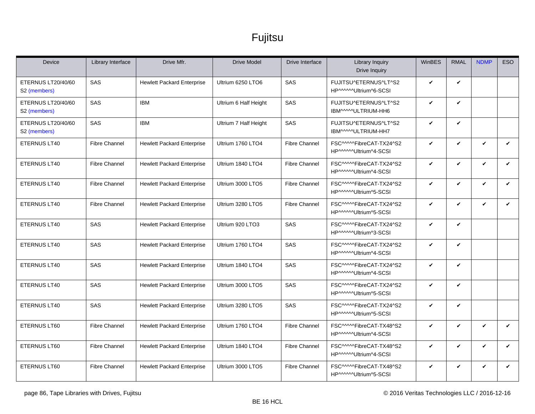| <b>Device</b>                                  | Library Interface    | Drive Mfr.                        | <b>Drive Model</b>    | Drive Interface      | <b>Library Inquiry</b><br>Drive Inquiry           | WinBES       | <b>RMAL</b>  | <b>NDMP</b>  | <b>ESO</b>   |
|------------------------------------------------|----------------------|-----------------------------------|-----------------------|----------------------|---------------------------------------------------|--------------|--------------|--------------|--------------|
| ETERNUS LT20/40/60<br>S2 (members)             | <b>SAS</b>           | <b>Hewlett Packard Enterprise</b> | Ultrium 6250 LTO6     | SAS                  | FUJITSU^ETERNUS^LT^S2<br>HP^^^^^Ultrium^6-SCSI    | V            | $\checkmark$ |              |              |
| ETERNUS LT20/40/60<br>S <sub>2</sub> (members) | SAS                  | <b>IBM</b>                        | Ultrium 6 Half Height | SAS                  | FUJITSU^ETERNUS^LT^S2<br>IBM^^^^^ULTRIUM-HH6      | V            | $\checkmark$ |              |              |
| ETERNUS LT20/40/60<br>S <sub>2</sub> (members) | <b>SAS</b>           | <b>IBM</b>                        | Ultrium 7 Half Height | SAS                  | FUJITSU^ETERNUS^LT^S2<br>IBM^^^^^ULTRIUM-HH7      | $\checkmark$ | $\checkmark$ |              |              |
| ETERNUS LT40                                   | <b>Fibre Channel</b> | <b>Hewlett Packard Enterprise</b> | Ultrium 1760 LTO4     | <b>Fibre Channel</b> | FSC^^^^^FibreCAT-TX24^S2<br>HP^^^^^Ultrium^4-SCSI | V            | V            | $\checkmark$ | $\checkmark$ |
| <b>ETERNUS LT40</b>                            | <b>Fibre Channel</b> | <b>Hewlett Packard Enterprise</b> | Ultrium 1840 LTO4     | <b>Fibre Channel</b> | FSC^^^^^FibreCAT-TX24^S2<br>HP^^^^^Ultrium^4-SCSI | $\checkmark$ | $\checkmark$ | V            | $\checkmark$ |
| ETERNUS LT40                                   | <b>Fibre Channel</b> | <b>Hewlett Packard Enterprise</b> | Ultrium 3000 LTO5     | <b>Fibre Channel</b> | FSC^^^^^FibreCAT-TX24^S2<br>HP^^^^^Ultrium^5-SCSI | V            | $\checkmark$ | $\mathbf{v}$ | V            |
| ETERNUS LT40                                   | <b>Fibre Channel</b> | <b>Hewlett Packard Enterprise</b> | Ultrium 3280 LTO5     | <b>Fibre Channel</b> | FSC^^^^^FibreCAT-TX24^S2<br>HP^^^^^Ultrium^5-SCSI | V            | $\checkmark$ | V            | V            |
| ETERNUS LT40                                   | SAS                  | <b>Hewlett Packard Enterprise</b> | Ultrium 920 LTO3      | SAS                  | FSC^^^^^FibreCAT-TX24^S2<br>HP^^^^^Ultrium^3-SCSI | $\checkmark$ | $\checkmark$ |              |              |
| ETERNUS LT40                                   | SAS                  | <b>Hewlett Packard Enterprise</b> | Ultrium 1760 LTO4     | SAS                  | FSC^^^^^FibreCAT-TX24^S2<br>HP^^^^^Ultrium^4-SCSI | V            | $\checkmark$ |              |              |
| ETERNUS LT40                                   | SAS                  | <b>Hewlett Packard Enterprise</b> | Ultrium 1840 LTO4     | SAS                  | FSC^^^^^FibreCAT-TX24^S2<br>HP^^^^^Ultrium^4-SCSI | V            | $\checkmark$ |              |              |
| ETERNUS LT40                                   | SAS                  | <b>Hewlett Packard Enterprise</b> | Ultrium 3000 LTO5     | SAS                  | FSC^^^^^FibreCAT-TX24^S2<br>HP^^^^^Ultrium^5-SCSI | $\checkmark$ | $\checkmark$ |              |              |
| ETERNUS LT40                                   | SAS                  | <b>Hewlett Packard Enterprise</b> | Ultrium 3280 LTO5     | SAS                  | FSC^^^^^FibreCAT-TX24^S2<br>HP^^^^^Ultrium^5-SCSI | V            | $\checkmark$ |              |              |
| ETERNUS LT60                                   | <b>Fibre Channel</b> | <b>Hewlett Packard Enterprise</b> | Ultrium 1760 LTO4     | <b>Fibre Channel</b> | FSC^^^^^FibreCAT-TX48^S2<br>HP^^^^^Ultrium^4-SCSI | $\checkmark$ | $\checkmark$ | $\mathbf{v}$ | $\mathbf{v}$ |
| ETERNUS LT60                                   | <b>Fibre Channel</b> | <b>Hewlett Packard Enterprise</b> | Ultrium 1840 LTO4     | <b>Fibre Channel</b> | FSC^^^^^FibreCAT-TX48^S2<br>HP^^^^^Ultrium^4-SCSI | V            | $\checkmark$ | $\checkmark$ | ✓            |
| ETERNUS LT60                                   | <b>Fibre Channel</b> | <b>Hewlett Packard Enterprise</b> | Ultrium 3000 LTO5     | <b>Fibre Channel</b> | FSC^^^^^FibreCAT-TX48^S2<br>HP^^^^^Ultrium^5-SCSI | V            | $\checkmark$ | V            | V            |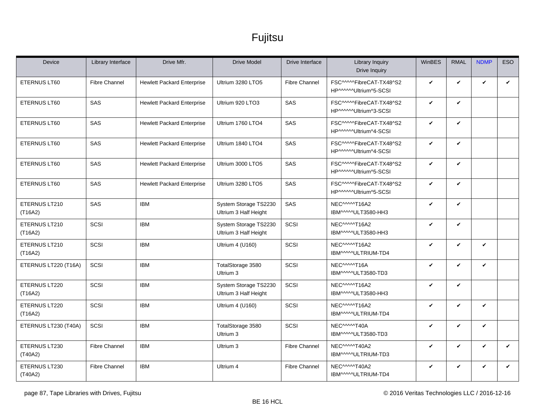| <b>Device</b>            | Library Interface    | Drive Mfr.                        | <b>Drive Model</b>                             | Drive Interface      | <b>Library Inquiry</b><br><b>Drive Inquiry</b>    | WinBES       | <b>RMAL</b>  | <b>NDMP</b>  | ESO |
|--------------------------|----------------------|-----------------------------------|------------------------------------------------|----------------------|---------------------------------------------------|--------------|--------------|--------------|-----|
| ETERNUS LT60             | <b>Fibre Channel</b> | <b>Hewlett Packard Enterprise</b> | Ultrium 3280 LTO5                              | <b>Fibre Channel</b> | FSC^^^^^FibreCAT-TX48^S2<br>HP^^^^^Ultrium^5-SCSI | V            | V            | V            | V   |
| ETERNUS LT60             | SAS                  | <b>Hewlett Packard Enterprise</b> | Ultrium 920 LTO3                               | SAS                  | FSC^^^^^FibreCAT-TX48^S2<br>HP^^^^^Ultrium^3-SCSI | V            | $\checkmark$ |              |     |
| <b>ETERNUS LT60</b>      | SAS                  | <b>Hewlett Packard Enterprise</b> | Ultrium 1760 LTO4                              | SAS                  | FSC^^^^^FibreCAT-TX48^S2<br>HP^^^^^Ultrium^4-SCSI | V            | $\checkmark$ |              |     |
| ETERNUS LT60             | SAS                  | <b>Hewlett Packard Enterprise</b> | Ultrium 1840 LTO4                              | SAS                  | FSC^^^^^FibreCAT-TX48^S2<br>HP^^^^^Ultrium^4-SCSI | V            | $\checkmark$ |              |     |
| ETERNUS LT60             | SAS                  | <b>Hewlett Packard Enterprise</b> | Ultrium 3000 LTO5                              | SAS                  | FSC^^^^^FibreCAT-TX48^S2<br>HP^^^^^Ultrium^5-SCSI | V            | $\checkmark$ |              |     |
| <b>ETERNUS LT60</b>      | <b>SAS</b>           | <b>Hewlett Packard Enterprise</b> | Ultrium 3280 LTO5                              | SAS                  | FSC^^^^^FibreCAT-TX48^S2<br>HP^^^^^Ultrium^5-SCSI | V            | $\checkmark$ |              |     |
| ETERNUS LT210<br>(T16A2) | SAS                  | <b>IBM</b>                        | System Storage TS2230<br>Ultrium 3 Half Height | SAS                  | NEC^^^^^T16A2<br>IBM^^^^ULT3580-HH3               | V            | $\checkmark$ |              |     |
| ETERNUS LT210<br>(T16A2) | SCSI                 | <b>IBM</b>                        | System Storage TS2230<br>Ultrium 3 Half Height | SCSI                 | NEC^^^^^T16A2<br>IBM^^^^ULT3580-HH3               | V            | $\checkmark$ |              |     |
| ETERNUS LT210<br>(T16A2) | SCSI                 | <b>IBM</b>                        | Ultrium 4 (U160)                               | SCSI                 | NEC^^^^^T16A2<br>IBM^^^^ULTRIUM-TD4               | V            | $\checkmark$ | $\checkmark$ |     |
| ETERNUS LT220 (T16A)     | SCSI                 | <b>IBM</b>                        | TotalStorage 3580<br>Ultrium 3                 | SCSI                 | NEC^^^^^T16A<br>IBM^^^^ULT3580-TD3                | V            | $\checkmark$ | V            |     |
| ETERNUS LT220<br>(T16A2) | SCSI                 | <b>IBM</b>                        | System Storage TS2230<br>Ultrium 3 Half Height | SCSI                 | NEC^^^^^T16A2<br>IBM^^^^ULT3580-HH3               | $\checkmark$ | $\checkmark$ |              |     |
| ETERNUS LT220<br>(T16A2) | SCSI                 | <b>IBM</b>                        | Ultrium 4 (U160)                               | SCSI                 | NEC^^^^^T16A2<br>IBM^^^^^ULTRIUM-TD4              | V            | $\checkmark$ | V            |     |
| ETERNUS LT230 (T40A)     | SCSI                 | <b>IBM</b>                        | TotalStorage 3580<br>Ultrium 3                 | SCSI                 | NEC^^^^^T40A<br>IBM^^^^ULT3580-TD3                | V            | $\checkmark$ | V            |     |
| ETERNUS LT230<br>(T40A2) | <b>Fibre Channel</b> | <b>IBM</b>                        | Ultrium 3                                      | <b>Fibre Channel</b> | NEC^^^^^T40A2<br>IBM^^^^^ULTRIUM-TD3              | $\checkmark$ | $\checkmark$ | $\checkmark$ | V   |
| ETERNUS LT230<br>(T40A2) | <b>Fibre Channel</b> | <b>IBM</b>                        | Ultrium 4                                      | <b>Fibre Channel</b> | NEC^^^^^T40A2<br>IBM^^^^ULTRIUM-TD4               | V            | $\checkmark$ | V            | V   |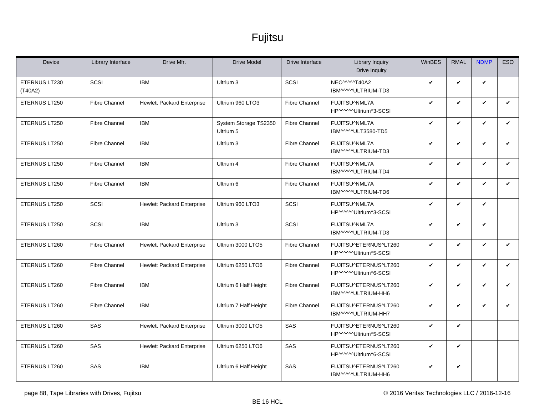| <b>Device</b>            | Library Interface    | Drive Mfr.                        | <b>Drive Model</b>                 | Drive Interface      | <b>Library Inquiry</b><br>Drive Inquiry        | WinBES       | <b>RMAL</b> | <b>NDMP</b>  | <b>ESO</b>   |
|--------------------------|----------------------|-----------------------------------|------------------------------------|----------------------|------------------------------------------------|--------------|-------------|--------------|--------------|
| ETERNUS LT230<br>(T40A2) | SCSI                 | <b>IBM</b>                        | Ultrium 3                          | SCSI                 | NEC^^^^^T40A2<br>IBM^^^^^ULTRIUM-TD3           | V            | V           | V            |              |
| ETERNUS LT250            | <b>Fibre Channel</b> | <b>Hewlett Packard Enterprise</b> | Ultrium 960 LTO3                   | <b>Fibre Channel</b> | FUJITSU^NML7A<br>HP^^^^^Ultrium^3-SCSI         | V            | V           | $\checkmark$ | $\checkmark$ |
| ETERNUS LT250            | <b>Fibre Channel</b> | <b>IBM</b>                        | System Storage TS2350<br>Ultrium 5 | <b>Fibre Channel</b> | FUJITSU^NML7A<br>IBM^^^^^ULT3580-TD5           | V            | V           | $\checkmark$ | $\checkmark$ |
| ETERNUS LT250            | <b>Fibre Channel</b> | <b>IBM</b>                        | Ultrium 3                          | <b>Fibre Channel</b> | FUJITSU^NML7A<br>IBM^^^^^ULTRIUM-TD3           | V            | V           | $\checkmark$ | V            |
| ETERNUS LT250            | <b>Fibre Channel</b> | <b>IBM</b>                        | Ultrium 4                          | <b>Fibre Channel</b> | FUJITSU^NML7A<br>IBM^^^^^ULTRIUM-TD4           | $\checkmark$ | V           | $\checkmark$ | $\checkmark$ |
| ETERNUS LT250            | <b>Fibre Channel</b> | <b>IBM</b>                        | Ultrium 6                          | <b>Fibre Channel</b> | FUJITSU^NML7A<br>IBM^^^^^ULTRIUM-TD6           | V            | V           | V            | $\checkmark$ |
| ETERNUS LT250            | SCSI                 | <b>Hewlett Packard Enterprise</b> | Ultrium 960 LTO3                   | SCSI                 | FUJITSU^NML7A<br>HP^^^^^Ultrium^3-SCSI         | $\checkmark$ | V           | $\checkmark$ |              |
| ETERNUS LT250            | SCSI                 | <b>IBM</b>                        | Ultrium 3                          | SCSI                 | FUJITSU^NML7A<br>IBM^^^^ULTRIUM-TD3            | V            | V           | V            |              |
| ETERNUS LT260            | <b>Fibre Channel</b> | <b>Hewlett Packard Enterprise</b> | Ultrium 3000 LTO5                  | <b>Fibre Channel</b> | FUJITSU^ETERNUS^LT260<br>HP^^^^^Ultrium^5-SCSI | $\checkmark$ | V           | $\checkmark$ | $\checkmark$ |
| ETERNUS LT260            | <b>Fibre Channel</b> | <b>Hewlett Packard Enterprise</b> | Ultrium 6250 LTO6                  | <b>Fibre Channel</b> | FUJITSU^ETERNUS^LT260<br>HP^^^^^Ultrium^6-SCSI | V            | V           | V            | $\checkmark$ |
| ETERNUS LT260            | <b>Fibre Channel</b> | <b>IBM</b>                        | Ultrium 6 Half Height              | <b>Fibre Channel</b> | FUJITSU^ETERNUS^LT260<br>IBM^^^^^ULTRIUM-HH6   | $\checkmark$ | V           | $\checkmark$ | $\checkmark$ |
| ETERNUS LT260            | <b>Fibre Channel</b> | <b>IBM</b>                        | Ultrium 7 Half Height              | <b>Fibre Channel</b> | FUJITSU^ETERNUS^LT260<br>IBM^^^^^ULTRIUM-HH7   | $\checkmark$ | V           | V            | $\checkmark$ |
| ETERNUS LT260            | SAS                  | <b>Hewlett Packard Enterprise</b> | Ultrium 3000 LTO5                  | SAS                  | FUJITSU^ETERNUS^LT260<br>HP^^^^^Ultrium^5-SCSI | V            | V           |              |              |
| ETERNUS LT260            | SAS                  | <b>Hewlett Packard Enterprise</b> | Ultrium 6250 LTO6                  | SAS                  | FUJITSU^ETERNUS^LT260<br>HP^^^^^Ultrium^6-SCSI | $\checkmark$ | V           |              |              |
| ETERNUS LT260            | SAS                  | <b>IBM</b>                        | Ultrium 6 Half Height              | SAS                  | FUJITSU^ETERNUS^LT260<br>IBM^^^^^ULTRIUM-HH6   | V            | V           |              |              |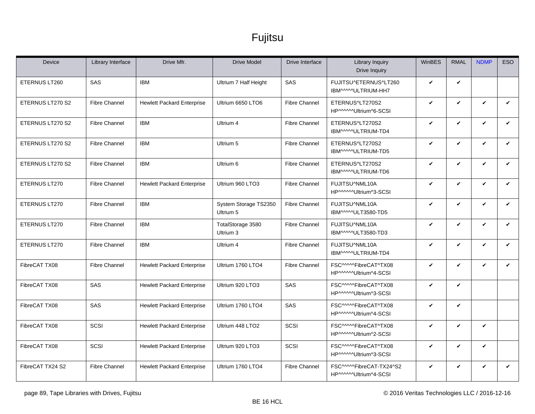| <b>Device</b>    | Library Interface    | Drive Mfr.                        | <b>Drive Model</b>                 | Drive Interface      | <b>Library Inquiry</b><br>Drive Inquiry           | WinBES       | <b>RMAL</b> | <b>NDMP</b>  | <b>ESO</b>   |
|------------------|----------------------|-----------------------------------|------------------------------------|----------------------|---------------------------------------------------|--------------|-------------|--------------|--------------|
| ETERNUS LT260    | <b>SAS</b>           | <b>IBM</b>                        | Ultrium 7 Half Height              | SAS                  | FUJITSU^ETERNUS^LT260<br>IBM^^^^^ULTRIUM-HH7      | V            | V           |              |              |
| ETERNUS LT270 S2 | <b>Fibre Channel</b> | <b>Hewlett Packard Enterprise</b> | Ultrium 6650 LTO6                  | <b>Fibre Channel</b> | ETERNUS^LT270S2<br>HP^^^^^Ultrium^6-SCSI          | V            | V           | $\checkmark$ | V            |
| ETERNUS LT270 S2 | <b>Fibre Channel</b> | <b>IBM</b>                        | Ultrium 4                          | <b>Fibre Channel</b> | ETERNUS^LT270S2<br>IBM^^^^^ULTRIUM-TD4            | V            | V           | $\checkmark$ | $\checkmark$ |
| ETERNUS LT270 S2 | <b>Fibre Channel</b> | <b>IBM</b>                        | Ultrium 5                          | <b>Fibre Channel</b> | ETERNUS^LT270S2<br>IBM^^^^^ULTRIUM-TD5            | V            | V           | $\checkmark$ | V            |
| ETERNUS LT270 S2 | <b>Fibre Channel</b> | <b>IBM</b>                        | Ultrium 6                          | <b>Fibre Channel</b> | ETERNUS^LT270S2<br>IBM^^^^^ULTRIUM-TD6            | V            | V           | $\checkmark$ | $\checkmark$ |
| ETERNUS LT270    | <b>Fibre Channel</b> | <b>Hewlett Packard Enterprise</b> | Ultrium 960 LTO3                   | <b>Fibre Channel</b> | FUJITSU^NML10A<br>HP^^^^^Ultrium^3-SCSI           | V            | V           | $\checkmark$ | $\checkmark$ |
| ETERNUS LT270    | <b>Fibre Channel</b> | <b>IBM</b>                        | System Storage TS2350<br>Ultrium 5 | <b>Fibre Channel</b> | FUJITSU^NML10A<br>IBM^^^^^ULT3580-TD5             | $\checkmark$ | V           | V            | $\checkmark$ |
| ETERNUS LT270    | <b>Fibre Channel</b> | <b>IBM</b>                        | TotalStorage 3580<br>Ultrium 3     | <b>Fibre Channel</b> | FUJITSU^NML10A<br>IBM^^^^ULT3580-TD3              | V            | V           | $\checkmark$ | $\checkmark$ |
| ETERNUS LT270    | <b>Fibre Channel</b> | <b>IBM</b>                        | Ultrium 4                          | <b>Fibre Channel</b> | FUJITSU^NML10A<br>IBM^^^^^ULTRIUM-TD4             | V            | V           | V            | $\checkmark$ |
| FibreCAT TX08    | <b>Fibre Channel</b> | <b>Hewlett Packard Enterprise</b> | Ultrium 1760 LTO4                  | <b>Fibre Channel</b> | FSC^^^^^FibreCAT^TX08<br>HP^^^^^Ultrium^4-SCSI    | $\checkmark$ | V           | $\checkmark$ | ✓            |
| FibreCAT TX08    | SAS                  | <b>Hewlett Packard Enterprise</b> | Ultrium 920 LTO3                   | SAS                  | FSC^^^^^FibreCAT^TX08<br>HP^^^^^Ultrium^3-SCSI    | V            | V           |              |              |
| FibreCAT TX08    | <b>SAS</b>           | <b>Hewlett Packard Enterprise</b> | Ultrium 1760 LTO4                  | SAS                  | FSC^^^^^FibreCAT^TX08<br>HP^^^^^Ultrium^4-SCSI    | V            | V           |              |              |
| FibreCAT TX08    | SCSI                 | <b>Hewlett Packard Enterprise</b> | Ultrium 448 LTO2                   | SCSI                 | FSC^^^^^FibreCAT^TX08<br>HP^^^^^Ultrium^2-SCSI    | $\checkmark$ | V           | V            |              |
| FibreCAT TX08    | SCSI                 | <b>Hewlett Packard Enterprise</b> | Ultrium 920 LTO3                   | SCSI                 | FSC^^^^^FibreCAT^TX08<br>HP^^^^^Ultrium^3-SCSI    | V            | V           | V            |              |
| FibreCAT TX24 S2 | <b>Fibre Channel</b> | <b>Hewlett Packard Enterprise</b> | Ultrium 1760 LTO4                  | <b>Fibre Channel</b> | FSC^^^^^FibreCAT-TX24^S2<br>HP^^^^^Ultrium^4-SCSI | V            | V           | V            | V            |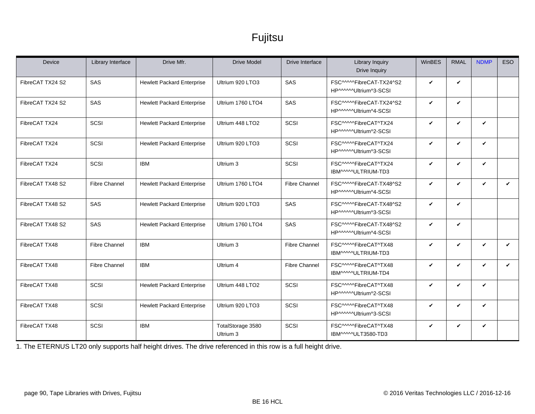| <b>Device</b>    | Library Interface    | Drive Mfr.                        | <b>Drive Model</b>             | Drive Interface      | <b>Library Inquiry</b><br>Drive Inquiry           | WinBES       | <b>RMAL</b>        | <b>NDMP</b>  | <b>ESO</b> |
|------------------|----------------------|-----------------------------------|--------------------------------|----------------------|---------------------------------------------------|--------------|--------------------|--------------|------------|
| FibreCAT TX24 S2 | SAS                  | <b>Hewlett Packard Enterprise</b> | Ultrium 920 LTO3               | SAS                  | FSC^^^^^FibreCAT-TX24^S2<br>HP^^^^^Ultrium^3-SCSI | $\checkmark$ | $\checkmark$       |              |            |
| FibreCAT TX24 S2 | SAS                  | <b>Hewlett Packard Enterprise</b> | Ultrium 1760 LTO4              | SAS                  | FSC^^^^^FibreCAT-TX24^S2<br>HP^^^^^Ultrium^4-SCSI | V            | $\checkmark$       |              |            |
| FibreCAT TX24    | SCSI                 | <b>Hewlett Packard Enterprise</b> | Ultrium 448 LTO2               | SCSI                 | FSC^^^^^FibreCAT^TX24<br>HP^^^^^Ultrium^2-SCSI    | V            | $\checkmark$       | V            |            |
| FibreCAT TX24    | SCSI                 | <b>Hewlett Packard Enterprise</b> | Ultrium 920 LTO3               | SCSI                 | FSC^^^^^FibreCAT^TX24<br>HP^^^^^Ultrium^3-SCSI    | V            | $\checkmark$       | V            |            |
| FibreCAT TX24    | SCSI                 | <b>IBM</b>                        | Ultrium 3                      | SCSI                 | FSC^^^^^FibreCAT^TX24<br>IBM^^^^ULTRIUM-TD3       | V            | ✓                  | V            |            |
| FibreCAT TX48 S2 | <b>Fibre Channel</b> | <b>Hewlett Packard Enterprise</b> | Ultrium 1760 LTO4              | <b>Fibre Channel</b> | FSC^^^^^FibreCAT-TX48^S2<br>HP^^^^^Ultrium^4-SCSI | V            | $\checkmark$       | V            | ✓          |
| FibreCAT TX48 S2 | SAS                  | <b>Hewlett Packard Enterprise</b> | Ultrium 920 LTO3               | SAS                  | FSC^^^^^FibreCAT-TX48^S2<br>HP^^^^^Ultrium^3-SCSI | $\checkmark$ | $\checkmark$       |              |            |
| FibreCAT TX48 S2 | <b>SAS</b>           | <b>Hewlett Packard Enterprise</b> | Ultrium 1760 LTO4              | SAS                  | FSC^^^^^FibreCAT-TX48^S2<br>HP^^^^^Ultrium^4-SCSI | V            | V                  |              |            |
| FibreCAT TX48    | <b>Fibre Channel</b> | <b>IBM</b>                        | Ultrium 3                      | <b>Fibre Channel</b> | FSC^^^^^FibreCAT^TX48<br>IBM^^^^ULTRIUM-TD3       | V            | $\boldsymbol{\nu}$ | V            | ✓          |
| FibreCAT TX48    | <b>Fibre Channel</b> | <b>IBM</b>                        | Ultrium 4                      | <b>Fibre Channel</b> | FSC^^^^^FibreCAT^TX48<br>IBM^^^^ULTRIUM-TD4       | $\checkmark$ | $\boldsymbol{\nu}$ | $\mathbf{v}$ | ✓          |
| FibreCAT TX48    | SCSI                 | <b>Hewlett Packard Enterprise</b> | Ultrium 448 LTO2               | SCSI                 | FSC^^^^^FibreCAT^TX48<br>HP^^^^^Ultrium^2-SCSI    | V            | $\checkmark$       | V            |            |
| FibreCAT TX48    | SCSI                 | <b>Hewlett Packard Enterprise</b> | Ultrium 920 LTO3               | SCSI                 | FSC^^^^^FibreCAT^TX48<br>HP^^^^^Ultrium^3-SCSI    | V            | V                  | V            |            |
| FibreCAT TX48    | SCSI                 | <b>IBM</b>                        | TotalStorage 3580<br>Ultrium 3 | SCSI                 | FSC^^^^^FibreCAT^TX48<br>IBM^^^^^ULT3580-TD3      | V            | V                  | V            |            |

<span id="page-89-0"></span>1. The ETERNUS LT20 only supports half height drives. The drive referenced in this row is a full height drive.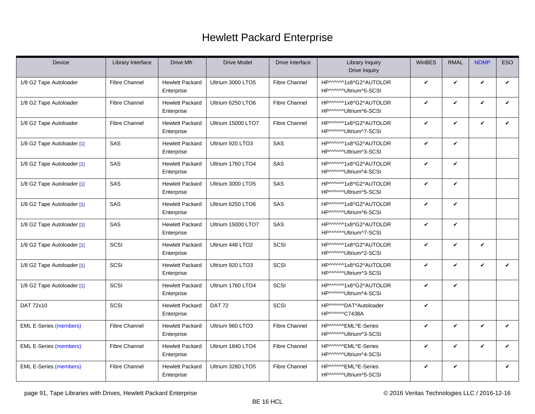<span id="page-90-0"></span>

| Device                        | Library Interface    | Drive Mfr.                           | <b>Drive Model</b> | Drive Interface      | <b>Library Inquiry</b><br>Drive Inquiry         | <b>WinBES</b> | <b>RMAL</b>  | <b>NDMP</b>  | ESO          |
|-------------------------------|----------------------|--------------------------------------|--------------------|----------------------|-------------------------------------------------|---------------|--------------|--------------|--------------|
| 1/8 G2 Tape Autoloader        | <b>Fibre Channel</b> | <b>Hewlett Packard</b><br>Enterprise | Ultrium 3000 LTO5  | <b>Fibre Channel</b> | HP^^^^^1x8^G2^AUTOLDR<br>HP^^^^^^Ultrium^5-SCSI | V             | V            | V            | V            |
| 1/8 G2 Tape Autoloader        | <b>Fibre Channel</b> | <b>Hewlett Packard</b><br>Enterprise | Ultrium 6250 LTO6  | <b>Fibre Channel</b> | HP^^^^^1x8^G2^AUTOLDR<br>HP^^^^^Ultrium^6-SCSI  | $\checkmark$  | V            | V            | $\checkmark$ |
| 1/8 G2 Tape Autoloader        | <b>Fibre Channel</b> | <b>Hewlett Packard</b><br>Enterprise | Ultrium 15000 LTO7 | <b>Fibre Channel</b> | HP^^^^^1x8^G2^AUTOLDR<br>HP^^^^^^Ultrium^7-SCSI | $\checkmark$  | V            | V            | V            |
| 1/8 G2 Tape Autoloader [1]    | SAS                  | <b>Hewlett Packard</b><br>Enterprise | Ultrium 920 LTO3   | SAS                  | HP^^^^^1x8^G2^AUTOLDR<br>HP^^^^^Ultrium^3-SCSI  | V             | V            |              |              |
| 1/8 G2 Tape Autoloader [1]    | SAS                  | <b>Hewlett Packard</b><br>Enterprise | Ultrium 1760 LTO4  | SAS                  | HP^^^^^1x8^G2^AUTOLDR<br>HP^^^^^Ultrium^4-SCSI  | $\checkmark$  | $\checkmark$ |              |              |
| 1/8 G2 Tape Autoloader [1]    | SAS                  | <b>Hewlett Packard</b><br>Enterprise | Ultrium 3000 LTO5  | SAS                  | HP^^^^^1x8^G2^AUTOLDR<br>HP^^^^^^Ultrium^5-SCSI | $\checkmark$  | $\checkmark$ |              |              |
| 1/8 G2 Tape Autoloader [1]    | SAS                  | <b>Hewlett Packard</b><br>Enterprise | Ultrium 6250 LTO6  | SAS                  | HP^^^^^1x8^G2^AUTOLDR<br>HP^^^^^Ultrium^6-SCSI  | V             | V            |              |              |
| 1/8 G2 Tape Autoloader [1]    | SAS                  | <b>Hewlett Packard</b><br>Enterprise | Ultrium 15000 LTO7 | SAS                  | HP^^^^^1x8^G2^AUTOLDR<br>HP^^^^^Ultrium^7-SCSI  | $\checkmark$  | V            |              |              |
| 1/8 G2 Tape Autoloader [1]    | SCSI                 | <b>Hewlett Packard</b><br>Enterprise | Ultrium 448 LTO2   | SCSI                 | HP^^^^^1x8^G2^AUTOLDR<br>HP^^^^^^Ultrium^2-SCSI | $\checkmark$  | V            | V            |              |
| 1/8 G2 Tape Autoloader [1]    | SCSI                 | <b>Hewlett Packard</b><br>Enterprise | Ultrium 920 LTO3   | SCSI                 | HP^^^^^1x8^G2^AUTOLDR<br>HP^^^^^Ultrium^3-SCSI  | V             | V            | V            | ✓            |
| 1/8 G2 Tape Autoloader [1]    | SCSI                 | <b>Hewlett Packard</b><br>Enterprise | Ultrium 1760 LTO4  | SCSI                 | HP^^^^^1x8^G2^AUTOLDR<br>HP^^^^^Ultrium^4-SCSI  | $\checkmark$  | $\checkmark$ |              |              |
| DAT 72x10                     | SCSI                 | <b>Hewlett Packard</b><br>Enterprise | <b>DAT 72</b>      | SCSI                 | HP^^^^^DAT^Autoloader<br>HP^^^^^C7438A          | $\checkmark$  |              |              |              |
| <b>EML E-Series (members)</b> | <b>Fibre Channel</b> | <b>Hewlett Packard</b><br>Enterprise | Ultrium 960 LTO3   | <b>Fibre Channel</b> | HP^^^^^EML^E-Series<br>HP^^^^^Ultrium^3-SCSI    | V             | $\checkmark$ | $\checkmark$ | V            |
| <b>EML E-Series (members)</b> | Fibre Channel        | <b>Hewlett Packard</b><br>Enterprise | Ultrium 1840 LTO4  | <b>Fibre Channel</b> | HP^^^^^EML^E-Series<br>HP^^^^^^Ultrium^4-SCSI   | $\checkmark$  | ✓            | ✓            | ✓            |
| <b>EML E-Series (members)</b> | <b>Fibre Channel</b> | <b>Hewlett Packard</b><br>Enterprise | Ultrium 3280 LTO5  | <b>Fibre Channel</b> | HP^^^^^EML^E-Series<br>HP^^^^^Ultrium^5-SCSI    | $\checkmark$  | V            |              | V            |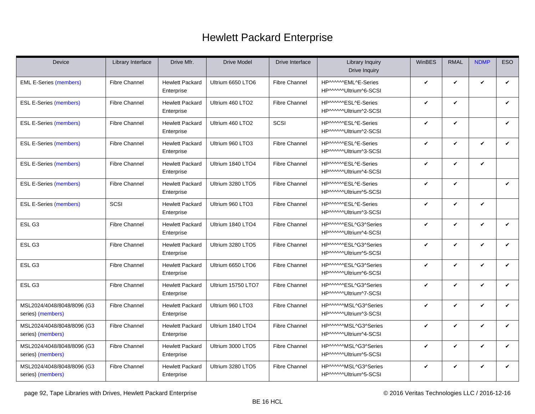| Device                                          | Library Interface    | Drive Mfr.                           | <b>Drive Model</b> | Drive Interface      | Library Inquiry<br>Drive Inquiry               | <b>WinBES</b> | <b>RMAL</b>  | <b>NDMP</b> | ESO          |
|-------------------------------------------------|----------------------|--------------------------------------|--------------------|----------------------|------------------------------------------------|---------------|--------------|-------------|--------------|
| <b>EML E-Series (members)</b>                   | <b>Fibre Channel</b> | <b>Hewlett Packard</b><br>Enterprise | Ultrium 6650 LTO6  | <b>Fibre Channel</b> | HP^^^^^EML^E-Series<br>HP^^^^^^Ultrium^6-SCSI  | $\checkmark$  | V            | V           | $\checkmark$ |
| <b>ESL E-Series (members)</b>                   | <b>Fibre Channel</b> | <b>Hewlett Packard</b><br>Enterprise | Ultrium 460 LTO2   | <b>Fibre Channel</b> | HP^^^^^ESL^E-Series<br>HP^^^^^Ultrium^2-SCSI   | V             | ✓            |             | ✓            |
| <b>ESL E-Series (members)</b>                   | <b>Fibre Channel</b> | <b>Hewlett Packard</b><br>Enterprise | Ultrium 460 LTO2   | SCSI                 | HP^^^^^ESL^E-Series<br>HP^^^^^^Ultrium^2-SCSI  | $\checkmark$  | V            |             | $\checkmark$ |
| <b>ESL E-Series (members)</b>                   | <b>Fibre Channel</b> | <b>Hewlett Packard</b><br>Enterprise | Ultrium 960 LTO3   | <b>Fibre Channel</b> | HP^^^^^ESL^E-Series<br>HP^^^^^^Ultrium^3-SCSI  | $\checkmark$  | V            | V           | $\checkmark$ |
| <b>ESL E-Series (members)</b>                   | <b>Fibre Channel</b> | <b>Hewlett Packard</b><br>Enterprise | Ultrium 1840 LTO4  | <b>Fibre Channel</b> | HP^^^^^ESL^E-Series<br>HP^^^^^^Ultrium^4-SCSI  | $\checkmark$  | ✓            | V           |              |
| <b>ESL E-Series (members)</b>                   | <b>Fibre Channel</b> | <b>Hewlett Packard</b><br>Enterprise | Ultrium 3280 LTO5  | <b>Fibre Channel</b> | HP^^^^^ESL^E-Series<br>HP^^^^^Ultrium^5-SCSI   | $\checkmark$  | $\checkmark$ |             | $\checkmark$ |
| <b>ESL E-Series (members)</b>                   | SCSI                 | <b>Hewlett Packard</b><br>Enterprise | Ultrium 960 LTO3   | <b>Fibre Channel</b> | HP^^^^^ESL^E-Series<br>HP^^^^^^Ultrium^3-SCSI  | V             | V            | V           |              |
| ESL <sub>G3</sub>                               | <b>Fibre Channel</b> | <b>Hewlett Packard</b><br>Enterprise | Ultrium 1840 LTO4  | <b>Fibre Channel</b> | HP^^^^^ESL^G3^Series<br>HP^^^^^^Ultrium^4-SCSI | $\checkmark$  | V            | V           | $\checkmark$ |
| ESL G3                                          | <b>Fibre Channel</b> | <b>Hewlett Packard</b><br>Enterprise | Ultrium 3280 LTO5  | <b>Fibre Channel</b> | HP^^^^^ESL^G3^Series<br>HP^^^^^^Ultrium^5-SCSI | $\checkmark$  | V            | V           | $\checkmark$ |
| ESL G3                                          | <b>Fibre Channel</b> | <b>Hewlett Packard</b><br>Enterprise | Ultrium 6650 LTO6  | <b>Fibre Channel</b> | HP^^^^^ESL^G3^Series<br>HP^^^^^^Ultrium^6-SCSI | V             | V            | V           | V            |
| ESL <sub>G3</sub>                               | <b>Fibre Channel</b> | <b>Hewlett Packard</b><br>Enterprise | Ultrium 15750 LTO7 | <b>Fibre Channel</b> | HP^^^^^ESL^G3^Series<br>HP^^^^^Ultrium^7-SCSI  | $\checkmark$  | V            | V           | $\checkmark$ |
| MSL2024/4048/8048/8096 (G3<br>series) (members) | <b>Fibre Channel</b> | <b>Hewlett Packard</b><br>Enterprise | Ultrium 960 LTO3   | <b>Fibre Channel</b> | HP^^^^^MSL^G3^Series<br>HP^^^^^^Ultrium^3-SCSI | $\checkmark$  | V            | V           | V            |
| MSL2024/4048/8048/8096 (G3<br>series) (members) | <b>Fibre Channel</b> | <b>Hewlett Packard</b><br>Enterprise | Ultrium 1840 LTO4  | <b>Fibre Channel</b> | HP^^^^^MSL^G3^Series<br>HP^^^^^^Ultrium^4-SCSI | V             | V            | V           | $\checkmark$ |
| MSL2024/4048/8048/8096 (G3<br>series) (members) | <b>Fibre Channel</b> | <b>Hewlett Packard</b><br>Enterprise | Ultrium 3000 LTO5  | <b>Fibre Channel</b> | HP^^^^^MSL^G3^Series<br>HP^^^^^^Ultrium^5-SCSI | $\checkmark$  | $\checkmark$ | V           | $\checkmark$ |
| MSL2024/4048/8048/8096 (G3<br>series) (members) | <b>Fibre Channel</b> | <b>Hewlett Packard</b><br>Enterprise | Ultrium 3280 LTO5  | <b>Fibre Channel</b> | HP^^^^^MSL^G3^Series<br>HP^^^^^Ultrium^5-SCSI  | V             | V            | V           | ✓            |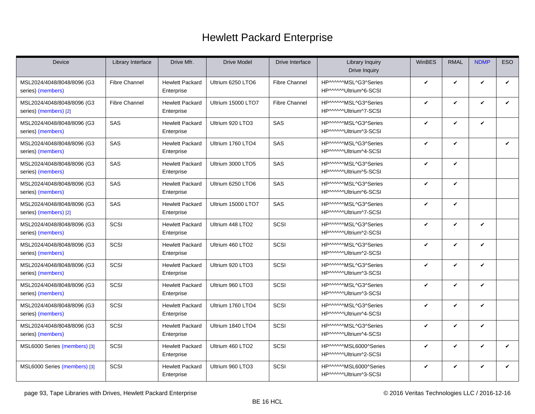| Device                                              | Library Interface    | Drive Mfr.                           | <b>Drive Model</b> | Drive Interface      | <b>Library Inquiry</b><br>Drive Inquiry         | <b>WinBES</b> | <b>RMAL</b>  | <b>NDMP</b>  | <b>ESO</b>   |
|-----------------------------------------------------|----------------------|--------------------------------------|--------------------|----------------------|-------------------------------------------------|---------------|--------------|--------------|--------------|
| MSL2024/4048/8048/8096 (G3<br>series) (members)     | <b>Fibre Channel</b> | <b>Hewlett Packard</b><br>Enterprise | Ultrium 6250 LTO6  | <b>Fibre Channel</b> | HP^^^^^MSL^G3^Series<br>HP^^^^^^Ultrium^6-SCSI  | V             | V            | $\checkmark$ | $\checkmark$ |
| MSL2024/4048/8048/8096 (G3<br>series) (members) [2] | <b>Fibre Channel</b> | <b>Hewlett Packard</b><br>Enterprise | Ultrium 15000 LTO7 | <b>Fibre Channel</b> | HP^^^^^MSL^G3^Series<br>HP^^^^^^Ultrium^7-SCSI  | ✓             | V            | $\checkmark$ | $\checkmark$ |
| MSL2024/4048/8048/8096 (G3<br>series) (members)     | SAS                  | <b>Hewlett Packard</b><br>Enterprise | Ultrium 920 LTO3   | SAS                  | HP^^^^^MSL^G3^Series<br>HP^^^^^Ultrium^3-SCSI   | ✓             | V            | $\checkmark$ |              |
| MSL2024/4048/8048/8096 (G3<br>series) (members)     | SAS                  | <b>Hewlett Packard</b><br>Enterprise | Ultrium 1760 LTO4  | SAS                  | HP^^^^^MSL^G3^Series<br>HP^^^^^^Ultrium^4-SCSI  | ✓             | V            |              | ✓            |
| MSL2024/4048/8048/8096 (G3<br>series) (members)     | SAS                  | <b>Hewlett Packard</b><br>Enterprise | Ultrium 3000 LTO5  | SAS                  | HP^^^^^MSL^G3^Series<br>HP^^^^^^Ultrium^5-SCSI  | ✓             | V            |              |              |
| MSL2024/4048/8048/8096 (G3<br>series) (members)     | SAS                  | Hewlett Packard<br>Enterprise        | Ultrium 6250 LTO6  | SAS                  | HP^^^^^MSL^G3^Series<br>HP^^^^^Ultrium^6-SCSI   | ✓             | V            |              |              |
| MSL2024/4048/8048/8096 (G3<br>series) (members) [2] | <b>SAS</b>           | <b>Hewlett Packard</b><br>Enterprise | Ultrium 15000 LTO7 | SAS                  | HP^^^^^MSL^G3^Series<br>HP^^^^^^Ultrium^7-SCSI  | V             | V            |              |              |
| MSL2024/4048/8048/8096 (G3<br>series) (members)     | SCSI                 | <b>Hewlett Packard</b><br>Enterprise | Ultrium 448 LTO2   | SCSI                 | HP^^^^^MSL^G3^Series<br>HP^^^^^^Ultrium^2-SCSI  | ✓             | V            | $\checkmark$ |              |
| MSL2024/4048/8048/8096 (G3<br>series) (members)     | <b>SCSI</b>          | <b>Hewlett Packard</b><br>Enterprise | Ultrium 460 LTO2   | SCSI                 | HP^^^^^MSL^G3^Series<br>HP^^^^^^Ultrium^2-SCSI  | V             | $\checkmark$ | $\checkmark$ |              |
| MSL2024/4048/8048/8096 (G3<br>series) (members)     | SCSI                 | <b>Hewlett Packard</b><br>Enterprise | Ultrium 920 LTO3   | SCSI                 | HP^^^^^MSL^G3^Series<br>HP^^^^^^Ultrium^3-SCSI  | ✓             | V            | $\checkmark$ |              |
| MSL2024/4048/8048/8096 (G3<br>series) (members)     | SCSI                 | <b>Hewlett Packard</b><br>Enterprise | Ultrium 960 LTO3   | SCSI                 | HP^^^^^MSL^G3^Series<br>HP^^^^^^Ultrium^3-SCSI  | ✓             | V            | $\checkmark$ |              |
| MSL2024/4048/8048/8096 (G3<br>series) (members)     | <b>SCSI</b>          | <b>Hewlett Packard</b><br>Enterprise | Ultrium 1760 LTO4  | SCSI                 | HP^^^^^MSL^G3^Series<br>HP^^^^^^Ultrium^4-SCSI  | ✓             | V            | $\checkmark$ |              |
| MSL2024/4048/8048/8096 (G3<br>series) (members)     | <b>SCSI</b>          | <b>Hewlett Packard</b><br>Enterprise | Ultrium 1840 LTO4  | SCSI                 | HP^^^^^MSL^G3^Series<br>HP^^^^^^Ultrium^4-SCSI  | V             | V            | $\checkmark$ |              |
| MSL6000 Series (members) [3]                        | <b>SCSI</b>          | <b>Hewlett Packard</b><br>Enterprise | Ultrium 460 LTO2   | SCSI                 | HP^^^^^MSL6000^Series<br>HP^^^^^^Ultrium^2-SCSI | ✓             | V            | $\checkmark$ | $\checkmark$ |
| MSL6000 Series (members) [3]                        | <b>SCSI</b>          | <b>Hewlett Packard</b><br>Enterprise | Ultrium 960 LTO3   | SCSI                 | HP^^^^^MSL6000^Series<br>HP^^^^^Ultrium^3-SCSI  | V             | V            | $\checkmark$ | $\checkmark$ |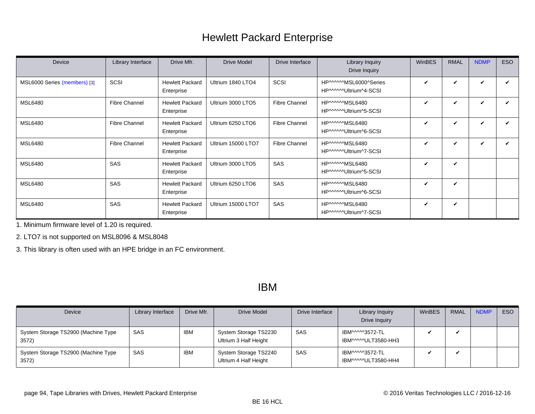<span id="page-93-0"></span>

| Device                       | Library Interface    | Drive Mfr.                           | <b>Drive Model</b> | Drive Interface      | Library Inquiry<br>Drive Inquiry               | WinBES | <b>RMAL</b>                | <b>NDMP</b>                | ESO |
|------------------------------|----------------------|--------------------------------------|--------------------|----------------------|------------------------------------------------|--------|----------------------------|----------------------------|-----|
| MSL6000 Series (members) [3] | SCSI                 | <b>Hewlett Packard</b><br>Enterprise | Ultrium 1840 LTO4  | SCSI                 | HP^^^^^MSL6000^Series<br>HP^^^^^Ultrium^4-SCSI | ✓      | $\boldsymbol{\mathcal{U}}$ | V                          |     |
| <b>MSL6480</b>               | Fibre Channel        | <b>Hewlett Packard</b><br>Enterprise | Ultrium 3000 LTO5  | <b>Fibre Channel</b> | HP^^^^^MSL6480<br>HP^^^^^^Ultrium^5-SCSI       | ✓      | V                          | V                          |     |
| <b>MSL6480</b>               | Fibre Channel        | <b>Hewlett Packard</b><br>Enterprise | Ultrium 6250 LTO6  | <b>Fibre Channel</b> | HP^^^^^MSL6480<br>HP^^^^^^Ultrium^6-SCSI       | ✓      | V                          | $\checkmark$               |     |
| <b>MSL6480</b>               | <b>Fibre Channel</b> | <b>Hewlett Packard</b><br>Enterprise | Ultrium 15000 LTO7 | <b>Fibre Channel</b> | HP^^^^^MSL6480<br>HP^^^^^Ultrium^7-SCSI        | ✓      | $\boldsymbol{\mathcal{U}}$ | $\boldsymbol{\mathcal{U}}$ |     |
| <b>MSL6480</b>               | SAS                  | <b>Hewlett Packard</b><br>Enterprise | Ultrium 3000 LTO5  | SAS                  | HP^^^^^MSL6480<br>HP^^^^^^Ultrium^5-SCSI       | ✔      | V                          |                            |     |
| <b>MSL6480</b>               | SAS                  | <b>Hewlett Packard</b><br>Enterprise | Ultrium 6250 LTO6  | <b>SAS</b>           | HP^^^^^MSL6480<br>HP^^^^^Ultrium^6-SCSI        | ✓      | V                          |                            |     |
| <b>MSL6480</b>               | SAS                  | <b>Hewlett Packard</b><br>Enterprise | Ultrium 15000 LTO7 | <b>SAS</b>           | HP^^^^^MSL6480<br>HP^^^^^Ultrium^7-SCSI        | ✓      | ✓                          |                            |     |

<span id="page-93-1"></span>1. Minimum firmware level of 1.20 is required.

<span id="page-93-2"></span>2. LTO7 is not supported on MSL8096 & MSL8048

<span id="page-93-3"></span>3. This library is often used with an HPE bridge in an FC environment.

#### IBM

| Device                                       | Library Interface | Drive Mfr. | <b>Drive Model</b>                             | Drive Interface | Library Inquiry<br>Drive Inquiry      | WinBES | <b>RMAL</b> | <b>NDMP</b> | ESO |
|----------------------------------------------|-------------------|------------|------------------------------------------------|-----------------|---------------------------------------|--------|-------------|-------------|-----|
| System Storage TS2900 (Machine Type<br>3572) | SAS               | <b>IBM</b> | System Storage TS2230<br>Ultrium 3 Half Height | SAS             | IBM^^^^3572-TL<br>IBM^^^^ULT3580-HH3  |        |             |             |     |
| System Storage TS2900 (Machine Type<br>3572) | SAS               | <b>IBM</b> | System Storage TS2240<br>Ultrium 4 Half Height | SAS             | IBM^^^^3572-TL<br>IBM^^^^^ULT3580-HH4 |        |             |             |     |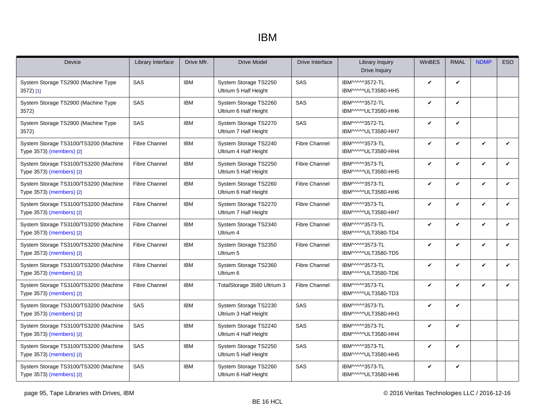#### IBM

| Device                                                            | Library Interface    | Drive Mfr. | <b>Drive Model</b>                             | Drive Interface      | <b>Library Inquiry</b><br>Drive Inquiry | WinBES | <b>RMAL</b>  | <b>NDMP</b>  | <b>ESO</b>   |
|-------------------------------------------------------------------|----------------------|------------|------------------------------------------------|----------------------|-----------------------------------------|--------|--------------|--------------|--------------|
| System Storage TS2900 (Machine Type<br>3572) [1]                  | SAS                  | <b>IBM</b> | System Storage TS2250<br>Ultrium 5 Half Height | SAS                  | IBM^^^^3572-TL<br>IBM^^^^ULT3580-HH5    | V      | V            |              |              |
| System Storage TS2900 (Machine Type<br>3572)                      | <b>SAS</b>           | <b>IBM</b> | System Storage TS2260<br>Ultrium 6 Half Height | SAS                  | IBM^^^^3572-TL<br>IBM^^^^^ULT3580-HH6   | V      | ✓            |              |              |
| System Storage TS2900 (Machine Type<br>3572)                      | SAS                  | <b>IBM</b> | System Storage TS2270<br>Ultrium 7 Half Height | SAS                  | IBM^^^^3572-TL<br>IBM^^^^^ULT3580-HH7   | V      | V            |              |              |
| System Storage TS3100/TS3200 (Machine<br>Type 3573) (members) [2] | <b>Fibre Channel</b> | <b>IBM</b> | System Storage TS2240<br>Ultrium 4 Half Height | <b>Fibre Channel</b> | IBM^^^^3573-TL<br>IBM^^^^^ULT3580-HH4   | V      | V            | V            | V            |
| System Storage TS3100/TS3200 (Machine<br>Type 3573) (members) [2] | <b>Fibre Channel</b> | <b>IBM</b> | System Storage TS2250<br>Ultrium 5 Half Height | <b>Fibre Channel</b> | IBM^^^^3573-TL<br>IBM^^^^ULT3580-HH5    | V      | V            | $\checkmark$ | $\checkmark$ |
| System Storage TS3100/TS3200 (Machine<br>Type 3573) (members) [2] | <b>Fibre Channel</b> | <b>IBM</b> | System Storage TS2260<br>Ultrium 6 Half Height | <b>Fibre Channel</b> | IBM^^^^3573-TL<br>IBM^^^^^ULT3580-HH6   | V      | V            | $\checkmark$ | $\checkmark$ |
| System Storage TS3100/TS3200 (Machine<br>Type 3573) (members) [2] | <b>Fibre Channel</b> | <b>IBM</b> | System Storage TS2270<br>Ultrium 7 Half Height | <b>Fibre Channel</b> | IBM^^^^3573-TL<br>IBM^^^^^ULT3580-HH7   | V      | V            | $\checkmark$ | V            |
| System Storage TS3100/TS3200 (Machine<br>Type 3573) (members) [2] | <b>Fibre Channel</b> | <b>IBM</b> | System Storage TS2340<br>Ultrium 4             | <b>Fibre Channel</b> | IBM^^^^3573-TL<br>IBM^^^^ULT3580-TD4    | V      | V            | $\checkmark$ | $\checkmark$ |
| System Storage TS3100/TS3200 (Machine<br>Type 3573) (members) [2] | <b>Fibre Channel</b> | <b>IBM</b> | System Storage TS2350<br>Ultrium 5             | <b>Fibre Channel</b> | IBM^^^^3573-TL<br>IBM^^^^^ULT3580-TD5   | V      | V            | V            | V            |
| System Storage TS3100/TS3200 (Machine<br>Type 3573) (members) [2] | <b>Fibre Channel</b> | <b>IBM</b> | System Storage TS2360<br>Ultrium 6             | <b>Fibre Channel</b> | IBM^^^^3573-TL<br>IBM^^^^ULT3580-TD6    | V      | ✓            | $\mathbf{v}$ | $\checkmark$ |
| System Storage TS3100/TS3200 (Machine<br>Type 3573) (members) [2] | <b>Fibre Channel</b> | <b>IBM</b> | TotalStorage 3580 Ultrium 3                    | <b>Fibre Channel</b> | IBM^^^^3573-TL<br>IBM^^^^ULT3580-TD3    | V      | V            | V            | $\checkmark$ |
| System Storage TS3100/TS3200 (Machine<br>Type 3573) (members) [2] | <b>SAS</b>           | <b>IBM</b> | System Storage TS2230<br>Ultrium 3 Half Height | SAS                  | IBM^^^^3573-TL<br>IBM^^^^ULT3580-HH3    | V      | V            |              |              |
| System Storage TS3100/TS3200 (Machine<br>Type 3573) (members) [2] | SAS                  | <b>IBM</b> | System Storage TS2240<br>Ultrium 4 Half Height | SAS                  | IBM^^^^3573-TL<br>IBM^^^^^ULT3580-HH4   | V      | V            |              |              |
| System Storage TS3100/TS3200 (Machine<br>Type 3573) (members) [2] | <b>SAS</b>           | <b>IBM</b> | System Storage TS2250<br>Ultrium 5 Half Height | SAS                  | IBM^^^^3573-TL<br>IBM^^^^^ULT3580-HH5   | V      | $\checkmark$ |              |              |
| System Storage TS3100/TS3200 (Machine<br>Type 3573) (members) [2] | <b>SAS</b>           | <b>IBM</b> | System Storage TS2260<br>Ultrium 6 Half Height | SAS                  | IBM^^^^3573-TL<br>IBM^^^^^ULT3580-HH6   | V      | V            |              |              |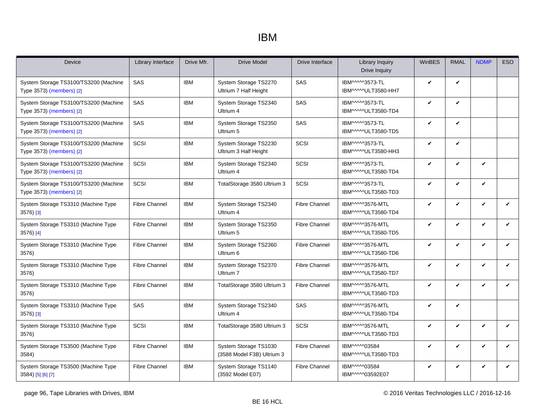#### IBM

| Device                                                            | Library Interface    | Drive Mfr. | <b>Drive Model</b>                                  | Drive Interface      | Library Inquiry<br>Drive Inquiry       | WinBES       | <b>RMAL</b>  | <b>NDMP</b>  | <b>ESO</b> |
|-------------------------------------------------------------------|----------------------|------------|-----------------------------------------------------|----------------------|----------------------------------------|--------------|--------------|--------------|------------|
| System Storage TS3100/TS3200 (Machine<br>Type 3573) (members) [2] | SAS                  | <b>IBM</b> | System Storage TS2270<br>Ultrium 7 Half Height      | SAS                  | IBM^^^^3573-TL<br>IBM^^^^^ULT3580-HH7  | V            | V            |              |            |
| System Storage TS3100/TS3200 (Machine<br>Type 3573) (members) [2] | SAS                  | <b>IBM</b> | System Storage TS2340<br>Ultrium 4                  | SAS                  | IBM^^^^3573-TL<br>IBM^^^^ULT3580-TD4   | V            | V            |              |            |
| System Storage TS3100/TS3200 (Machine<br>Type 3573) (members) [2] | SAS                  | <b>IBM</b> | System Storage TS2350<br>Ultrium 5                  | SAS                  | IBM^^^^3573-TL<br>IBM^^^^ULT3580-TD5   | $\checkmark$ | V            |              |            |
| System Storage TS3100/TS3200 (Machine<br>Type 3573) (members) [2] | SCSI                 | <b>IBM</b> | System Storage TS2230<br>Ultrium 3 Half Height      | SCSI                 | IBM^^^^3573-TL<br>IBM^^^^ULT3580-HH3   | V            | V            |              |            |
| System Storage TS3100/TS3200 (Machine<br>Type 3573) (members) [2] | <b>SCSI</b>          | <b>IBM</b> | System Storage TS2340<br>Ultrium 4                  | SCSI                 | IBM^^^^3573-TL<br>IBM^^^^^ULT3580-TD4  | $\checkmark$ | V            | $\checkmark$ |            |
| System Storage TS3100/TS3200 (Machine<br>Type 3573) (members) [2] | SCSI                 | <b>IBM</b> | TotalStorage 3580 Ultrium 3                         | SCSI                 | IBM^^^^3573-TL<br>IBM^^^^ULT3580-TD3   | $\checkmark$ | V            | V            |            |
| System Storage TS3310 (Machine Type<br>3576) [3]                  | <b>Fibre Channel</b> | <b>IBM</b> | System Storage TS2340<br>Ultrium 4                  | <b>Fibre Channel</b> | IBM^^^^3576-MTL<br>IBM^^^^ULT3580-TD4  | V            | V            | $\checkmark$ | V          |
| System Storage TS3310 (Machine Type<br>3576) [4]                  | <b>Fibre Channel</b> | <b>IBM</b> | System Storage TS2350<br>Ultrium 5                  | <b>Fibre Channel</b> | IBM^^^^3576-MTL<br>IBM^^^^ULT3580-TD5  | $\checkmark$ | $\checkmark$ | $\checkmark$ | V          |
| System Storage TS3310 (Machine Type<br>3576)                      | <b>Fibre Channel</b> | <b>IBM</b> | System Storage TS2360<br>Ultrium 6                  | <b>Fibre Channel</b> | IBM^^^^3576-MTL<br>IBM^^^^^ULT3580-TD6 | V            | V            | $\checkmark$ | V          |
| System Storage TS3310 (Machine Type<br>3576)                      | <b>Fibre Channel</b> | <b>IBM</b> | System Storage TS2370<br>Ultrium 7                  | <b>Fibre Channel</b> | IBM^^^^3576-MTL<br>IBM^^^^^ULT3580-TD7 | $\checkmark$ | $\checkmark$ | V            | ✓          |
| System Storage TS3310 (Machine Type<br>3576)                      | <b>Fibre Channel</b> | <b>IBM</b> | TotalStorage 3580 Ultrium 3                         | <b>Fibre Channel</b> | IBM^^^^3576-MTL<br>IBM^^^^ULT3580-TD3  | $\checkmark$ | V            | V            | V          |
| System Storage TS3310 (Machine Type<br>3576) [3]                  | SAS                  | <b>IBM</b> | System Storage TS2340<br>Ultrium 4                  | SAS                  | IBM^^^^3576-MTL<br>IBM^^^^^ULT3580-TD4 | V            | V            |              |            |
| System Storage TS3310 (Machine Type<br>3576)                      | <b>SCSI</b>          | <b>IBM</b> | TotalStorage 3580 Ultrium 3                         | <b>SCSI</b>          | IBM^^^^3576-MTL<br>IBM^^^^ULT3580-TD3  | $\checkmark$ | V            | $\checkmark$ | V          |
| System Storage TS3500 (Machine Type<br>3584)                      | <b>Fibre Channel</b> | <b>IBM</b> | System Storage TS1030<br>(3588 Model F3B) Ultrium 3 | <b>Fibre Channel</b> | IBM^^^^^03584<br>IBM^^^^ULT3580-TD3    | $\checkmark$ | V            | $\checkmark$ | V          |
| System Storage TS3500 (Machine Type<br>3584) [5] [6] [7]          | <b>Fibre Channel</b> | <b>IBM</b> | System Storage TS1140<br>(3592 Model E07)           | <b>Fibre Channel</b> | IBM^^^^^03584<br>IBM^^^^^03592E07      | V            | V            | V            | V          |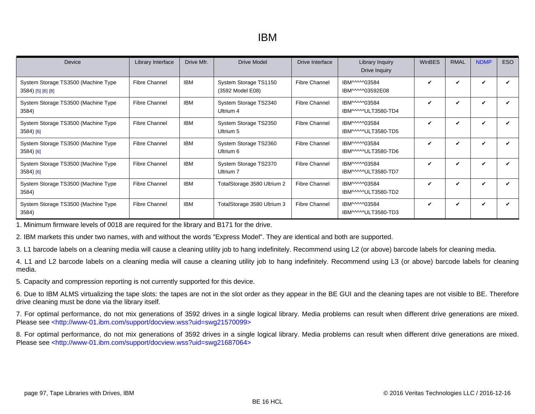| Device                                                   | Library Interface    | Drive Mfr. | Drive Model                               | Drive Interface      | Library Inquiry<br>Drive Inquiry     | WinBES                     | <b>RMAL</b> | <b>NDMP</b> | ESO |
|----------------------------------------------------------|----------------------|------------|-------------------------------------------|----------------------|--------------------------------------|----------------------------|-------------|-------------|-----|
| System Storage TS3500 (Machine Type<br>3584) [5] [6] [8] | <b>Fibre Channel</b> | <b>IBM</b> | System Storage TS1150<br>(3592 Model E08) | <b>Fibre Channel</b> | IBM^^^^^03584<br>IBM^^^^03592E08     | V                          | V           | ✓           | ✓   |
| System Storage TS3500 (Machine Type<br>3584)             | <b>Fibre Channel</b> | <b>IBM</b> | System Storage TS2340<br>Ultrium 4        | <b>Fibre Channel</b> | IBM^^^^^03584<br>IBM^^^^^ULT3580-TD4 | V                          | V           | ✓           |     |
| System Storage TS3500 (Machine Type<br>$3584)$ [6]       | <b>Fibre Channel</b> | <b>IBM</b> | System Storage TS2350<br>Ultrium 5        | <b>Fibre Channel</b> | IBM^^^^^03584<br>IBM^^^^ULT3580-TD5  | ✓                          | ✓           | ✓           |     |
| System Storage TS3500 (Machine Type<br>3584) [6]         | <b>Fibre Channel</b> | <b>IBM</b> | System Storage TS2360<br>Ultrium 6        | <b>Fibre Channel</b> | IBM^^^^^03584<br>IBM^^^^^ULT3580-TD6 | $\boldsymbol{\mathcal{U}}$ | ✓           | ✓           |     |
| System Storage TS3500 (Machine Type<br>$3584)$ [6]       | <b>Fibre Channel</b> | <b>IBM</b> | System Storage TS2370<br>Ultrium 7        | <b>Fibre Channel</b> | IBM^^^^^03584<br>IBM^^^^^ULT3580-TD7 | V                          | V           | ✓           |     |
| System Storage TS3500 (Machine Type<br>3584)             | <b>Fibre Channel</b> | <b>IBM</b> | TotalStorage 3580 Ultrium 2               | <b>Fibre Channel</b> | IBM^^^^^03584<br>IBM^^^^ULT3580-TD2  | V                          | ✓           | ✓           |     |
| System Storage TS3500 (Machine Type<br>3584)             | <b>Fibre Channel</b> | <b>IBM</b> | TotalStorage 3580 Ultrium 3               | <b>Fibre Channel</b> | IBM^^^^^03584<br>IBM^^^^^ULT3580-TD3 | V                          | V           | ✔           |     |

<span id="page-96-0"></span>1. Minimum firmware levels of 0018 are required for the library and B171 for the drive.

<span id="page-96-1"></span>2. IBM markets this under two names, with and without the words "Express Model". They are identical and both are supported.

<span id="page-96-2"></span>3. L1 barcode labels on a cleaning media will cause a cleaning utility job to hang indefinitely. Recommend using L2 (or above) barcode labels for cleaning media.

<span id="page-96-3"></span>4. L1 and L2 barcode labels on a cleaning media will cause a cleaning utility job to hang indefinitely. Recommend using L3 (or above) barcode labels for cleaning media.

<span id="page-96-4"></span>5. Capacity and compression reporting is not currently supported for this device.

<span id="page-96-5"></span>6. Due to IBM ALMS virtualizing the tape slots: the tapes are not in the slot order as they appear in the BE GUI and the cleaning tapes are not visible to BE. Therefore drive cleaning must be done via the library itself.

<span id="page-96-6"></span>7. For optimal performance, do not mix generations of 3592 drives in a single logical library. Media problems can result when different drive generations are mixed. Please see [<http://www-01.ibm.com/support/docview.wss?uid=swg21570099>](http://www-01.ibm.com/support/docview.wss?uid=swg21570099)

<span id="page-96-7"></span>8. For optimal performance, do not mix generations of 3592 drives in a single logical library. Media problems can result when different drive generations are mixed. Please see [<http://www-01.ibm.com/support/docview.wss?uid=swg21687064>](http://www-01.ibm.com/support/docview.wss?uid=swg21687064)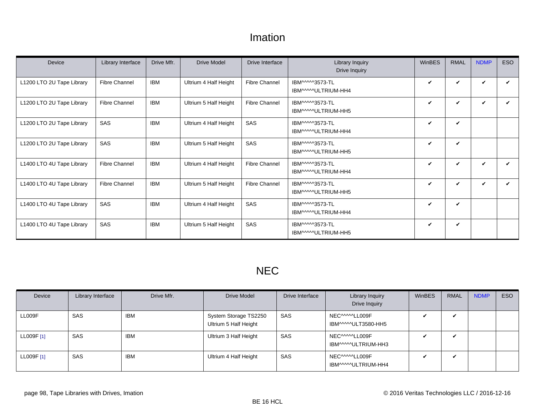#### Imation

<span id="page-97-0"></span>

| Device                    | Library Interface    | Drive Mfr. | Drive Model           | Drive Interface      | Library Inquiry<br>Drive Inquiry      | <b>WinBES</b> | <b>RMAL</b> | <b>NDMP</b> | ESO |
|---------------------------|----------------------|------------|-----------------------|----------------------|---------------------------------------|---------------|-------------|-------------|-----|
| L1200 LTO 2U Tape Library | <b>Fibre Channel</b> | <b>IBM</b> | Ultrium 4 Half Height | <b>Fibre Channel</b> | IBM^^^^3573-TL<br>IBM^^^^^ULTRIUM-HH4 | V             | V           | V           |     |
| L1200 LTO 2U Tape Library | <b>Fibre Channel</b> | <b>IBM</b> | Ultrium 5 Half Height | <b>Fibre Channel</b> | IBM^^^^3573-TL<br>IBM^^^^ULTRIUM-HH5  | V             | ✓           | ✓           |     |
| L1200 LTO 2U Tape Library | <b>SAS</b>           | <b>IBM</b> | Ultrium 4 Half Height | SAS                  | IBM^^^^3573-TL<br>IBM^^^^^ULTRIUM-HH4 | V             | V           |             |     |
| L1200 LTO 2U Tape Library | <b>SAS</b>           | <b>IBM</b> | Ultrium 5 Half Height | SAS                  | IBM^^^^3573-TL<br>IBM^^^^^ULTRIUM-HH5 | V             | V           |             |     |
| L1400 LTO 4U Tape Library | <b>Fibre Channel</b> | <b>IBM</b> | Ultrium 4 Half Height | <b>Fibre Channel</b> | IBM^^^^3573-TL<br>IBM^^^^^ULTRIUM-HH4 | V             | V           | ✓           | ✓   |
| L1400 LTO 4U Tape Library | <b>Fibre Channel</b> | <b>IBM</b> | Ultrium 5 Half Height | <b>Fibre Channel</b> | IBM^^^^3573-TL<br>IBM^^^^^ULTRIUM-HH5 | V             | V           | V           |     |
| L1400 LTO 4U Tape Library | <b>SAS</b>           | <b>IBM</b> | Ultrium 4 Half Height | SAS                  | IBM^^^^3573-TL<br>IBM^^^^^ULTRIUM-HH4 | V             | V           |             |     |
| L1400 LTO 4U Tape Library | SAS                  | <b>IBM</b> | Ultrium 5 Half Height | SAS                  | IBM^^^^3573-TL<br>IBM^^^^^ULTRIUM-HH5 | V             | V           |             |     |

# NEC

| Device     | Library Interface | Drive Mfr. | Drive Model                                    | Drive Interface | Library Inquiry<br>Drive Inquiry      | <b>WinBES</b> | <b>RMAL</b>  | <b>NDMP</b> | <b>ESO</b> |
|------------|-------------------|------------|------------------------------------------------|-----------------|---------------------------------------|---------------|--------------|-------------|------------|
| LL009F     | SAS               | <b>IBM</b> | System Storage TS2250<br>Ultrium 5 Half Height | <b>SAS</b>      | NEC^^^^^LL009F<br>IBM^^^^ULT3580-HH5  |               | ✓            |             |            |
| LL009F [1] | SAS               | <b>IBM</b> | Ultrium 3 Half Height                          | SAS             | NEC^^^^^LL009F<br>IBM^^^^^ULTRIUM-HH3 |               | $\checkmark$ |             |            |
| LL009F [1] | SAS               | <b>IBM</b> | Ultrium 4 Half Height                          | SAS             | NEC^^^^^LL009F<br>IBM^^^^^ULTRIUM-HH4 | ້             | ✓            |             |            |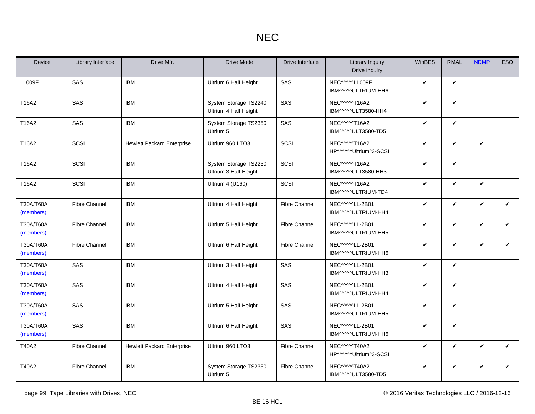| Device                 | Library Interface    | Drive Mfr.                        | <b>Drive Model</b>                             | Drive Interface      | <b>Library Inquiry</b><br>Drive Inquiry | <b>WinBES</b> | <b>RMAL</b>  | <b>NDMP</b>  | <b>ESO</b>   |
|------------------------|----------------------|-----------------------------------|------------------------------------------------|----------------------|-----------------------------------------|---------------|--------------|--------------|--------------|
| LL009F                 | SAS                  | <b>IBM</b>                        | Ultrium 6 Half Height                          | SAS                  | NEC^^^^^LL009F<br>IBM^^^^^ULTRIUM-HH6   | V             | $\checkmark$ |              |              |
| T16A2                  | SAS                  | <b>IBM</b>                        | System Storage TS2240<br>Ultrium 4 Half Height | SAS                  | NEC^^^^^T16A2<br>IBM^^^^ULT3580-HH4     | V             | $\checkmark$ |              |              |
| T16A2                  | SAS                  | <b>IBM</b>                        | System Storage TS2350<br>Ultrium 5             | SAS                  | NEC^^^^^T16A2<br>IBM^^^^^ULT3580-TD5    | V             | $\checkmark$ |              |              |
| T16A2                  | SCSI                 | <b>Hewlett Packard Enterprise</b> | Ultrium 960 LTO3                               | SCSI                 | NEC^^^^^T16A2<br>HP^^^^^Ultrium^3-SCSI  | V             | $\checkmark$ | V            |              |
| T16A2                  | SCSI                 | <b>IBM</b>                        | System Storage TS2230<br>Ultrium 3 Half Height | SCSI                 | NEC^^^^^T16A2<br>IBM^^^^ULT3580-HH3     | V             | $\checkmark$ |              |              |
| T16A2                  | SCSI                 | <b>IBM</b>                        | Ultrium 4 (U160)                               | SCSI                 | NEC^^^^^T16A2<br>IBM^^^^ULTRIUM-TD4     | V             | $\checkmark$ | $\checkmark$ |              |
| T30A/T60A<br>(members) | <b>Fibre Channel</b> | <b>IBM</b>                        | Ultrium 4 Half Height                          | <b>Fibre Channel</b> | NEC^^^^^LL-2B01<br>IBM^^^^^ULTRIUM-HH4  | V             | $\checkmark$ | V            | $\checkmark$ |
| T30A/T60A<br>(members) | <b>Fibre Channel</b> | <b>IBM</b>                        | Ultrium 5 Half Height                          | <b>Fibre Channel</b> | NEC^^^^^LL-2B01<br>IBM^^^^^ULTRIUM-HH5  | $\checkmark$  | $\checkmark$ | ✓            | $\checkmark$ |
| T30A/T60A<br>(members) | <b>Fibre Channel</b> | <b>IBM</b>                        | Ultrium 6 Half Height                          | <b>Fibre Channel</b> | NEC^^^^^LL-2B01<br>IBM^^^^^ULTRIUM-HH6  | V             | $\checkmark$ | V            | $\checkmark$ |
| T30A/T60A<br>(members) | SAS                  | <b>IBM</b>                        | Ultrium 3 Half Height                          | SAS                  | NEC^^^^^LL-2B01<br>IBM^^^^^ULTRIUM-HH3  | V             | $\checkmark$ |              |              |
| T30A/T60A<br>(members) | SAS                  | <b>IBM</b>                        | Ultrium 4 Half Height                          | SAS                  | NEC^^^^^LL-2B01<br>IBM^^^^^ULTRIUM-HH4  | $\checkmark$  | $\checkmark$ |              |              |
| T30A/T60A<br>(members) | SAS                  | <b>IBM</b>                        | Ultrium 5 Half Height                          | SAS                  | NEC^^^^^LL-2B01<br>IBM^^^^^ULTRIUM-HH5  | V             | $\checkmark$ |              |              |
| T30A/T60A<br>(members) | SAS                  | <b>IBM</b>                        | Ultrium 6 Half Height                          | SAS                  | NEC^^^^^LL-2B01<br>IBM^^^^^ULTRIUM-HH6  | V             | $\checkmark$ |              |              |
| T40A2                  | <b>Fibre Channel</b> | <b>Hewlett Packard Enterprise</b> | Ultrium 960 LTO3                               | <b>Fibre Channel</b> | NEC^^^^^T40A2<br>HP^^^^^Ultrium^3-SCSI  | V             | $\checkmark$ | ✓            | $\checkmark$ |
| T40A2                  | <b>Fibre Channel</b> | <b>IBM</b>                        | System Storage TS2350<br>Ultrium 5             | <b>Fibre Channel</b> | NEC^^^^^T40A2<br>IBM^^^^^ULT3580-TD5    | V             | $\checkmark$ | V            | $\checkmark$ |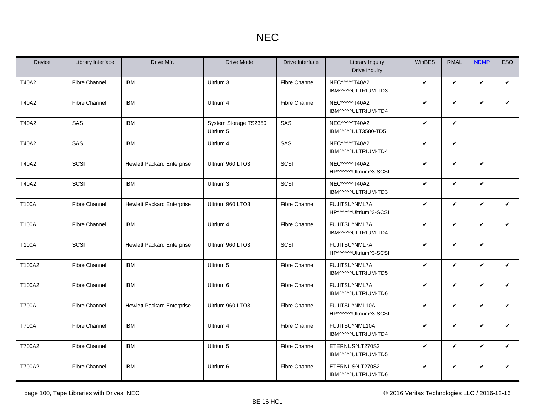| Device       | Library Interface    | Drive Mfr.                        | <b>Drive Model</b>                 | Drive Interface      | <b>Library Inquiry</b><br>Drive Inquiry | <b>WinBES</b> | <b>RMAL</b>  | <b>NDMP</b>  | <b>ESO</b>   |
|--------------|----------------------|-----------------------------------|------------------------------------|----------------------|-----------------------------------------|---------------|--------------|--------------|--------------|
| T40A2        | <b>Fibre Channel</b> | <b>IBM</b>                        | Ultrium 3                          | <b>Fibre Channel</b> | NEC^^^^^T40A2<br>IBM^^^^ULTRIUM-TD3     | V             | $\checkmark$ | V            | $\checkmark$ |
| T40A2        | <b>Fibre Channel</b> | <b>IBM</b>                        | Ultrium 4                          | <b>Fibre Channel</b> | NEC^^^^^T40A2<br>IBM^^^^^ULTRIUM-TD4    | V             | $\checkmark$ | $\checkmark$ | V            |
| T40A2        | SAS                  | <b>IBM</b>                        | System Storage TS2350<br>Ultrium 5 | SAS                  | NEC^^^^^T40A2<br>IBM^^^^ULT3580-TD5     | V             | $\checkmark$ |              |              |
| T40A2        | SAS                  | <b>IBM</b>                        | Ultrium 4                          | SAS                  | NEC^^^^^T40A2<br>IBM^^^^ULTRIUM-TD4     | V             | $\checkmark$ |              |              |
| T40A2        | SCSI                 | <b>Hewlett Packard Enterprise</b> | Ultrium 960 LTO3                   | SCSI                 | NEC^^^^^T40A2<br>HP^^^^^Ultrium^3-SCSI  | V             | $\checkmark$ | $\checkmark$ |              |
| T40A2        | SCSI                 | <b>IBM</b>                        | Ultrium 3                          | SCSI                 | NEC^^^^^T40A2<br>IBM^^^^ULTRIUM-TD3     | V             | $\checkmark$ | V            |              |
| T100A        | <b>Fibre Channel</b> | <b>Hewlett Packard Enterprise</b> | Ultrium 960 LTO3                   | <b>Fibre Channel</b> | FUJITSU^NML7A<br>HP^^^^^Ultrium^3-SCSI  | V             | $\checkmark$ | $\checkmark$ | $\checkmark$ |
| T100A        | <b>Fibre Channel</b> | <b>IBM</b>                        | Ultrium 4                          | <b>Fibre Channel</b> | FUJITSU^NML7A<br>IBM^^^^ULTRIUM-TD4     | V             | $\checkmark$ | $\checkmark$ | $\checkmark$ |
| T100A        | SCSI                 | <b>Hewlett Packard Enterprise</b> | Ultrium 960 LTO3                   | SCSI                 | FUJITSU^NML7A<br>HP^^^^^Ultrium^3-SCSI  | V             | $\checkmark$ | $\checkmark$ |              |
| T100A2       | <b>Fibre Channel</b> | <b>IBM</b>                        | Ultrium 5                          | <b>Fibre Channel</b> | FUJITSU^NML7A<br>IBM^^^^ULTRIUM-TD5     | V             | $\checkmark$ | $\checkmark$ | $\checkmark$ |
| T100A2       | <b>Fibre Channel</b> | <b>IBM</b>                        | Ultrium 6                          | <b>Fibre Channel</b> | FUJITSU^NML7A<br>IBM^^^^ULTRIUM-TD6     | V             | $\checkmark$ | V            | $\checkmark$ |
| <b>T700A</b> | <b>Fibre Channel</b> | <b>Hewlett Packard Enterprise</b> | Ultrium 960 LTO3                   | <b>Fibre Channel</b> | FUJITSU^NML10A<br>HP^^^^^Ultrium^3-SCSI | V             | $\checkmark$ | $\checkmark$ | $\checkmark$ |
| <b>T700A</b> | <b>Fibre Channel</b> | <b>IBM</b>                        | Ultrium 4                          | <b>Fibre Channel</b> | FUJITSU^NML10A<br>IBM^^^^ULTRIUM-TD4    | ✓             | $\checkmark$ | $\checkmark$ | $\checkmark$ |
| T700A2       | <b>Fibre Channel</b> | <b>IBM</b>                        | Ultrium 5                          | <b>Fibre Channel</b> | ETERNUS^LT270S2<br>IBM^^^^ULTRIUM-TD5   | V             | $\checkmark$ | $\checkmark$ | $\checkmark$ |
| T700A2       | <b>Fibre Channel</b> | <b>IBM</b>                        | Ultrium 6                          | <b>Fibre Channel</b> | ETERNUS^LT270S2<br>IBM^^^^^ULTRIUM-TD6  | V             | $\checkmark$ | V            | $\checkmark$ |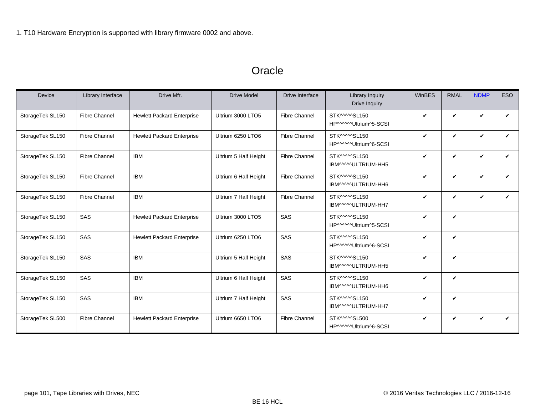#### **Oracle**

<span id="page-100-1"></span><span id="page-100-0"></span>

| <b>Device</b>    | Library Interface    | Drive Mfr.                        | <b>Drive Model</b>    | Drive Interface      | Library Inquiry<br>Drive Inquiry       | WinBES             | <b>RMAL</b>  | <b>NDMP</b>  | <b>ESO</b>   |
|------------------|----------------------|-----------------------------------|-----------------------|----------------------|----------------------------------------|--------------------|--------------|--------------|--------------|
| StorageTek SL150 | <b>Fibre Channel</b> | <b>Hewlett Packard Enterprise</b> | Ultrium 3000 LTO5     | <b>Fibre Channel</b> | STK^^^^^SL150<br>HP^^^^^Ultrium^5-SCSI | $\checkmark$       | V            | $\checkmark$ | V            |
| StorageTek SL150 | <b>Fibre Channel</b> | <b>Hewlett Packard Enterprise</b> | Ultrium 6250 LTO6     | <b>Fibre Channel</b> | STK^^^^^SL150<br>HP^^^^^Ultrium^6-SCSI | $\checkmark$       | V            | $\checkmark$ | ✓            |
| StorageTek SL150 | <b>Fibre Channel</b> | <b>IBM</b>                        | Ultrium 5 Half Height | <b>Fibre Channel</b> | STK^^^^SL150<br>IBM^^^^^ULTRIUM-HH5    | ✓                  | V            | $\checkmark$ | V            |
| StorageTek SL150 | <b>Fibre Channel</b> | <b>IBM</b>                        | Ultrium 6 Half Height | <b>Fibre Channel</b> | STK^^^^SL150<br>IBM^^^^^ULTRIUM-HH6    | $\checkmark$       | $\checkmark$ | $\checkmark$ | $\checkmark$ |
| StorageTek SL150 | <b>Fibre Channel</b> | <b>IBM</b>                        | Ultrium 7 Half Height | <b>Fibre Channel</b> | STK^^^^SL150<br>IBM^^^^^ULTRIUM-HH7    | $\checkmark$       | $\checkmark$ | $\checkmark$ | $\checkmark$ |
| StorageTek SL150 | SAS                  | <b>Hewlett Packard Enterprise</b> | Ultrium 3000 LTO5     | SAS                  | STK^^^^^SL150<br>HP^^^^^Ultrium^5-SCSI | $\checkmark$       | V            |              |              |
| StorageTek SL150 | SAS                  | <b>Hewlett Packard Enterprise</b> | Ultrium 6250 LTO6     | SAS                  | STK^^^^^SL150<br>HP^^^^^Ultrium^6-SCSI | $\boldsymbol{\nu}$ | V            |              |              |
| StorageTek SL150 | <b>SAS</b>           | <b>IBM</b>                        | Ultrium 5 Half Height | SAS                  | STK^^^^SL150<br>IBM^^^^^ULTRIUM-HH5    | $\checkmark$       | V            |              |              |
| StorageTek SL150 | SAS                  | <b>IBM</b>                        | Ultrium 6 Half Height | SAS                  | STK^^^^^SL150<br>IBM^^^^^ULTRIUM-HH6   | $\checkmark$       | V            |              |              |
| StorageTek SL150 | SAS                  | <b>IBM</b>                        | Ultrium 7 Half Height | SAS                  | STK^^^^^SL150<br>IBM^^^^^ULTRIUM-HH7   | $\checkmark$       | V            |              |              |
| StorageTek SL500 | <b>Fibre Channel</b> | <b>Hewlett Packard Enterprise</b> | Ultrium 6650 LTO6     | <b>Fibre Channel</b> | STK^^^^^SL500<br>HP^^^^^Ultrium^6-SCSI | $\checkmark$       | V            | $\checkmark$ | $\checkmark$ |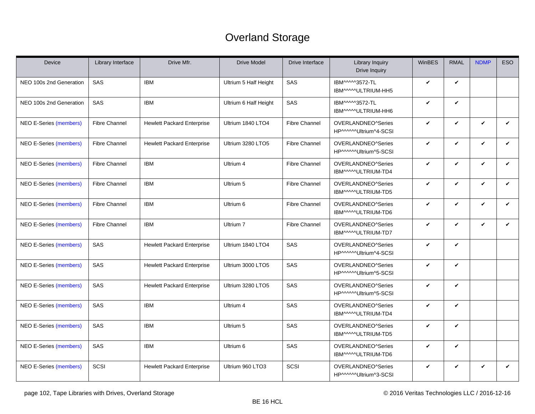# Overland Storage

<span id="page-101-0"></span>

| Device                        | Library Interface    | Drive Mfr.                        | <b>Drive Model</b>    | Drive Interface      | <b>Library Inquiry</b><br><b>Drive Inquiry</b> | WinBES       | <b>RMAL</b>  | <b>NDMP</b>  | <b>ESO</b>   |
|-------------------------------|----------------------|-----------------------------------|-----------------------|----------------------|------------------------------------------------|--------------|--------------|--------------|--------------|
| NEO 100s 2nd Generation       | SAS                  | <b>IBM</b>                        | Ultrium 5 Half Height | SAS                  | IBM^^^^3572-TL<br>IBM^^^^ULTRIUM-HH5           | $\checkmark$ | V            |              |              |
| NEO 100s 2nd Generation       | SAS                  | <b>IBM</b>                        | Ultrium 6 Half Height | SAS                  | IBM^^^^3572-TL<br>IBM^^^^^ULTRIUM-HH6          | $\checkmark$ | V            |              |              |
| NEO E-Series (members)        | <b>Fibre Channel</b> | <b>Hewlett Packard Enterprise</b> | Ultrium 1840 LTO4     | <b>Fibre Channel</b> | OVERLANDNEO^Series<br>HP^^^^^Ultrium^4-SCSI    | $\checkmark$ | $\checkmark$ | $\checkmark$ | $\checkmark$ |
| <b>NEO E-Series (members)</b> | <b>Fibre Channel</b> | <b>Hewlett Packard Enterprise</b> | Ultrium 3280 LTO5     | <b>Fibre Channel</b> | OVERLANDNEO^Series<br>HP^^^^^Ultrium^5-SCSI    | $\checkmark$ | V            | V            | V            |
| <b>NEO E-Series (members)</b> | <b>Fibre Channel</b> | <b>IBM</b>                        | Ultrium 4             | <b>Fibre Channel</b> | OVERLANDNEO^Series<br>IBM^^^^^ULTRIUM-TD4      | $\checkmark$ | $\checkmark$ | $\checkmark$ | $\checkmark$ |
| <b>NEO E-Series (members)</b> | <b>Fibre Channel</b> | <b>IBM</b>                        | Ultrium 5             | <b>Fibre Channel</b> | OVERLANDNEO^Series<br>IBM^^^^ULTRIUM-TD5       | $\checkmark$ | $\checkmark$ | V            | ✓            |
| NEO E-Series (members)        | <b>Fibre Channel</b> | <b>IBM</b>                        | Ultrium 6             | <b>Fibre Channel</b> | OVERLANDNEO^Series<br>IBM^^^^^ULTRIUM-TD6      | $\checkmark$ | $\checkmark$ | $\checkmark$ | $\checkmark$ |
| <b>NEO E-Series (members)</b> | <b>Fibre Channel</b> | <b>IBM</b>                        | Ultrium 7             | Fibre Channel        | OVERLANDNEO^Series<br>IBM^^^^^ULTRIUM-TD7      | $\checkmark$ | V            | V            | V            |
| <b>NEO E-Series (members)</b> | SAS                  | <b>Hewlett Packard Enterprise</b> | Ultrium 1840 LTO4     | SAS                  | OVERLANDNEO^Series<br>HP^^^^^Ultrium^4-SCSI    | $\checkmark$ | $\checkmark$ |              |              |
| <b>NEO E-Series (members)</b> | SAS                  | <b>Hewlett Packard Enterprise</b> | Ultrium 3000 LTO5     | SAS                  | OVERLANDNEO^Series<br>HP^^^^^Ultrium^5-SCSI    | $\checkmark$ | V            |              |              |
| <b>NEO E-Series (members)</b> | SAS                  | <b>Hewlett Packard Enterprise</b> | Ultrium 3280 LTO5     | SAS                  | OVERLANDNEO^Series<br>HP^^^^^Ultrium^5-SCSI    | $\checkmark$ | $\checkmark$ |              |              |
| <b>NEO E-Series (members)</b> | SAS                  | <b>IBM</b>                        | Ultrium 4             | SAS                  | OVERLANDNEO^Series<br>IBM^^^^^ULTRIUM-TD4      | $\checkmark$ | V            |              |              |
| <b>NEO E-Series (members)</b> | SAS                  | <b>IBM</b>                        | Ultrium 5             | SAS                  | OVERLANDNEO^Series<br>IBM^^^^^ULTRIUM-TD5      | $\checkmark$ | V            |              |              |
| <b>NEO E-Series (members)</b> | SAS                  | <b>IBM</b>                        | Ultrium 6             | SAS                  | OVERLANDNEO^Series<br>IBM^^^^ULTRIUM-TD6       | $\checkmark$ | $\checkmark$ |              |              |
| <b>NEO E-Series (members)</b> | SCSI                 | <b>Hewlett Packard Enterprise</b> | Ultrium 960 LTO3      | SCSI                 | OVERLANDNEO^Series<br>HP^^^^^Ultrium^3-SCSI    | $\checkmark$ | $\checkmark$ | V            | $\checkmark$ |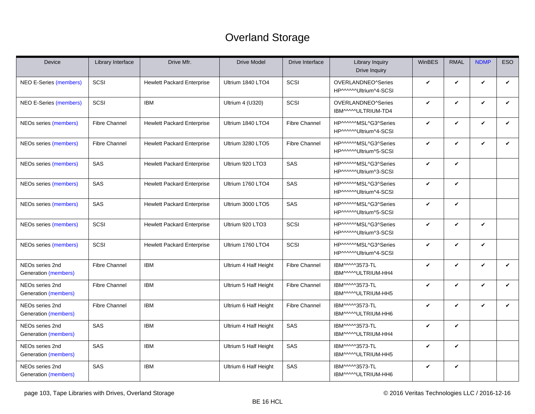# Overland Storage

| Device                                  | Library Interface    | Drive Mfr.                        | <b>Drive Model</b>    | Drive Interface      | <b>Library Inquiry</b><br>Drive Inquiry       | WinBES       | <b>RMAL</b>  | <b>NDMP</b>  | <b>ESO</b>   |
|-----------------------------------------|----------------------|-----------------------------------|-----------------------|----------------------|-----------------------------------------------|--------------|--------------|--------------|--------------|
| <b>NEO E-Series (members)</b>           | <b>SCSI</b>          | <b>Hewlett Packard Enterprise</b> | Ultrium 1840 LTO4     | SCSI                 | OVERLANDNEO^Series<br>HP^^^^^Ultrium^4-SCSI   | $\checkmark$ | $\checkmark$ | V            | V            |
| <b>NEO E-Series (members)</b>           | SCSI                 | <b>IBM</b>                        | Ultrium 4 (U320)      | SCSI                 | OVERLANDNEO^Series<br>IBM^^^^^ULTRIUM-TD4     | $\checkmark$ | $\checkmark$ | V            | ✓            |
| NEOs series (members)                   | <b>Fibre Channel</b> | <b>Hewlett Packard Enterprise</b> | Ultrium 1840 LTO4     | <b>Fibre Channel</b> | HP^^^^^MSL^G3^Series<br>HP^^^^^Ultrium^4-SCSI | $\checkmark$ | V            | $\checkmark$ | $\checkmark$ |
| NEOs series (members)                   | <b>Fibre Channel</b> | <b>Hewlett Packard Enterprise</b> | Ultrium 3280 LTO5     | <b>Fibre Channel</b> | HP^^^^^MSL^G3^Series<br>HP^^^^^Ultrium^5-SCSI | $\checkmark$ | $\checkmark$ | V            | V            |
| NEOs series (members)                   | SAS                  | <b>Hewlett Packard Enterprise</b> | Ultrium 920 LTO3      | SAS                  | HP^^^^^MSL^G3^Series<br>HP^^^^^Ultrium^3-SCSI | $\checkmark$ | $\checkmark$ |              |              |
| NEOs series (members)                   | SAS                  | <b>Hewlett Packard Enterprise</b> | Ultrium 1760 LTO4     | SAS                  | HP^^^^^MSL^G3^Series<br>HP^^^^^Ultrium^4-SCSI | $\checkmark$ | $\checkmark$ |              |              |
| NEOs series (members)                   | SAS                  | <b>Hewlett Packard Enterprise</b> | Ultrium 3000 LTO5     | SAS                  | HP^^^^^MSL^G3^Series<br>HP^^^^^Ultrium^5-SCSI | $\checkmark$ | $\checkmark$ |              |              |
| NEOs series (members)                   | SCSI                 | <b>Hewlett Packard Enterprise</b> | Ultrium 920 LTO3      | SCSI                 | HP^^^^^MSL^G3^Series<br>HP^^^^^Ultrium^3-SCSI | $\checkmark$ | $\checkmark$ | $\checkmark$ |              |
| NEOs series (members)                   | SCSI                 | <b>Hewlett Packard Enterprise</b> | Ultrium 1760 LTO4     | SCSI                 | HP^^^^^MSL^G3^Series<br>HP^^^^^Ultrium^4-SCSI | $\checkmark$ | $\checkmark$ | $\checkmark$ |              |
| NEOs series 2nd<br>Generation (members) | Fibre Channel        | <b>IBM</b>                        | Ultrium 4 Half Height | <b>Fibre Channel</b> | IBM^^^^3573-TL<br>IBM^^^^^ULTRIUM-HH4         | $\checkmark$ | $\checkmark$ | V            | $\checkmark$ |
| NEOs series 2nd<br>Generation (members) | <b>Fibre Channel</b> | <b>IBM</b>                        | Ultrium 5 Half Height | <b>Fibre Channel</b> | IBM^^^^3573-TL<br>IBM^^^^*ULTRIUM-HH5         | $\checkmark$ | $\checkmark$ | V            | ✓            |
| NEOs series 2nd<br>Generation (members) | <b>Fibre Channel</b> | <b>IBM</b>                        | Ultrium 6 Half Height | <b>Fibre Channel</b> | IBM^^^^3573-TL<br>IBM^^^^^ULTRIUM-HH6         | $\checkmark$ | $\checkmark$ | V            | V            |
| NEOs series 2nd<br>Generation (members) | SAS                  | <b>IBM</b>                        | Ultrium 4 Half Height | SAS                  | IBM^^^^3573-TL<br>IBM^^^^ULTRIUM-HH4          | $\checkmark$ | V            |              |              |
| NEOs series 2nd<br>Generation (members) | SAS                  | <b>IBM</b>                        | Ultrium 5 Half Height | SAS                  | IBM^^^^3573-TL<br>IBM^^^^ULTRIUM-HH5          | $\checkmark$ | $\checkmark$ |              |              |
| NEOs series 2nd<br>Generation (members) | SAS                  | <b>IBM</b>                        | Ultrium 6 Half Height | SAS                  | IBM^^^^3573-TL<br>IBM^^^^^ULTRIUM-HH6         | $\checkmark$ | V            |              |              |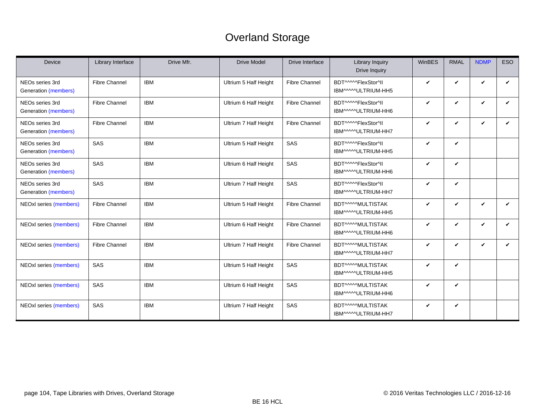# Overland Storage

| <b>Device</b>                           | Library Interface    | Drive Mfr. | <b>Drive Model</b>    | Drive Interface      | Library Inquiry<br>Drive Inquiry           | WinBES | <b>RMAL</b> | <b>NDMP</b> | <b>ESO</b> |
|-----------------------------------------|----------------------|------------|-----------------------|----------------------|--------------------------------------------|--------|-------------|-------------|------------|
| NEOs series 3rd<br>Generation (members) | <b>Fibre Channel</b> | <b>IBM</b> | Ultrium 5 Half Height | <b>Fibre Channel</b> | BDT^^^^^FlexStor^II<br>IBM^^^^^ULTRIUM-HH5 | V      | V           | V           | V          |
| NEOs series 3rd<br>Generation (members) | <b>Fibre Channel</b> | <b>IBM</b> | Ultrium 6 Half Height | <b>Fibre Channel</b> | BDT^^^^^FlexStor^II<br>IBM^^^^^ULTRIUM-HH6 | ✓      | V           | V           | ✓          |
| NEOs series 3rd<br>Generation (members) | <b>Fibre Channel</b> | <b>IBM</b> | Ultrium 7 Half Height | <b>Fibre Channel</b> | BDT^^^^^FlexStor^II<br>IBM^^^^ULTRIUM-HH7  | V      | V           | V           | ✓          |
| NEOs series 3rd<br>Generation (members) | SAS                  | <b>IBM</b> | Ultrium 5 Half Height | SAS                  | BDT^^^^^FlexStor^II<br>IBM^^^^ULTRIUM-HH5  | V      | V           |             |            |
| NEOs series 3rd<br>Generation (members) | SAS                  | <b>IBM</b> | Ultrium 6 Half Height | SAS                  | BDT^^^^^FlexStor^II<br>IBM^^^^^ULTRIUM-HH6 | V      | V           |             |            |
| NEOs series 3rd<br>Generation (members) | SAS                  | <b>IBM</b> | Ultrium 7 Half Height | SAS                  | BDT^^^^^FlexStor^II<br>IBM^^^^ULTRIUM-HH7  | V      | V           |             |            |
| NEOxl series (members)                  | <b>Fibre Channel</b> | <b>IBM</b> | Ultrium 5 Half Height | <b>Fibre Channel</b> | BDT^^^^MULTISTAK<br>IBM^^^^ULTRIUM-HH5     | V      | V           | V           | ✓          |
| NEOxl series (members)                  | <b>Fibre Channel</b> | <b>IBM</b> | Ultrium 6 Half Height | <b>Fibre Channel</b> | BDT^^^^^MULTISTAK<br>IBM^^^^^ULTRIUM-HH6   | V      | V           | V           | ✓          |
| NEOxl series (members)                  | <b>Fibre Channel</b> | <b>IBM</b> | Ultrium 7 Half Height | <b>Fibre Channel</b> | BDT^^^^MULTISTAK<br>IBM^^^^ULTRIUM-HH7     | ✓      | V           | V           | ✓          |
| NEOxl series (members)                  | SAS                  | <b>IBM</b> | Ultrium 5 Half Height | SAS                  | BDT^^^^MULTISTAK<br>IBM^^^^ULTRIUM-HH5     | ✓      | V           |             |            |
| NEOxl series (members)                  | SAS                  | <b>IBM</b> | Ultrium 6 Half Height | SAS                  | BDT^^^^MULTISTAK<br>IBM^^^^^ULTRIUM-HH6    | V      | V           |             |            |
| NEOxl series (members)                  | SAS                  | <b>IBM</b> | Ultrium 7 Half Height | SAS                  | BDT^^^^MULTISTAK<br>IBM^^^^ULTRIUM-HH7     | V      | V           |             |            |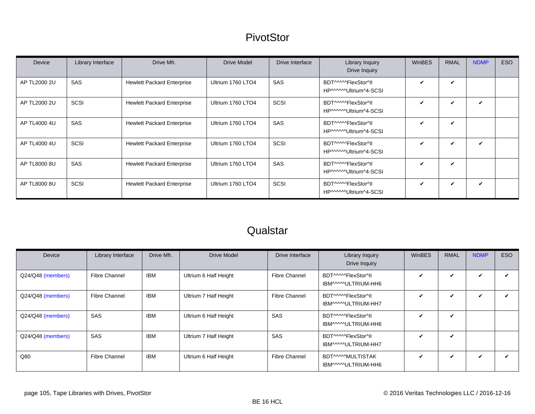#### **PivotStor**

<span id="page-104-0"></span>

| <b>Device</b> | Library Interface | Drive Mfr.                        | <b>Drive Model</b> | Drive Interface | <b>Library Inquiry</b><br>Drive Inquiry       | <b>WinBES</b> | <b>RMAL</b>  | <b>NDMP</b> | <b>ESO</b> |
|---------------|-------------------|-----------------------------------|--------------------|-----------------|-----------------------------------------------|---------------|--------------|-------------|------------|
| AP TL2000 2U  | SAS               | <b>Hewlett Packard Enterprise</b> | Ultrium 1760 LTO4  | SAS             | BDT^^^^^FlexStor^II<br>HP^^^^^^Ultrium^4-SCSI | ✓             | $\checkmark$ |             |            |
| AP TL2000 2U  | SCSI              | <b>Hewlett Packard Enterprise</b> | Ultrium 1760 LTO4  | SCSI            | BDT^^^^^FlexStor^II<br>HP^^^^^Ultrium^4-SCSI  | ✓             | ✓            | ✓           |            |
| AP TL4000 4U  | SAS               | <b>Hewlett Packard Enterprise</b> | Ultrium 1760 LTO4  | SAS             | BDT^^^^^FlexStor^II<br>HP^^^^^Ultrium^4-SCSI  | V             | ✓            |             |            |
| AP TL4000 4U  | SCSI              | <b>Hewlett Packard Enterprise</b> | Ultrium 1760 LTO4  | SCSI            | BDT^^^^^FlexStor^II<br>HP^^^^^Ultrium^4-SCSI  | ✓             | ✓            | ✓           |            |
| AP TL8000 8U  | SAS               | <b>Hewlett Packard Enterprise</b> | Ultrium 1760 LTO4  | <b>SAS</b>      | BDT^^^^^FlexStor^II<br>HP^^^^^Ultrium^4-SCSI  | ✓             | ✓            |             |            |
| AP TL8000 8U  | SCSI              | <b>Hewlett Packard Enterprise</b> | Ultrium 1760 LTO4  | SCSI            | BDT^^^^^FlexStor^II<br>HP^^^^^Ultrium^4-SCSI  | ✓             | ✓            | ✓           |            |

# **Qualstar**

| Device            | Library Interface    | Drive Mfr. | Drive Model           | Drive Interface      | Library Inquiry<br>Drive Inquiry           | <b>WinBES</b> | <b>RMAL</b>  | <b>NDMP</b> | <b>ESO</b> |
|-------------------|----------------------|------------|-----------------------|----------------------|--------------------------------------------|---------------|--------------|-------------|------------|
| Q24/Q48 (members) | Fibre Channel        | IBM        | Ultrium 6 Half Height | <b>Fibre Channel</b> | BDT^^^^^FlexStor^II<br>IBM^^^^^ULTRIUM-HH6 | ✓             | V            |             |            |
| Q24/Q48 (members) | <b>Fibre Channel</b> | IBM        | Ultrium 7 Half Height | Fibre Channel        | BDT^^^^^FlexStor^II<br>IBM^^^^^ULTRIUM-HH7 | $\checkmark$  | V            |             |            |
| Q24/Q48 (members) | SAS                  | <b>IBM</b> | Ultrium 6 Half Height | SAS                  | BDT^^^^^FlexStor^II<br>IBM^^^^ULTRIUM-HH6  | V             | V            |             |            |
| Q24/Q48 (members) | SAS                  | IBM        | Ultrium 7 Half Height | SAS                  | BDT^^^^^FlexStor^II<br>IBM^^^^^ULTRIUM-HH7 | $\checkmark$  | $\checkmark$ |             |            |
| Q80               | Fibre Channel        | IBM        | Ultrium 6 Half Height | Fibre Channel        | BDT^^^^MULTISTAK<br>IBM^^^^^ULTRIUM-HH6    | $\checkmark$  | V            | ✓           |            |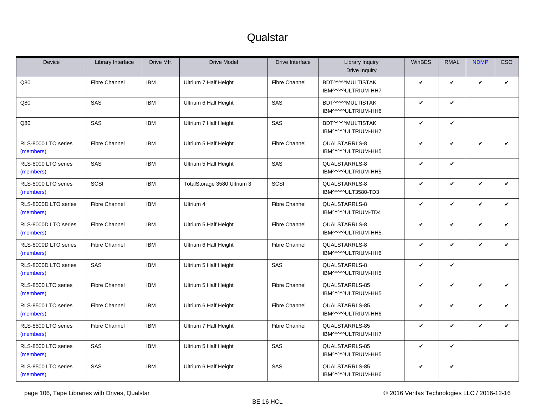#### **Qualstar**

| <b>Device</b>                     | Library Interface    | Drive Mfr. | <b>Drive Model</b>          | Drive Interface      | <b>Library Inquiry</b><br>Drive Inquiry | <b>WinBES</b> | <b>RMAL</b>  | <b>NDMP</b> | <b>ESO</b> |
|-----------------------------------|----------------------|------------|-----------------------------|----------------------|-----------------------------------------|---------------|--------------|-------------|------------|
| Q80                               | <b>Fibre Channel</b> | <b>IBM</b> | Ultrium 7 Half Height       | <b>Fibre Channel</b> | BDT^^^^MULTISTAK<br>IBM^^^^^ULTRIUM-HH7 | V             | V            | ✓           | ✓          |
| Q80                               | SAS                  | <b>IBM</b> | Ultrium 6 Half Height       | SAS                  | BDT^^^^MULTISTAK<br>IBM^^^^^ULTRIUM-HH6 | V             | V            |             |            |
| Q80                               | SAS                  | <b>IBM</b> | Ultrium 7 Half Height       | SAS                  | BDT^^^^MULTISTAK<br>IBM^^^^^ULTRIUM-HH7 | V             | $\checkmark$ |             |            |
| RLS-8000 LTO series<br>(members)  | <b>Fibre Channel</b> | <b>IBM</b> | Ultrium 5 Half Height       | <b>Fibre Channel</b> | QUALSTARRLS-8<br>IBM^^^^ULTRIUM-HH5     | V             | V            | ✓           | ✓          |
| RLS-8000 LTO series<br>(members)  | SAS                  | <b>IBM</b> | Ultrium 5 Half Height       | SAS                  | QUALSTARRLS-8<br>IBM^^^^^ULTRIUM-HH5    | V             | V            |             |            |
| RLS-8000 LTO series<br>(members)  | SCSI                 | <b>IBM</b> | TotalStorage 3580 Ultrium 3 | SCSI                 | QUALSTARRLS-8<br>IBM^^^^^ULT3580-TD3    | V             | V            | V           | V          |
| RLS-8000D LTO series<br>(members) | <b>Fibre Channel</b> | <b>IBM</b> | Ultrium 4                   | <b>Fibre Channel</b> | QUALSTARRLS-8<br>IBM^^^^^ULTRIUM-TD4    | V             | V            | ✓           | V          |
| RLS-8000D LTO series<br>(members) | <b>Fibre Channel</b> | <b>IBM</b> | Ultrium 5 Half Height       | <b>Fibre Channel</b> | QUALSTARRLS-8<br>IBM^^^^^ULTRIUM-HH5    | V             | V            | ✓           | V          |
| RLS-8000D LTO series<br>(members) | <b>Fibre Channel</b> | <b>IBM</b> | Ultrium 6 Half Height       | <b>Fibre Channel</b> | QUALSTARRLS-8<br>IBM^^^^^ULTRIUM-HH6    | V             | V            | V           | V          |
| RLS-8000D LTO series<br>(members) | SAS                  | <b>IBM</b> | Ultrium 5 Half Height       | SAS                  | QUALSTARRLS-8<br>IBM^^^^ULTRIUM-HH5     | V             | ✓            |             |            |
| RLS-8500 LTO series<br>(members)  | <b>Fibre Channel</b> | <b>IBM</b> | Ultrium 5 Half Height       | <b>Fibre Channel</b> | QUALSTARRLS-85<br>IBM^^^^^ULTRIUM-HH5   | V             | V            | ✓           | V          |
| RLS-8500 LTO series<br>(members)  | <b>Fibre Channel</b> | <b>IBM</b> | Ultrium 6 Half Height       | <b>Fibre Channel</b> | QUALSTARRLS-85<br>IBM^^^^^ULTRIUM-HH6   | V             | V            | V           | V          |
| RLS-8500 LTO series<br>(members)  | <b>Fibre Channel</b> | <b>IBM</b> | Ultrium 7 Half Height       | <b>Fibre Channel</b> | QUALSTARRLS-85<br>IBM^^^^^ULTRIUM-HH7   | V             | V            | ✓           | ✓          |
| RLS-8500 LTO series<br>(members)  | SAS                  | <b>IBM</b> | Ultrium 5 Half Height       | SAS                  | QUALSTARRLS-85<br>IBM^^^^^ULTRIUM-HH5   | V             | V            |             |            |
| RLS-8500 LTO series<br>(members)  | SAS                  | <b>IBM</b> | Ultrium 6 Half Height       | SAS                  | QUALSTARRLS-85<br>IBM^^^^^ULTRIUM-HH6   | V             | $\checkmark$ |             |            |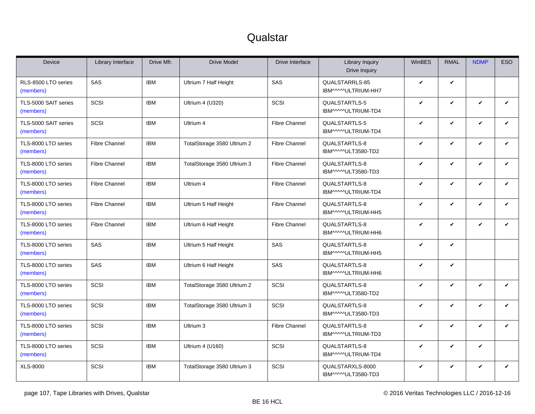#### **Qualstar**

| <b>Device</b>                     | Library Interface    | Drive Mfr. | <b>Drive Model</b>          | Drive Interface      | Library Inquiry<br>Drive Inquiry       | <b>WinBES</b> | <b>RMAL</b>  | <b>NDMP</b>  | ESO          |
|-----------------------------------|----------------------|------------|-----------------------------|----------------------|----------------------------------------|---------------|--------------|--------------|--------------|
| RLS-8500 LTO series<br>(members)  | SAS                  | <b>IBM</b> | Ultrium 7 Half Height       | SAS                  | QUALSTARRLS-85<br>IBM^^^^^ULTRIUM-HH7  | V             | $\checkmark$ |              |              |
| TLS-5000 SAIT series<br>(members) | SCSI                 | <b>IBM</b> | Ultrium 4 (U320)            | SCSI                 | QUALSTARTLS-5<br>IBM^^^^^ULTRIUM-TD4   | V             | V            | $\checkmark$ | $\checkmark$ |
| TLS-5000 SAIT series<br>(members) | SCSI                 | <b>IBM</b> | Ultrium 4                   | <b>Fibre Channel</b> | QUALSTARTLS-5<br>IBM^^^^^ULTRIUM-TD4   | V             | V            | $\checkmark$ | $\checkmark$ |
| TLS-8000 LTO series<br>(members)  | <b>Fibre Channel</b> | <b>IBM</b> | TotalStorage 3580 Ultrium 2 | <b>Fibre Channel</b> | QUALSTARTLS-8<br>IBM^^^^ULT3580-TD2    | ✓             | $\checkmark$ | ✓            | $\checkmark$ |
| TLS-8000 LTO series<br>(members)  | <b>Fibre Channel</b> | <b>IBM</b> | TotalStorage 3580 Ultrium 3 | <b>Fibre Channel</b> | QUALSTARTLS-8<br>IBM^^^^^ULT3580-TD3   | V             | $\checkmark$ | ✓            | $\checkmark$ |
| TLS-8000 LTO series<br>(members)  | <b>Fibre Channel</b> | <b>IBM</b> | Ultrium 4                   | <b>Fibre Channel</b> | QUALSTARTLS-8<br>IBM^^^^^ULTRIUM-TD4   | V             | V            | ✓            | $\checkmark$ |
| TLS-8000 LTO series<br>(members)  | <b>Fibre Channel</b> | <b>IBM</b> | Ultrium 5 Half Height       | <b>Fibre Channel</b> | QUALSTARTLS-8<br>IBM^^^^ULTRIUM-HH5    | V             | $\checkmark$ | ✓            | $\checkmark$ |
| TLS-8000 LTO series<br>(members)  | <b>Fibre Channel</b> | <b>IBM</b> | Ultrium 6 Half Height       | <b>Fibre Channel</b> | QUALSTARTLS-8<br>IBM^^^^^ULTRIUM-HH6   | V             | V            | ✓            | $\checkmark$ |
| TLS-8000 LTO series<br>(members)  | SAS                  | <b>IBM</b> | Ultrium 5 Half Height       | SAS                  | QUALSTARTLS-8<br>IBM^^^^^ULTRIUM-HH5   | V             | V            |              |              |
| TLS-8000 LTO series<br>(members)  | SAS                  | <b>IBM</b> | Ultrium 6 Half Height       | SAS                  | QUALSTARTLS-8<br>IBM^^^^ULTRIUM-HH6    | V             | $\checkmark$ |              |              |
| TLS-8000 LTO series<br>(members)  | SCSI                 | <b>IBM</b> | TotalStorage 3580 Ultrium 2 | SCSI                 | QUALSTARTLS-8<br>IBM^^^^^ULT3580-TD2   | V             | V            | ✓            | $\checkmark$ |
| TLS-8000 LTO series<br>(members)  | SCSI                 | <b>IBM</b> | TotalStorage 3580 Ultrium 3 | SCSI                 | QUALSTARTLS-8<br>IBM^^^^ULT3580-TD3    | V             | V            | $\checkmark$ | $\checkmark$ |
| TLS-8000 LTO series<br>(members)  | SCSI                 | <b>IBM</b> | Ultrium 3                   | <b>Fibre Channel</b> | QUALSTARTLS-8<br>IBM^^^^ULTRIUM-TD3    | V             | $\checkmark$ | ✓            | $\checkmark$ |
| TLS-8000 LTO series<br>(members)  | SCSI                 | <b>IBM</b> | Ultrium 4 (U160)            | SCSI                 | QUALSTARTLS-8<br>IBM^^^^^ULTRIUM-TD4   | V             | V            | ✓            |              |
| XLS-8000                          | SCSI                 | <b>IBM</b> | TotalStorage 3580 Ultrium 3 | SCSI                 | QUALSTARXLS-8000<br>IBM^^^^ULT3580-TD3 | V             | V            | V            | $\checkmark$ |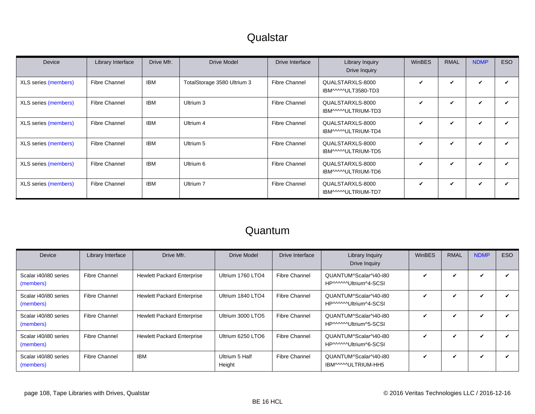#### **Qualstar**

<span id="page-107-0"></span>

| <b>Device</b>        | Library Interface    | Drive Mfr. | <b>Drive Model</b>          | Drive Interface      | Library Inquiry<br>Drive Inquiry        | <b>WinBES</b> | <b>RMAL</b> | <b>NDMP</b> | ESO |
|----------------------|----------------------|------------|-----------------------------|----------------------|-----------------------------------------|---------------|-------------|-------------|-----|
| XLS series (members) | <b>Fibre Channel</b> | <b>IBM</b> | TotalStorage 3580 Ultrium 3 | <b>Fibre Channel</b> | QUALSTARXLS-8000<br>IBM^^^^^ULT3580-TD3 | $\mathbf{v}$  | ✓           | ✓           | ✓   |
| XLS series (members) | <b>Fibre Channel</b> | <b>IBM</b> | Ultrium 3                   | <b>Fibre Channel</b> | QUALSTARXLS-8000<br>IBM^^^^ULTRIUM-TD3  | $\checkmark$  | V           | ✓           | ✓   |
| XLS series (members) | <b>Fibre Channel</b> | <b>IBM</b> | Ultrium 4                   | <b>Fibre Channel</b> | QUALSTARXLS-8000<br>IBM^^^^^ULTRIUM-TD4 | $\checkmark$  | ✓           | ✓           | ✓   |
| XLS series (members) | <b>Fibre Channel</b> | <b>IBM</b> | Ultrium 5                   | <b>Fibre Channel</b> | QUALSTARXLS-8000<br>IBM^^^^^ULTRIUM-TD5 | $\checkmark$  | ✓           | ✓           | ✓   |
| XLS series (members) | <b>Fibre Channel</b> | <b>IBM</b> | Ultrium 6                   | <b>Fibre Channel</b> | QUALSTARXLS-8000<br>IBM^^^^ULTRIUM-TD6  | ✓             | V           | ✓           | ✓   |
| XLS series (members) | <b>Fibre Channel</b> | <b>IBM</b> | Ultrium 7                   | <b>Fibre Channel</b> | QUALSTARXLS-8000<br>IBM^^^^ULTRIUM-TD7  | V             | ✓           | ✓           | ✓   |

#### Quantum

| Device                             | Library Interface    | Drive Mfr.                        | Drive Model              | Drive Interface      | Library Inquiry<br>Drive Inquiry                 | <b>WinBES</b> | <b>RMAL</b> | <b>NDMP</b> | <b>ESO</b> |
|------------------------------------|----------------------|-----------------------------------|--------------------------|----------------------|--------------------------------------------------|---------------|-------------|-------------|------------|
| Scalar i40/i80 series<br>(members) | <b>Fibre Channel</b> | <b>Hewlett Packard Enterprise</b> | Ultrium 1760 LTO4        | <b>Fibre Channel</b> | QUANTUM^Scalar^i40-i80<br>HP^^^^^Ultrium^4-SCSI  | ✔             | v           |             |            |
| Scalar i40/i80 series<br>(members) | Fibre Channel        | <b>Hewlett Packard Enterprise</b> | Ultrium 1840 LTO4        | <b>Fibre Channel</b> | QUANTUM^Scalar^i40-i80<br>HP^^^^^^Ultrium^4-SCSI | ✓             | ✓           | ✓           |            |
| Scalar i40/i80 series<br>(members) | <b>Fibre Channel</b> | <b>Hewlett Packard Enterprise</b> | Ultrium 3000 LTO5        | <b>Fibre Channel</b> | QUANTUM^Scalar^i40-i80<br>HP^^^^^Ultrium^5-SCSI  | ✔             | ✓           | ✓           |            |
| Scalar i40/i80 series<br>(members) | <b>Fibre Channel</b> | <b>Hewlett Packard Enterprise</b> | Ultrium 6250 LTO6        | <b>Fibre Channel</b> | QUANTUM^Scalar^i40-i80<br>HP^^^^^^Ultrium^6-SCSI | ✓             | ✓           | ✓           |            |
| Scalar i40/i80 series<br>(members) | Fibre Channel        | <b>IBM</b>                        | Ultrium 5 Half<br>Height | Fibre Channel        | QUANTUM^Scalar^i40-i80<br>IBM^^^^ULTRIUM-HH5     | ✓             | V           | ✓           |            |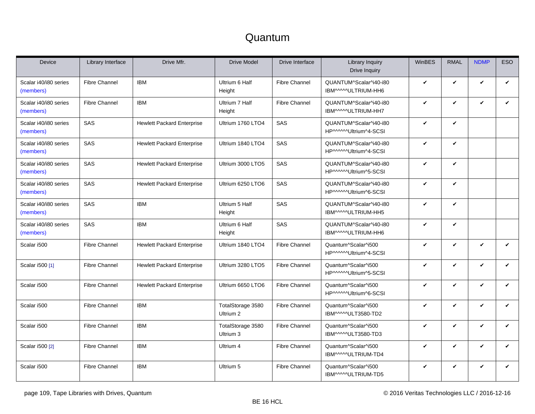<span id="page-108-0"></span>

| Device                             | Library Interface    | Drive Mfr.                        | <b>Drive Model</b>             | Drive Interface      | <b>Library Inquiry</b><br><b>Drive Inquiry</b>  | WinBES       | <b>RMAL</b>  | <b>NDMP</b> | <b>ESO</b>   |
|------------------------------------|----------------------|-----------------------------------|--------------------------------|----------------------|-------------------------------------------------|--------------|--------------|-------------|--------------|
| Scalar i40/i80 series<br>(members) | <b>Fibre Channel</b> | <b>IBM</b>                        | Ultrium 6 Half<br>Height       | <b>Fibre Channel</b> | QUANTUM^Scalar^i40-i80<br>IBM^^^^^ULTRIUM-HH6   | V            | V            | ✓           | $\checkmark$ |
| Scalar i40/i80 series<br>(members) | <b>Fibre Channel</b> | <b>IBM</b>                        | Ultrium 7 Half<br>Height       | <b>Fibre Channel</b> | QUANTUM^Scalar^i40-i80<br>IBM^^^^^ULTRIUM-HH7   | $\checkmark$ | V            | ✓           | $\checkmark$ |
| Scalar i40/i80 series<br>(members) | SAS                  | <b>Hewlett Packard Enterprise</b> | Ultrium 1760 LTO4              | <b>SAS</b>           | QUANTUM^Scalar^i40-i80<br>HP^^^^^Ultrium^4-SCSI | $\checkmark$ | V            |             |              |
| Scalar i40/i80 series<br>(members) | SAS                  | <b>Hewlett Packard Enterprise</b> | Ultrium 1840 LTO4              | SAS                  | QUANTUM^Scalar^i40-i80<br>HP^^^^^Ultrium^4-SCSI | V            | V            |             |              |
| Scalar i40/i80 series<br>(members) | SAS                  | <b>Hewlett Packard Enterprise</b> | Ultrium 3000 LTO5              | SAS                  | QUANTUM^Scalar^i40-i80<br>HP^^^^^Ultrium^5-SCSI | $\checkmark$ | V            |             |              |
| Scalar i40/i80 series<br>(members) | SAS                  | <b>Hewlett Packard Enterprise</b> | Ultrium 6250 LTO6              | <b>SAS</b>           | QUANTUM^Scalar^i40-i80<br>HP^^^^^Ultrium^6-SCSI | $\checkmark$ | $\checkmark$ |             |              |
| Scalar i40/i80 series<br>(members) | SAS                  | <b>IBM</b>                        | Ultrium 5 Half<br>Height       | SAS                  | QUANTUM^Scalar^i40-i80<br>IBM^^^^^ULTRIUM-HH5   | V            | V            |             |              |
| Scalar i40/i80 series<br>(members) | SAS                  | <b>IBM</b>                        | Ultrium 6 Half<br>Height       | SAS                  | QUANTUM^Scalar^i40-i80<br>IBM^^^^^ULTRIUM-HH6   | $\checkmark$ | V            |             |              |
| Scalar i500                        | <b>Fibre Channel</b> | <b>Hewlett Packard Enterprise</b> | Ultrium 1840 LTO4              | <b>Fibre Channel</b> | Quantum^Scalar^i500<br>HP^^^^^Ultrium^4-SCSI    | V            | V            | V           | $\checkmark$ |
| Scalar i500 [1]                    | <b>Fibre Channel</b> | <b>Hewlett Packard Enterprise</b> | Ultrium 3280 LTO5              | <b>Fibre Channel</b> | Quantum^Scalar^i500<br>HP^^^^^Ultrium^5-SCSI    | V            | V            | ✓           | V            |
| Scalar i500                        | <b>Fibre Channel</b> | <b>Hewlett Packard Enterprise</b> | Ultrium 6650 LTO6              | <b>Fibre Channel</b> | Quantum^Scalar^i500<br>HP^^^^^Ultrium^6-SCSI    | $\checkmark$ | V            | V           | $\checkmark$ |
| Scalar i500                        | <b>Fibre Channel</b> | <b>IBM</b>                        | TotalStorage 3580<br>Ultrium 2 | <b>Fibre Channel</b> | Quantum^Scalar^i500<br>IBM^^^^^ULT3580-TD2      | V            | V            | V           | $\checkmark$ |
| Scalar i500                        | <b>Fibre Channel</b> | <b>IBM</b>                        | TotalStorage 3580<br>Ultrium 3 | <b>Fibre Channel</b> | Quantum^Scalar^i500<br>IBM^^^^ULT3580-TD3       | $\checkmark$ | V            | ✓           | V            |
| Scalar i500 [2]                    | <b>Fibre Channel</b> | <b>IBM</b>                        | Ultrium 4                      | <b>Fibre Channel</b> | Quantum^Scalar^i500<br>IBM^^^^ULTRIUM-TD4       | V            | V            | V           | ✓            |
| Scalar i500                        | <b>Fibre Channel</b> | <b>IBM</b>                        | Ultrium 5                      | <b>Fibre Channel</b> | Quantum^Scalar^i500<br>IBM^^^^ULTRIUM-TD5       | V            | V            | V           | $\checkmark$ |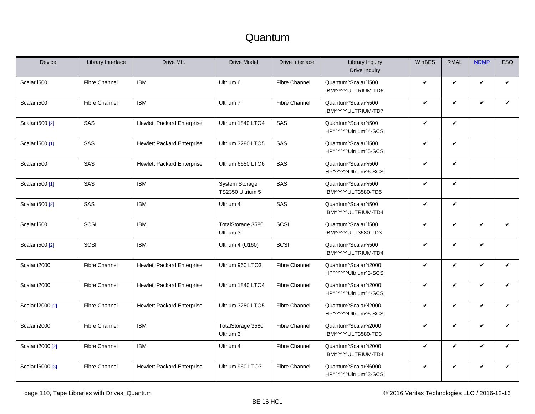| Device           | Library Interface    | Drive Mfr.                        | <b>Drive Model</b>                 | Drive Interface      | <b>Library Inquiry</b><br>Drive Inquiry       | WinBES       | <b>RMAL</b>  | <b>NDMP</b>  | <b>ESO</b>   |
|------------------|----------------------|-----------------------------------|------------------------------------|----------------------|-----------------------------------------------|--------------|--------------|--------------|--------------|
| Scalar i500      | <b>Fibre Channel</b> | <b>IBM</b>                        | Ultrium 6                          | <b>Fibre Channel</b> | Quantum^Scalar^i500<br>IBM^^^^*ULTRIUM-TD6    | $\checkmark$ | V            | $\checkmark$ | $\checkmark$ |
| Scalar i500      | <b>Fibre Channel</b> | <b>IBM</b>                        | Ultrium 7                          | <b>Fibre Channel</b> | Quantum^Scalar^i500<br>IBM^^^^ULTRIUM-TD7     | $\checkmark$ | V            | $\checkmark$ | $\checkmark$ |
| Scalar i500 [2]  | SAS                  | <b>Hewlett Packard Enterprise</b> | Ultrium 1840 LTO4                  | SAS                  | Quantum^Scalar^i500<br>HP^^^^^Ultrium^4-SCSI  | $\checkmark$ | V            |              |              |
| Scalar i500 [1]  | SAS                  | <b>Hewlett Packard Enterprise</b> | Ultrium 3280 LTO5                  | SAS                  | Quantum^Scalar^i500<br>HP^^^^^Ultrium^5-SCSI  | V            | V            |              |              |
| Scalar i500      | SAS                  | <b>Hewlett Packard Enterprise</b> | Ultrium 6650 LTO6                  | SAS                  | Quantum^Scalar^i500<br>HP^^^^^Ultrium^6-SCSI  | $\checkmark$ | V            |              |              |
| Scalar i500 [1]  | SAS                  | <b>IBM</b>                        | System Storage<br>TS2350 Ultrium 5 | SAS                  | Quantum^Scalar^i500<br>IBM^^^^^ULT3580-TD5    | $\checkmark$ | $\checkmark$ |              |              |
| Scalar i500 [2]  | SAS                  | <b>IBM</b>                        | Ultrium 4                          | SAS                  | Quantum^Scalar^i500<br>IBM^^^^^ULTRIUM-TD4    | V            | V            |              |              |
| Scalar i500      | SCSI                 | <b>IBM</b>                        | TotalStorage 3580<br>Ultrium 3     | SCSI                 | Quantum^Scalar^i500<br>IBM^^^^ULT3580-TD3     | $\checkmark$ | V            | $\mathbf{v}$ | $\checkmark$ |
| Scalar i500 [2]  | SCSI                 | <b>IBM</b>                        | Ultrium 4 (U160)                   | SCSI                 | Quantum^Scalar^i500<br>IBM^^^^^ULTRIUM-TD4    | V            | V            | V            |              |
| Scalar i2000     | <b>Fibre Channel</b> | <b>Hewlett Packard Enterprise</b> | Ultrium 960 LTO3                   | <b>Fibre Channel</b> | Quantum^Scalar^i2000<br>HP^^^^^Ultrium^3-SCSI | $\checkmark$ | V            | $\mathbf v$  | $\checkmark$ |
| Scalar i2000     | <b>Fibre Channel</b> | <b>Hewlett Packard Enterprise</b> | Ultrium 1840 LTO4                  | <b>Fibre Channel</b> | Quantum^Scalar^i2000<br>HP^^^^^Ultrium^4-SCSI | $\checkmark$ | V            | $\mathbf{v}$ | $\checkmark$ |
| Scalar i2000 [2] | <b>Fibre Channel</b> | <b>Hewlett Packard Enterprise</b> | Ultrium 3280 LTO5                  | <b>Fibre Channel</b> | Quantum^Scalar^i2000<br>HP^^^^^Ultrium^5-SCSI | $\checkmark$ | V            | V            | $\checkmark$ |
| Scalar i2000     | <b>Fibre Channel</b> | <b>IBM</b>                        | TotalStorage 3580<br>Ultrium 3     | <b>Fibre Channel</b> | Quantum^Scalar^i2000<br>IBM^^^^^ULT3580-TD3   | $\checkmark$ | V            | $\mathbf{v}$ | ✓            |
| Scalar i2000 [2] | <b>Fibre Channel</b> | <b>IBM</b>                        | Ultrium 4                          | <b>Fibre Channel</b> | Quantum^Scalar^i2000<br>IBM^^^^^ULTRIUM-TD4   | $\checkmark$ | V            | V            | $\checkmark$ |
| Scalar i6000 [3] | <b>Fibre Channel</b> | <b>Hewlett Packard Enterprise</b> | Ultrium 960 LTO3                   | <b>Fibre Channel</b> | Quantum^Scalar^i6000<br>HP^^^^^Ultrium^3-SCSI | V            | V            | V            | $\checkmark$ |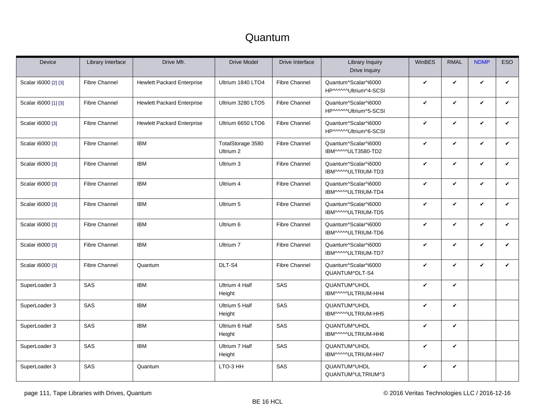| Device               | Library Interface    | Drive Mfr.                        | <b>Drive Model</b>             | Drive Interface      | <b>Library Inquiry</b><br>Drive Inquiry       | WinBES       | <b>RMAL</b> | <b>NDMP</b>  | <b>ESO</b>   |
|----------------------|----------------------|-----------------------------------|--------------------------------|----------------------|-----------------------------------------------|--------------|-------------|--------------|--------------|
| Scalar i6000 [2] [3] | <b>Fibre Channel</b> | <b>Hewlett Packard Enterprise</b> | Ultrium 1840 LTO4              | <b>Fibre Channel</b> | Quantum^Scalar^i6000<br>HP^^^^^Ultrium^4-SCSI | $\checkmark$ | V           | $\mathbf v$  | $\checkmark$ |
| Scalar i6000 [1] [3] | <b>Fibre Channel</b> | <b>Hewlett Packard Enterprise</b> | Ultrium 3280 LTO5              | <b>Fibre Channel</b> | Quantum^Scalar^i6000<br>HP^^^^^Ultrium^5-SCSI | $\checkmark$ | V           | V            | $\checkmark$ |
| Scalar i6000 [3]     | <b>Fibre Channel</b> | <b>Hewlett Packard Enterprise</b> | Ultrium 6650 LTO6              | <b>Fibre Channel</b> | Quantum^Scalar^i6000<br>HP^^^^^Ultrium^6-SCSI | $\checkmark$ | V           | $\checkmark$ | $\checkmark$ |
| Scalar i6000 [3]     | <b>Fibre Channel</b> | <b>IBM</b>                        | TotalStorage 3580<br>Ultrium 2 | <b>Fibre Channel</b> | Quantum^Scalar^i6000<br>IBM^^^^^ULT3580-TD2   | V            | V           | V            | V            |
| Scalar i6000 [3]     | <b>Fibre Channel</b> | <b>IBM</b>                        | Ultrium 3                      | <b>Fibre Channel</b> | Quantum^Scalar^i6000<br>IBM^^^^ULTRIUM-TD3    | $\checkmark$ | V           | V            | $\checkmark$ |
| Scalar i6000 [3]     | <b>Fibre Channel</b> | <b>IBM</b>                        | Ultrium 4                      | <b>Fibre Channel</b> | Quantum^Scalar^i6000<br>IBM^^^^ULTRIUM-TD4    | $\checkmark$ | V           | V            | $\checkmark$ |
| Scalar i6000 [3]     | <b>Fibre Channel</b> | <b>IBM</b>                        | Ultrium 5                      | <b>Fibre Channel</b> | Quantum^Scalar^i6000<br>IBM^^^^ULTRIUM-TD5    | V            | V           | V            | $\checkmark$ |
| Scalar i6000 [3]     | <b>Fibre Channel</b> | <b>IBM</b>                        | Ultrium 6                      | <b>Fibre Channel</b> | Quantum^Scalar^i6000<br>IBM^^^^^ULTRIUM-TD6   | $\checkmark$ | V           | $\checkmark$ | $\checkmark$ |
| Scalar i6000 [3]     | <b>Fibre Channel</b> | <b>IBM</b>                        | Ultrium 7                      | <b>Fibre Channel</b> | Quantum^Scalar^i6000<br>IBM^^^^ULTRIUM-TD7    | $\checkmark$ | V           | V            | V            |
| Scalar i6000 [3]     | <b>Fibre Channel</b> | Quantum                           | DLT-S4                         | <b>Fibre Channel</b> | Quantum^Scalar^i6000<br>QUANTUM^DLT-S4        | $\checkmark$ | V           | $\mathbf v$  | $\checkmark$ |
| SuperLoader 3        | SAS                  | <b>IBM</b>                        | Ultrium 4 Half<br>Height       | SAS                  | QUANTUM^UHDL<br>IBM^^^^^ULTRIUM-HH4           | $\checkmark$ | V           |              |              |
| SuperLoader 3        | SAS                  | <b>IBM</b>                        | Ultrium 5 Half<br>Height       | SAS                  | QUANTUM^UHDL<br>IBM^^^^^ULTRIUM-HH5           | $\checkmark$ | V           |              |              |
| SuperLoader 3        | SAS                  | <b>IBM</b>                        | Ultrium 6 Half<br>Height       | SAS                  | QUANTUM^UHDL<br>IBM^^^^^ULTRIUM-HH6           | $\checkmark$ | V           |              |              |
| SuperLoader 3        | SAS                  | <b>IBM</b>                        | Ultrium 7 Half<br>Height       | SAS                  | QUANTUM^UHDL<br>IBM^^^^^ULTRIUM-HH7           | $\checkmark$ | V           |              |              |
| SuperLoader 3        | SAS                  | Quantum                           | LTO-3 HH                       | SAS                  | QUANTUM^UHDL<br>QUANTUM^ULTRIUM^3             | V            | V           |              |              |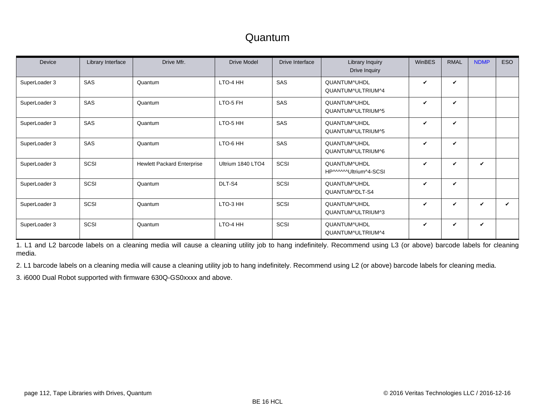| Device        | Library Interface | Drive Mfr.                        | <b>Drive Model</b> | Drive Interface | Library Inquiry<br>Drive Inquiry       | <b>WinBES</b>      | <b>RMAL</b>        | <b>NDMP</b> | <b>ESO</b> |
|---------------|-------------------|-----------------------------------|--------------------|-----------------|----------------------------------------|--------------------|--------------------|-------------|------------|
| SuperLoader 3 | SAS               | Quantum                           | LTO-4 HH           | SAS             | QUANTUM^UHDL<br>QUANTUM^ULTRIUM^4      | V                  | ✓                  |             |            |
| SuperLoader 3 | SAS               | Quantum                           | LTO-5 FH           | <b>SAS</b>      | QUANTUM^UHDL<br>QUANTUM^ULTRIUM^5      | ✓                  | ✓                  |             |            |
| SuperLoader 3 | SAS               | Quantum                           | LTO-5 HH           | SAS             | QUANTUM^UHDL<br>QUANTUM^ULTRIUM^5      | ✓                  | $\boldsymbol{\nu}$ |             |            |
| SuperLoader 3 | SAS               | Quantum                           | LTO-6 HH           | SAS             | QUANTUM^UHDL<br>QUANTUM^ULTRIUM^6      | V                  | V                  |             |            |
| SuperLoader 3 | SCSI              | <b>Hewlett Packard Enterprise</b> | Ultrium 1840 LTO4  | SCSI            | QUANTUM^UHDL<br>HP^^^^^^Ultrium^4-SCSI | V                  | $\checkmark$       | V           |            |
| SuperLoader 3 | SCSI              | Quantum                           | DLT-S4             | SCSI            | QUANTUM^UHDL<br>QUANTUM^DLT-S4         | ✓                  | ✓                  |             |            |
| SuperLoader 3 | SCSI              | Quantum                           | LTO-3 HH           | SCSI            | QUANTUM^UHDL<br>QUANTUM^ULTRIUM^3      | $\boldsymbol{\nu}$ | ✓                  | $\mathbf v$ | ✔          |
| SuperLoader 3 | SCSI              | Quantum                           | LTO-4 HH           | SCSI            | QUANTUM^UHDL<br>QUANTUM^ULTRIUM^4      | V                  | ✓                  | V           |            |

<span id="page-111-0"></span>1. L1 and L2 barcode labels on a cleaning media will cause a cleaning utility job to hang indefinitely. Recommend using L3 (or above) barcode labels for cleaning media.

<span id="page-111-1"></span>2. L1 barcode labels on a cleaning media will cause a cleaning utility job to hang indefinitely. Recommend using L2 (or above) barcode labels for cleaning media.

<span id="page-111-2"></span>3. i6000 Dual Robot supported with firmware 630Q-GS0xxxx and above.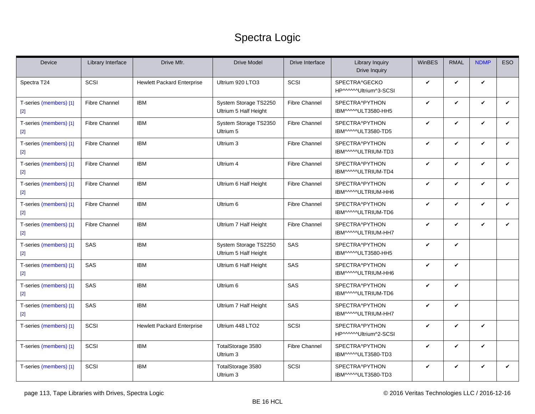### Spectra Logic

<span id="page-112-2"></span><span id="page-112-1"></span><span id="page-112-0"></span>

| Device                          | Library Interface    | Drive Mfr.                        | <b>Drive Model</b>                             | Drive Interface      | <b>Library Inquiry</b><br>Drive Inquiry | WinBES | <b>RMAL</b>  | <b>NDMP</b> | <b>ESO</b>   |
|---------------------------------|----------------------|-----------------------------------|------------------------------------------------|----------------------|-----------------------------------------|--------|--------------|-------------|--------------|
| Spectra T24                     | SCSI                 | <b>Hewlett Packard Enterprise</b> | Ultrium 920 LTO3                               | SCSI                 | SPECTRA^GECKO<br>HP^^^^^Ultrium^3-SCSI  | V      | V            | V           |              |
| T-series (members) [1]<br>$[2]$ | <b>Fibre Channel</b> | <b>IBM</b>                        | System Storage TS2250<br>Ultrium 5 Half Height | <b>Fibre Channel</b> | SPECTRA^PYTHON<br>IBM^^^^ULT3580-HH5    | V      | V            | V           | $\checkmark$ |
| T-series (members) [1]<br>$[2]$ | <b>Fibre Channel</b> | <b>IBM</b>                        | System Storage TS2350<br>Ultrium 5             | <b>Fibre Channel</b> | SPECTRA^PYTHON<br>IBM^^^^ULT3580-TD5    | V      | $\checkmark$ | V           | $\checkmark$ |
| T-series (members) [1]<br>$[2]$ | <b>Fibre Channel</b> | <b>IBM</b>                        | Ultrium 3                                      | <b>Fibre Channel</b> | SPECTRA^PYTHON<br>IBM^^^^ULTRIUM-TD3    | V      | V            | V           | V            |
| T-series (members) [1]<br>$[2]$ | <b>Fibre Channel</b> | <b>IBM</b>                        | Ultrium 4                                      | <b>Fibre Channel</b> | SPECTRA^PYTHON<br>IBM^^^^^ULTRIUM-TD4   | V      | V            | V           | $\checkmark$ |
| T-series (members) [1]<br>$[2]$ | <b>Fibre Channel</b> | <b>IBM</b>                        | Ultrium 6 Half Height                          | <b>Fibre Channel</b> | SPECTRA^PYTHON<br>IBM^^^^ULTRIUM-HH6    | V      | $\checkmark$ | V           | $\checkmark$ |
| T-series (members) [1]<br>$[2]$ | <b>Fibre Channel</b> | <b>IBM</b>                        | Ultrium 6                                      | <b>Fibre Channel</b> | SPECTRA^PYTHON<br>IBM^^^^^ULTRIUM-TD6   | V      | V            | V           | V            |
| T-series (members) [1]<br>$[2]$ | <b>Fibre Channel</b> | <b>IBM</b>                        | Ultrium 7 Half Height                          | <b>Fibre Channel</b> | SPECTRA^PYTHON<br>IBM^^^^ULTRIUM-HH7    | V      | $\checkmark$ | V           | $\checkmark$ |
| T-series (members) [1]<br>$[2]$ | SAS                  | <b>IBM</b>                        | System Storage TS2250<br>Ultrium 5 Half Height | SAS                  | SPECTRA^PYTHON<br>IBM^^^^ULT3580-HH5    | V      | $\checkmark$ |             |              |
| T-series (members) [1]<br>$[2]$ | SAS                  | <b>IBM</b>                        | Ultrium 6 Half Height                          | SAS                  | SPECTRA^PYTHON<br>IBM^^^^ULTRIUM-HH6    | V      | V            |             |              |
| T-series (members) [1]<br>$[2]$ | SAS                  | <b>IBM</b>                        | Ultrium 6                                      | SAS                  | SPECTRA^PYTHON<br>IBM^^^^^ULTRIUM-TD6   | V      | $\checkmark$ |             |              |
| T-series (members) [1]<br>$[2]$ | SAS                  | <b>IBM</b>                        | Ultrium 7 Half Height                          | SAS                  | SPECTRA^PYTHON<br>IBM^^^^ULTRIUM-HH7    | V      | V            |             |              |
| T-series (members) [1]          | SCSI                 | <b>Hewlett Packard Enterprise</b> | Ultrium 448 LTO2                               | SCSI                 | SPECTRA^PYTHON<br>HP^^^^^Ultrium^2-SCSI | V      | V            | V           |              |
| T-series (members) [1]          | SCSI                 | <b>IBM</b>                        | TotalStorage 3580<br>Ultrium 3                 | <b>Fibre Channel</b> | SPECTRA^PYTHON<br>IBM^^^^ULT3580-TD3    | V      | $\checkmark$ | V           |              |
| T-series (members) [1]          | SCSI                 | <b>IBM</b>                        | TotalStorage 3580<br>Ultrium 3                 | SCSI                 | SPECTRA^PYTHON<br>IBM^^^^ULT3580-TD3    | V      | V            | V           | V            |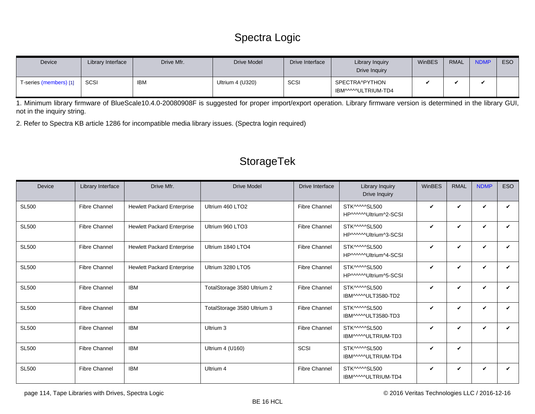### Spectra Logic

| Device                 | Library Interface | Drive Mfr. | <b>Drive Model</b> | Drive Interface | Library Inquiry<br>Drive Inquiry      | WinBES | RMAL | <b>NDMP</b> | ESO |
|------------------------|-------------------|------------|--------------------|-----------------|---------------------------------------|--------|------|-------------|-----|
| T-series (members) [1] | SCSI              | <b>IBM</b> | Ultrium 4 (U320)   | SCSI            | SPECTRA^PYTHON<br>IBM^^^^^ULTRIUM-TD4 |        |      |             |     |

<span id="page-113-0"></span>1. Minimum library firmware of BlueScale10.4.0-20080908F is suggested for proper import/export operation. Library firmware version is determined in the library GUI, not in the inquiry string.

<span id="page-113-1"></span>2. Refer to Spectra KB article 1286 for incompatible media library issues. (Spectra login required)

### StorageTek

| Device       | Library Interface    | Drive Mfr.                        | <b>Drive Model</b>           | Drive Interface      | Library Inquiry<br>Drive Inquiry       | <b>WinBES</b> | <b>RMAL</b>  | <b>NDMP</b>  | <b>ESO</b> |
|--------------|----------------------|-----------------------------------|------------------------------|----------------------|----------------------------------------|---------------|--------------|--------------|------------|
| <b>SL500</b> | <b>Fibre Channel</b> | <b>Hewlett Packard Enterprise</b> | Ultrium 460 LTO <sub>2</sub> | <b>Fibre Channel</b> | STK^^^^SL500<br>HP^^^^^Ultrium^2-SCSI  | V             | ✓            | ✓            | ✔          |
| <b>SL500</b> | <b>Fibre Channel</b> | <b>Hewlett Packard Enterprise</b> | Ultrium 960 LTO3             | <b>Fibre Channel</b> | STK^^^^SL500<br>HP^^^^^Ultrium^3-SCSI  | V             | ✓            | $\checkmark$ | ✓          |
| <b>SL500</b> | <b>Fibre Channel</b> | <b>Hewlett Packard Enterprise</b> | Ultrium 1840 LTO4            | <b>Fibre Channel</b> | STK^^^^^SL500<br>HP^^^^^Ultrium^4-SCSI | V             | $\checkmark$ | V            | ✓          |
| <b>SL500</b> | <b>Fibre Channel</b> | <b>Hewlett Packard Enterprise</b> | Ultrium 3280 LTO5            | <b>Fibre Channel</b> | STK^^^^^SL500<br>HP^^^^^Ultrium^5-SCSI | V             | $\checkmark$ | V            |            |
| <b>SL500</b> | <b>Fibre Channel</b> | <b>IBM</b>                        | TotalStorage 3580 Ultrium 2  | <b>Fibre Channel</b> | STK^^^^^SL500<br>IBM^^^^^ULT3580-TD2   | V             | $\checkmark$ | ✓            | ✓          |
| <b>SL500</b> | <b>Fibre Channel</b> | <b>IBM</b>                        | TotalStorage 3580 Ultrium 3  | <b>Fibre Channel</b> | STK^^^^^SL500<br>IBM^^^^ULT3580-TD3    | V             | $\checkmark$ | $\checkmark$ | ✓          |
| <b>SL500</b> | <b>Fibre Channel</b> | <b>IBM</b>                        | Ultrium 3                    | <b>Fibre Channel</b> | STK^^^^^SL500<br>IBM^^^^^ULTRIUM-TD3   | V             | $\checkmark$ | V            | ✓          |
| <b>SL500</b> | <b>Fibre Channel</b> | <b>IBM</b>                        | Ultrium 4 (U160)             | SCSI                 | STK^^^^^SL500<br>IBM^^^^^ULTRIUM-TD4   | V             | $\checkmark$ |              |            |
| <b>SL500</b> | <b>Fibre Channel</b> | <b>IBM</b>                        | Ultrium 4                    | <b>Fibre Channel</b> | STK^^^^SL500<br>IBM^^^^^ULTRIUM-TD4    | V             | ✓            | V            | ✓          |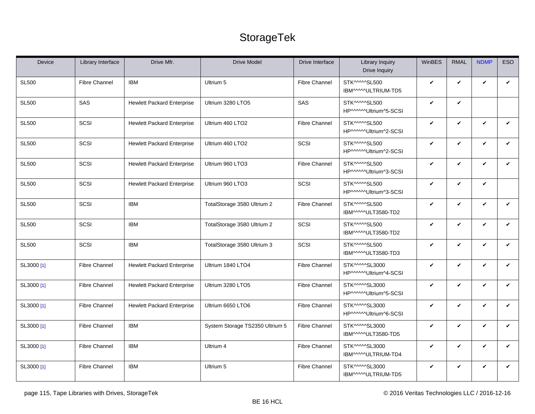### StorageTek

| Device       | Library Interface    | Drive Mfr.                        | <b>Drive Model</b>              | Drive Interface      | Library Inquiry<br>Drive Inquiry        | WinBES       | <b>RMAL</b>  | <b>NDMP</b>  | <b>ESO</b>   |
|--------------|----------------------|-----------------------------------|---------------------------------|----------------------|-----------------------------------------|--------------|--------------|--------------|--------------|
| <b>SL500</b> | <b>Fibre Channel</b> | <b>IBM</b>                        | Ultrium 5                       | <b>Fibre Channel</b> | STK^^^^^SL500<br>IBM^^^^^ULTRIUM-TD5    | V            | $\checkmark$ | $\checkmark$ | V            |
| <b>SL500</b> | SAS                  | <b>Hewlett Packard Enterprise</b> | Ultrium 3280 LTO5               | SAS                  | STK^^^^^SL500<br>HP^^^^^^Ultrium^5-SCSI | $\checkmark$ | $\checkmark$ |              |              |
| <b>SL500</b> | SCSI                 | <b>Hewlett Packard Enterprise</b> | Ultrium 460 LTO2                | <b>Fibre Channel</b> | STK^^^^^SL500<br>HP^^^^^Ultrium^2-SCSI  | V            | $\checkmark$ | $\checkmark$ | V            |
| <b>SL500</b> | SCSI                 | <b>Hewlett Packard Enterprise</b> | Ultrium 460 LTO2                | SCSI                 | STK^^^^^SL500<br>HP^^^^^^Ultrium^2-SCSI | $\checkmark$ | $\checkmark$ | $\checkmark$ | V            |
| <b>SL500</b> | SCSI                 | <b>Hewlett Packard Enterprise</b> | Ultrium 960 LTO3                | <b>Fibre Channel</b> | STK^^^^^SL500<br>HP^^^^^Ultrium^3-SCSI  | V            | $\checkmark$ | $\checkmark$ | V            |
| <b>SL500</b> | SCSI                 | <b>Hewlett Packard Enterprise</b> | Ultrium 960 LTO3                | SCSI                 | STK^^^^^SL500<br>HP^^^^^Ultrium^3-SCSI  | V            | $\checkmark$ | $\checkmark$ |              |
| <b>SL500</b> | SCSI                 | <b>IBM</b>                        | TotalStorage 3580 Ultrium 2     | <b>Fibre Channel</b> | STK^^^^^SL500<br>IBM^^^^ULT3580-TD2     | V            | $\checkmark$ | $\checkmark$ | V            |
| <b>SL500</b> | SCSI                 | <b>IBM</b>                        | TotalStorage 3580 Ultrium 2     | SCSI                 | STK^^^^^SL500<br>IBM^^^^ULT3580-TD2     | V            | $\checkmark$ | $\checkmark$ | $\checkmark$ |
| <b>SL500</b> | SCSI                 | <b>IBM</b>                        | TotalStorage 3580 Ultrium 3     | SCSI                 | STK^^^^^SL500<br>IBM^^^^ULT3580-TD3     | V            | $\checkmark$ | $\checkmark$ | V            |
| SL3000 [1]   | <b>Fibre Channel</b> | <b>Hewlett Packard Enterprise</b> | Ultrium 1840 LTO4               | <b>Fibre Channel</b> | STK^^^^^SL3000<br>HP^^^^^Ultrium^4-SCSI | V            | $\checkmark$ | $\checkmark$ | V            |
| SL3000 [1]   | <b>Fibre Channel</b> | <b>Hewlett Packard Enterprise</b> | Ultrium 3280 LTO5               | <b>Fibre Channel</b> | STK^^^^^SL3000<br>HP^^^^^Ultrium^5-SCSI | $\checkmark$ | $\checkmark$ | $\checkmark$ | $\checkmark$ |
| SL3000 [1]   | <b>Fibre Channel</b> | <b>Hewlett Packard Enterprise</b> | Ultrium 6650 LTO6               | <b>Fibre Channel</b> | STK^^^^^SL3000<br>HP^^^^^Ultrium^6-SCSI | V            | V            | $\checkmark$ | V            |
| SL3000 [1]   | <b>Fibre Channel</b> | <b>IBM</b>                        | System Storage TS2350 Ultrium 5 | <b>Fibre Channel</b> | STK^^^^^SL3000<br>IBM^^^^ULT3580-TD5    | V            | $\checkmark$ | $\checkmark$ | V            |
| SL3000 [1]   | <b>Fibre Channel</b> | <b>IBM</b>                        | Ultrium 4                       | <b>Fibre Channel</b> | STK^^^^^SL3000<br>IBM^^^^^ULTRIUM-TD4   | $\checkmark$ | $\checkmark$ | $\checkmark$ | $\checkmark$ |
| SL3000 [1]   | <b>Fibre Channel</b> | <b>IBM</b>                        | Ultrium 5                       | <b>Fibre Channel</b> | STK^^^^^SL3000<br>IBM^^^^^ULTRIUM-TD5   | V            | V            | $\checkmark$ | V            |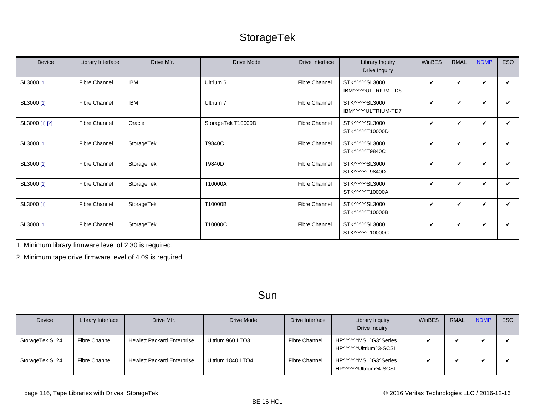### StorageTek

| Device         | Library Interface    | Drive Mfr. | <b>Drive Model</b> | Drive Interface      | Library Inquiry<br>Drive Inquiry      | WinBES       | <b>RMAL</b> | <b>NDMP</b> | <b>ESO</b> |
|----------------|----------------------|------------|--------------------|----------------------|---------------------------------------|--------------|-------------|-------------|------------|
| SL3000 [1]     | <b>Fibre Channel</b> | <b>IBM</b> | Ultrium 6          | <b>Fibre Channel</b> | STK^^^^SL3000<br>IBM^^^^ULTRIUM-TD6   | V            | ✓           | V           | ✓          |
| SL3000 [1]     | <b>Fibre Channel</b> | <b>IBM</b> | Ultrium 7          | <b>Fibre Channel</b> | STK^^^^^SL3000<br>IBM^^^^^ULTRIUM-TD7 | V            | ✓           | V           | ✓          |
| SL3000 [1] [2] | <b>Fibre Channel</b> | Oracle     | StorageTek T10000D | <b>Fibre Channel</b> | STK^^^^^SL3000<br>STK^^^^^T10000D     | V            | V           | V           | ✓          |
| SL3000 [1]     | <b>Fibre Channel</b> | StorageTek | T9840C             | <b>Fibre Channel</b> | STK^^^^^SL3000<br>STK^^^^^T9840C      | V            | V           | V           | ✓          |
| SL3000 [1]     | <b>Fibre Channel</b> | StorageTek | T9840D             | <b>Fibre Channel</b> | STK^^^^^SL3000<br>STK^^^^^T9840D      | $\checkmark$ | ✓           | $\mathbf v$ | ✓          |
| SL3000 [1]     | <b>Fibre Channel</b> | StorageTek | T10000A            | <b>Fibre Channel</b> | STK^^^^^SL3000<br>STK^^^^^T10000A     | V            | ✓           | V           | ✓          |
| SL3000 [1]     | <b>Fibre Channel</b> | StorageTek | T10000B            | <b>Fibre Channel</b> | STK^^^^^SL3000<br>STK^^^^^T10000B     | V            | V           | V           | ✓          |
| SL3000 [1]     | <b>Fibre Channel</b> | StorageTek | T10000C            | <b>Fibre Channel</b> | STK^^^^^SL3000<br>STK^^^^^T10000C     | V            | V           | V           | ✓          |

<span id="page-115-0"></span>1. Minimum library firmware level of 2.30 is required.

<span id="page-115-1"></span>2. Minimum tape drive firmware level of 4.09 is required.

#### Sun

| Device          | Library Interface | Drive Mfr.                        | Drive Model       | Drive Interface      | Library Inquiry<br>Drive Inquiry               | WinBES | RMAL | <b>NDMP</b> | ESO <sub>1</sub> |
|-----------------|-------------------|-----------------------------------|-------------------|----------------------|------------------------------------------------|--------|------|-------------|------------------|
| StorageTek SL24 | Fibre Channel     | <b>Hewlett Packard Enterprise</b> | Ultrium 960 LTO3  | <b>Fibre Channel</b> | HP^^^^^MSL^G3^Series<br>HP^^^^^^Ultrium^3-SCSI |        |      |             |                  |
| StorageTek SL24 | Fibre Channel     | <b>Hewlett Packard Enterprise</b> | Ultrium 1840 LTO4 | <b>Fibre Channel</b> | HP^^^^^MSL^G3^Series<br>HP^^^^^^Ultrium^4-SCSI |        |      |             |                  |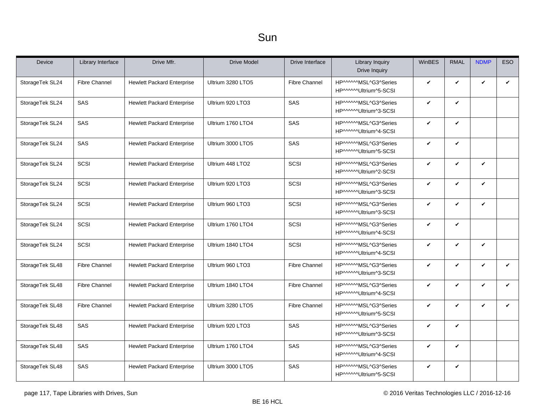| <b>Device</b>   | Library Interface    | Drive Mfr.                        | <b>Drive Model</b> | Drive Interface      | <b>Library Inquiry</b><br>Drive Inquiry       | <b>WinBES</b> | <b>RMAL</b> | <b>NDMP</b>  | <b>ESO</b>   |
|-----------------|----------------------|-----------------------------------|--------------------|----------------------|-----------------------------------------------|---------------|-------------|--------------|--------------|
| StorageTek SL24 | <b>Fibre Channel</b> | <b>Hewlett Packard Enterprise</b> | Ultrium 3280 LTO5  | <b>Fibre Channel</b> | HP^^^^^MSL^G3^Series<br>HP^^^^^Ultrium^5-SCSI | $\checkmark$  | V           | $\checkmark$ | $\checkmark$ |
| StorageTek SL24 | SAS                  | <b>Hewlett Packard Enterprise</b> | Ultrium 920 LTO3   | SAS                  | HP^^^^^MSL^G3^Series<br>HP^^^^^Ultrium^3-SCSI | V             | V           |              |              |
| StorageTek SL24 | SAS                  | <b>Hewlett Packard Enterprise</b> | Ultrium 1760 LTO4  | SAS                  | HP^^^^^MSL^G3^Series<br>HP^^^^^Ultrium^4-SCSI | $\checkmark$  | V           |              |              |
| StorageTek SL24 | SAS                  | <b>Hewlett Packard Enterprise</b> | Ultrium 3000 LTO5  | SAS                  | HP^^^^^MSL^G3^Series<br>HP^^^^^Ultrium^5-SCSI | V             | V           |              |              |
| StorageTek SL24 | SCSI                 | <b>Hewlett Packard Enterprise</b> | Ultrium 448 LTO2   | SCSI                 | HP^^^^^MSL^G3^Series<br>HP^^^^^Ultrium^2-SCSI | $\checkmark$  | V           | $\checkmark$ |              |
| StorageTek SL24 | SCSI                 | <b>Hewlett Packard Enterprise</b> | Ultrium 920 LTO3   | SCSI                 | HP^^^^^MSL^G3^Series<br>HP^^^^^Ultrium^3-SCSI | $\checkmark$  | V           | $\checkmark$ |              |
| StorageTek SL24 | SCSI                 | <b>Hewlett Packard Enterprise</b> | Ultrium 960 LTO3   | <b>SCSI</b>          | HP^^^^^MSL^G3^Series<br>HP^^^^^Ultrium^3-SCSI | V             | V           | V            |              |
| StorageTek SL24 | SCSI                 | <b>Hewlett Packard Enterprise</b> | Ultrium 1760 LTO4  | SCSI                 | HP^^^^^MSL^G3^Series<br>HP^^^^^Ultrium^4-SCSI | $\checkmark$  | V           |              |              |
| StorageTek SL24 | SCSI                 | <b>Hewlett Packard Enterprise</b> | Ultrium 1840 LTO4  | SCSI                 | HP^^^^^MSL^G3^Series<br>HP^^^^^Ultrium^4-SCSI | V             | V           | $\checkmark$ |              |
| StorageTek SL48 | <b>Fibre Channel</b> | <b>Hewlett Packard Enterprise</b> | Ultrium 960 LTO3   | <b>Fibre Channel</b> | HP^^^^^MSL^G3^Series<br>HP^^^^^Ultrium^3-SCSI | V             | V           | V            | V            |
| StorageTek SL48 | <b>Fibre Channel</b> | <b>Hewlett Packard Enterprise</b> | Ultrium 1840 LTO4  | <b>Fibre Channel</b> | HP^^^^^MSL^G3^Series<br>HP^^^^^Ultrium^4-SCSI | $\checkmark$  | V           | V            | $\checkmark$ |
| StorageTek SL48 | <b>Fibre Channel</b> | <b>Hewlett Packard Enterprise</b> | Ultrium 3280 LTO5  | <b>Fibre Channel</b> | HP^^^^^MSL^G3^Series<br>HP^^^^^Ultrium^5-SCSI | $\checkmark$  | V           | V            | V            |
| StorageTek SL48 | SAS                  | <b>Hewlett Packard Enterprise</b> | Ultrium 920 LTO3   | SAS                  | HP^^^^^MSL^G3^Series<br>HP^^^^^Ultrium^3-SCSI | V             | V           |              |              |
| StorageTek SL48 | SAS                  | <b>Hewlett Packard Enterprise</b> | Ultrium 1760 LTO4  | SAS                  | HP^^^^^MSL^G3^Series<br>HP^^^^^Ultrium^4-SCSI | $\checkmark$  | V           |              |              |
| StorageTek SL48 | SAS                  | <b>Hewlett Packard Enterprise</b> | Ultrium 3000 LTO5  | SAS                  | HP^^^^^MSL^G3^Series<br>HP^^^^^Ultrium^5-SCSI | V             | V           |              |              |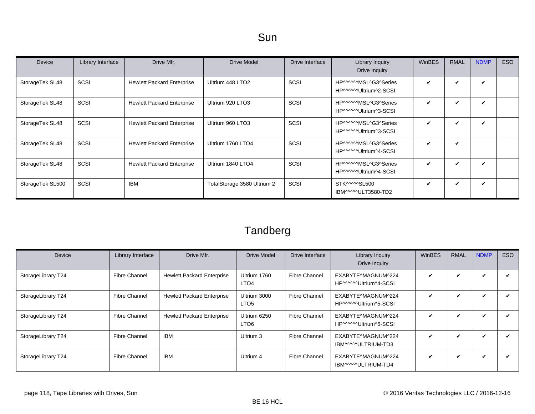| <b>Device</b>    | Library Interface | Drive Mfr.                        | <b>Drive Model</b>           | Drive Interface | Library Inquiry<br>Drive Inquiry               | <b>WinBES</b> | <b>RMAL</b>                | <b>NDMP</b> | ESO |
|------------------|-------------------|-----------------------------------|------------------------------|-----------------|------------------------------------------------|---------------|----------------------------|-------------|-----|
| StorageTek SL48  | SCSI              | <b>Hewlett Packard Enterprise</b> | Ultrium 448 LTO <sub>2</sub> | SCSI            | HP^^^^^MSL^G3^Series<br>HP^^^^^Ultrium^2-SCSI  | ✓             | ✓                          | V           |     |
| StorageTek SL48  | SCSI              | <b>Hewlett Packard Enterprise</b> | Ultrium 920 LTO3             | SCSI            | HP^^^^^MSL^G3^Series<br>HP^^^^^^Ultrium^3-SCSI | V             | v                          | ✓           |     |
| StorageTek SL48  | SCSI              | <b>Hewlett Packard Enterprise</b> | Ultrium 960 LTO3             | SCSI            | HP^^^^^MSL^G3^Series<br>HP^^^^^^Ultrium^3-SCSI | ✓             | ✔                          | ✓           |     |
| StorageTek SL48  | SCSI              | <b>Hewlett Packard Enterprise</b> | Ultrium 1760 LTO4            | SCSI            | HP^^^^^MSL^G3^Series<br>HP^^^^^^Ultrium^4-SCSI | V             | $\boldsymbol{\mathcal{U}}$ |             |     |
| StorageTek SL48  | SCSI              | <b>Hewlett Packard Enterprise</b> | Ultrium 1840 LTO4            | SCSI            | HP^^^^^MSL^G3^Series<br>HP^^^^^Ultrium^4-SCSI  | V             | ✓                          | V           |     |
| StorageTek SL500 | SCSI              | <b>IBM</b>                        | TotalStorage 3580 Ultrium 2  | <b>SCSI</b>     | STK^^^^^SL500<br>IBM^^^^^ULT3580-TD2           | ✓             | v                          | ✓           |     |

| Device             | Library Interface    | Drive Mfr.                        | <b>Drive Model</b>               | Drive Interface      | Library Inquiry<br>Drive Inquiry             | WinBES | <b>RMAL</b> | <b>NDMP</b>                | <b>ESO</b> |
|--------------------|----------------------|-----------------------------------|----------------------------------|----------------------|----------------------------------------------|--------|-------------|----------------------------|------------|
| StorageLibrary T24 | <b>Fibre Channel</b> | <b>Hewlett Packard Enterprise</b> | Ultrium 1760<br>LTO <sub>4</sub> | <b>Fibre Channel</b> | EXABYTE^MAGNUM^224<br>HP^^^^^\Ultrium^4-SCSI | ✓      | V           | ✓                          |            |
| StorageLibrary T24 | <b>Fibre Channel</b> | <b>Hewlett Packard Enterprise</b> | Ultrium 3000<br>LTO <sub>5</sub> | Fibre Channel        | EXABYTE^MAGNUM^224<br>HP^^^^^Ultrium^5-SCSI  | ✓      | V           | $\boldsymbol{\mathcal{U}}$ |            |
| StorageLibrary T24 | <b>Fibre Channel</b> | <b>Hewlett Packard Enterprise</b> | Ultrium 6250<br>LTO <sub>6</sub> | <b>Fibre Channel</b> | EXABYTE^MAGNUM^224<br>HP^^^^^Ultrium^6-SCSI  | ✓      | V           | $\checkmark$               |            |
| StorageLibrary T24 | <b>Fibre Channel</b> | <b>IBM</b>                        | Ultrium 3                        | Fibre Channel        | EXABYTE^MAGNUM^224<br>IBM^^^^ULTRIUM-TD3     | V      | V           | ✓                          |            |
| StorageLibrary T24 | <b>Fibre Channel</b> | <b>IBM</b>                        | Ultrium 4                        | <b>Fibre Channel</b> | EXABYTE^MAGNUM^224<br>IBM^^^^^ULTRIUM-TD4    | ✓      | V           | $\checkmark$               |            |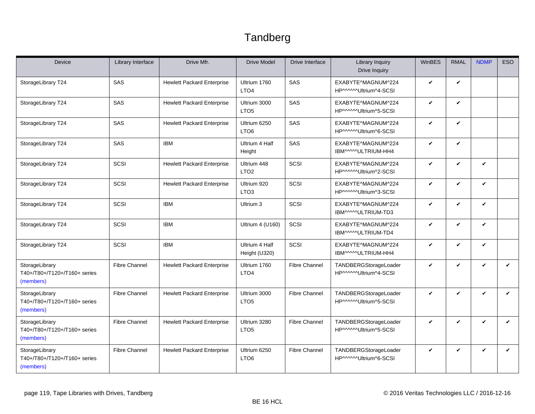<span id="page-118-0"></span>

| Device                                                      | Library Interface    | Drive Mfr.                        | <b>Drive Model</b>               | Drive Interface      | <b>Library Inquiry</b><br><b>Drive Inquiry</b> | WinBES       | <b>RMAL</b>                | <b>NDMP</b>  | <b>ESO</b>   |
|-------------------------------------------------------------|----------------------|-----------------------------------|----------------------------------|----------------------|------------------------------------------------|--------------|----------------------------|--------------|--------------|
| StorageLibrary T24                                          | SAS                  | <b>Hewlett Packard Enterprise</b> | Ultrium 1760<br>LTO <sub>4</sub> | <b>SAS</b>           | EXABYTE^MAGNUM^224<br>HP^^^^^Ultrium^4-SCSI    | V            | $\boldsymbol{\mathcal{U}}$ |              |              |
| StorageLibrary T24                                          | SAS                  | <b>Hewlett Packard Enterprise</b> | Ultrium 3000<br>LTO <sub>5</sub> | SAS                  | EXABYTE^MAGNUM^224<br>HP^^^^^Ultrium^5-SCSI    | V            | $\mathbf{v}$               |              |              |
| StorageLibrary T24                                          | SAS                  | <b>Hewlett Packard Enterprise</b> | Ultrium 6250<br>LTO <sub>6</sub> | SAS                  | EXABYTE^MAGNUM^224<br>HP^^^^^Ultrium^6-SCSI    | $\checkmark$ | $\checkmark$               |              |              |
| StorageLibrary T24                                          | SAS                  | <b>IBM</b>                        | Ultrium 4 Half<br>Height         | SAS                  | EXABYTE^MAGNUM^224<br>IBM^^^^^ULTRIUM-HH4      | V            | $\mathbf{v}$               |              |              |
| StorageLibrary T24                                          | SCSI                 | <b>Hewlett Packard Enterprise</b> | Ultrium 448<br>LTO <sub>2</sub>  | SCSI                 | EXABYTE^MAGNUM^224<br>HP^^^^^Ultrium^2-SCSI    | V            | $\checkmark$               | ✓            |              |
| StorageLibrary T24                                          | SCSI                 | <b>Hewlett Packard Enterprise</b> | Ultrium 920<br>LTO <sub>3</sub>  | SCSI                 | EXABYTE^MAGNUM^224<br>HP^^^^^Ultrium^3-SCSI    | V            | $\boldsymbol{\nu}$         | V            |              |
| StorageLibrary T24                                          | SCSI                 | <b>IBM</b>                        | Ultrium 3                        | SCSI                 | EXABYTE^MAGNUM^224<br>IBM^^^^ULTRIUM-TD3       | $\checkmark$ | $\mathbf{v}$               | $\checkmark$ |              |
| StorageLibrary T24                                          | SCSI                 | <b>IBM</b>                        | Ultrium 4 (U160)                 | SCSI                 | EXABYTE^MAGNUM^224<br>IBM^^^^ULTRIUM-TD4       | V            | $\mathbf{v}$               | $\checkmark$ |              |
| StorageLibrary T24                                          | SCSI                 | <b>IBM</b>                        | Ultrium 4 Half<br>Height (U320)  | SCSI                 | EXABYTE^MAGNUM^224<br>IBM^^^^^ULTRIUM-HH4      | V            | $\checkmark$               | V            |              |
| StorageLibrary<br>T40+/T80+/T120+/T160+ series<br>(members) | <b>Fibre Channel</b> | <b>Hewlett Packard Enterprise</b> | Ultrium 1760<br>LTO <sub>4</sub> | <b>Fibre Channel</b> | TANDBERGStorageLoader<br>HP^^^^^Ultrium^4-SCSI | V            | $\checkmark$               | $\checkmark$ | $\checkmark$ |
| StorageLibrary<br>T40+/T80+/T120+/T160+ series<br>(members) | <b>Fibre Channel</b> | <b>Hewlett Packard Enterprise</b> | Ultrium 3000<br>LTO <sub>5</sub> | <b>Fibre Channel</b> | TANDBERGStorageLoader<br>HP^^^^^Ultrium^5-SCSI | V            | $\checkmark$               | $\checkmark$ | V            |
| StorageLibrary<br>T40+/T80+/T120+/T160+ series<br>(members) | <b>Fibre Channel</b> | <b>Hewlett Packard Enterprise</b> | Ultrium 3280<br>LTO <sub>5</sub> | <b>Fibre Channel</b> | TANDBERGStorageLoader<br>HP^^^^^Ultrium^5-SCSI | V            | $\checkmark$               | ✓            | $\checkmark$ |
| StorageLibrary<br>T40+/T80+/T120+/T160+ series<br>(members) | <b>Fibre Channel</b> | <b>Hewlett Packard Enterprise</b> | Ultrium 6250<br>LTO <sub>6</sub> | <b>Fibre Channel</b> | TANDBERGStorageLoader<br>HP^^^^^Ultrium^6-SCSI | V            | $\checkmark$               | V            | ✓            |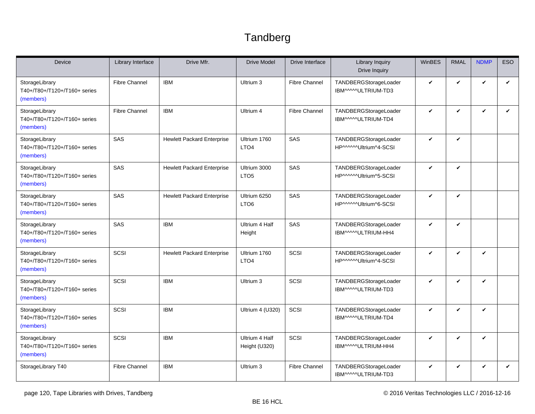<span id="page-119-1"></span><span id="page-119-0"></span>

| Device                                                      | Library Interface    | Drive Mfr.                        | <b>Drive Model</b>               | Drive Interface      | <b>Library Inquiry</b><br>Drive Inquiry        | WinBES       | <b>RMAL</b> | <b>NDMP</b>  | <b>ESO</b> |
|-------------------------------------------------------------|----------------------|-----------------------------------|----------------------------------|----------------------|------------------------------------------------|--------------|-------------|--------------|------------|
| StorageLibrary<br>T40+/T80+/T120+/T160+ series<br>(members) | <b>Fibre Channel</b> | <b>IBM</b>                        | Ultrium 3                        | <b>Fibre Channel</b> | TANDBERGStorageLoader<br>IBM^^^^ULTRIUM-TD3    | $\checkmark$ | V           | $\checkmark$ | ✓          |
| StorageLibrary<br>T40+/T80+/T120+/T160+ series<br>(members) | <b>Fibre Channel</b> | <b>IBM</b>                        | Ultrium 4                        | <b>Fibre Channel</b> | TANDBERGStorageLoader<br>IBM^^^^ULTRIUM-TD4    | $\checkmark$ | V           | $\checkmark$ | V          |
| StorageLibrary<br>T40+/T80+/T120+/T160+ series<br>(members) | SAS                  | <b>Hewlett Packard Enterprise</b> | Ultrium 1760<br>LTO <sub>4</sub> | SAS                  | TANDBERGStorageLoader<br>HP^^^^^Ultrium^4-SCSI | $\checkmark$ | V           |              |            |
| StorageLibrary<br>T40+/T80+/T120+/T160+ series<br>(members) | SAS                  | <b>Hewlett Packard Enterprise</b> | Ultrium 3000<br>LTO <sub>5</sub> | SAS                  | TANDBERGStorageLoader<br>HP^^^^^Ultrium^5-SCSI | $\checkmark$ | V           |              |            |
| StorageLibrary<br>T40+/T80+/T120+/T160+ series<br>(members) | SAS                  | <b>Hewlett Packard Enterprise</b> | Ultrium 6250<br>LTO <sub>6</sub> | SAS                  | TANDBERGStorageLoader<br>HP^^^^^Ultrium^6-SCSI | $\checkmark$ | V           |              |            |
| StorageLibrary<br>T40+/T80+/T120+/T160+ series<br>(members) | SAS                  | <b>IBM</b>                        | Ultrium 4 Half<br>Height         | SAS                  | TANDBERGStorageLoader<br>IBM^^^^^ULTRIUM-HH4   | $\checkmark$ | V           |              |            |
| StorageLibrary<br>T40+/T80+/T120+/T160+ series<br>(members) | SCSI                 | <b>Hewlett Packard Enterprise</b> | Ultrium 1760<br>LTO <sub>4</sub> | SCSI                 | TANDBERGStorageLoader<br>HP^^^^^Ultrium^4-SCSI | $\checkmark$ | V           | V            |            |
| StorageLibrary<br>T40+/T80+/T120+/T160+ series<br>(members) | SCSI                 | <b>IBM</b>                        | Ultrium 3                        | SCSI                 | TANDBERGStorageLoader<br>IBM^^^^ULTRIUM-TD3    | $\checkmark$ | V           | $\checkmark$ |            |
| StorageLibrary<br>T40+/T80+/T120+/T160+ series<br>(members) | SCSI                 | <b>IBM</b>                        | Ultrium 4 (U320)                 | SCSI                 | TANDBERGStorageLoader<br>IBM^^^^^ULTRIUM-TD4   | $\checkmark$ | V           | $\mathbf{v}$ |            |
| StorageLibrary<br>T40+/T80+/T120+/T160+ series<br>(members) | SCSI                 | <b>IBM</b>                        | Ultrium 4 Half<br>Height (U320)  | SCSI                 | TANDBERGStorageLoader<br>IBM^^^^^ULTRIUM-HH4   | $\checkmark$ | V           | $\checkmark$ |            |
| StorageLibrary T40                                          | <b>Fibre Channel</b> | <b>IBM</b>                        | Ultrium 3                        | <b>Fibre Channel</b> | TANDBERGStorageLoader<br>IBM^^^^ULTRIUM-TD3    | $\checkmark$ | V           | $\checkmark$ | V          |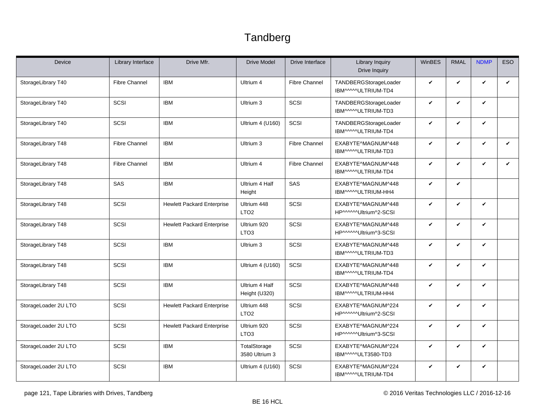| Device               | Library Interface    | Drive Mfr.                        | <b>Drive Model</b>              | Drive Interface      | <b>Library Inquiry</b><br><b>Drive Inquiry</b> | WinBES       | <b>RMAL</b> | <b>NDMP</b>  | <b>ESO</b>   |
|----------------------|----------------------|-----------------------------------|---------------------------------|----------------------|------------------------------------------------|--------------|-------------|--------------|--------------|
| StorageLibrary T40   | <b>Fibre Channel</b> | <b>IBM</b>                        | Ultrium 4                       | <b>Fibre Channel</b> | TANDBERGStorageLoader<br>IBM^^^^^ULTRIUM-TD4   | V            | V           | $\checkmark$ | $\checkmark$ |
| StorageLibrary T40   | SCSI                 | <b>IBM</b>                        | Ultrium 3                       | SCSI                 | TANDBERGStorageLoader<br>IBM^^^^^ULTRIUM-TD3   | V            | V           | $\checkmark$ |              |
| StorageLibrary T40   | SCSI                 | <b>IBM</b>                        | Ultrium 4 (U160)                | SCSI                 | TANDBERGStorageLoader<br>IBM^^^^^ULTRIUM-TD4   | V            | V           | $\checkmark$ |              |
| StorageLibrary T48   | <b>Fibre Channel</b> | <b>IBM</b>                        | Ultrium 3                       | <b>Fibre Channel</b> | EXABYTE^MAGNUM^448<br>IBM^^^^^ULTRIUM-TD3      | V            | V           | $\checkmark$ | $\checkmark$ |
| StorageLibrary T48   | <b>Fibre Channel</b> | <b>IBM</b>                        | Ultrium 4                       | Fibre Channel        | EXABYTE^MAGNUM^448<br>IBM^^^^^ULTRIUM-TD4      | V            | V           | $\checkmark$ | $\checkmark$ |
| StorageLibrary T48   | SAS                  | <b>IBM</b>                        | Ultrium 4 Half<br>Height        | SAS                  | EXABYTE^MAGNUM^448<br>IBM^^^^^ULTRIUM-HH4      | V            | V           |              |              |
| StorageLibrary T48   | SCSI                 | <b>Hewlett Packard Enterprise</b> | Ultrium 448<br>LTO <sub>2</sub> | SCSI                 | EXABYTE^MAGNUM^448<br>HP^^^^^Ultrium^2-SCSI    | V            | V           | $\checkmark$ |              |
| StorageLibrary T48   | SCSI                 | <b>Hewlett Packard Enterprise</b> | Ultrium 920<br>LTO <sub>3</sub> | SCSI                 | EXABYTE^MAGNUM^448<br>HP^^^^^Ultrium^3-SCSI    | V            | V           | $\checkmark$ |              |
| StorageLibrary T48   | SCSI                 | <b>IBM</b>                        | Ultrium 3                       | SCSI                 | EXABYTE^MAGNUM^448<br>IBM^^^^ULTRIUM-TD3       | V            | V           | $\checkmark$ |              |
| StorageLibrary T48   | SCSI                 | <b>IBM</b>                        | Ultrium 4 (U160)                | SCSI                 | EXABYTE^MAGNUM^448<br>IBM^^^^^ULTRIUM-TD4      | V            | V           | $\checkmark$ |              |
| StorageLibrary T48   | SCSI                 | <b>IBM</b>                        | Ultrium 4 Half<br>Height (U320) | SCSI                 | EXABYTE^MAGNUM^448<br>IBM^^^^^ULTRIUM-HH4      | $\checkmark$ | V           | $\checkmark$ |              |
| StorageLoader 2U LTO | SCSI                 | <b>Hewlett Packard Enterprise</b> | Ultrium 448<br>LTO <sub>2</sub> | SCSI                 | EXABYTE^MAGNUM^224<br>HP^^^^^Ultrium^2-SCSI    | V            | V           | $\checkmark$ |              |
| StorageLoader 2U LTO | SCSI                 | <b>Hewlett Packard Enterprise</b> | Ultrium 920<br>LTO <sub>3</sub> | SCSI                 | EXABYTE^MAGNUM^224<br>HP^^^^^Ultrium^3-SCSI    | V            | V           | $\checkmark$ |              |
| StorageLoader 2U LTO | SCSI                 | <b>IBM</b>                        | TotalStorage<br>3580 Ultrium 3  | SCSI                 | EXABYTE^MAGNUM^224<br>IBM^^^^^ULT3580-TD3      | V            | V           | $\checkmark$ |              |
| StorageLoader 2U LTO | SCSI                 | <b>IBM</b>                        | Ultrium 4 (U160)                | SCSI                 | EXABYTE^MAGNUM^224<br>IBM^^^^ULTRIUM-TD4       | V            | V           | $\checkmark$ |              |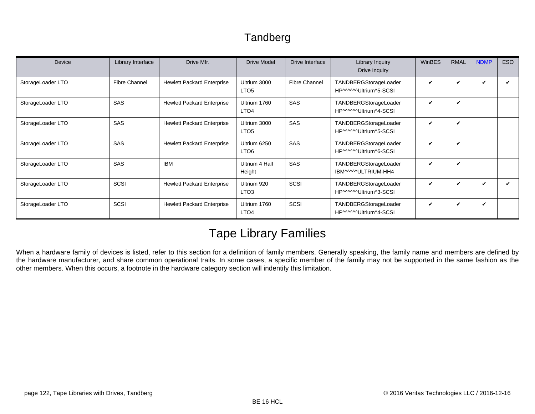| Device            | Library Interface    | Drive Mfr.                        | Drive Model                      | Drive Interface      | Library Inquiry<br>Drive Inquiry               | <b>WinBES</b> | <b>RMAL</b>                | <b>NDMP</b> | <b>ESO</b> |
|-------------------|----------------------|-----------------------------------|----------------------------------|----------------------|------------------------------------------------|---------------|----------------------------|-------------|------------|
| StorageLoader LTO | <b>Fibre Channel</b> | <b>Hewlett Packard Enterprise</b> | Ultrium 3000<br>LTO <sub>5</sub> | <b>Fibre Channel</b> | TANDBERGStorageLoader<br>HP^^^^^Ultrium^5-SCSI | $\checkmark$  | V                          | ✓           | ✔          |
| StorageLoader LTO | <b>SAS</b>           | <b>Hewlett Packard Enterprise</b> | Ultrium 1760<br>LTO <sub>4</sub> | SAS                  | TANDBERGStorageLoader<br>HP^^^^^Ultrium^4-SCSI | $\checkmark$  | V                          |             |            |
| StorageLoader LTO | SAS                  | <b>Hewlett Packard Enterprise</b> | Ultrium 3000<br>LTO <sub>5</sub> | <b>SAS</b>           | TANDBERGStorageLoader<br>HP^^^^^Ultrium^5-SCSI | V             | ✔                          |             |            |
| StorageLoader LTO | <b>SAS</b>           | <b>Hewlett Packard Enterprise</b> | Ultrium 6250<br>LTO <sub>6</sub> | <b>SAS</b>           | TANDBERGStorageLoader<br>HP^^^^^Ultrium^6-SCSI | $\checkmark$  | $\boldsymbol{\mathcal{U}}$ |             |            |
| StorageLoader LTO | <b>SAS</b>           | <b>IBM</b>                        | Ultrium 4 Half<br>Height         | SAS                  | TANDBERGStorageLoader<br>IBM^^^^^ULTRIUM-HH4   | V             | V                          |             |            |
| StorageLoader LTO | SCSI                 | <b>Hewlett Packard Enterprise</b> | Ultrium 920<br>LTO <sub>3</sub>  | SCSI                 | TANDBERGStorageLoader<br>HP^^^^^Ultrium^3-SCSI | $\checkmark$  | ✔                          | ✓           |            |
| StorageLoader LTO | SCSI                 | <b>Hewlett Packard Enterprise</b> | Ultrium 1760<br>LTO <sub>4</sub> | SCSI                 | TANDBERGStorageLoader<br>HP^^^^^Ultrium^4-SCSI | $\checkmark$  | ✔                          | ✓           |            |

### Tape Library Families

When a hardware family of devices is listed, refer to this section for a definition of family members. Generally speaking, the family name and members are defined by the hardware manufacturer, and share common operational traits. In some cases, a specific member of the family may not be supported in the same fashion as the other members. When this occurs, a footnote in the hardware category section will indentify this limitation.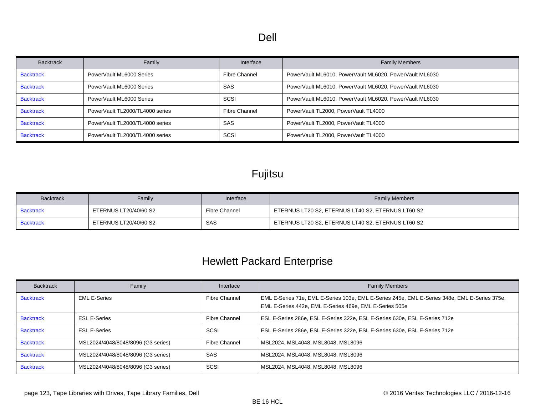#### Dell

| <b>Backtrack</b> | Family                          | Interface     | <b>Family Members</b>                                   |
|------------------|---------------------------------|---------------|---------------------------------------------------------|
| <b>Backtrack</b> | PowerVault ML6000 Series        | Fibre Channel | PowerVault ML6010, PowerVault ML6020, PowerVault ML6030 |
| <b>Backtrack</b> | PowerVault ML6000 Series        | SAS           | PowerVault ML6010, PowerVault ML6020, PowerVault ML6030 |
| <b>Backtrack</b> | PowerVault ML6000 Series        | SCSI          | PowerVault ML6010, PowerVault ML6020, PowerVault ML6030 |
| <b>Backtrack</b> | PowerVault TL2000/TL4000 series | Fibre Channel | PowerVault TL2000, PowerVault TL4000                    |
| <b>Backtrack</b> | PowerVault TL2000/TL4000 series | SAS           | PowerVault TL2000, PowerVault TL4000                    |
| <b>Backtrack</b> | PowerVault TL2000/TL4000 series | <b>SCSI</b>   | PowerVault TL2000, PowerVault TL4000                    |

### Fujitsu

| <b>Backtrack</b> | Family                | Interface     | <b>Family Members</b>                             |
|------------------|-----------------------|---------------|---------------------------------------------------|
| <b>Backtrack</b> | ETERNUS LT20/40/60 S2 | Fibre Channel | ETERNUS LT20 S2, ETERNUS LT40 S2, ETERNUS LT60 S2 |
| <b>Backtrack</b> | ETERNUS LT20/40/60 S2 | SAS           | ETERNUS LT20 S2, ETERNUS LT40 S2, ETERNUS LT60 S2 |

### Hewlett Packard Enterprise

| <b>Backtrack</b> | Family                             | Interface            | <b>Family Members</b>                                                                                                                                    |
|------------------|------------------------------------|----------------------|----------------------------------------------------------------------------------------------------------------------------------------------------------|
| <b>Backtrack</b> | <b>EML E-Series</b>                | <b>Fibre Channel</b> | EML E-Series 71e, EML E-Series 103e, EML E-Series 245e, EML E-Series 348e, EML E-Series 375e,<br>EML E-Series 442e, EML E-Series 469e, EML E-Series 505e |
| <b>Backtrack</b> | <b>ESL E-Series</b>                | Fibre Channel        | ESL E-Series 286e, ESL E-Series 322e, ESL E-Series 630e, ESL E-Series 712e                                                                               |
| <b>Backtrack</b> | <b>ESL E-Series</b>                | <b>SCSI</b>          | ESL E-Series 286e, ESL E-Series 322e, ESL E-Series 630e, ESL E-Series 712e                                                                               |
| <b>Backtrack</b> | MSL2024/4048/8048/8096 (G3 series) | Fibre Channel        | MSL2024, MSL4048, MSL8048, MSL8096                                                                                                                       |
| <b>Backtrack</b> | MSL2024/4048/8048/8096 (G3 series) | SAS                  | MSL2024, MSL4048, MSL8048, MSL8096                                                                                                                       |
| <b>Backtrack</b> | MSL2024/4048/8048/8096 (G3 series) | <b>SCSI</b>          | MSL2024, MSL4048, MSL8048, MSL8096                                                                                                                       |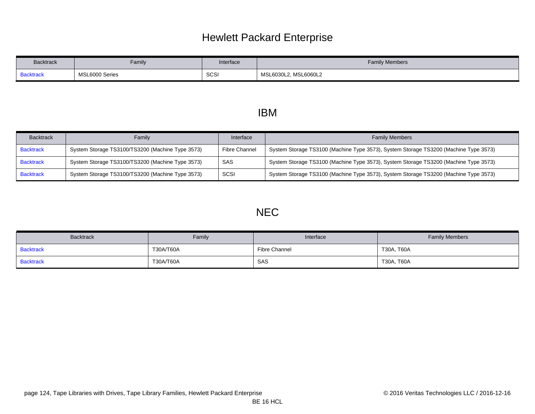### Hewlett Packard Enterprise

| <b>Backtrack</b> | Family         | Interface | <b>Family Members</b>   |
|------------------|----------------|-----------|-------------------------|
| <b>Backtrack</b> | MSL6000 Series | SCSI      | MSL6060L2<br>MSL6030L2, |

#### IBM

| <b>Backtrack</b> | Family                                           | Interface     | <b>Family Members</b>                                                                |
|------------------|--------------------------------------------------|---------------|--------------------------------------------------------------------------------------|
| <b>Backtrack</b> | System Storage TS3100/TS3200 (Machine Type 3573) | Fibre Channel | System Storage TS3100 (Machine Type 3573), System Storage TS3200 (Machine Type 3573) |
| <b>Backtrack</b> | System Storage TS3100/TS3200 (Machine Type 3573) | SAS           | System Storage TS3100 (Machine Type 3573), System Storage TS3200 (Machine Type 3573) |
| <b>Backtrack</b> | System Storage TS3100/TS3200 (Machine Type 3573) | SCSI          | System Storage TS3100 (Machine Type 3573), System Storage TS3200 (Machine Type 3573) |

#### NEC

| <b>Backtrack</b> | Family    | Interface     | <b>Family Members</b> |
|------------------|-----------|---------------|-----------------------|
| <b>Backtrack</b> | T30A/T60A | Fibre Channel | T30A, T60A            |
| <b>Backtrack</b> | T30A/T60A | SAS           | T30A, T60A            |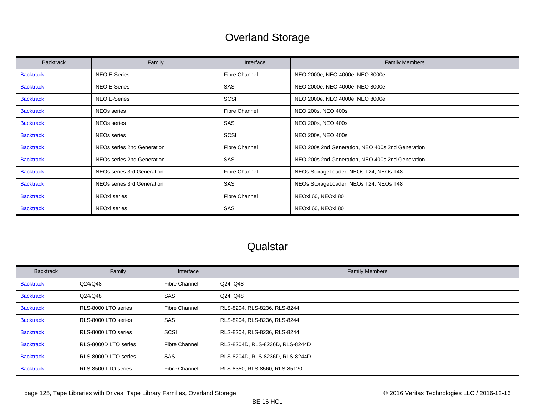### Overland Storage

| <b>Backtrack</b> | Family                     | Interface            | <b>Family Members</b>                            |
|------------------|----------------------------|----------------------|--------------------------------------------------|
| <b>Backtrack</b> | <b>NEO E-Series</b>        | <b>Fibre Channel</b> | NEO 2000e, NEO 4000e, NEO 8000e                  |
| <b>Backtrack</b> | NEO E-Series               | SAS                  | NEO 2000e, NEO 4000e, NEO 8000e                  |
| <b>Backtrack</b> | <b>NEO E-Series</b>        | SCSI                 | NEO 2000e, NEO 4000e, NEO 8000e                  |
| <b>Backtrack</b> | NEOs series                | <b>Fibre Channel</b> | NEO 200s, NEO 400s                               |
| <b>Backtrack</b> | <b>NEOs series</b>         | SAS                  | NEO 200s, NEO 400s                               |
| <b>Backtrack</b> | NEOs series                | SCSI                 | NEO 200s, NEO 400s                               |
| <b>Backtrack</b> | NEOs series 2nd Generation | <b>Fibre Channel</b> | NEO 200s 2nd Generation, NEO 400s 2nd Generation |
| <b>Backtrack</b> | NEOs series 2nd Generation | SAS                  | NEO 200s 2nd Generation, NEO 400s 2nd Generation |
| <b>Backtrack</b> | NEOs series 3rd Generation | <b>Fibre Channel</b> | NEOs StorageLoader, NEOs T24, NEOs T48           |
| <b>Backtrack</b> | NEOs series 3rd Generation | SAS                  | NEOs StorageLoader, NEOs T24, NEOs T48           |
| <b>Backtrack</b> | NEOxl series               | <b>Fibre Channel</b> | NEOxl 60, NEOxl 80                               |
| <b>Backtrack</b> | NEOxl series               | SAS                  | NEOxl 60, NEOxl 80                               |

### **Qualstar**

| <b>Backtrack</b> | Family               | Interface            | <b>Family Members</b>           |
|------------------|----------------------|----------------------|---------------------------------|
| <b>Backtrack</b> | Q24/Q48              | <b>Fibre Channel</b> | Q24, Q48                        |
| <b>Backtrack</b> | Q24/Q48              | <b>SAS</b>           | Q24, Q48                        |
| <b>Backtrack</b> | RLS-8000 LTO series  | <b>Fibre Channel</b> | RLS-8204, RLS-8236, RLS-8244    |
| <b>Backtrack</b> | RLS-8000 LTO series  | <b>SAS</b>           | RLS-8204, RLS-8236, RLS-8244    |
| <b>Backtrack</b> | RLS-8000 LTO series  | SCSI                 | RLS-8204, RLS-8236, RLS-8244    |
| <b>Backtrack</b> | RLS-8000D LTO series | <b>Fibre Channel</b> | RLS-8204D, RLS-8236D, RLS-8244D |
| <b>Backtrack</b> | RLS-8000D LTO series | SAS                  | RLS-8204D, RLS-8236D, RLS-8244D |
| <b>Backtrack</b> | RLS-8500 LTO series  | <b>Fibre Channel</b> | RLS-8350, RLS-8560, RLS-85120   |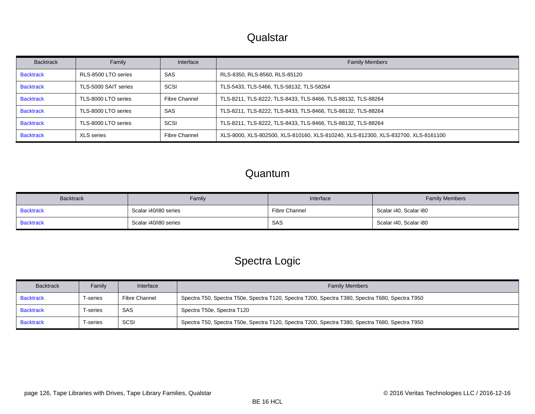### **Qualstar**

| <b>Backtrack</b> | Family               | Interface            | <b>Family Members</b>                                                             |
|------------------|----------------------|----------------------|-----------------------------------------------------------------------------------|
| <b>Backtrack</b> | RLS-8500 LTO series  | SAS                  | RLS-8350, RLS-8560, RLS-85120                                                     |
| <b>Backtrack</b> | TLS-5000 SAIT series | SCSI                 | TLS-5433, TLS-5466, TLS-58132, TLS-58264                                          |
| <b>Backtrack</b> | TLS-8000 LTO series  | <b>Fibre Channel</b> | TLS-8211, TLS-8222, TLS-8433, TLS-8466, TLS-88132, TLS-88264                      |
| <b>Backtrack</b> | TLS-8000 LTO series  | SAS                  | TLS-8211, TLS-8222, TLS-8433, TLS-8466, TLS-88132, TLS-88264                      |
| <b>Backtrack</b> | TLS-8000 LTO series  | SCSI                 | TLS-8211, TLS-8222, TLS-8433, TLS-8466, TLS-88132, TLS-88264                      |
| <b>Backtrack</b> | <b>XLS</b> series    | <b>Fibre Channel</b> | XLS-8000, XLS-802500, XLS-810160, XLS-810240, XLS-812300, XLS-832700, XLS-8161100 |

#### Quantum

<span id="page-125-1"></span><span id="page-125-0"></span>

| <b>Backtrack</b> | Family                | Interface     | <b>Family Members</b>  |
|------------------|-----------------------|---------------|------------------------|
| <b>Backtrack</b> | Scalar i40/i80 series | Fibre Channel | Scalar i40, Scalar i80 |
| <b>Backtrack</b> | Scalar i40/i80 series | SAS           | Scalar i40, Scalar i80 |

### Spectra Logic

<span id="page-125-4"></span><span id="page-125-3"></span><span id="page-125-2"></span>

| <b>Backtrack</b> | Family  | Interface            | <b>Family Members</b>                                                                           |
|------------------|---------|----------------------|-------------------------------------------------------------------------------------------------|
| <b>Backtrack</b> | -series | <b>Fibre Channel</b> | Spectra T50, Spectra T50e, Spectra T120, Spectra T200, Spectra T380, Spectra T680, Spectra T950 |
| <b>Backtrack</b> | -series | SAS                  | Spectra T50e, Spectra T120                                                                      |
| <b>Backtrack</b> | -series | SCSI                 | Spectra T50, Spectra T50e, Spectra T120, Spectra T200, Spectra T380, Spectra T680, Spectra T950 |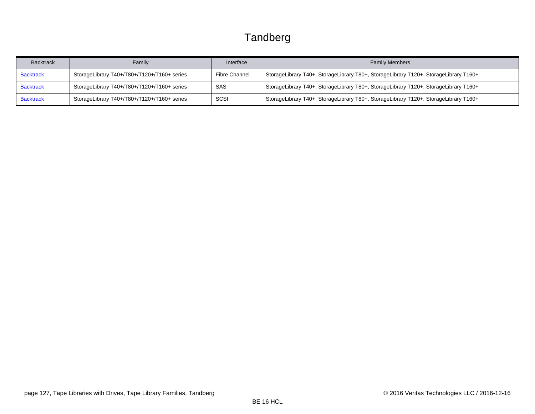<span id="page-126-2"></span><span id="page-126-1"></span><span id="page-126-0"></span>

| <b>Backtrack</b> | Family                                      | Interface            | <b>Family Members</b>                                                                |
|------------------|---------------------------------------------|----------------------|--------------------------------------------------------------------------------------|
| <b>Backtrack</b> | StorageLibrary T40+/T80+/T120+/T160+ series | <b>Fibre Channel</b> | StorageLibrary T40+, StorageLibrary T80+, StorageLibrary T120+, StorageLibrary T160+ |
| <b>Backtrack</b> | StorageLibrary T40+/T80+/T120+/T160+ series | SAS                  | StorageLibrary T40+, StorageLibrary T80+, StorageLibrary T120+, StorageLibrary T160+ |
| <b>Backtrack</b> | StorageLibrary T40+/T80+/T120+/T160+ series | SCSI                 | StorageLibrary T40+, StorageLibrary T80+, StorageLibrary T120+, StorageLibrary T160+ |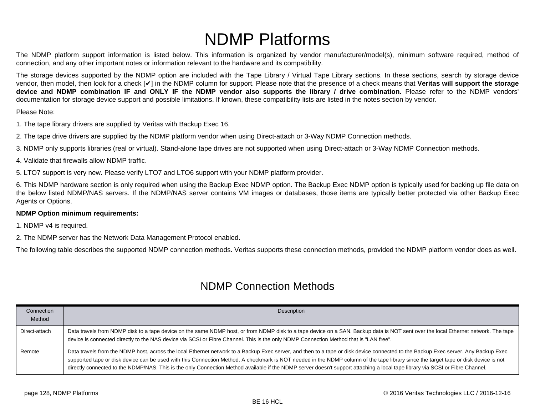# NDMP Platforms

<span id="page-127-0"></span>The NDMP platform support information is listed below. This information is organized by vendor manufacturer/model(s), minimum software required, method of connection, and any other important notes or information relevant to the hardware and its compatibility.

The storage devices supported by the NDMP option are included with the Tape Library / Virtual Tape Library sections. In these sections, search by storage device vendor, then model, then look for a check [✔] in the NDMP column for support. Please note that the presence of a check means that **Veritas will support the storage device and NDMP combination IF and ONLY IF the NDMP vendor also supports the library / drive combination.** Please refer to the NDMP vendors' documentation for storage device support and possible limitations. If known, these compatibility lists are listed in the notes section by vendor.

#### Please Note:

1. The tape library drivers are supplied by Veritas with Backup Exec 16.

2. The tape drive drivers are supplied by the NDMP platform vendor when using Direct-attach or 3-Way NDMP Connection methods.

3. NDMP only supports libraries (real or virtual). Stand-alone tape drives are not supported when using Direct-attach or 3-Way NDMP Connection methods.

4. Validate that firewalls allow NDMP traffic.

5. LTO7 support is very new. Please verify LTO7 and LTO6 support with your NDMP platform provider.

6. This NDMP hardware section is only required when using the Backup Exec NDMP option. The Backup Exec NDMP option is typically used for backing up file data on the below listed NDMP/NAS servers. If the NDMP/NAS server contains VM images or databases, those items are typically better protected via other Backup Exec Agents or Options.

#### **NDMP Option minimum requirements:**

1. NDMP v4 is required.

2. The NDMP server has the Network Data Management Protocol enabled.

The following table describes the supported NDMP connection methods. Veritas supports these connection methods, provided the NDMP platform vendor does as well.

#### NDMP Connection Methods

| Connection<br>Method | Description                                                                                                                                                                                                                                                                                                                                                                                                                                                                                                                                                |
|----------------------|------------------------------------------------------------------------------------------------------------------------------------------------------------------------------------------------------------------------------------------------------------------------------------------------------------------------------------------------------------------------------------------------------------------------------------------------------------------------------------------------------------------------------------------------------------|
|                      |                                                                                                                                                                                                                                                                                                                                                                                                                                                                                                                                                            |
| Direct-attach        | Data travels from NDMP disk to a tape device on the same NDMP host, or from NDMP disk to a tape device on a SAN. Backup data is NOT sent over the local Ethernet network. The tape<br>device is connected directly to the NAS device via SCSI or Fibre Channel. This is the only NDMP Connection Method that is "LAN free".                                                                                                                                                                                                                                |
| Remote               | Data travels from the NDMP host, across the local Ethernet network to a Backup Exec server, and then to a tape or disk device connected to the Backup Exec server. Any Backup Exec<br>supported tape or disk device can be used with this Connection Method. A checkmark is NOT needed in the NDMP column of the tape library since the target tape or disk device is not<br>directly connected to the NDMP/NAS. This is the only Connection Method available if the NDMP server doesn't support attaching a local tape library via SCSI or Fibre Channel. |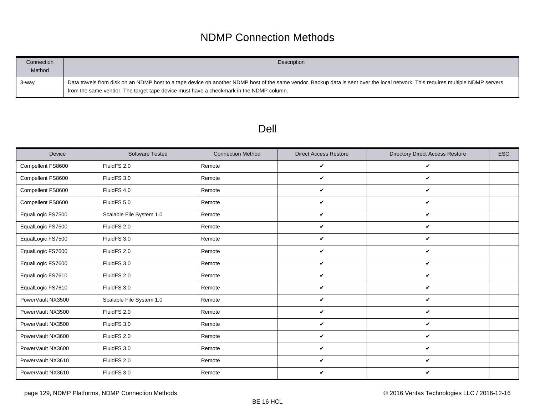### NDMP Connection Methods

| Connection<br>Method | Description                                                                                                                                                                                                                                                                |
|----------------------|----------------------------------------------------------------------------------------------------------------------------------------------------------------------------------------------------------------------------------------------------------------------------|
| 3-way                | Data travels from disk on an NDMP host to a tape device on another NDMP host of the same vendor. Backup data is sent over the local network. This requires multiple NDMP servers<br>from the same vendor. The target tape device must have a checkmark in the NDMP column. |

### Dell

| Device            | <b>Software Tested</b>   | <b>Connection Method</b> | <b>Direct Access Restore</b> | <b>Directory Direct Access Restore</b> | <b>ESO</b> |
|-------------------|--------------------------|--------------------------|------------------------------|----------------------------------------|------------|
| Compellent FS8600 | FluidFS 2.0              | Remote                   | V                            | V                                      |            |
| Compellent FS8600 | FluidFS 3.0              | Remote                   | ✓                            | V                                      |            |
| Compellent FS8600 | FluidFS 4.0              | Remote                   | V                            | V                                      |            |
| Compellent FS8600 | FluidFS 5.0              | Remote                   | V                            | V                                      |            |
| EqualLogic FS7500 | Scalable File System 1.0 | Remote                   | ✓                            | V                                      |            |
| EqualLogic FS7500 | FluidFS 2.0              | Remote                   | V                            | V                                      |            |
| EqualLogic FS7500 | FluidFS 3.0              | Remote                   | V                            | V                                      |            |
| EqualLogic FS7600 | FluidFS 2.0              | Remote                   | V                            | V                                      |            |
| EqualLogic FS7600 | FluidFS 3.0              | Remote                   | V                            | V                                      |            |
| EqualLogic FS7610 | FluidFS 2.0              | Remote                   | V                            | V                                      |            |
| EqualLogic FS7610 | FluidFS 3.0              | Remote                   | ✓                            | V                                      |            |
| PowerVault NX3500 | Scalable File System 1.0 | Remote                   | V                            | V                                      |            |
| PowerVault NX3500 | FluidFS 2.0              | Remote                   | ✓                            | V                                      |            |
| PowerVault NX3500 | FluidFS 3.0              | Remote                   | V                            | V                                      |            |
| PowerVault NX3600 | FluidFS 2.0              | Remote                   | V                            | V                                      |            |
| PowerVault NX3600 | FluidFS 3.0              | Remote                   | ✓                            | V                                      |            |
| PowerVault NX3610 | FluidFS 2.0              | Remote                   | ✓                            | V                                      |            |
| PowerVault NX3610 | FluidFS 3.0              | Remote                   | ✓                            | V                                      |            |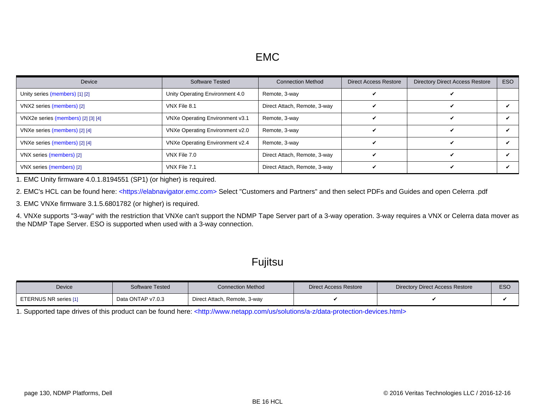<span id="page-129-8"></span><span id="page-129-7"></span><span id="page-129-6"></span><span id="page-129-5"></span>

| Device                             | <b>Software Tested</b>          | <b>Connection Method</b>     | <b>Direct Access Restore</b> | <b>Directory Direct Access Restore</b> | <b>ESO</b> |
|------------------------------------|---------------------------------|------------------------------|------------------------------|----------------------------------------|------------|
| Unity series (members) [1] [2]     | Unity Operating Environment 4.0 | Remote, 3-way                |                              |                                        |            |
| VNX2 series (members) [2]          | VNX File 8.1                    | Direct Attach, Remote, 3-way |                              |                                        |            |
| VNX2e series (members) [2] [3] [4] | VNXe Operating Environment v3.1 | Remote, 3-way                |                              |                                        |            |
| VNXe series (members) [2] [4]      | VNXe Operating Environment v2.0 | Remote, 3-way                |                              |                                        |            |
| VNXe series (members) [2] [4]      | VNXe Operating Environment v2.4 | Remote, 3-way                |                              |                                        |            |
| VNX series (members) [2]           | VNX File 7.0                    | Direct Attach, Remote, 3-way |                              |                                        |            |
| VNX series (members) [2]           | VNX File 7.1                    | Direct Attach, Remote, 3-way |                              |                                        |            |

<span id="page-129-9"></span><span id="page-129-0"></span>1. EMC Unity firmware 4.0.1.8194551 (SP1) (or higher) is required.

<span id="page-129-1"></span>2. EMC's HCL can be found here: [<https://elabnavigator.emc.com> S](https://elabnavigator.emc.com)elect "Customers and Partners" and then select PDFs and Guides and open Celerra .pdf

<span id="page-129-2"></span>3. EMC VNXe firmware 3.1.5.6801782 (or higher) is required.

<span id="page-129-3"></span>4. VNXe supports "3-way" with the restriction that VNXe can't support the NDMP Tape Server part of a 3-way operation. 3-way requires a VNX or Celerra data mover as the NDMP Tape Server. ESO is supported when used with a 3-way connection.

#### Fujitsu

| <b>Device</b>         | <b>Software Tested</b> | <b>Connection Method</b>     | Direct Access Restore | <b>Directory Direct Access Restore</b> | <b>ESC</b> |
|-----------------------|------------------------|------------------------------|-----------------------|----------------------------------------|------------|
| ETERNUS NR series [1] | Data ONTAP v7.0.3      | Direct Attach, Remote, 3-way |                       |                                        |            |

<span id="page-129-4"></span>1. Supported tape drives of this product can be found here: [<http://www.netapp.com/us/solutions/a-z/data-protection-devices.html>](http://www.netapp.com/us/solutions/a-z/data-protection-devices.html)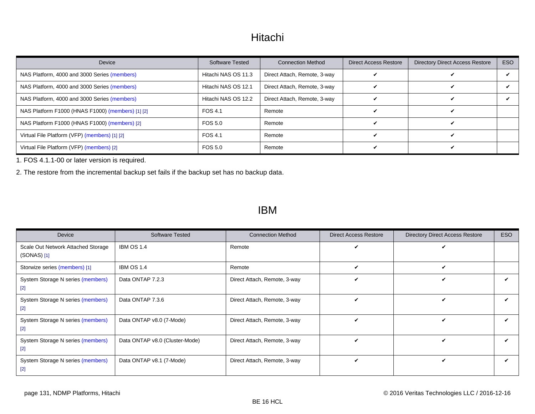#### Hitachi

<span id="page-130-3"></span><span id="page-130-2"></span>

| Device                                            | <b>Software Tested</b> | <b>Connection Method</b>     | <b>Direct Access Restore</b> | <b>Directory Direct Access Restore</b> | ESO |
|---------------------------------------------------|------------------------|------------------------------|------------------------------|----------------------------------------|-----|
| NAS Platform, 4000 and 3000 Series (members)      | Hitachi NAS OS 11.3    | Direct Attach, Remote, 3-way |                              |                                        |     |
| NAS Platform, 4000 and 3000 Series (members)      | Hitachi NAS OS 12.1    | Direct Attach, Remote, 3-way |                              |                                        |     |
| NAS Platform, 4000 and 3000 Series (members)      | Hitachi NAS OS 12.2    | Direct Attach, Remote, 3-way |                              |                                        |     |
| NAS Platform F1000 (HNAS F1000) (members) [1] [2] | FOS 4.1                | Remote                       |                              |                                        |     |
| NAS Platform F1000 (HNAS F1000) (members) [2]     | FOS 5.0                | Remote                       |                              |                                        |     |
| Virtual File Platform (VFP) (members) [1] [2]     | FOS 4.1                | Remote                       |                              |                                        |     |
| Virtual File Platform (VFP) (members) [2]         | FOS 5.0                | Remote                       |                              |                                        |     |

<span id="page-130-4"></span><span id="page-130-0"></span>1. FOS 4.1.1-00 or later version is required.

<span id="page-130-1"></span>2. The restore from the incremental backup set fails if the backup set has no backup data.

#### IBM

<span id="page-130-6"></span><span id="page-130-5"></span>

| Device                                              | <b>Software Tested</b>         | <b>Connection Method</b>     | <b>Direct Access Restore</b> | <b>Directory Direct Access Restore</b> | ESO |
|-----------------------------------------------------|--------------------------------|------------------------------|------------------------------|----------------------------------------|-----|
| Scale Out Network Attached Storage<br>$(SONAS)$ [1] | <b>IBM OS 1.4</b>              | Remote                       | $\boldsymbol{\checkmark}$    |                                        |     |
| Storwize series (members) [1]                       | <b>IBM OS 1.4</b>              | Remote                       | V                            | ✓                                      |     |
| System Storage N series (members)<br>$[2]$          | Data ONTAP 7.2.3               | Direct Attach, Remote, 3-way | ✓                            | ✔                                      |     |
| System Storage N series (members)<br>$[2]$          | Data ONTAP 7.3.6               | Direct Attach, Remote, 3-way | $\checkmark$                 | ✓                                      |     |
| System Storage N series (members)<br>$[2]$          | Data ONTAP v8.0 (7-Mode)       | Direct Attach, Remote, 3-way | ✓                            | ✓                                      |     |
| System Storage N series (members)<br>$[2]$          | Data ONTAP v8.0 (Cluster-Mode) | Direct Attach, Remote, 3-way | ✓                            | ✓                                      |     |
| System Storage N series (members)<br>$[2]$          | Data ONTAP v8.1 (7-Mode)       | Direct Attach, Remote, 3-way | ✓                            | ✓                                      |     |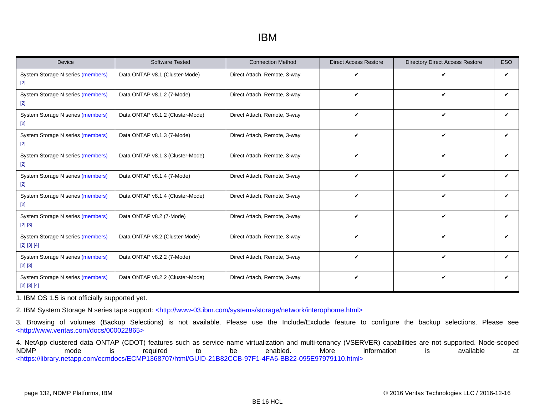#### IBM

| <b>Device</b>                                          | <b>Software Tested</b>           | <b>Connection Method</b>     | <b>Direct Access Restore</b> | <b>Directory Direct Access Restore</b> | <b>ESO</b> |
|--------------------------------------------------------|----------------------------------|------------------------------|------------------------------|----------------------------------------|------------|
| System Storage N series (members)<br>$[2]$             | Data ONTAP v8.1 (Cluster-Mode)   | Direct Attach, Remote, 3-way | V                            | V                                      | ✓          |
| System Storage N series (members)<br>$\lceil 2 \rceil$ | Data ONTAP v8.1.2 (7-Mode)       | Direct Attach, Remote, 3-way | $\checkmark$                 | V                                      | ✓          |
| System Storage N series (members)<br>$[2]$             | Data ONTAP v8.1.2 (Cluster-Mode) | Direct Attach, Remote, 3-way | $\checkmark$                 | V                                      | ✓          |
| System Storage N series (members)<br>$[2]$             | Data ONTAP v8.1.3 (7-Mode)       | Direct Attach, Remote, 3-way | $\boldsymbol{\mathcal{U}}$   | ✓                                      |            |
| System Storage N series (members)<br>$[2]$             | Data ONTAP v8.1.3 (Cluster-Mode) | Direct Attach, Remote, 3-way | V                            | V                                      | ✓          |
| System Storage N series (members)<br>$[2]$             | Data ONTAP v8.1.4 (7-Mode)       | Direct Attach, Remote, 3-way | $\checkmark$                 | $\checkmark$                           | ✓          |
| System Storage N series (members)<br>$\lceil 2 \rceil$ | Data ONTAP v8.1.4 (Cluster-Mode) | Direct Attach, Remote, 3-way | V                            | $\checkmark$                           | ✓          |
| System Storage N series (members)<br>$[2] [3]$         | Data ONTAP v8.2 (7-Mode)         | Direct Attach, Remote, 3-way | $\checkmark$                 | $\boldsymbol{\nu}$                     | ✓          |
| System Storage N series (members)<br>[2] [3] [4]       | Data ONTAP v8.2 (Cluster-Mode)   | Direct Attach, Remote, 3-way | $\boldsymbol{\mathcal{U}}$   | $\boldsymbol{\nu}$                     |            |
| System Storage N series (members)<br>$[2] [3]$         | Data ONTAP v8.2.2 (7-Mode)       | Direct Attach, Remote, 3-way | V                            | V                                      | ✓          |
| System Storage N series (members)<br>[2] [3] [4]       | Data ONTAP v8.2.2 (Cluster-Mode) | Direct Attach, Remote, 3-way | $\checkmark$                 | $\checkmark$                           | ✓          |

<span id="page-131-0"></span>1. IBM OS 1.5 is not officially supported yet.

<span id="page-131-1"></span>2. IBM System Storage N series tape support: [<http://www-03.ibm.com/systems/storage/network/interophome.html>](http://www-03.ibm.com/systems/storage/network/interophome.html)

<span id="page-131-2"></span>3. Browsing of volumes (Backup Selections) is not available. Please use the Include/Exclude feature to configure the backup selections. Please see [<http://www.veritas.com/docs/000022865>](http://www.veritas.com/docs/000022865)

<span id="page-131-3"></span>4. NetApp clustered data ONTAP (CDOT) features such as service name virtualization and multi-tenancy (VSERVER) capabilities are not supported. Node-scoped NDMP mode is required to be enabled. More information is available at [<https://library.netapp.com/ecmdocs/ECMP1368707/html/GUID-21B82CCB-97F1-4FA6-BB22-095E97979110.html>](https://library.netapp.com/ecmdocs/ECMP1368707/html/GUID-21B82CCB-97F1-4FA6-BB22-095E97979110.html)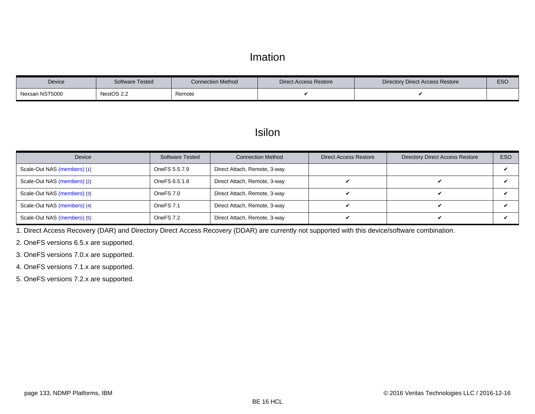#### Imation

| <b>Device</b>  | Software Tested | <b>Connection Method</b> | Direct Access Restore | Directory Direct Access Restore | <b>ESC</b> |
|----------------|-----------------|--------------------------|-----------------------|---------------------------------|------------|
| Nexsan NST5000 | NestOS 2.2      | Remote                   |                       |                                 |            |

#### **Isilon**

<span id="page-132-5"></span>

| Device                      | <b>Software Tested</b> | <b>Connection Method</b>     | <b>Direct Access Restore</b> | <b>Directory Direct Access Restore</b> | <b>ESO</b> |
|-----------------------------|------------------------|------------------------------|------------------------------|----------------------------------------|------------|
| Scale-Out NAS (members) [1] | OneFS 5.5.7.9          | Direct Attach, Remote, 3-way |                              |                                        |            |
| Scale-Out NAS (members) [2] | OneFS 6.5.1.8          | Direct Attach, Remote, 3-way |                              |                                        |            |
| Scale-Out NAS (members) [3] | OneFS 7.0              | Direct Attach, Remote, 3-way |                              |                                        |            |
| Scale-Out NAS (members) [4] | OneFS <sub>7.1</sub>   | Direct Attach, Remote, 3-way |                              |                                        |            |
| Scale-Out NAS (members) [5] | OneFS 7.2              | Direct Attach, Remote, 3-way |                              |                                        |            |

<span id="page-132-0"></span>1. Direct Access Recovery (DAR) and Directory Direct Access Recovery (DDAR) are currently not supported with this device/software combination.

<span id="page-132-1"></span>2. OneFS versions 6.5.x are supported.

<span id="page-132-2"></span>3. OneFS versions 7.0.x are supported.

<span id="page-132-3"></span>4. OneFS versions 7.1.x are supported.

<span id="page-132-4"></span>5. OneFS versions 7.2.x are supported.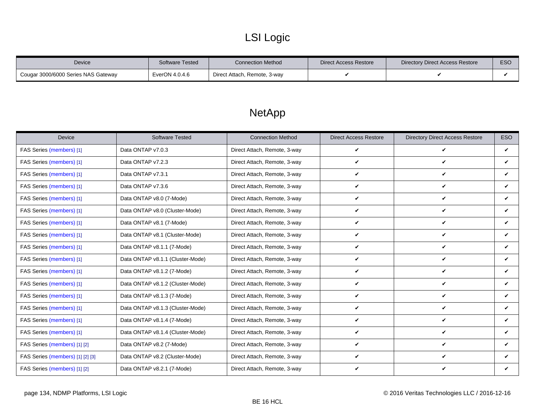## LSI Logic

| <b>Device</b>                       | Software Tested   | <b>Connection Method</b>     | Direct Access Restore | Directory Direct Access Restore | <b>ESC</b> |
|-------------------------------------|-------------------|------------------------------|-----------------------|---------------------------------|------------|
| Cougar 3000/6000 Series NAS Gateway | $E$ verON 4.0.4.6 | Direct Attach, Remote, 3-way |                       |                                 |            |

### NetApp

<span id="page-133-0"></span>

| <b>Device</b>                    | <b>Software Tested</b>           | <b>Connection Method</b>     | <b>Direct Access Restore</b> | <b>Directory Direct Access Restore</b> | <b>ESO</b>   |
|----------------------------------|----------------------------------|------------------------------|------------------------------|----------------------------------------|--------------|
| FAS Series (members) [1]         | Data ONTAP v7.0.3                | Direct Attach, Remote, 3-way | $\checkmark$                 | V                                      | $\checkmark$ |
| FAS Series (members) [1]         | Data ONTAP v7.2.3                | Direct Attach, Remote, 3-way | V                            | $\checkmark$                           | $\checkmark$ |
| FAS Series (members) [1]         | Data ONTAP v7.3.1                | Direct Attach, Remote, 3-way | V                            | V                                      | V            |
| FAS Series (members) [1]         | Data ONTAP v7.3.6                | Direct Attach, Remote, 3-way | $\checkmark$                 | V                                      | $\checkmark$ |
| FAS Series (members) [1]         | Data ONTAP v8.0 (7-Mode)         | Direct Attach, Remote, 3-way | $\checkmark$                 | $\checkmark$                           | V            |
| FAS Series (members) [1]         | Data ONTAP v8.0 (Cluster-Mode)   | Direct Attach, Remote, 3-way | V                            | V                                      | ✓            |
| FAS Series (members) [1]         | Data ONTAP v8.1 (7-Mode)         | Direct Attach, Remote, 3-way | $\checkmark$                 | V                                      | V            |
| FAS Series (members) [1]         | Data ONTAP v8.1 (Cluster-Mode)   | Direct Attach, Remote, 3-way | $\checkmark$                 | V                                      | V            |
| FAS Series (members) [1]         | Data ONTAP v8.1.1 (7-Mode)       | Direct Attach, Remote, 3-way | V                            | V                                      | V            |
| FAS Series (members) [1]         | Data ONTAP v8.1.1 (Cluster-Mode) | Direct Attach, Remote, 3-way | $\checkmark$                 | V                                      | V            |
| FAS Series (members) [1]         | Data ONTAP v8.1.2 (7-Mode)       | Direct Attach, Remote, 3-way | $\checkmark$                 | V                                      | ✓            |
| FAS Series (members) [1]         | Data ONTAP v8.1.2 (Cluster-Mode) | Direct Attach, Remote, 3-way | $\checkmark$                 | V                                      | ✓            |
| FAS Series (members) [1]         | Data ONTAP v8.1.3 (7-Mode)       | Direct Attach, Remote, 3-way | V                            | V                                      | V            |
| FAS Series (members) [1]         | Data ONTAP v8.1.3 (Cluster-Mode) | Direct Attach, Remote, 3-way | V                            | V                                      | V            |
| FAS Series (members) [1]         | Data ONTAP v8.1.4 (7-Mode)       | Direct Attach, Remote, 3-way | $\checkmark$                 | V                                      | V            |
| FAS Series (members) [1]         | Data ONTAP v8.1.4 (Cluster-Mode) | Direct Attach, Remote, 3-way | $\checkmark$                 | V                                      | $\checkmark$ |
| FAS Series (members) [1] [2]     | Data ONTAP v8.2 (7-Mode)         | Direct Attach, Remote, 3-way | $\checkmark$                 | V                                      | V            |
| FAS Series (members) [1] [2] [3] | Data ONTAP v8.2 (Cluster-Mode)   | Direct Attach, Remote, 3-way | $\checkmark$                 | V                                      | ✓            |
| FAS Series (members) [1] [2]     | Data ONTAP v8.2.1 (7-Mode)       | Direct Attach, Remote, 3-way | $\boldsymbol{\nu}$           | V                                      | V            |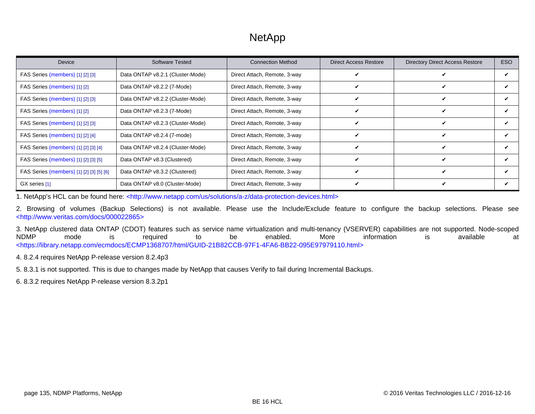### **NetApp**

| <b>Device</b>                            | Software Tested                  | <b>Connection Method</b>     | <b>Direct Access Restore</b> | <b>Directory Direct Access Restore</b> | ESO |
|------------------------------------------|----------------------------------|------------------------------|------------------------------|----------------------------------------|-----|
| FAS Series (members) [1] [2] [3]         | Data ONTAP v8.2.1 (Cluster-Mode) | Direct Attach, Remote, 3-way |                              |                                        |     |
| FAS Series (members) [1] [2]             | Data ONTAP v8.2.2 (7-Mode)       | Direct Attach, Remote, 3-way | ✔                            | V                                      |     |
| FAS Series (members) [1] [2] [3]         | Data ONTAP v8.2.2 (Cluster-Mode) | Direct Attach, Remote, 3-way | v                            | ✓                                      |     |
| FAS Series (members) [1] [2]             | Data ONTAP v8.2.3 (7-Mode)       | Direct Attach, Remote, 3-way | v                            | v                                      |     |
| FAS Series (members) [1] [2] [3]         | Data ONTAP v8.2.3 (Cluster-Mode) | Direct Attach, Remote, 3-way | V                            | V                                      |     |
| FAS Series (members) [1] [2] [4]         | Data ONTAP v8.2.4 (7-mode)       | Direct Attach, Remote, 3-way | ✓                            | ✓                                      | ✔   |
| FAS Series (members) [1] [2] [3] [4]     | Data ONTAP v8.2.4 (Cluster-Mode) | Direct Attach, Remote, 3-way | ✔                            | v                                      |     |
| FAS Series (members) [1] [2] [3] [5]     | Data ONTAP v8.3 (Clustered)      | Direct Attach, Remote, 3-way | v                            | ✔                                      |     |
| FAS Series (members) [1] [2] [3] [5] [6] | Data ONTAP v8.3.2 (Clustered)    | Direct Attach, Remote, 3-way | ✓                            | v                                      |     |
| GX series [1]                            | Data ONTAP v8.0 (Cluster-Mode)   | Direct Attach, Remote, 3-way | v                            |                                        |     |

<span id="page-134-0"></span>1. NetApp's HCL can be found here: [<http://www.netapp.com/us/solutions/a-z/data-protection-devices.html>](http://www.netapp.com/us/solutions/a-z/data-protection-devices.html)

<span id="page-134-1"></span>2. Browsing of volumes (Backup Selections) is not available. Please use the Include/Exclude feature to configure the backup selections. Please see [<http://www.veritas.com/docs/000022865>](http://www.veritas.com/docs/000022865)

<span id="page-134-2"></span>3. NetApp clustered data ONTAP (CDOT) features such as service name virtualization and multi-tenancy (VSERVER) capabilities are not supported. Node-scoped NDMP mode is required to be enabled. More information is available at [<https://library.netapp.com/ecmdocs/ECMP1368707/html/GUID-21B82CCB-97F1-4FA6-BB22-095E97979110.html>](https://library.netapp.com/ecmdocs/ECMP1368707/html/GUID-21B82CCB-97F1-4FA6-BB22-095E97979110.html)

<span id="page-134-3"></span>4. 8.2.4 requires NetApp P-release version 8.2.4p3

<span id="page-134-4"></span>5. 8.3.1 is not supported. This is due to changes made by NetApp that causes Verify to fail during Incremental Backups.

<span id="page-134-5"></span>6. 8.3.2 requires NetApp P-release version 8.3.2p1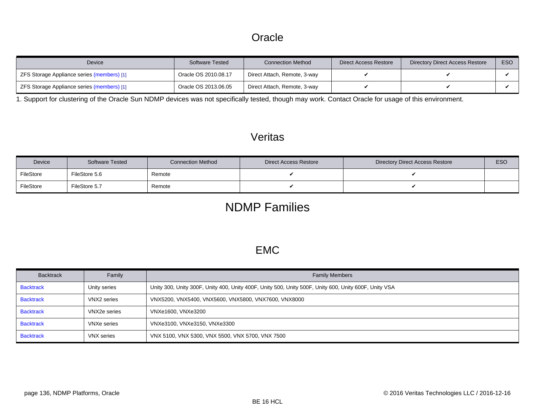#### **Oracle**

<span id="page-135-6"></span>

| Device                                     | <b>Software Tested</b> | <b>Connection Method</b>     | Direct Access Restore | Directory Direct Access Restore | ESO |
|--------------------------------------------|------------------------|------------------------------|-----------------------|---------------------------------|-----|
| ZFS Storage Appliance series (members) [1] | Oracle OS 2010.08.17   | Direct Attach, Remote, 3-way |                       |                                 |     |
| ZFS Storage Appliance series (members) [1] | Oracle OS 2013.06.05   | Direct Attach, Remote, 3-way |                       |                                 |     |

<span id="page-135-5"></span>1. Support for clustering of the Oracle Sun NDMP devices was not specifically tested, though may work. Contact Oracle for usage of this environment.

#### Veritas

| Device    | <b>Software Tested</b> | <b>Connection Method</b> | Direct Access Restore | Directory Direct Access Restore | <b>ESO</b> |
|-----------|------------------------|--------------------------|-----------------------|---------------------------------|------------|
| FileStore | FileStore 5.6          | Remote                   |                       |                                 |            |
| FileStore | FileStore 5.7          | Remote                   |                       |                                 |            |

### NDMP Families

#### EMC

<span id="page-135-4"></span><span id="page-135-3"></span><span id="page-135-2"></span><span id="page-135-1"></span><span id="page-135-0"></span>

| <b>Backtrack</b> | Family       | <b>Family Members</b>                                                                                 |
|------------------|--------------|-------------------------------------------------------------------------------------------------------|
| <b>Backtrack</b> | Unity series | Unity 300, Unity 300F, Unity 400, Unity 400F, Unity 500, Unity 500F, Unity 600, Unity 600F, Unity VSA |
| <b>Backtrack</b> | VNX2 series  | VNX5200, VNX5400, VNX5600, VNX5800, VNX7600, VNX8000                                                  |
| <b>Backtrack</b> | VNX2e series | VNXe1600, VNXe3200                                                                                    |
| <b>Backtrack</b> | VNXe series  | VNXe3100, VNXe3150, VNXe3300                                                                          |
| <b>Backtrack</b> | VNX series   | VNX 5100, VNX 5300, VNX 5500, VNX 5700, VNX 7500                                                      |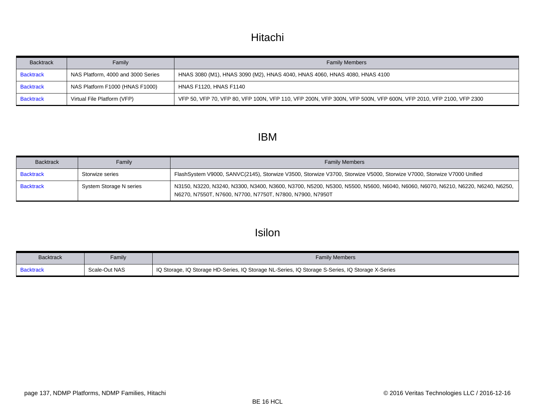### Hitachi

<span id="page-136-2"></span><span id="page-136-1"></span><span id="page-136-0"></span>

| <b>Backtrack</b> | Family                             | <b>Family Members</b>                                                                                           |
|------------------|------------------------------------|-----------------------------------------------------------------------------------------------------------------|
| <b>Backtrack</b> | NAS Platform, 4000 and 3000 Series | HNAS 3080 (M1), HNAS 3090 (M2), HNAS 4040, HNAS 4060, HNAS 4080, HNAS 4100                                      |
| <b>Backtrack</b> | NAS Platform F1000 (HNAS F1000)    | <b>HNAS F1120, HNAS F1140</b>                                                                                   |
| <b>Backtrack</b> | Virtual File Platform (VFP)        | VFP 50, VFP 70, VFP 80, VFP 100N, VFP 110, VFP 200N, VFP 300N, VFP 500N, VFP 600N, VFP 2010, VFP 2100, VFP 2300 |

#### IBM

<span id="page-136-4"></span><span id="page-136-3"></span>

| <b>Backtrack</b> | Family                  | <b>Family Members</b>                                                                                                                                                                      |
|------------------|-------------------------|--------------------------------------------------------------------------------------------------------------------------------------------------------------------------------------------|
| <b>Backtrack</b> | Storwize series         | FlashSystem V9000, SANVC(2145), Storwize V3500, Storwize V3700, Storwize V5000, Storwize V7000, Storwize V7000 Unified                                                                     |
| <b>Backtrack</b> | System Storage N series | N3150, N3220, N3240, N3300, N3400, N3600, N3700, N5200, N5300, N5500, N5600, N6040, N6060, N6070, N6210, N6220, N6240, N6250,<br>N6270, N7550T, N7600, N7700, N7750T, N7800, N7900, N7950T |

### Isilon

<span id="page-136-5"></span>

| <b>Backtrack</b> | Family        | <b>Family Members</b>                                                                            |
|------------------|---------------|--------------------------------------------------------------------------------------------------|
| ' Backtrack      | Scale-Out NAS | IQ Storage, IQ Storage HD-Series, IQ Storage NL-Series, IQ Storage S-Series, IQ Storage X-Series |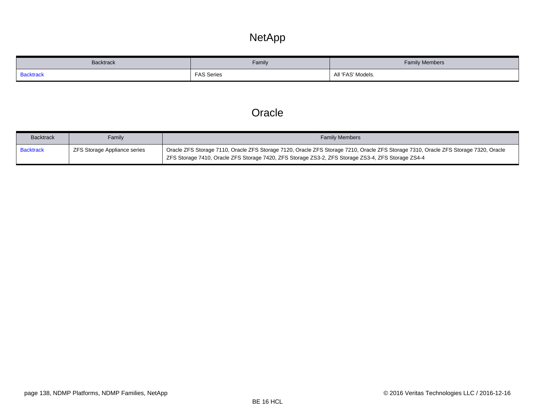### NetApp

<span id="page-137-0"></span>

| Backtrack        | Family            | <b>Family Members</b> |  |
|------------------|-------------------|-----------------------|--|
| <b>Backtrack</b> | <b>FAS Series</b> | 'FAS' Models.<br>ΑII  |  |

### **Oracle**

<span id="page-137-1"></span>

| <b>Backtrack</b> | Family                       | <b>Family Members</b>                                                                                                               |
|------------------|------------------------------|-------------------------------------------------------------------------------------------------------------------------------------|
| Backtrack        | ZFS Storage Appliance series | Oracle ZFS Storage 7110, Oracle ZFS Storage 7120, Oracle ZFS Storage 7210, Oracle ZFS Storage 7310, Oracle ZFS Storage 7320, Oracle |
|                  |                              | ZFS Storage 7410, Oracle ZFS Storage 7420, ZFS Storage ZS3-2, ZFS Storage ZS3-4, ZFS Storage ZS4-4                                  |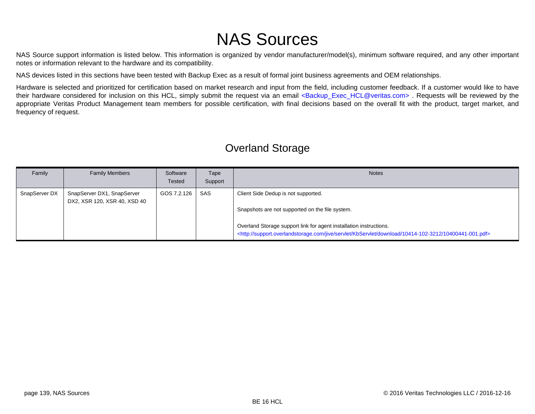# NAS Sources

NAS Source support information is listed below. This information is organized by vendor manufacturer/model(s), minimum software required, and any other important notes or information relevant to the hardware and its compatibility.

NAS devices listed in this sections have been tested with Backup Exec as a result of formal joint business agreements and OEM relationships.

Hardware is selected and prioritized for certification based on market research and input from the field, including customer feedback. If a customer would like to have their hardware considered for inclusion on this HCL, simply submit the request via an email <Backup Exec HCL@veritas.com> . Requests will be reviewed by the appropriate Veritas Product Management team members for possible certification, with final decisions based on the overall fit with the product, target market, and frequency of request.

#### Family | Family Members | Software **Tested** Tape Support Notes SnapServer DX | SnapServer DX1, SnapServer DX2, XSR 120, XSR 40, XSD 40 GOS 7.2.126 | SAS | Client Side Dedup is not supported. Snapshots are not supported on the file system. Overland Storage support link for agent installation instructions. [<http://support.overlandstorage.com/jive/servlet/KbServlet/download/10414-102-3212/10400441-001.pdf>](http://support.overlandstorage.com/jive/servlet/KbServlet/download/10414-102-3212/10400441-001.pdf)

#### Overland Storage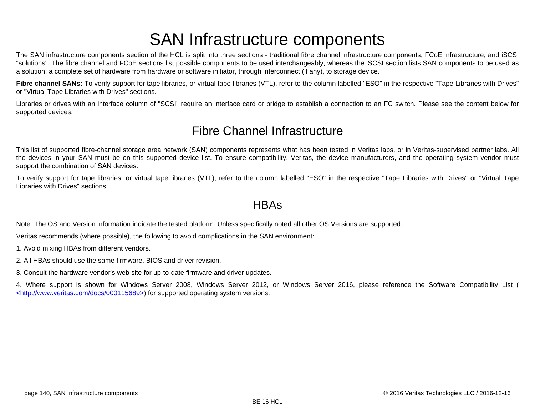# SAN Infrastructure components

The SAN infrastructure components section of the HCL is split into three sections - traditional fibre channel infrastructure components, FCoE infrastructure, and iSCSI "solutions". The fibre channel and FCoE sections list possible components to be used interchangeably, whereas the iSCSI section lists SAN components to be used as a solution; a complete set of hardware from hardware or software initiator, through interconnect (if any), to storage device.

Fibre channel SANs: To verify support for tape libraries, or virtual tape libraries (VTL), refer to the column labelled "ESO" in the respective "Tape Libraries with Drives" or "Virtual Tape Libraries with Drives" sections.

Libraries or drives with an interface column of "SCSI" require an interface card or bridge to establish a connection to an FC switch. Please see the content below for supported devices.

### Fibre Channel Infrastructure

This list of supported fibre-channel storage area network (SAN) components represents what has been tested in Veritas labs, or in Veritas-supervised partner labs. All the devices in your SAN must be on this supported device list. To ensure compatibility, Veritas, the device manufacturers, and the operating system vendor must support the combination of SAN devices.

To verify support for tape libraries, or virtual tape libraries (VTL), refer to the column labelled "ESO" in the respective "Tape Libraries with Drives" or "Virtual Tape Libraries with Drives" sections.

#### **HBAs**

Note: The OS and Version information indicate the tested platform. Unless specifically noted all other OS Versions are supported.

Veritas recommends (where possible), the following to avoid complications in the SAN environment:

1. Avoid mixing HBAs from different vendors.

2. All HBAs should use the same firmware, BIOS and driver revision.

3. Consult the hardware vendor's web site for up-to-date firmware and driver updates.

4. Where support is shown for Windows Server 2008, Windows Server 2012, or Windows Server 2016, please reference the Software Compatibility List ( [<http://www.veritas.com/docs/000115689>\)](http://www.veritas.com/docs/000115689) for supported operating system versions.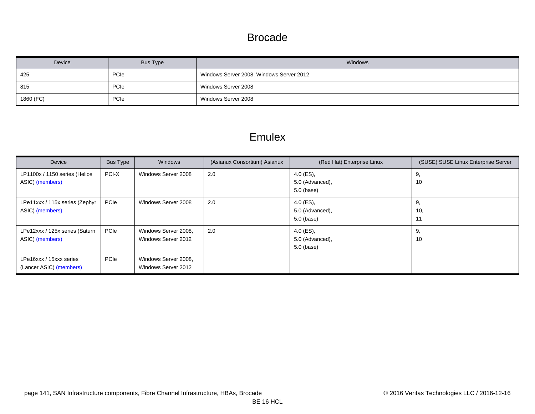#### Brocade

| Device    | Bus Type    | <b>Windows</b>                           |
|-----------|-------------|------------------------------------------|
| 425       | PCIe        | Windows Server 2008, Windows Server 2012 |
| 815       | <b>PCIe</b> | Windows Server 2008                      |
| 1860 (FC) | PCIe        | Windows Server 2008                      |

#### Emulex

<span id="page-140-3"></span><span id="page-140-2"></span><span id="page-140-1"></span><span id="page-140-0"></span>

| Device                                             | Bus Type | Windows                                     | (Asianux Consortium) Asianux | (Red Hat) Enterprise Linux                     | (SUSE) SUSE Linux Enterprise Server |
|----------------------------------------------------|----------|---------------------------------------------|------------------------------|------------------------------------------------|-------------------------------------|
| LP1100x / 1150 series (Helios<br>ASIC) (members)   | PCI-X    | Windows Server 2008                         | 2.0                          | $4.0$ (ES),<br>5.0 (Advanced),<br>$5.0$ (base) | 9,<br>10                            |
| LPe11xxx / 115x series (Zephyr<br>ASIC) (members)  | PCIe     | Windows Server 2008                         | 2.0                          | $4.0$ (ES),<br>5.0 (Advanced),<br>$5.0$ (base) | 9,<br>10,<br>11                     |
| LPe12xxx / 125x series (Saturn<br>ASIC) (members)  | PCIe     | Windows Server 2008,<br>Windows Server 2012 | 2.0                          | $4.0$ (ES),<br>5.0 (Advanced),<br>$5.0$ (base) | 9,<br>10                            |
| LPe16xxx / 15xxx series<br>(Lancer ASIC) (members) | PCIe     | Windows Server 2008,<br>Windows Server 2012 |                              |                                                |                                     |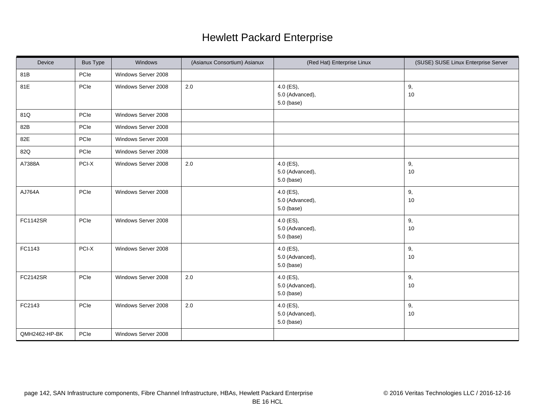### Hewlett Packard Enterprise

| Device        | <b>Bus Type</b> | Windows             | (Asianux Consortium) Asianux | (Red Hat) Enterprise Linux                     | (SUSE) SUSE Linux Enterprise Server |
|---------------|-----------------|---------------------|------------------------------|------------------------------------------------|-------------------------------------|
| 81B           | PCle            | Windows Server 2008 |                              |                                                |                                     |
| 81E           | PCle            | Windows Server 2008 | 2.0                          | 4.0 (ES),<br>5.0 (Advanced),<br>5.0 (base)     | 9,<br>10                            |
| 81Q           | PCle            | Windows Server 2008 |                              |                                                |                                     |
| 82B           | PCle            | Windows Server 2008 |                              |                                                |                                     |
| 82E           | PCIe            | Windows Server 2008 |                              |                                                |                                     |
| 82Q           | PCle            | Windows Server 2008 |                              |                                                |                                     |
| A7388A        | PCI-X           | Windows Server 2008 | 2.0                          | $4.0$ (ES),<br>5.0 (Advanced),<br>5.0 (base)   | 9,<br>$10$                          |
| AJ764A        | PCle            | Windows Server 2008 |                              | 4.0 (ES),<br>5.0 (Advanced),<br>5.0 (base)     | 9,<br>$10$                          |
| FC1142SR      | PCle            | Windows Server 2008 |                              | 4.0 (ES),<br>5.0 (Advanced),<br>5.0 (base)     | 9,<br>$10$                          |
| FC1143        | PCI-X           | Windows Server 2008 |                              | $4.0$ (ES),<br>5.0 (Advanced),<br>$5.0$ (base) | 9,<br>10                            |
| FC2142SR      | PCle            | Windows Server 2008 | 2.0                          | 4.0 (ES),<br>5.0 (Advanced),<br>5.0 (base)     | 9,<br>10                            |
| FC2143        | PCle            | Windows Server 2008 | $2.0\,$                      | 4.0 (ES),<br>5.0 (Advanced),<br>5.0 (base)     | 9,<br>$10$                          |
| QMH2462-HP-BK | PCle            | Windows Server 2008 |                              |                                                |                                     |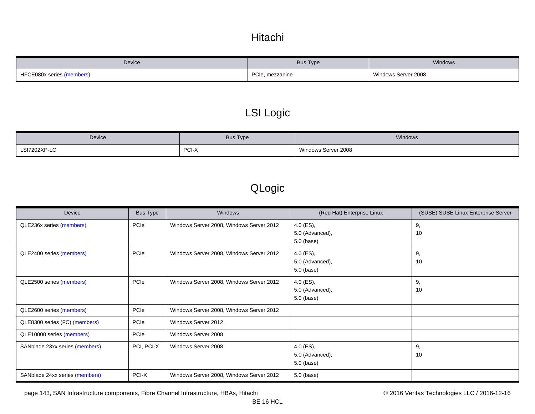### Hitachi

<span id="page-142-0"></span>

| Device                    | <b>Bus Type</b>      | Windows             |
|---------------------------|----------------------|---------------------|
| HFCE080x series (members) | PCIe.<br>, mezzanine | Windows Server 2008 |

### LSI Logic

| Device       | <b>Bus Type</b> | Windows                  |
|--------------|-----------------|--------------------------|
| LSI7202XP-LC | PCI-X           | Server 2008 د<br>Windows |

### QLogic

| Device                         | <b>Bus Type</b> | <b>Windows</b>                           | (Red Hat) Enterprise Linux                 | (SUSE) SUSE Linux Enterprise Server |
|--------------------------------|-----------------|------------------------------------------|--------------------------------------------|-------------------------------------|
| QLE236x series (members)       | PCIe            | Windows Server 2008, Windows Server 2012 | 4.0 (ES),<br>5.0 (Advanced),<br>5.0 (base) | 9,<br>10                            |
| QLE2400 series (members)       | PCIe            | Windows Server 2008, Windows Server 2012 | 4.0 (ES),<br>5.0 (Advanced),<br>5.0 (base) | 9,<br>10                            |
| QLE2500 series (members)       | PCIe            | Windows Server 2008, Windows Server 2012 | 4.0 (ES),<br>5.0 (Advanced),<br>5.0 (base) | 9,<br>10                            |
| QLE2600 series (members)       | PCIe            | Windows Server 2008, Windows Server 2012 |                                            |                                     |
| QLE8300 series (FC) (members)  | PCIe            | Windows Server 2012                      |                                            |                                     |
| QLE10000 series (members)      | <b>PCIe</b>     | Windows Server 2008                      |                                            |                                     |
| SANblade 23xx series (members) | PCI, PCI-X      | Windows Server 2008                      | 4.0 (ES),<br>5.0 (Advanced),<br>5.0 (base) | 9,<br>10                            |
| SANblade 24xx series (members) | PCI-X           | Windows Server 2008, Windows Server 2012 | 5.0 (base)                                 |                                     |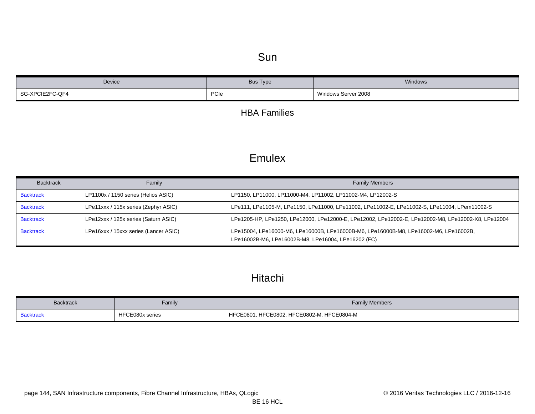#### Sun

| Device          | Bus Type | Windows             |
|-----------------|----------|---------------------|
| SG-XPCIE2FC-QF4 | PCIe     | Windows Server 2008 |

#### HBA Families

#### **Emulex**

<span id="page-143-3"></span><span id="page-143-2"></span><span id="page-143-1"></span><span id="page-143-0"></span>

| <b>Backtrack</b> | Family                                | <b>Family Members</b>                                                                                                                        |
|------------------|---------------------------------------|----------------------------------------------------------------------------------------------------------------------------------------------|
| <b>Backtrack</b> | LP1100x / 1150 series (Helios ASIC)   | LP1150, LP11000, LP11000-M4, LP11002, LP11002-M4, LP12002-S                                                                                  |
| <b>Backtrack</b> | LPe11xxx / 115x series (Zephyr ASIC)  | LPe111, LPe1105-M, LPe1150, LPe11000, LPe11002, LPe11002-E, LPe11002-S, LPe11004, LPem11002-S                                                |
| <b>Backtrack</b> | LPe12xxx / 125x series (Saturn ASIC)  | LPe1205-HP, LPe1250, LPe12000, LPe12000-E, LPe12002, LPe12002-E, LPe12002-M8, LPe12002-X8, LPe12004                                          |
| <b>Backtrack</b> | LPe16xxx / 15xxx series (Lancer ASIC) | LPe15004, LPe16000-M6, LPe16000B, LPe16000B-M6, LPe16000B-M8, LPe16002-M6, LPe16002B,<br>LPe16002B-M6, LPe16002B-M8, LPe16004, LPe16202 (FC) |

### Hitachi

<span id="page-143-4"></span>

| <b>Backtrack</b> | Family          | <b>Family Members</b>                                      |
|------------------|-----------------|------------------------------------------------------------|
| 3acktrack        | HFCE080x series | HFCE0802, HFCE0802-M,<br>l, HFCE0804-M<br><b>HFCE0801.</b> |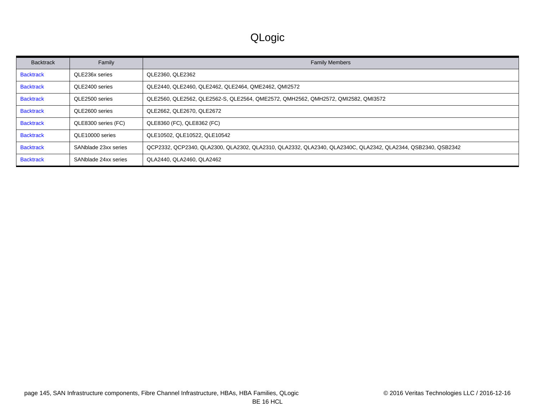# QLogic

| <b>Backtrack</b> | Family               | <b>Family Members</b>                                                                                       |
|------------------|----------------------|-------------------------------------------------------------------------------------------------------------|
| <b>Backtrack</b> | QLE236x series       | QLE2360, QLE2362                                                                                            |
| <b>Backtrack</b> | QLE2400 series       | QLE2440, QLE2460, QLE2462, QLE2464, QME2462, QMI2572                                                        |
| <b>Backtrack</b> | QLE2500 series       | QLE2560, QLE2562, QLE2562-S, QLE2564, QME2572, QMH2562, QMH2572, QMI2582, QMI3572                           |
| <b>Backtrack</b> | QLE2600 series       | QLE2662, QLE2670, QLE2672                                                                                   |
| <b>Backtrack</b> | QLE8300 series (FC)  | QLE8360 (FC), QLE8362 (FC)                                                                                  |
| <b>Backtrack</b> | QLE10000 series      | QLE10502, QLE10522, QLE10542                                                                                |
| <b>Backtrack</b> | SANblade 23xx series | QCP2332, QCP2340, QLA2300, QLA2302, QLA2310, QLA2332, QLA2340, QLA2340C, QLA2342, QLA2344, QSB2340, QSB2342 |
| <b>Backtrack</b> | SANblade 24xx series | QLA2440, QLA2460, QLA2462                                                                                   |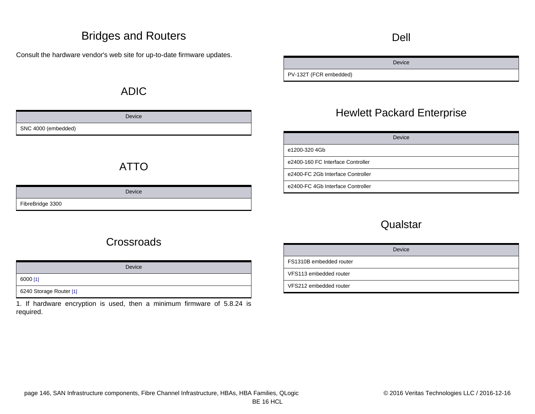### Bridges and Routers

Consult the hardware vendor's web site for up-to-date firmware updates.

### ADIC

|                     | Device |
|---------------------|--------|
| SNC 4000 (embedded) |        |

# ATTO

#### Device FibreBridge 3300

### Dell

Device

PV-132T (FCR embedded)

### Hewlett Packard Enterprise

|                                   | Device |
|-----------------------------------|--------|
| e1200-320 4Gb                     |        |
| e2400-160 FC Interface Controller |        |
| e2400-FC 2Gb Interface Controller |        |
| e2400-FC 4Gb Interface Controller |        |

#### **Qualstar**

| Device                  |
|-------------------------|
| FS1310B embedded router |
| VFS113 embedded router  |
| VFS212 embedded router  |

# **Crossroads**

Device 6000 [\[1\]](#page-145-0)

6240 Storage Router [\[1\]](#page-145-0)

<span id="page-145-0"></span>1. If hardware encryption is used, then a minimum firmware of 5.8.24 is required.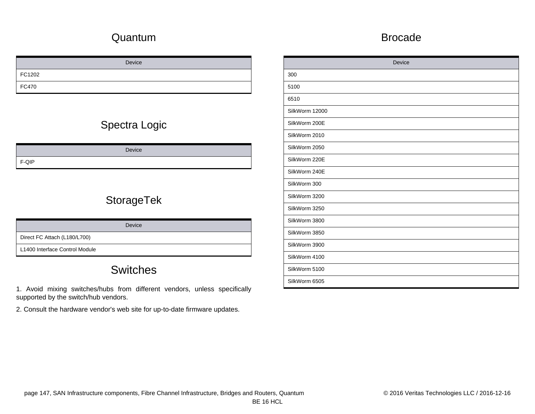### Quantum

### Device FC1202 FC470

# Spectra Logic

Device F-QIP

# **StorageTek**

Direct FC Attach (L180/L700)

L1400 Interface Control Module

# **Switches**

1. Avoid mixing switches/hubs from different vendors, unless specifically supported by the switch/hub vendors.

2. Consult the hardware vendor's web site for up-to-date firmware updates.

#### Brocade

| Device         |
|----------------|
| 300            |
| 5100           |
| 6510           |
| SilkWorm 12000 |
| SilkWorm 200E  |
| SilkWorm 2010  |
| SilkWorm 2050  |
| SilkWorm 220E  |
| SilkWorm 240E  |
| SilkWorm 300   |
| SilkWorm 3200  |
| SilkWorm 3250  |
| SilkWorm 3800  |
| SilkWorm 3850  |
| SilkWorm 3900  |
| SilkWorm 4100  |
| SilkWorm 5100  |
| SilkWorm 6505  |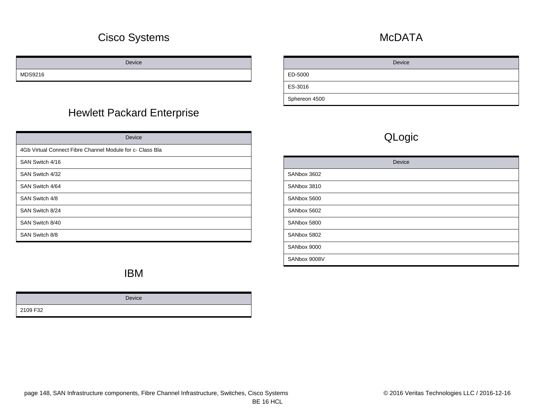### Cisco Systems

Device

MDS9216

### Hewlett Packard Enterprise

| Device                                                    |
|-----------------------------------------------------------|
| 4Gb Virtual Connect Fibre Channel Module for c- Class Bla |
| SAN Switch 4/16                                           |
| SAN Switch 4/32                                           |
| SAN Switch 4/64                                           |
| SAN Switch 4/8                                            |
| SAN Switch 8/24                                           |
| SAN Switch 8/40                                           |
| SAN Switch 8/8                                            |

### **McDATA**

Device ED-5000 ES-3016 Sphereon 4500

# QLogic

| Device       |
|--------------|
| SANbox 3602  |
| SANbox 3810  |
| SANbox 5600  |
| SANbox 5602  |
| SANbox 5800  |
| SANbox 5802  |
| SANbox 9000  |
| SANbox 9008V |

### IBM

|          | Device |
|----------|--------|
| 2109 F32 |        |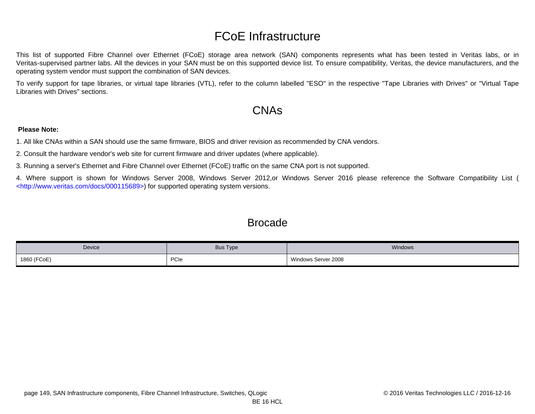# FCoE Infrastructure

This list of supported Fibre Channel over Ethernet (FCoE) storage area network (SAN) components represents what has been tested in Veritas labs, or in Veritas-supervised partner labs. All the devices in your SAN must be on this supported device list. To ensure compatibility, Veritas, the device manufacturers, and the operating system vendor must support the combination of SAN devices.

To verify support for tape libraries, or virtual tape libraries (VTL), refer to the column labelled "ESO" in the respective "Tape Libraries with Drives" or "Virtual Tape Libraries with Drives" sections.

### CNAs

#### **Please Note:**

1. All like CNAs within a SAN should use the same firmware, BIOS and driver revision as recommended by CNA vendors.

2. Consult the hardware vendor's web site for current firmware and driver updates (where applicable).

3. Running a server's Ethernet and Fibre Channel over Ethernet (FCoE) traffic on the same CNA port is not supported.

4. Where support is shown for Windows Server 2008, Windows Server 2012,or Windows Server 2016 please reference the Software Compatibility List ( [<http://www.veritas.com/docs/000115689>\)](http://www.veritas.com/docs/000115689) for supported operating system versions.

### **Brocade**

| Device      | <b>Bus Type</b> | Windows             |
|-------------|-----------------|---------------------|
| 1860 (FCoE) | PCIe            | Windows Server 2008 |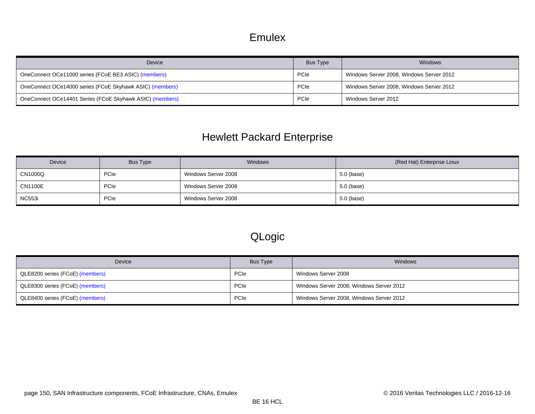#### Emulex

| Device                                                   | Bus Type | Windows                                  |
|----------------------------------------------------------|----------|------------------------------------------|
| OneConnect OCe11000 series (FCoE BE3 ASIC) (members)     | PCIe     | Windows Server 2008, Windows Server 2012 |
| OneConnect OCe14000 series (FCoE Skyhawk ASIC) (members) | PCIe     | Windows Server 2008, Windows Server 2012 |
| OneConnect OCe14401 Series (FCoE Skyhawk ASIC) (members) | PCIe     | Windows Server 2012                      |

# <span id="page-149-2"></span><span id="page-149-1"></span><span id="page-149-0"></span>Hewlett Packard Enterprise

| Device         | Bus Type | <b>Windows</b>      | (Red Hat) Enterprise Linux |
|----------------|----------|---------------------|----------------------------|
| CN1000Q        | PCIe     | Windows Server 2008 | 5.0 (base)                 |
| <b>CN1100E</b> | PCIe     | Windows Server 2008 | 5.0 (base)                 |
| <b>NC553i</b>  | PCIe     | Windows Server 2008 | $5.0$ (base)               |

# QLogic

<span id="page-149-5"></span><span id="page-149-4"></span><span id="page-149-3"></span>

| Device                          | Bus Type    | Windows                                  |
|---------------------------------|-------------|------------------------------------------|
| QLE8200 series (FCoE) (members) | PCIe        | Windows Server 2008                      |
| QLE8300 series (FCoE) (members) | PCIe        | Windows Server 2008, Windows Server 2012 |
| QLE8400 series (FCoE) (members) | <b>PCIe</b> | Windows Server 2008, Windows Server 2012 |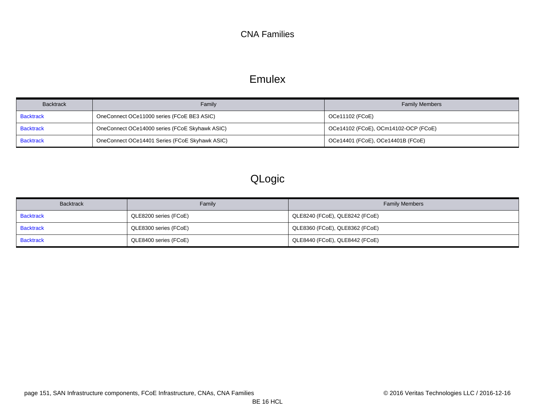#### CNA Families

### Emulex

<span id="page-150-2"></span><span id="page-150-1"></span><span id="page-150-0"></span>

| <b>Backtrack</b> | Family                                         | <b>Family Members</b>                |
|------------------|------------------------------------------------|--------------------------------------|
| <b>Backtrack</b> | OneConnect OCe11000 series (FCoE BE3 ASIC)     | OCe11102 (FCoE)                      |
| <b>Backtrack</b> | OneConnect OCe14000 series (FCoE Skyhawk ASIC) | OCe14102 (FCoE), OCm14102-OCP (FCoE) |
| <b>Backtrack</b> | OneConnect OCe14401 Series (FCoE Skyhawk ASIC) | OCe14401 (FCoE), OCe14401B (FCoE)    |

# QLogic

<span id="page-150-5"></span><span id="page-150-4"></span><span id="page-150-3"></span>

| <b>Backtrack</b> | Family                | <b>Family Members</b>          |
|------------------|-----------------------|--------------------------------|
| <b>Backtrack</b> | QLE8200 series (FCoE) | QLE8240 (FCoE), QLE8242 (FCoE) |
| <b>Backtrack</b> | QLE8300 series (FCoE) | QLE8360 (FCoE), QLE8362 (FCoE) |
| <b>Backtrack</b> | QLE8400 series (FCoE) | QLE8440 (FCoE), QLE8442 (FCoE) |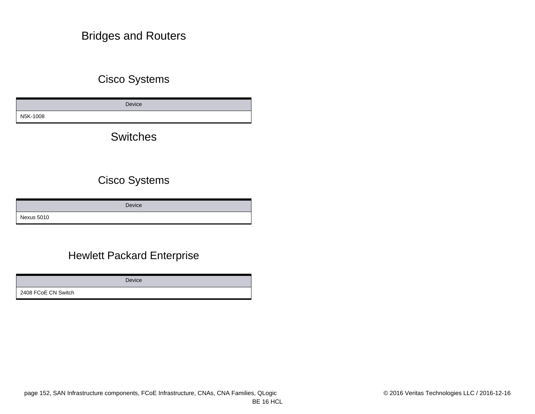### Bridges and Routers

### Cisco Systems

Device N5K-1008

**Switches** 

### Cisco Systems

Device Nexus 5010

### Hewlett Packard Enterprise

Device

2408 FCoE CN Switch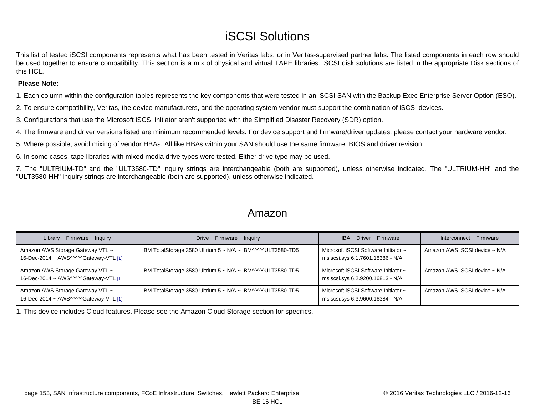# iSCSI Solutions

This list of tested iSCSI components represents what has been tested in Veritas labs, or in Veritas-supervised partner labs. The listed components in each row should be used together to ensure compatibility. This section is a mix of physical and virtual TAPE libraries. iSCSI disk solutions are listed in the appropriate Disk sections of this HCL.

#### **Please Note:**

1. Each column within the configuration tables represents the key components that were tested in an iSCSI SAN with the Backup Exec Enterprise Server Option (ESO).

2. To ensure compatibility, Veritas, the device manufacturers, and the operating system vendor must support the combination of iSCSI devices.

3. Configurations that use the Microsoft iSCSI initiator aren't supported with the Simplified Disaster Recovery (SDR) option.

4. The firmware and driver versions listed are minimum recommended levels. For device support and firmware/driver updates, please contact your hardware vendor.

5. Where possible, avoid mixing of vendor HBAs. All like HBAs within your SAN should use the same firmware, BIOS and driver revision.

6. In some cases, tape libraries with mixed media drive types were tested. Either drive type may be used.

7. The "ULTRIUM-TD" and the "ULT3580-TD" inquiry strings are interchangeable (both are supported), unless otherwise indicated. The "ULTRIUM-HH" and the "ULT3580-HH" inquiry strings are interchangeable (both are supported), unless otherwise indicated.

#### Amazon

| Library $\sim$ Firmware $\sim$ Inquiry                                    | Drive $\sim$ Firmware $\sim$ Inquiry                        | $HBA \sim$ Driver ~ Firmware                                             | Interconnect $\sim$ Firmware  |
|---------------------------------------------------------------------------|-------------------------------------------------------------|--------------------------------------------------------------------------|-------------------------------|
| Amazon AWS Storage Gateway VTL ~<br>16-Dec-2014 ~ AWS^^^^^Gateway-VTL [1] | IBM TotalStorage 3580 Ultrium 5 ~ N/A ~ IBM^^^^^ULT3580-TD5 | Microsoft iSCSI Software Initiator ~<br>msiscsi.sys 6.1.7601.18386 - N/A | Amazon AWS iSCSI device ~ N/A |
| Amazon AWS Storage Gateway VTL ~<br>16-Dec-2014 ~ AWS^^^^^Gateway-VTL [1] | IBM TotalStorage 3580 Ultrium 5 ~ N/A ~ IBM^^^^^ULT3580-TD5 | Microsoft iSCSI Software Initiator ~<br>msiscsi.sys 6.2.9200.16813 - N/A | Amazon AWS iSCSI device ~ N/A |
| Amazon AWS Storage Gateway VTL ~<br>16-Dec-2014 ~ AWS^^^^^Gateway-VTL [1] | IBM TotalStorage 3580 Ultrium 5 ~ N/A ~ IBM^^^^^ULT3580-TD5 | Microsoft iSCSI Software Initiator ~<br>msiscsi.sys 6.3.9600.16384 - N/A | Amazon AWS iSCSI device ~ N/A |

<span id="page-152-0"></span>1. This device includes Cloud features. Please see the [Amazon Cloud Storage s](#page-13-0)ection for specifics.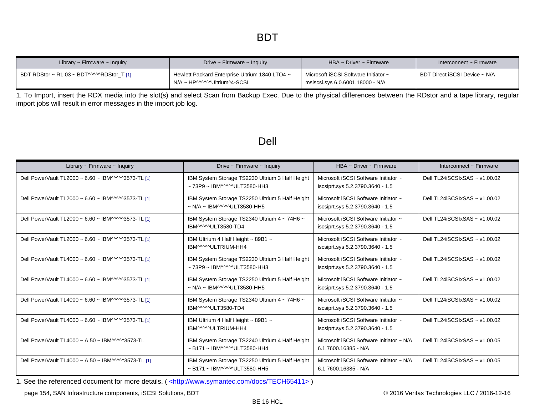### BDT

| Library $\sim$ Firmware $\sim$ Inquiry   | Drive $\sim$ Firmware $\sim$ Inquiry                                           | $HBA \sim$ Driver ~ Firmware                                             | Interconnect ~ Firmware       |
|------------------------------------------|--------------------------------------------------------------------------------|--------------------------------------------------------------------------|-------------------------------|
| BDT RDStor ~ R1.03 ~ BDT^^^^RDStor T [1] | Hewlett Packard Enterprise Ultrium 1840 LTO4 ~<br>N/A ~ HP^^^^^^Ultrium^4-SCSI | Microsoft iSCSI Software Initiator ~<br>msiscsi.sys 6.0.6001.18000 - N/A | BDT Direct iSCSI Device ~ N/A |

<span id="page-153-0"></span>1. To Import, insert the RDX media into the slot(s) and select Scan from Backup Exec. Due to the physical differences between the RDstor and a tape library, regular import jobs will result in error messages in the import job log.

### Dell

| Library $\sim$ Firmware $\sim$ Inquiry             | Drive $\sim$ Firmware $\sim$ Inquiry                                                            | HBA ~ Driver ~ Firmware                                                  | Interconnect $\sim$ Firmware    |
|----------------------------------------------------|-------------------------------------------------------------------------------------------------|--------------------------------------------------------------------------|---------------------------------|
| Dell PowerVault TL2000 ~ 6.60 ~ IBM^^^^3573-TL [1] | IBM System Storage TS2230 Ultrium 3 Half Height<br>$\sim$ 73P9 $\sim$ IBM $\sim$ VVULT3580-HH3  | Microsoft iSCSI Software Initiator ~<br>iscsiprt.sys 5.2.3790.3640 - 1.5 | Dell TL24iSCSIxSAS ~ v1.00.02   |
| Dell PowerVault TL2000 ~ 6.60 ~ IBM^^^^3573-TL [1] | IBM System Storage TS2250 Ultrium 5 Half Height<br>$\sim$ N/A $\sim$ IBM $\sim$ MVLT3580-HH5    | Microsoft iSCSI Software Initiator ~<br>iscsiprt.sys 5.2.3790.3640 - 1.5 | Dell TL24iSCSIxSAS ~ v1.00.02   |
| Dell PowerVault TL2000 ~ 6.60 ~ IBM^^^^3573-TL [1] | IBM System Storage TS2340 Ultrium 4 ~ 74H6 ~<br>IBM^^^^^ULT3580-TD4                             | Microsoft iSCSI Software Initiator ~<br>iscsiprt.sys 5.2.3790.3640 - 1.5 | Dell TL24iSCSIxSAS ~ v1.00.02   |
| Dell PowerVault TL2000 ~ 6.60 ~ IBM^^^^3573-TL [1] | IBM Ultrium 4 Half Height ~ 89B1 ~<br>IBM^^^^^ULTRIUM-HH4                                       | Microsoft iSCSI Software Initiator ~<br>iscsiprt.sys 5.2.3790.3640 - 1.5 | Dell TL24iSCSIxSAS ~ v1.00.02   |
| Dell PowerVault TL4000 ~ 6.60 ~ IBM^^^^3573-TL [1] | IBM System Storage TS2230 Ultrium 3 Half Height<br>$\sim$ 73P9 $\sim$ IBM^^^^ULT3580-HH3        | Microsoft iSCSI Software Initiator ~<br>iscsiprt.sys 5.2.3790.3640 - 1.5 | Dell TL24iSCSIxSAS ~ v1.00.02   |
| Dell PowerVault TL4000 ~ 6.60 ~ IBM^^^^3573-TL [1] | IBM System Storage TS2250 Ultrium 5 Half Height<br>$\sim$ N/A $\sim$ IBM $\sim$ MV-VILT3580-HH5 | Microsoft iSCSI Software Initiator ~<br>iscsiprt.sys 5.2.3790.3640 - 1.5 | Dell TL24iSCSIxSAS ~ v1.00.02   |
| Dell PowerVault TL4000 ~ 6.60 ~ IBM^^^^3573-TL [1] | IBM System Storage TS2340 Ultrium 4 ~ 74H6 ~<br>IBM^^^^ULT3580-TD4                              | Microsoft iSCSI Software Initiator ~<br>iscsiprt.sys 5.2.3790.3640 - 1.5 | Dell TL24iSCSIxSAS ~ v1.00.02   |
| Dell PowerVault TL4000 ~ 6.60 ~ IBM^^^^3573-TL [1] | IBM Ultrium 4 Half Height $\sim$ 89B1 $\sim$<br>IBM^^^^^ULTRIUM-HH4                             | Microsoft iSCSI Software Initiator ~<br>iscsiprt.sys 5.2.3790.3640 - 1.5 | Dell TL24iSCSIxSAS ~ $v1.00.02$ |
| Dell PowerVault TL4000 ~ A.50 ~ IBM^^^^3573-TL     | IBM System Storage TS2240 Ultrium 4 Half Height<br>$\sim$ B171 $\sim$ IBM^^^^ULT3580-HH4        | Microsoft iSCSI Software Initiator ~ N/A<br>6.1.7600.16385 - N/A         | Dell TL24iSCSIxSAS ~ v1.00.05   |
| Dell PowerVault TL4000 ~ A.50 ~ IBM^^^^3573-TL [1] | IBM System Storage TS2250 Ultrium 5 Half Height<br>$\sim$ B171 $\sim$ IBM^^^^ULT3580-HH5        | Microsoft iSCSI Software Initiator ~ N/A<br>6.1.7600.16385 - N/A         | Dell TL24iSCSIxSAS ~ v1.00.05   |

<span id="page-153-1"></span>1. See the referenced document for more details. ( <http://www.symantec.com/docs/TECH65411>)

page 154, SAN Infrastructure components, iSCSI Solutions, BDT © 2016 Veritas Technologies LLC / 2016-12-16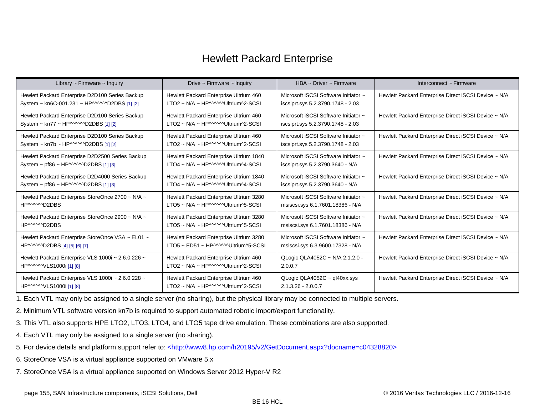### Hewlett Packard Enterprise

| Library $\sim$ Firmware $\sim$ Inquiry             | Drive $\sim$ Firmware $\sim$ Inquiry                      | HBA ~ Driver ~ Firmware              | Interconnect ~ Firmware                              |
|----------------------------------------------------|-----------------------------------------------------------|--------------------------------------|------------------------------------------------------|
| Hewlett Packard Enterprise D2D100 Series Backup    | Hewlett Packard Enterprise Ultrium 460                    | Microsoft iSCSI Software Initiator ~ | Hewlett Packard Enterprise Direct iSCSI Device ~ N/A |
| System ~ kn6C-001.231 ~ HP^^^^^^D2DBS [1] [2]      | $LTO2 \sim N/A \sim HP^{MMM}$ Ultrium^2-SCSI              | iscsiprt.sys 5.2.3790.1748 - 2.03    |                                                      |
| Hewlett Packard Enterprise D2D100 Series Backup    | Hewlett Packard Enterprise Ultrium 460                    | Microsoft iSCSI Software Initiator ~ | Hewlett Packard Enterprise Direct iSCSI Device ~ N/A |
| System ~ kn77 ~ HP^^^^^^D2DBS [1] [2]              | LTO2 ~ N/A ~ HP^^^^^^Ultrium^2-SCSI                       | iscsiprt.sys 5.2.3790.1748 - 2.03    |                                                      |
| Hewlett Packard Enterprise D2D100 Series Backup    | Hewlett Packard Enterprise Ultrium 460                    | Microsoft iSCSI Software Initiator ~ | Hewlett Packard Enterprise Direct iSCSI Device ~ N/A |
| System ~ kn7b ~ HP^^^^^^D2DBS [1] [2]              | LTO2 ~ N/A ~ HP^^^^^^Ultrium^2-SCSI                       | iscsiprt.sys 5.2.3790.1748 - 2.03    |                                                      |
| Hewlett Packard Enterprise D2D2500 Series Backup   | Hewlett Packard Enterprise Ultrium 1840                   | Microsoft iSCSI Software Initiator ~ | Hewlett Packard Enterprise Direct iSCSI Device ~ N/A |
| System ~ pf86 ~ HP^^^^^D2DBS [1] [3]               | $LTO4 \sim N/A \sim HP^{MMM}$ Ultrium $^{4}$ -SCSI        | iscsiprt.sys 5.2.3790.3640 - N/A     |                                                      |
| Hewlett Packard Enterprise D2D4000 Series Backup   | Hewlett Packard Enterprise Ultrium 1840                   | Microsoft iSCSI Software Initiator ~ | Hewlett Packard Enterprise Direct iSCSI Device ~ N/A |
| System $\sim$ pf86 $\sim$ HP^^^^^D2DBS [1] [3]     | $LTO4 \sim N/A \sim HP^{MMM}$ Ultrium^4-SCSI              | iscsiprt.sys 5.2.3790.3640 - N/A     |                                                      |
| Hewlett Packard Enterprise StoreOnce 2700 ~ N/A ~  | Hewlett Packard Enterprise Ultrium 3280                   | Microsoft iSCSI Software Initiator ~ | Hewlett Packard Enterprise Direct iSCSI Device ~ N/A |
| HP^^^^^D2DBS                                       | LTO5 ~ N/A ~ HP^^^^^^Ultrium^5-SCSI                       | msiscsi.sys 6.1.7601.18386 - N/A     |                                                      |
| Hewlett Packard Enterprise StoreOnce 2900 ~ N/A ~  | Hewlett Packard Enterprise Ultrium 3280                   | Microsoft iSCSI Software Initiator ~ | Hewlett Packard Enterprise Direct iSCSI Device ~ N/A |
| HP^^^^^D2DBS                                       | $LTO5 \sim N/A \sim HP^{MMM}$ Ultrium^5-SCSI              | msiscsi.sys 6.1.7601.18386 - N/A     |                                                      |
| Hewlett Packard Enterprise StoreOnce VSA ~ EL01 ~  | Hewlett Packard Enterprise Ultrium 3280                   | Microsoft iSCSI Software Initiator ~ | Hewlett Packard Enterprise Direct iSCSI Device ~ N/A |
| HP^^^^^D2DBS [4] [5] [6] [7]                       | $LTO5 \sim ED51 \sim HP^{MMM}$ Ultrium^5-SCSI             | msiscsi.sys 6.3.9600.17328 - N/A     |                                                      |
| Hewlett Packard Enterprise VLS 1000i ~ 2.6.0.226 ~ | Hewlett Packard Enterprise Ultrium 460                    | QLogic QLA4052C ~ N/A 2.1.2.0 -      | Hewlett Packard Enterprise Direct iSCSI Device ~ N/A |
| HP^^^^^VLS1000i[1][8]                              | $LTO2 \sim N/A \sim HP^{MMM}$ Ultrium^2-SCSI              | 2.0.0.7                              |                                                      |
| Hewlett Packard Enterprise VLS 1000i ~ 2.6.0.228 ~ | Hewlett Packard Enterprise Ultrium 460                    | QLogic QLA4052C $\sim$ ql40xx.sys    | Hewlett Packard Enterprise Direct iSCSI Device ~ N/A |
| HP^^^^^VLS1000i [1] [8]                            | $LTO2 \sim N/A \sim HP^{MMM}$ Ultrium <sup>A</sup> 2-SCSI | $2.1.3.26 - 2.0.0.7$                 |                                                      |

<span id="page-154-0"></span>1. Each VTL may only be assigned to a single server (no sharing), but the physical library may be connected to multiple servers.

<span id="page-154-1"></span>2. Minimum VTL software version kn7b is required to support automated robotic import/export functionality.

<span id="page-154-2"></span>3. This VTL also supports HPE LTO2, LTO3, LTO4, and LTO5 tape drive emulation. These combinations are also supported.

- <span id="page-154-3"></span>4. Each VTL may only be assigned to a single server (no sharing).
- <span id="page-154-4"></span>5. For device details and platform support refer to: [<http://www8.hp.com/h20195/v2/GetDocument.aspx?docname=c04328820>](http://www8.hp.com/h20195/v2/GetDocument.aspx?docname=c04328820)
- <span id="page-154-5"></span>6. StoreOnce VSA is a virtual appliance supported on VMware 5.x
- <span id="page-154-6"></span>7. StoreOnce VSA is a virtual appliance supported on Windows Server 2012 Hyper-V R2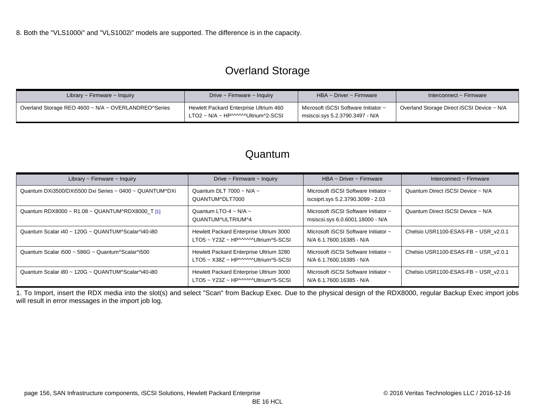# Overland Storage

<span id="page-155-0"></span>

| Library $\sim$ Firmware $\sim$ Inquiry               | Drive $\sim$ Firmware $\sim$ Inquiry                                         | HBA ~ Driver ~ Firmware                                                  | Interconnect ~ Firmware                                 |
|------------------------------------------------------|------------------------------------------------------------------------------|--------------------------------------------------------------------------|---------------------------------------------------------|
| Overland Storage REO 4600 ~ N/A ~ OVERLANDREO^Series | Hewlett Packard Enterprise Ultrium 460<br>LTO2 ~ N/A ~ HP^^^^^Ultrium^2-SCSI | Microsoft iSCSI Software Initiator ~<br>msiscsi.sys  5.2.3790.3497 - N/A | <sup>1</sup> Overland Storage Direct iSCSI Device ~ N/A |

### Quantum

| Library $\sim$ Firmware $\sim$ Inquiry                  | Drive $\sim$ Firmware $\sim$ Inquiry                                           | HBA ~ Driver ~ Firmware                                                   | Interconnect $\sim$ Firmware         |
|---------------------------------------------------------|--------------------------------------------------------------------------------|---------------------------------------------------------------------------|--------------------------------------|
| Quantum DXi3500/DXi5500 Dxi Series ~ 0400 ~ QUANTUM^DXi | Quantum DLT 7000 ~ N/A ~<br>QUANTUM^DLT7000                                    | Microsoft iSCSI Software Initiator ~<br>iscsiprt.sys 5.2.3790.3099 - 2.03 | Quantum Direct iSCSI Device ~ N/A    |
| Quantum RDX8000 ~ R1.08 ~ QUANTUM^RDX8000 T [1]         | Quantum LTO-4 ~ N/A ~<br>QUANTUM^ULTRIUM^4                                     | Microsoft iSCSI Software Initiator ~<br>msiscsi.sys 6.0.6001.18000 - N/A  | Quantum Direct iSCSI Device ~ N/A    |
| Quantum Scalar i40 ~ 120G ~ QUANTUM^Scalar^i40-i80      | Hewlett Packard Enterprise Ultrium 3000<br>LTO5 ~ Y23Z ~ HP^^^^^Ultrium^5-SCSI | Microsoft iSCSI Software Initiator ~<br>N/A 6.1.7600.16385 - N/A          | Chelsio USR1100-ESAS-FB ~ USR v2.0.1 |
| Quantum Scalar i500 ~ 586G ~ Quantum^Scalar^i500        | Hewlett Packard Enterprise Ultrium 3280<br>LTO5 ~ X38Z ~ HP^^^^^Ultrium^5-SCSI | Microsoft iSCSI Software Initiator ~<br>N/A 6.1.7600.16385 - N/A          | Chelsio USR1100-ESAS-FB ~ USR v2.0.1 |
| Quantum Scalar i80 ~ 120G ~ QUANTUM^Scalar^i40-i80      | Hewlett Packard Enterprise Ultrium 3000<br>LTO5 ~ Y23Z ~ HP^^^^^Ultrium^5-SCSI | Microsoft iSCSI Software Initiator ~<br>N/A 6.1.7600.16385 - N/A          | Chelsio USR1100-ESAS-FB ~ USR v2.0.1 |

<span id="page-155-1"></span>1. To Import, insert the RDX media into the slot(s) and select "Scan" from Backup Exec. Due to the physical design of the RDX8000, regular Backup Exec import jobs will result in error messages in the import job log.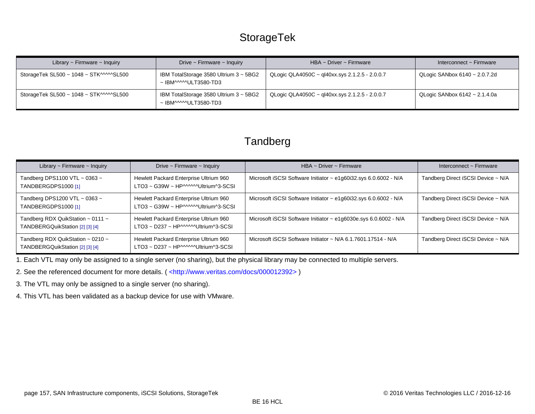### **StorageTek**

| Library $\sim$ Firmware $\sim$ Inquiry  | Drive $\sim$ Firmware $\sim$ Inquiry                                 | HBA $\sim$ Driver $\sim$ Firmware                | Interconnect $\sim$ Firmware       |
|-----------------------------------------|----------------------------------------------------------------------|--------------------------------------------------|------------------------------------|
| StorageTek SL500 ~ 1048 ~ STK^^^^^SL500 | IBM TotalStorage 3580 Ultrium 3 ~ 5BG2<br>$\sim$ IBM^^^^^ULT3580-TD3 | QLogic QLA4050C ~ ql40xx.sys 2.1.2.5 - 2.0.0.7   | QLogic SANbox 6140 ~ 2.0.7.2d      |
| StorageTek SL500 ~ 1048 ~ STK^^^^^SL500 | IBM TotalStorage 3580 Ultrium 3 ~ 5BG2<br>$\sim$ IBM^^^^^ULT3580-TD3 | QLogic QLA4050C ~ ql40xx.sys $2.1.2.5 - 2.0.0.7$ | QLogic SANbox $6142 \sim 2.1.4.0a$ |

### **Tandberg**

| Library $\sim$ Firmware $\sim$ Inquiry                                         | Drive $\sim$ Firmware $\sim$ Inquiry                                           | HBA ~ Driver ~ Firmware                                          | Interconnect $\sim$ Firmware       |
|--------------------------------------------------------------------------------|--------------------------------------------------------------------------------|------------------------------------------------------------------|------------------------------------|
| Tandberg DPS1100 VTL $\sim$ 0363 $\sim$<br>TANDBERGDPS1000 [1]                 | Hewlett Packard Enterprise Ultrium 960<br>LTO3 ~ G39W ~ HP^^^^^Ultrium^3-SCSI  | Microsoft iSCSI Software Initiator ~ e1g60i32.sys 6.0.6002 - N/A | Tandberg Direct iSCSI Device ~ N/A |
| Tandberg DPS1200 VTL $\sim$ 0363 $\sim$<br>TANDBERGDPS1000 [1]                 | Hewlett Packard Enterprise Ultrium 960<br>LTO3 ~ G39W ~ HP^^^^^^Ultrium^3-SCSI | Microsoft iSCSI Software Initiator ~ e1g60i32.sys 6.0.6002 - N/A | Tandberg Direct iSCSI Device ~ N/A |
| Tandberg RDX QuikStation $\sim$ 0111 $\sim$<br>TANDBERGQuikStation [2] [3] [4] | Hewlett Packard Enterprise Ultrium 960<br>LTO3 ~ D237 ~ HP^^^^^^Ultrium^3-SCSI | Microsoft iSCSI Software Initiator ~ e1g6030e.sys 6.0.6002 - N/A | Tandberg Direct iSCSI Device ~ N/A |
| Tandberg RDX QuikStation $\sim$ 0210 $\sim$<br>TANDBERGQuikStation [2] [3] [4] | Hewlett Packard Enterprise Ultrium 960<br>LTO3 ~ D237 ~ HP^^^^^Ultrium^3-SCSI  | Microsoft iSCSI Software Initiator ~ N/A 6.1.7601.17514 - N/A    | Tandberg Direct iSCSI Device ~ N/A |

<span id="page-156-0"></span>1. Each VTL may only be assigned to a single server (no sharing), but the physical library may be connected to multiple servers.

<span id="page-156-1"></span>2. See the referenced document for more details. ( <http://www.veritas.com/docs/000012392>)

<span id="page-156-2"></span>3. The VTL may only be assigned to a single server (no sharing).

<span id="page-156-3"></span>4. This VTL has been validated as a backup device for use with VMware.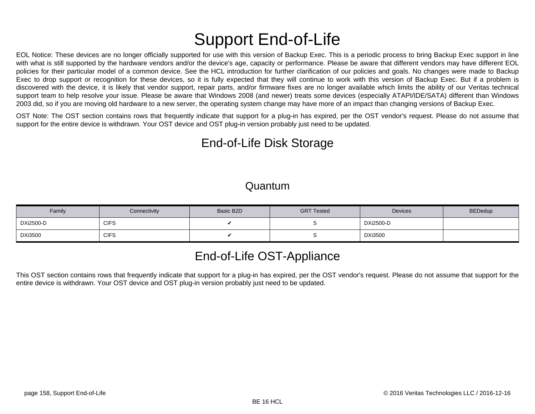# Support End-of-Life

EOL Notice: These devices are no longer officially supported for use with this version of Backup Exec. This is a periodic process to bring Backup Exec support in line with what is still supported by the hardware vendors and/or the device's age, capacity or performance. Please be aware that different vendors may have different EOL policies for their particular model of a common device. See the HCL introduction for further clarification of our policies and goals. No changes were made to Backup Exec to drop support or recognition for these devices, so it is fully expected that they will continue to work with this version of Backup Exec. But if a problem is discovered with the device, it is likely that vendor support, repair parts, and/or firmware fixes are no longer available which limits the ability of our Veritas technical support team to help resolve your issue. Please be aware that Windows 2008 (and newer) treats some devices (especially ATAPI/IDE/SATA) different than Windows 2003 did, so if you are moving old hardware to a new server, the operating system change may have more of an impact than changing versions of Backup Exec.

OST Note: The OST section contains rows that frequently indicate that support for a plug-in has expired, per the OST vendor's request. Please do not assume that support for the entire device is withdrawn. Your OST device and OST plug-in version probably just need to be updated.

# End-of-Life Disk Storage

#### Quantum

| Family         | Connectivity | Basic B2D | <b>GRT Tested</b> | <b>Devices</b>   | <b>BEDedup</b> |
|----------------|--------------|-----------|-------------------|------------------|----------------|
| DXi2500-D      | <b>CIFS</b>  |           |                   | <b>DXi2500-D</b> |                |
| <b>DXi3500</b> | <b>CIFS</b>  |           |                   | <b>DXi3500</b>   |                |

# End-of-Life OST-Appliance

This OST section contains rows that frequently indicate that support for a plug-in has expired, per the OST vendor's request. Please do not assume that support for the entire device is withdrawn. Your OST device and OST plug-in version probably just need to be updated.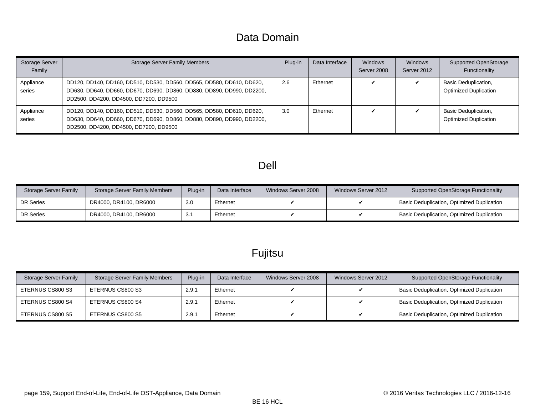### Data Domain

| <b>Storage Server</b><br>Family | <b>Storage Server Family Members</b>                                                                                                                                                      | Plug-in | Data Interface | Windows<br>Server 2008 | Windows<br>Server 2012 | Supported OpenStorage<br>Functionality                      |
|---------------------------------|-------------------------------------------------------------------------------------------------------------------------------------------------------------------------------------------|---------|----------------|------------------------|------------------------|-------------------------------------------------------------|
| Appliance<br>series             | DD120, DD140, DD160, DD510, DD530, DD560, DD565, DD580, DD610, DD620,<br>DD630, DD640, DD660, DD670, DD690, DD860, DD880, DD890, DD990, DD2200,<br>DD2500, DD4200, DD4500, DD7200, DD9500 | 2.6     | Ethernet       |                        |                        | Basic Deduplication,<br><b>Optimized Duplication</b>        |
| Appliance<br>series             | DD120, DD140, DD160, DD510, DD530, DD560, DD565, DD580, DD610, DD620,<br>DD630, DD640, DD660, DD670, DD690, DD860, DD880, DD890, DD990, DD2200,<br>DD2500, DD4200, DD4500, DD7200, DD9500 | 3.0     | Ethernet       |                        |                        | <b>Basic Deduplication,</b><br><b>Optimized Duplication</b> |

### Dell

| Storage Server Family | <b>Storage Server Family Members</b> | Plug-in | Data Interface | Windows Server 2008 | Windows Server 2012 | Supported OpenStorage Functionality        |
|-----------------------|--------------------------------------|---------|----------------|---------------------|---------------------|--------------------------------------------|
| <b>DR Series</b>      | DR4000, DR4100, DR6000               | 3.0     | Ethernet       |                     |                     | Basic Deduplication, Optimized Duplication |
| <b>DR Series</b>      | DR4000, DR4100, DR6000               | 3.1     | Ethernet       |                     |                     | Basic Deduplication, Optimized Duplication |

# Fujitsu

| Storage Server Family | <b>Storage Server Family Members</b> | Plug-in | Data Interface | Windows Server 2008 | Windows Server 2012 | <b>Supported OpenStorage Functionality</b> |
|-----------------------|--------------------------------------|---------|----------------|---------------------|---------------------|--------------------------------------------|
| ETERNUS CS800 S3      | ETERNUS CS800 S3                     | 2.9.1   | Ethernet       |                     |                     | Basic Deduplication, Optimized Duplication |
| ETERNUS CS800 S4      | ETERNUS CS800 S4                     | 2.9.1   | Ethernet       |                     |                     | Basic Deduplication, Optimized Duplication |
| ETERNUS CS800 S5      | ETERNUS CS800 S5                     | 2.9.1   | Ethernet       |                     |                     | Basic Deduplication, Optimized Duplication |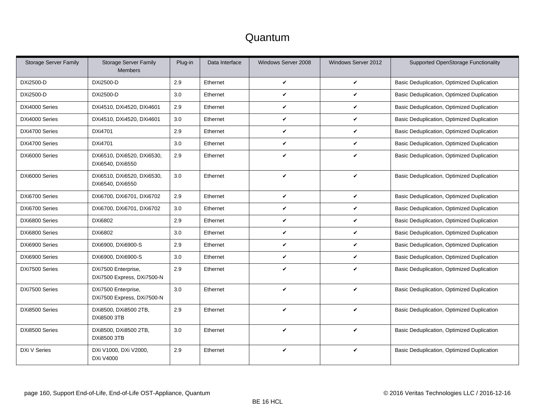| <b>Storage Server Family</b> | <b>Storage Server Family</b><br><b>Members</b>    | Plug-in | Data Interface | Windows Server 2008 | Windows Server 2012 | Supported OpenStorage Functionality        |
|------------------------------|---------------------------------------------------|---------|----------------|---------------------|---------------------|--------------------------------------------|
| DXi2500-D                    | DXi2500-D                                         | 2.9     | Ethernet       | $\checkmark$        | V                   | Basic Deduplication, Optimized Duplication |
| DXi2500-D                    | DXi2500-D                                         | 3.0     | Ethernet       | V                   | V                   | Basic Deduplication, Optimized Duplication |
| DXi4000 Series               | DXi4510, DXi4520, DXi4601                         | 2.9     | Ethernet       | V                   | V                   | Basic Deduplication, Optimized Duplication |
| DXi4000 Series               | DXi4510, DXi4520, DXi4601                         | 3.0     | Ethernet       | V                   | V                   | Basic Deduplication, Optimized Duplication |
| DXi4700 Series               | DXi4701                                           | 2.9     | Ethernet       | V                   | V                   | Basic Deduplication, Optimized Duplication |
| DXi4700 Series               | DXi4701                                           | 3.0     | Ethernet       | V                   | V                   | Basic Deduplication, Optimized Duplication |
| DXi6000 Series               | DXi6510, DXi6520, DXi6530,<br>DXi6540, DXi6550    | 2.9     | Ethernet       | V                   | V                   | Basic Deduplication, Optimized Duplication |
| DXi6000 Series               | DXi6510, DXi6520, DXi6530,<br>DXi6540, DXi6550    | 3.0     | Ethernet       | V                   | V                   | Basic Deduplication, Optimized Duplication |
| DXi6700 Series               | DXi6700, DXi6701, DXi6702                         | 2.9     | Ethernet       | $\checkmark$        | V                   | Basic Deduplication, Optimized Duplication |
| DXi6700 Series               | DXi6700, DXi6701, DXi6702                         | 3.0     | Ethernet       | V                   | V                   | Basic Deduplication, Optimized Duplication |
| DXi6800 Series               | DXi6802                                           | 2.9     | Ethernet       | V                   | V                   | Basic Deduplication, Optimized Duplication |
| DXi6800 Series               | DXi6802                                           | 3.0     | Ethernet       | ✓                   | V                   | Basic Deduplication, Optimized Duplication |
| DXi6900 Series               | DXi6900, DXi6900-S                                | 2.9     | Ethernet       | V                   | V                   | Basic Deduplication, Optimized Duplication |
| DXi6900 Series               | DXi6900, DXi6900-S                                | 3.0     | Ethernet       | V                   | V                   | Basic Deduplication, Optimized Duplication |
| DXi7500 Series               | DXi7500 Enterprise,<br>DXi7500 Express, DXi7500-N | 2.9     | Ethernet       | V                   | V                   | Basic Deduplication, Optimized Duplication |
| DXi7500 Series               | DXi7500 Enterprise,<br>DXi7500 Express, DXi7500-N | 3.0     | Ethernet       | V                   | V                   | Basic Deduplication, Optimized Duplication |
| DXi8500 Series               | DXi8500, DXi8500 2TB,<br><b>DXi8500 3TB</b>       | 2.9     | Ethernet       | ✓                   | ✓                   | Basic Deduplication, Optimized Duplication |
| DXi8500 Series               | DXi8500, DXi8500 2TB,<br><b>DXi8500 3TB</b>       | 3.0     | Ethernet       | V                   | V                   | Basic Deduplication, Optimized Duplication |
| DXi V Series                 | DXi V1000, DXi V2000,<br><b>DXi V4000</b>         | 2.9     | Ethernet       | V                   | V                   | Basic Deduplication, Optimized Duplication |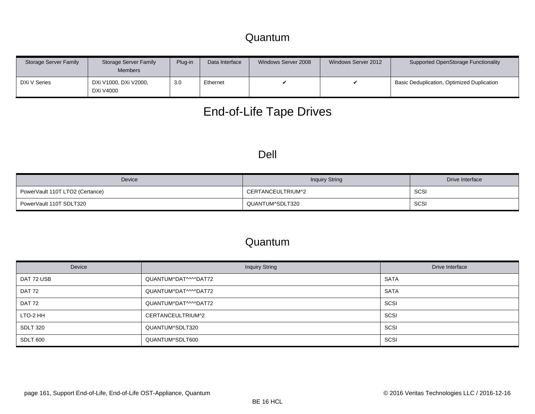### Quantum

| Storage Server Family | Storage Server Family<br><b>Members</b>         | Plug-in | Data Interface | Windows Server 2008 | Windows Server 2012 | Supported OpenStorage Functionality        |
|-----------------------|-------------------------------------------------|---------|----------------|---------------------|---------------------|--------------------------------------------|
| DXi V Series          | <sup>1</sup> DXi V1000, DXi V2000,<br>DXi V4000 | 3.0     | Ethernet       |                     |                     | Basic Deduplication, Optimized Duplication |

# End-of-Life Tape Drives

#### Dell

| Device                          | <b>Inquiry String</b> | Drive Interface |
|---------------------------------|-----------------------|-----------------|
| PowerVault 110T LTO2 (Certance) | CERTANCEULTRIUM^2     | SCSI            |
| PowerVault 110T SDLT320         | QUANTUM^SDLT320       | SCSI            |

| Device          | <b>Inquiry String</b> | Drive Interface |
|-----------------|-----------------------|-----------------|
| DAT 72 USB      | QUANTUM^DAT^^^^DAT72  | <b>SATA</b>     |
| DAT 72          | QUANTUM^DAT^^^^DAT72  | <b>SATA</b>     |
| DAT 72          | QUANTUM^DAT^^^^DAT72  | SCSI            |
| LTO-2 HH        | CERTANCEULTRIUM^2     | SCSI            |
| <b>SDLT 320</b> | QUANTUM^SDLT320       | SCSI            |
| SDLT 600        | QUANTUM^SDLT600       | SCSI            |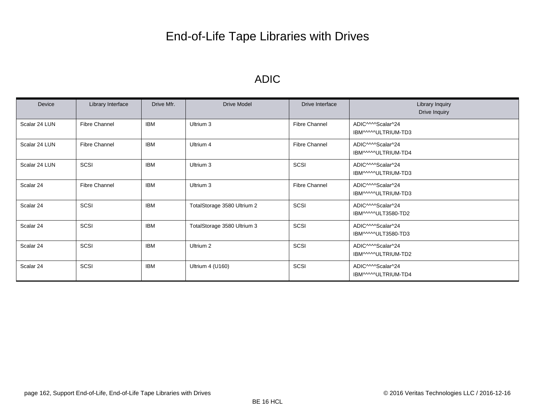# End-of-Life Tape Libraries with Drives

### ADIC

| Device        | Library Interface    | Drive Mfr. | <b>Drive Model</b>          | Drive Interface      | Library Inquiry<br>Drive Inquiry                     |
|---------------|----------------------|------------|-----------------------------|----------------------|------------------------------------------------------|
| Scalar 24 LUN | <b>Fibre Channel</b> | <b>IBM</b> | Ultrium 3                   | <b>Fibre Channel</b> | ADIC <sup>^</sup> ^^Scalar^24<br>IBM^^^^ULTRIUM-TD3  |
| Scalar 24 LUN | <b>Fibre Channel</b> | <b>IBM</b> | Ultrium 4                   | <b>Fibre Channel</b> | ADIC^^^^Scalar^24<br>IBM^^^^ULTRIUM-TD4              |
| Scalar 24 LUN | SCSI                 | <b>IBM</b> | Ultrium 3                   | SCSI                 | ADIC <sup>^</sup> ^^Scalar^24<br>IBM^^^^ULTRIUM-TD3  |
| Scalar 24     | <b>Fibre Channel</b> | IBM        | Ultrium 3                   | <b>Fibre Channel</b> | ADIC <sup>^</sup> ^^Scalar^24<br>IBM^^^^ULTRIUM-TD3  |
| Scalar 24     | SCSI                 | IBM        | TotalStorage 3580 Ultrium 2 | SCSI                 | ADIC <sup>^</sup> ^^Scalar^24<br>IBM^^^^ULT3580-TD2  |
| Scalar 24     | SCSI                 | <b>IBM</b> | TotalStorage 3580 Ultrium 3 | SCSI                 | ADIC <sup>^</sup> ^^Scalar^24<br>IBM^^^^^ULT3580-TD3 |
| Scalar 24     | SCSI                 | <b>IBM</b> | Ultrium 2                   | SCSI                 | ADIC <sup>^</sup> ^^Scalar^24<br>IBM^^^^^ULTRIUM-TD2 |
| Scalar 24     | SCSI                 | IBM        | Ultrium 4 (U160)            | SCSI                 | ADIC <sup>^</sup> ^^Scalar^24<br>IBM^^^^^ULTRIUM-TD4 |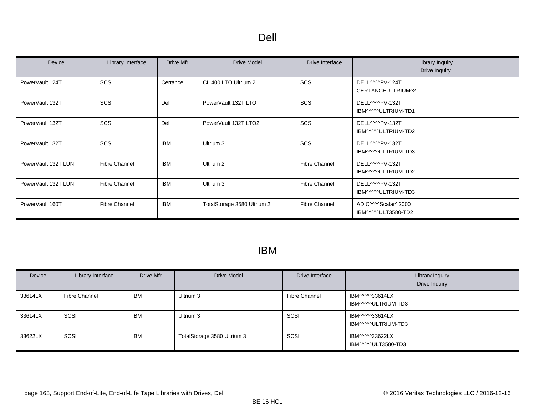| Device              | Library Interface | Drive Mfr. | <b>Drive Model</b>          | Drive Interface      | Library Inquiry<br>Drive Inquiry                                    |
|---------------------|-------------------|------------|-----------------------------|----------------------|---------------------------------------------------------------------|
| PowerVault 124T     | SCSI              | Certance   | CL 400 LTO Ultrium 2        | SCSI                 | DELL <sup>MM</sup> PV-124T<br>CERTANCEULTRIUM^2                     |
| PowerVault 132T     | SCSI              | Dell       | PowerVault 132T LTO         | SCSI                 | DELL <sub>MMPV-132T</sub><br>IBM^^^^^ULTRIUM-TD1                    |
| PowerVault 132T     | SCSI              | Dell       | PowerVault 132T LTO2        | SCSI                 | DELL <sub>MMPV-132T</sub><br>IBM^^^^ULTRIUM-TD2                     |
| PowerVault 132T     | SCSI              | <b>IBM</b> | Ultrium 3                   | SCSI                 | DELL <sub>MMPV-132T</sub><br>IBM^^^^ULTRIUM-TD3                     |
| PowerVault 132T LUN | Fibre Channel     | IBM        | Ultrium 2                   | Fibre Channel        | DELL <sub>MMPV-132T</sub><br>IBM^^^^ULTRIUM-TD2                     |
| PowerVault 132T LUN | Fibre Channel     | <b>IBM</b> | Ultrium 3                   | Fibre Channel        | DELL <sub>MMPV-132T</sub><br>IBM^^^^^ULTRIUM-TD3                    |
| PowerVault 160T     | Fibre Channel     | <b>IBM</b> | TotalStorage 3580 Ultrium 2 | <b>Fibre Channel</b> | ADIC <sup>MM</sup> Scalar <sup>4</sup> i2000<br>IBM^^^^^ULT3580-TD2 |

### IBM

| Device  | Library Interface | Drive Mfr. | <b>Drive Model</b>          | Drive Interface      | <b>Library Inquiry</b><br>Drive Inquiry |
|---------|-------------------|------------|-----------------------------|----------------------|-----------------------------------------|
| 33614LX | Fibre Channel     | <b>IBM</b> | Ultrium 3                   | <b>Fibre Channel</b> | IBM^^^^33614LX<br>IBM^^^^^ULTRIUM-TD3   |
| 33614LX | SCSI              | <b>IBM</b> | Ultrium 3                   | SCSI                 | IBM^^^^33614LX<br>IBM^^^^^ULTRIUM-TD3   |
| 33622LX | SCSI              | <b>IBM</b> | TotalStorage 3580 Ultrium 3 | <b>SCSI</b>          | IBM^^^^33622LX<br>IBM^^^^ULT3580-TD3    |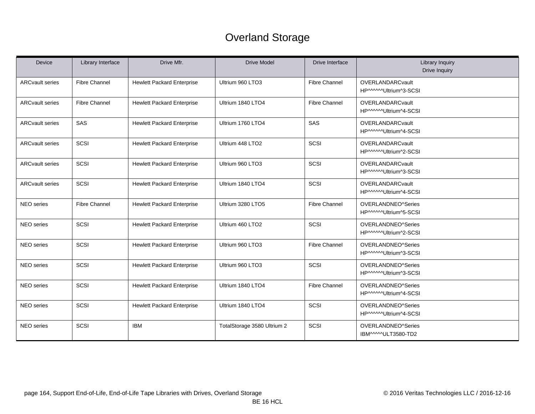# Overland Storage

| <b>Device</b>          | Library Interface    | Drive Mfr.                        | <b>Drive Model</b>          | Drive Interface      | <b>Library Inquiry</b><br>Drive Inquiry          |
|------------------------|----------------------|-----------------------------------|-----------------------------|----------------------|--------------------------------------------------|
| <b>ARCvault series</b> | <b>Fibre Channel</b> | <b>Hewlett Packard Enterprise</b> | Ultrium 960 LTO3            | <b>Fibre Channel</b> | <b>OVERLANDARCvault</b><br>HP^^^^^Ultrium^3-SCSI |
| <b>ARCvault series</b> | <b>Fibre Channel</b> | <b>Hewlett Packard Enterprise</b> | Ultrium 1840 LTO4           | <b>Fibre Channel</b> | <b>OVERLANDARCvault</b><br>HP^^^^^Ultrium^4-SCSI |
| <b>ARCvault series</b> | SAS                  | <b>Hewlett Packard Enterprise</b> | Ultrium 1760 LTO4           | SAS                  | <b>OVERLANDARCvault</b><br>HP^^^^^Ultrium^4-SCSI |
| <b>ARCvault series</b> | SCSI                 | <b>Hewlett Packard Enterprise</b> | Ultrium 448 LTO2            | SCSI                 | <b>OVERLANDARCvault</b><br>HP^^^^^Ultrium^2-SCSI |
| <b>ARCvault series</b> | SCSI                 | <b>Hewlett Packard Enterprise</b> | Ultrium 960 LTO3            | SCSI                 | <b>OVERLANDARCvault</b><br>HP^^^^^Ultrium^3-SCSI |
| <b>ARCvault series</b> | SCSI                 | <b>Hewlett Packard Enterprise</b> | Ultrium 1840 LTO4           | SCSI                 | <b>OVERLANDARCvault</b><br>HP^^^^^Ultrium^4-SCSI |
| <b>NEO</b> series      | <b>Fibre Channel</b> | <b>Hewlett Packard Enterprise</b> | Ultrium 3280 LTO5           | <b>Fibre Channel</b> | OVERLANDNEO^Series<br>HP^^^^^Ultrium^5-SCSI      |
| NEO series             | SCSI                 | <b>Hewlett Packard Enterprise</b> | Ultrium 460 LTO2            | SCSI                 | OVERLANDNEO^Series<br>HP^^^^^Ultrium^2-SCSI      |
| NEO series             | SCSI                 | <b>Hewlett Packard Enterprise</b> | Ultrium 960 LTO3            | <b>Fibre Channel</b> | OVERLANDNEO^Series<br>HP^^^^^Ultrium^3-SCSI      |
| NEO series             | SCSI                 | <b>Hewlett Packard Enterprise</b> | Ultrium 960 LTO3            | SCSI                 | OVERLANDNEO^Series<br>HP^^^^^Ultrium^3-SCSI      |
| NEO series             | SCSI                 | <b>Hewlett Packard Enterprise</b> | Ultrium 1840 LTO4           | <b>Fibre Channel</b> | OVERLANDNEO^Series<br>HP^^^^^Ultrium^4-SCSI      |
| NEO series             | SCSI                 | <b>Hewlett Packard Enterprise</b> | Ultrium 1840 LTO4           | SCSI                 | OVERLANDNEO^Series<br>HP^^^^^Ultrium^4-SCSI      |
| NEO series             | SCSI                 | <b>IBM</b>                        | TotalStorage 3580 Ultrium 2 | SCSI                 | OVERLANDNEO^Series<br>IBM^^^^^ULT3580-TD2        |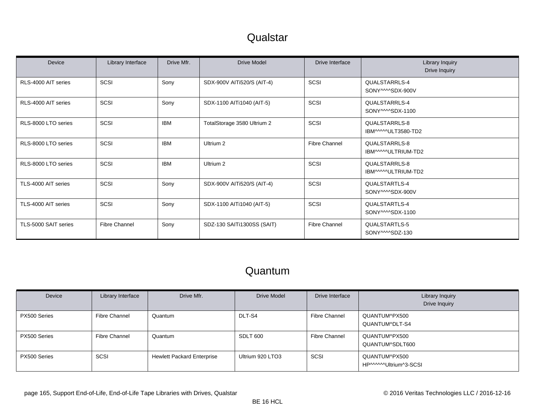### **Qualstar**

| Device               | Library Interface    | Drive Mfr. | Drive Model                 | Drive Interface      | Library Inquiry<br>Drive Inquiry             |
|----------------------|----------------------|------------|-----------------------------|----------------------|----------------------------------------------|
| RLS-4000 AIT series  | SCSI                 | Sony       | SDX-900V AITI520/S (AIT-4)  | SCSI                 | QUALSTARRLS-4<br>SONY <sup>MM</sup> SDX-900V |
| RLS-4000 AIT series  | SCSI                 | Sony       | SDX-1100 AITi1040 (AIT-5)   | SCSI                 | QUALSTARRLS-4<br>SONY <sup>MM</sup> SDX-1100 |
| RLS-8000 LTO series  | SCSI                 | <b>IBM</b> | TotalStorage 3580 Ultrium 2 | SCSI                 | QUALSTARRLS-8<br>IBM^^^^^ULT3580-TD2         |
| RLS-8000 LTO series  | <b>SCSI</b>          | <b>IBM</b> | Ultrium 2                   | <b>Fibre Channel</b> | QUALSTARRLS-8<br>IBM^^^^^ULTRIUM-TD2         |
| RLS-8000 LTO series  | SCSI                 | <b>IBM</b> | Ultrium 2                   | SCSI                 | QUALSTARRLS-8<br>IBM^^^^ULTRIUM-TD2          |
| TLS-4000 AIT series  | SCSI                 | Sony       | SDX-900V AITI520/S (AIT-4)  | SCSI                 | QUALSTARTLS-4<br>SONY <sup>MM</sup> SDX-900V |
| TLS-4000 AIT series  | SCSI                 | Sony       | SDX-1100 AITi1040 (AIT-5)   | SCSI                 | QUALSTARTLS-4<br>SONY <sup>MMSDX-1100</sup>  |
| TLS-5000 SAIT series | <b>Fibre Channel</b> | Sony       | SDZ-130 SAIT11300SS (SAIT)  | <b>Fibre Channel</b> | QUALSTARTLS-5<br>SONY <sup>MMSDZ-130</sup>   |

| Device       | Library Interface | Drive Mfr.                        | Drive Model      | Drive Interface      | <b>Library Inquiry</b><br>Drive Inquiry |
|--------------|-------------------|-----------------------------------|------------------|----------------------|-----------------------------------------|
| PX500 Series | Fibre Channel     | Quantum                           | DLT-S4           | <b>Fibre Channel</b> | QUANTUM^PX500<br>QUANTUM^DLT-S4         |
| PX500 Series | Fibre Channel     | Quantum                           | SDLT 600         | <b>Fibre Channel</b> | QUANTUM^PX500<br>QUANTUM^SDLT600        |
| PX500 Series | SCSI              | <b>Hewlett Packard Enterprise</b> | Ultrium 920 LTO3 | SCSI                 | QUANTUM^PX500<br>HP^^^^^^Ultrium^3-SCSI |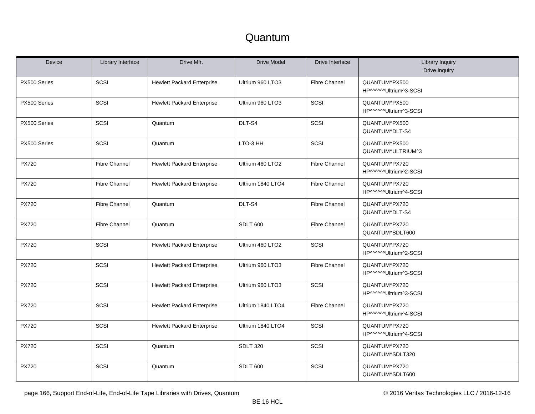| <b>Device</b> | Library Interface    | Drive Mfr.                        | <b>Drive Model</b> | Drive Interface      | <b>Library Inquiry</b><br>Drive Inquiry |
|---------------|----------------------|-----------------------------------|--------------------|----------------------|-----------------------------------------|
| PX500 Series  | <b>SCSI</b>          | <b>Hewlett Packard Enterprise</b> | Ultrium 960 LTO3   | <b>Fibre Channel</b> | QUANTUM^PX500<br>HP^^^^^Ultrium^3-SCSI  |
| PX500 Series  | SCSI                 | <b>Hewlett Packard Enterprise</b> | Ultrium 960 LTO3   | SCSI                 | QUANTUM^PX500<br>HP^^^^^Ultrium^3-SCSI  |
| PX500 Series  | <b>SCSI</b>          | Quantum                           | DLT-S4             | SCSI                 | QUANTUM^PX500<br>QUANTUM^DLT-S4         |
| PX500 Series  | SCSI                 | Quantum                           | LTO-3 HH           | SCSI                 | QUANTUM^PX500<br>QUANTUM^ULTRIUM^3      |
| <b>PX720</b>  | <b>Fibre Channel</b> | <b>Hewlett Packard Enterprise</b> | Ultrium 460 LTO2   | <b>Fibre Channel</b> | QUANTUM^PX720<br>HP^^^^^Ultrium^2-SCSI  |
| <b>PX720</b>  | <b>Fibre Channel</b> | <b>Hewlett Packard Enterprise</b> | Ultrium 1840 LTO4  | <b>Fibre Channel</b> | QUANTUM^PX720<br>HP^^^^^Ultrium^4-SCSI  |
| <b>PX720</b>  | <b>Fibre Channel</b> | Quantum                           | DLT-S4             | <b>Fibre Channel</b> | QUANTUM^PX720<br>QUANTUM^DLT-S4         |
| <b>PX720</b>  | <b>Fibre Channel</b> | Quantum                           | <b>SDLT 600</b>    | <b>Fibre Channel</b> | QUANTUM^PX720<br>QUANTUM^SDLT600        |
| <b>PX720</b>  | SCSI                 | <b>Hewlett Packard Enterprise</b> | Ultrium 460 LTO2   | SCSI                 | QUANTUM^PX720<br>HP^^^^^Ultrium^2-SCSI  |
| <b>PX720</b>  | SCSI                 | <b>Hewlett Packard Enterprise</b> | Ultrium 960 LTO3   | <b>Fibre Channel</b> | QUANTUM^PX720<br>HP^^^^^Ultrium^3-SCSI  |
| <b>PX720</b>  | SCSI                 | <b>Hewlett Packard Enterprise</b> | Ultrium 960 LTO3   | SCSI                 | QUANTUM^PX720<br>HP^^^^^Ultrium^3-SCSI  |
| <b>PX720</b>  | SCSI                 | <b>Hewlett Packard Enterprise</b> | Ultrium 1840 LTO4  | <b>Fibre Channel</b> | QUANTUM^PX720<br>HP^^^^^Ultrium^4-SCSI  |
| <b>PX720</b>  | SCSI                 | <b>Hewlett Packard Enterprise</b> | Ultrium 1840 LTO4  | SCSI                 | QUANTUM^PX720<br>HP^^^^^Ultrium^4-SCSI  |
| <b>PX720</b>  | <b>SCSI</b>          | Quantum                           | <b>SDLT 320</b>    | SCSI                 | QUANTUM^PX720<br>QUANTUM^SDLT320        |
| <b>PX720</b>  | SCSI                 | Quantum                           | <b>SDLT 600</b>    | SCSI                 | QUANTUM^PX720<br>QUANTUM^SDLT600        |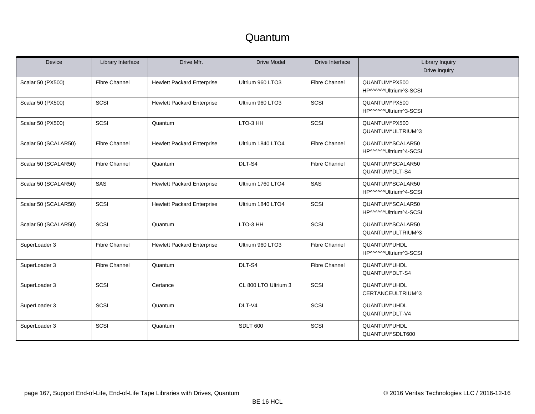| <b>Device</b>        | Library Interface    | Drive Mfr.                        | <b>Drive Model</b>   | Drive Interface      | Library Inquiry<br>Drive Inquiry          |
|----------------------|----------------------|-----------------------------------|----------------------|----------------------|-------------------------------------------|
| Scalar 50 (PX500)    | <b>Fibre Channel</b> | <b>Hewlett Packard Enterprise</b> | Ultrium 960 LTO3     | <b>Fibre Channel</b> | QUANTUM^PX500<br>HP^^^^^Ultrium^3-SCSI    |
| Scalar 50 (PX500)    | SCSI                 | <b>Hewlett Packard Enterprise</b> | Ultrium 960 LTO3     | SCSI                 | QUANTUM^PX500<br>HP^^^^^Ultrium^3-SCSI    |
| Scalar 50 (PX500)    | SCSI                 | Quantum                           | LTO-3 HH             | SCSI                 | QUANTUM^PX500<br>QUANTUM^ULTRIUM^3        |
| Scalar 50 (SCALAR50) | <b>Fibre Channel</b> | <b>Hewlett Packard Enterprise</b> | Ultrium 1840 LTO4    | <b>Fibre Channel</b> | QUANTUM^SCALAR50<br>HP^^^^^Ultrium^4-SCSI |
| Scalar 50 (SCALAR50) | <b>Fibre Channel</b> | Quantum                           | DLT-S4               | <b>Fibre Channel</b> | QUANTUM^SCALAR50<br>QUANTUM^DLT-S4        |
| Scalar 50 (SCALAR50) | SAS                  | <b>Hewlett Packard Enterprise</b> | Ultrium 1760 LTO4    | SAS                  | QUANTUM^SCALAR50<br>HP^^^^^Ultrium^4-SCSI |
| Scalar 50 (SCALAR50) | SCSI                 | <b>Hewlett Packard Enterprise</b> | Ultrium 1840 LTO4    | SCSI                 | QUANTUM^SCALAR50<br>HP^^^^^Ultrium^4-SCSI |
| Scalar 50 (SCALAR50) | SCSI                 | Quantum                           | LTO-3 HH             | SCSI                 | QUANTUM^SCALAR50<br>QUANTUM^ULTRIUM^3     |
| SuperLoader 3        | <b>Fibre Channel</b> | <b>Hewlett Packard Enterprise</b> | Ultrium 960 LTO3     | <b>Fibre Channel</b> | QUANTUM^UHDL<br>HP^^^^^Ultrium^3-SCSI     |
| SuperLoader 3        | <b>Fibre Channel</b> | Quantum                           | DLT-S4               | <b>Fibre Channel</b> | QUANTUM^UHDL<br>QUANTUM^DLT-S4            |
| SuperLoader 3        | SCSI                 | Certance                          | CL 800 LTO Ultrium 3 | SCSI                 | QUANTUM^UHDL<br>CERTANCEULTRIUM^3         |
| SuperLoader 3        | SCSI                 | Quantum                           | DLT-V4               | SCSI                 | QUANTUM^UHDL<br>QUANTUM^DLT-V4            |
| SuperLoader 3        | SCSI                 | Quantum                           | <b>SDLT 600</b>      | SCSI                 | QUANTUM^UHDL<br>QUANTUM^SDLT600           |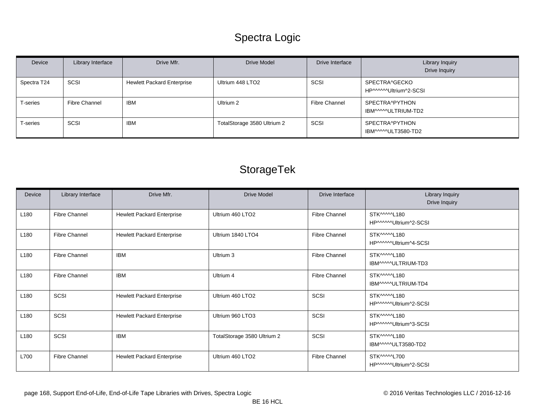# Spectra Logic

| Device      | Library Interface | Drive Mfr.                        | <b>Drive Model</b>          | Drive Interface | Library Inquiry<br>Drive Inquiry        |
|-------------|-------------------|-----------------------------------|-----------------------------|-----------------|-----------------------------------------|
| Spectra T24 | SCSI              | <b>Hewlett Packard Enterprise</b> | Ultrium 448 LTO2            | SCSI            | SPECTRA^GECKO<br>HP^^^^^^Ultrium^2-SCSI |
| T-series    | Fibre Channel     | IBM                               | Ultrium 2                   | Fibre Channel   | SPECTRA^PYTHON<br>IBM^^^^ULTRIUM-TD2    |
| T-series    | SCSI              | <b>IBM</b>                        | TotalStorage 3580 Ultrium 2 | SCSI            | SPECTRA^PYTHON<br>IBM^^^^^ULT3580-TD2   |

# StorageTek

| Device           | Library Interface    | Drive Mfr.                        | <b>Drive Model</b>          | Drive Interface      | Library Inquiry<br>Drive Inquiry       |
|------------------|----------------------|-----------------------------------|-----------------------------|----------------------|----------------------------------------|
| L180             | <b>Fibre Channel</b> | <b>Hewlett Packard Enterprise</b> | Ultrium 460 LTO2            | <b>Fibre Channel</b> | STK^^^^^L180<br>HP^^^^^Ultrium^2-SCSI  |
| L <sub>180</sub> | <b>Fibre Channel</b> | <b>Hewlett Packard Enterprise</b> | Ultrium 1840 LTO4           | <b>Fibre Channel</b> | STK^^^^^L180<br>HP^^^^^\Ultrium^4-SCSI |
| L <sub>180</sub> | <b>Fibre Channel</b> | <b>IBM</b>                        | Ultrium 3                   | <b>Fibre Channel</b> | STK^^^^^L180<br>IBM^^^^ULTRIUM-TD3     |
| L <sub>180</sub> | <b>Fibre Channel</b> | <b>IBM</b>                        | Ultrium 4                   | <b>Fibre Channel</b> | STK^^^^^L180<br>IBM^^^^^ULTRIUM-TD4    |
| L <sub>180</sub> | SCSI                 | <b>Hewlett Packard Enterprise</b> | Ultrium 460 LTO2            | SCSI                 | STK^^^^^L180<br>HP^^^^^^Ultrium^2-SCSI |
| L <sub>180</sub> | SCSI                 | <b>Hewlett Packard Enterprise</b> | Ultrium 960 LTO3            | SCSI                 | STK^^^^^L180<br>HP^^^^^Ultrium^3-SCSI  |
| L <sub>180</sub> | SCSI                 | <b>IBM</b>                        | TotalStorage 3580 Ultrium 2 | SCSI                 | STK^^^^^L180<br>IBM^^^^ULT3580-TD2     |
| L700             | <b>Fibre Channel</b> | <b>Hewlett Packard Enterprise</b> | Ultrium 460 LTO2            | <b>Fibre Channel</b> | STK^^^^^L700<br>HP^^^^^Ultrium^2-SCSI  |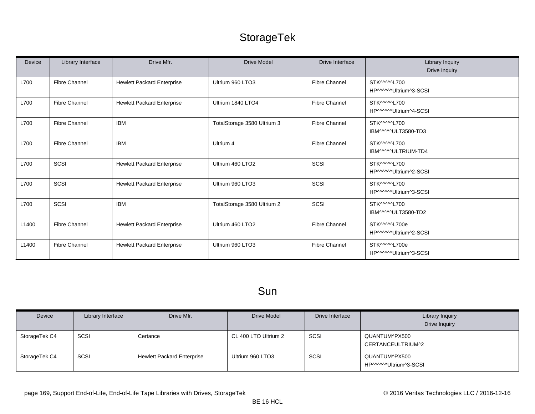# StorageTek

| Device | Library Interface    | Drive Mfr.                        | <b>Drive Model</b>          | Drive Interface      | Library Inquiry<br>Drive Inquiry        |
|--------|----------------------|-----------------------------------|-----------------------------|----------------------|-----------------------------------------|
| L700   | <b>Fibre Channel</b> | <b>Hewlett Packard Enterprise</b> | Ultrium 960 LTO3            | <b>Fibre Channel</b> | STK^^^^^L700<br>HP^^^^^Ultrium^3-SCSI   |
| L700   | <b>Fibre Channel</b> | <b>Hewlett Packard Enterprise</b> | Ultrium 1840 LTO4           | <b>Fibre Channel</b> | STK^^^^^L700<br>HP^^^^^^Ultrium^4-SCSI  |
| L700   | <b>Fibre Channel</b> | <b>IBM</b>                        | TotalStorage 3580 Ultrium 3 | <b>Fibre Channel</b> | STK^^^^^L700<br>IBM^^^^ULT3580-TD3      |
| L700   | <b>Fibre Channel</b> | <b>IBM</b>                        | Ultrium 4                   | <b>Fibre Channel</b> | STK^^^^^L700<br>IBM^^^^ULTRIUM-TD4      |
| L700   | SCSI                 | <b>Hewlett Packard Enterprise</b> | Ultrium 460 LTO2            | SCSI                 | STK^^^^^L700<br>HP^^^^^^Ultrium^2-SCSI  |
| L700   | SCSI                 | <b>Hewlett Packard Enterprise</b> | Ultrium 960 LTO3            | SCSI                 | STK^^^^^L700<br>HP^^^^^Ultrium^3-SCSI   |
| L700   | SCSI                 | <b>IBM</b>                        | TotalStorage 3580 Ultrium 2 | SCSI                 | STK^^^^^L700<br>IBM^^^^^ULT3580-TD2     |
| L1400  | <b>Fibre Channel</b> | <b>Hewlett Packard Enterprise</b> | Ultrium 460 LTO2            | <b>Fibre Channel</b> | STK^^^^^L700e<br>HP^^^^^^Ultrium^2-SCSI |
| L1400  | <b>Fibre Channel</b> | <b>Hewlett Packard Enterprise</b> | Ultrium 960 LTO3            | <b>Fibre Channel</b> | STK^^^^^L700e<br>HP^^^^^Ultrium^3-SCSI  |

### Sun

| Device        | Library Interface | Drive Mfr.                        | Drive Model          | Drive Interface | <b>Library Inquiry</b><br>Drive Inquiry |
|---------------|-------------------|-----------------------------------|----------------------|-----------------|-----------------------------------------|
| StorageTek C4 | SCSI              | Certance                          | CL 400 LTO Ultrium 2 | SCSI            | QUANTUM^PX500<br>CERTANCEULTRIUM^2      |
| StorageTek C4 | SCSI              | <b>Hewlett Packard Enterprise</b> | Ultrium 960 LTO3     | SCSI            | QUANTUM^PX500<br>HP^^^^^^Ultrium^3-SCSI |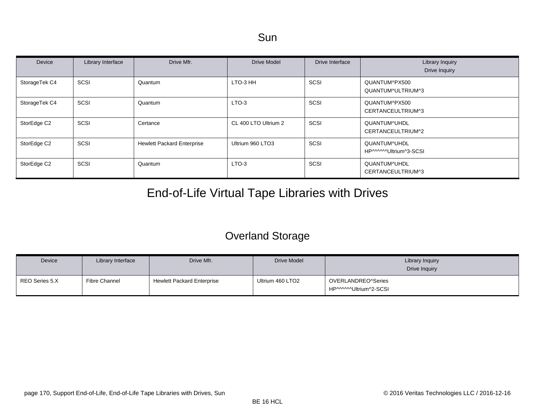| Device        | Library Interface | Drive Mfr.                        | Drive Model          | Drive Interface | Library Inquiry<br><b>Drive Inquiry</b> |
|---------------|-------------------|-----------------------------------|----------------------|-----------------|-----------------------------------------|
| StorageTek C4 | SCSI              | Quantum                           | LTO-3 HH             | SCSI            | QUANTUM^PX500<br>QUANTUM^ULTRIUM^3      |
| StorageTek C4 | <b>SCSI</b>       | Quantum                           | LTO-3                | <b>SCSI</b>     | QUANTUM^PX500<br>CERTANCEULTRIUM^3      |
| StorEdge C2   | SCSI              | Certance                          | CL 400 LTO Ultrium 2 | SCSI            | QUANTUM^UHDL<br>CERTANCEULTRIUM^2       |
| StorEdge C2   | SCSI              | <b>Hewlett Packard Enterprise</b> | Ultrium 960 LTO3     | SCSI            | QUANTUM^UHDL<br>HP^^^^^Ultrium^3-SCSI   |
| StorEdge C2   | SCSI              | Quantum                           | LTO-3                | <b>SCSI</b>     | QUANTUM^UHDL<br>CERTANCEULTRIUM^3       |

# End-of-Life Virtual Tape Libraries with Drives

### Overland Storage

| Device         | Library Interface | Drive Mfr.                        | Drive Model      | Library Inquiry<br>Drive Inquiry             |
|----------------|-------------------|-----------------------------------|------------------|----------------------------------------------|
| REO Series 5.X | Fibre Channel     | <b>Hewlett Packard Enterprise</b> | Ultrium 460 LTO2 | OVERLANDREO^Series<br>HP^^^^^^Ultrium^2-SCSI |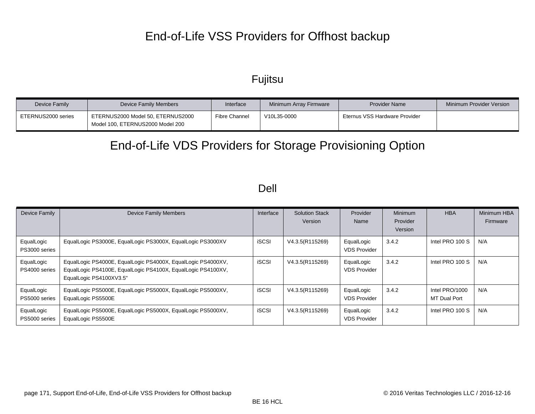# End-of-Life VSS Providers for Offhost backup

### Fujitsu

| Device Family      | Device Family Members                                                 | Interface            | Minimum Array Firmware | <b>Provider Name</b>          | Minimum Provider Version |
|--------------------|-----------------------------------------------------------------------|----------------------|------------------------|-------------------------------|--------------------------|
| ETERNUS2000 series | ETERNUS2000 Model 50, ETERNUS2000<br>Model 100. ETERNUS2000 Model 200 | <b>Fibre Channel</b> | V10L35-0000            | Eternus VSS Hardware Provider |                          |

# End-of-Life VDS Providers for Storage Provisioning Option

#### Dell

| Device Family               | <b>Device Family Members</b>                                                                                                                            | Interface    | <b>Solution Stack</b><br>Version | Provider<br>Name                  | <b>Minimum</b><br>Provider<br>Version | <b>HBA</b>                            | Minimum HBA<br>Firmware |
|-----------------------------|---------------------------------------------------------------------------------------------------------------------------------------------------------|--------------|----------------------------------|-----------------------------------|---------------------------------------|---------------------------------------|-------------------------|
| EqualLogic<br>PS3000 series | EqualLogic PS3000E, EqualLogic PS3000X, EqualLogic PS3000XV                                                                                             | <b>iSCSI</b> | V4.3.5(R115269)                  | EqualLogic<br><b>VDS Provider</b> | 3.4.2                                 | Intel PRO 100 S                       | N/A                     |
| EqualLogic<br>PS4000 series | EqualLogic PS4000E, EqualLogic PS4000X, EqualLogic PS4000XV,<br>EqualLogic PS4100E, EqualLogic PS4100X, EqualLogic PS4100XV,<br>EqualLogic PS4100XV3.5" | <b>iSCSI</b> | V4.3.5(R115269)                  | EqualLogic<br><b>VDS Provider</b> | 3.4.2                                 | Intel PRO 100 S                       | N/A                     |
| EqualLogic<br>PS5000 series | EqualLogic PS5000E, EqualLogic PS5000X, EqualLogic PS5000XV,<br>EqualLogic PS5500E                                                                      | <b>iSCSI</b> | V4.3.5(R115269)                  | EqualLogic<br><b>VDS Provider</b> | 3.4.2                                 | Intel PRO/1000<br><b>MT Dual Port</b> | N/A                     |
| EqualLogic<br>PS5000 series | EqualLogic PS5000E, EqualLogic PS5000X, EqualLogic PS5000XV,<br>EqualLogic PS5500E                                                                      | <b>iSCSI</b> | V4.3.5(R115269)                  | EqualLogic<br><b>VDS Provider</b> | 3.4.2                                 | Intel PRO 100 S                       | N/A                     |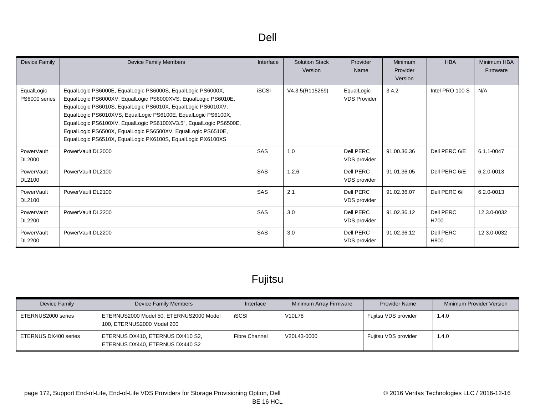| ۰, |
|----|
|----|

| Device Family               | <b>Device Family Members</b>                                                                                                                                                                                                                                                                                                                                                                                                                                       | Interface    | <b>Solution Stack</b><br>Version | Provider<br>Name                  | <b>Minimum</b><br>Provider<br>Version | <b>HBA</b>        | Minimum HBA<br>Firmware |
|-----------------------------|--------------------------------------------------------------------------------------------------------------------------------------------------------------------------------------------------------------------------------------------------------------------------------------------------------------------------------------------------------------------------------------------------------------------------------------------------------------------|--------------|----------------------------------|-----------------------------------|---------------------------------------|-------------------|-------------------------|
| EqualLogic<br>PS6000 series | EqualLogic PS6000E, EqualLogic PS6000S, EqualLogic PS6000X,<br>EqualLogic PS6000XV, EqualLogic PS6000XVS, EqualLogic PS6010E,<br>EqualLogic PS6010S, EqualLogic PS6010X, EqualLogic PS6010XV,<br>EqualLogic PS6010XVS, EqualLogic PS6100E, EqualLogic PS6100X,<br>EqualLogic PS6100XV, EqualLogic PS6100XV3.5", EqualLogic PS6500E,<br>EqualLogic PS6500X, EqualLogic PS6500XV, EqualLogic PS6510E,<br>EqualLogic PS6510X, EqualLogic PX6100S, EqualLogic PX6100XS | <b>iSCSI</b> | V4.3.5(R115269)                  | EqualLogic<br><b>VDS Provider</b> | 3.4.2                                 | Intel PRO 100 S   | N/A                     |
| PowerVault<br><b>DL2000</b> | PowerVault DL2000                                                                                                                                                                                                                                                                                                                                                                                                                                                  | SAS          | 1.0                              | Dell PERC<br>VDS provider         | 91.00.36.36                           | Dell PERC 6/E     | 6.1.1-0047              |
| PowerVault<br>DL2100        | PowerVault DL2100                                                                                                                                                                                                                                                                                                                                                                                                                                                  | SAS          | 1.2.6                            | Dell PERC<br>VDS provider         | 91.01.36.05                           | Dell PERC 6/E     | 6.2.0-0013              |
| PowerVault<br>DL2100        | PowerVault DL2100                                                                                                                                                                                                                                                                                                                                                                                                                                                  | SAS          | 2.1                              | Dell PERC<br><b>VDS</b> provider  | 91.02.36.07                           | Dell PERC 6/i     | 6.2.0-0013              |
| PowerVault<br><b>DL2200</b> | PowerVault DL2200                                                                                                                                                                                                                                                                                                                                                                                                                                                  | <b>SAS</b>   | 3.0                              | Dell PERC<br><b>VDS</b> provider  | 91.02.36.12                           | Dell PERC<br>H700 | 12.3.0-0032             |
| PowerVault<br><b>DL2200</b> | PowerVault DL2200                                                                                                                                                                                                                                                                                                                                                                                                                                                  | <b>SAS</b>   | 3.0                              | Dell PERC<br>VDS provider         | 91.02.36.12                           | Dell PERC<br>H800 | 12.3.0-0032             |

# Fujitsu

| Device Family        | Device Family Members                                                 | Interface            | Minimum Array Firmware | <b>Provider Name</b> | Minimum Provider Version |
|----------------------|-----------------------------------------------------------------------|----------------------|------------------------|----------------------|--------------------------|
| ETERNUS2000 series   | ETERNUS2000 Model 50, ETERNUS2000 Model<br>100, ETERNUS2000 Model 200 | <b>iSCSI</b>         | V <sub>10</sub> L78    | Fujitsu VDS provider | 1.4.0                    |
| ETERNUS DX400 series | ETERNUS DX410, ETERNUS DX410 S2,<br>ETERNUS DX440, ETERNUS DX440 S2   | <b>Fibre Channel</b> | V20L43-0000            | Fujitsu VDS provider | 1.4.0                    |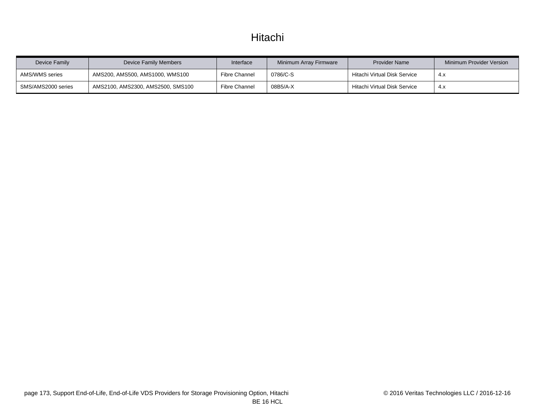### Hitachi

| Device Family      | Device Family Members             | Interface            | Minimum Array Firmware | <b>Provider Name</b>         | Minimum Provider Version |
|--------------------|-----------------------------------|----------------------|------------------------|------------------------------|--------------------------|
| AMS/WMS series     | AMS200, AMS500, AMS1000, WMS100   | Fibre Channel        | 0786/C-S               | Hitachi Virtual Disk Service | 4.X                      |
| SMS/AMS2000 series | AMS2100, AMS2300, AMS2500, SMS100 | <b>Fibre Channel</b> | 08B5/A-X               | Hitachi Virtual Disk Service | 4.X                      |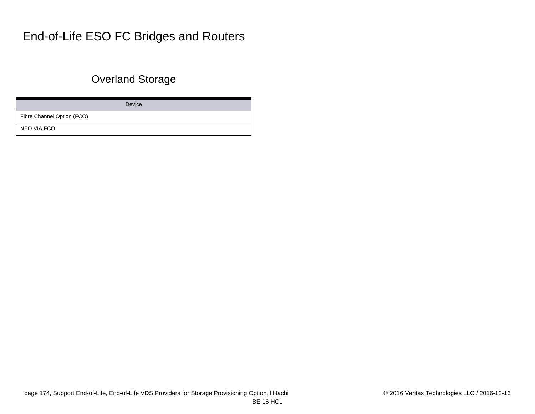# End-of-Life ESO FC Bridges and Routers

### Overland Storage

Device

Fibre Channel Option (FCO)

NEO VIA FCO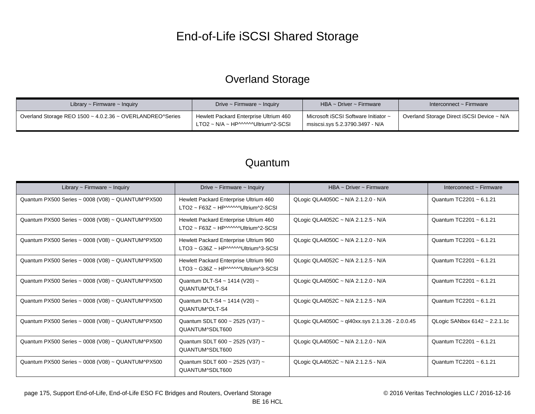# End-of-Life iSCSI Shared Storage

### Overland Storage

| Library $\sim$ Firmware $\sim$ Inquiry                    | Drive $\sim$ Firmware $\sim$ Inquiry                                         | $HBA \sim$ Driver ~ Firmware                                            | Interconnect ~ Firmware                    |
|-----------------------------------------------------------|------------------------------------------------------------------------------|-------------------------------------------------------------------------|--------------------------------------------|
| Overland Storage REO 1500 ~ 4.0.2.36 ~ OVERLANDREO^Series | Hewlett Packard Enterprise Ultrium 460<br>LTO2 ~ N/A ~ HP^^^^^Ultrium^2-SCSI | Microsoft iSCSI Software Initiator ~<br>msiscsi.sys 5.2.3790.3497 - N/A | Overland Storage Direct iSCSI Device ~ N/A |

| Library $\sim$ Firmware $\sim$ Inquiry            | Drive $\sim$ Firmware $\sim$ Inquiry                                                                | HBA ~ Driver ~ Firmware                          | Interconnect $\sim$ Firmware  |
|---------------------------------------------------|-----------------------------------------------------------------------------------------------------|--------------------------------------------------|-------------------------------|
| Quantum PX500 Series ~ 0008 (V08) ~ QUANTUM^PX500 | Hewlett Packard Enterprise Ultrium 460<br>LTO2 ~ F63Z ~ HP^^^^^Ultrium^2-SCSI                       | QLogic QLA4050C ~ N/A 2.1.2.0 - N/A              | Quantum TC2201 ~ 6.1.21       |
| Quantum PX500 Series ~ 0008 (V08) ~ QUANTUM^PX500 | Hewlett Packard Enterprise Ultrium 460<br>$LTO2 \sim F63Z \sim HP^{MMM}$ Ultrium <sup>2</sup> -SCSI | QLogic QLA4052C ~ N/A 2.1.2.5 - N/A              | Quantum TC2201 ~ 6.1.21       |
| Quantum PX500 Series ~ 0008 (V08) ~ QUANTUM^PX500 | Hewlett Packard Enterprise Ultrium 960<br>LTO3 ~ G36Z ~ HP^^^^^^Ultrium^3-SCSI                      | QLogic QLA4050C ~ N/A 2.1.2.0 - N/A              | Quantum TC2201 ~ 6.1.21       |
| Quantum PX500 Series ~ 0008 (V08) ~ QUANTUM^PX500 | Hewlett Packard Enterprise Ultrium 960<br>LTO3 ~ G36Z ~ HP^^^^^^Ultrium^3-SCSI                      | QLogic QLA4052C ~ N/A 2.1.2.5 - N/A              | Quantum TC2201 ~ 6.1.21       |
| Quantum PX500 Series ~ 0008 (V08) ~ QUANTUM^PX500 | Quantum DLT-S4 ~ 1414 (V20) ~<br>QUANTUM^DLT-S4                                                     | QLogic QLA4050C ~ N/A 2.1.2.0 - N/A              | Quantum TC2201 ~ 6.1.21       |
| Quantum PX500 Series ~ 0008 (V08) ~ QUANTUM^PX500 | Quantum DLT-S4 ~ 1414 (V20) ~<br>QUANTUM^DLT-S4                                                     | QLogic QLA4052C ~ N/A 2.1.2.5 - N/A              | Quantum TC2201 ~ 6.1.21       |
| Quantum PX500 Series ~ 0008 (V08) ~ QUANTUM^PX500 | Quantum SDLT 600 ~ 2525 (V37) ~<br>QUANTUM^SDLT600                                                  | QLogic QLA4050C ~ ql40xx.sys 2.1.3.26 - 2.0.0.45 | QLogic SANbox 6142 ~ 2.2.1.1c |
| Quantum PX500 Series ~ 0008 (V08) ~ QUANTUM^PX500 | Quantum SDLT 600 ~ 2525 (V37) ~<br>QUANTUM^SDLT600                                                  | QLogic QLA4050C ~ N/A 2.1.2.0 - N/A              | Quantum TC2201 ~ 6.1.21       |
| Quantum PX500 Series ~ 0008 (V08) ~ QUANTUM^PX500 | Quantum SDLT 600 ~ 2525 (V37) ~<br>QUANTUM^SDLT600                                                  | QLogic QLA4052C ~ N/A 2.1.2.5 - N/A              | Quantum TC2201 ~ 6.1.21       |